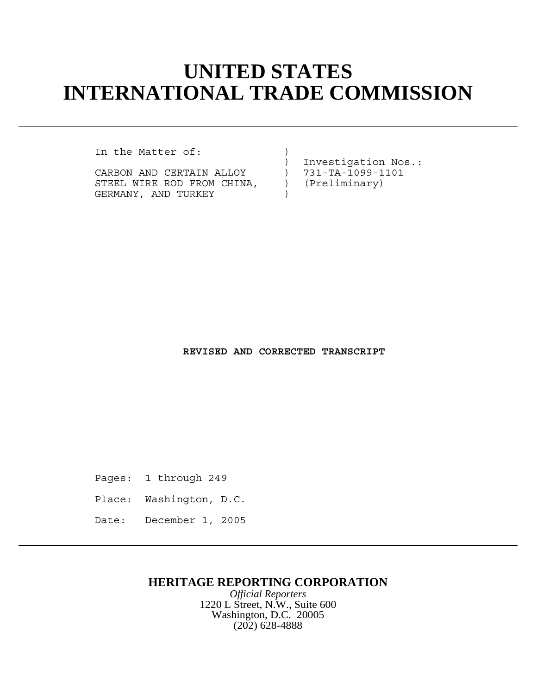# **UNITED STATES INTERNATIONAL TRADE COMMISSION**

In the Matter of:

CARBON AND CERTAIN ALLOY ) 731-TA-1099-1<br>STEEL WIRE ROD FROM CHINA, ) (Preliminary) STEEL WIRE ROD FROM CHINA,  $\qquad$ ) GERMANY, AND TURKEY (1998)

) Investigation Nos.:<br>) 731-TA-1099-1101

**REVISED AND CORRECTED TRANSCRIPT**

Pages: 1 through 249

Place: Washington, D.C.

Date: December 1, 2005

## **HERITAGE REPORTING CORPORATION**

*Official Reporters* 1220 L Street, N.W., Suite 600 Washington, D.C. 20005 (202) 628-4888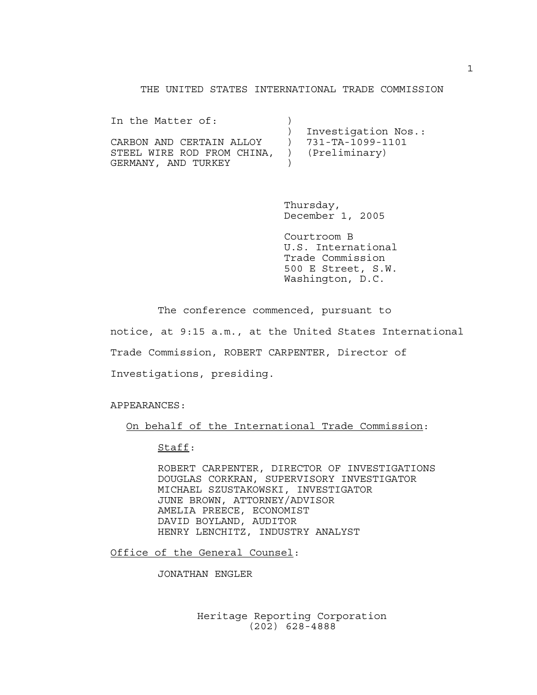## THE UNITED STATES INTERNATIONAL TRADE COMMISSION

| In the Matter of:          |                     |
|----------------------------|---------------------|
|                            | Investigation Nos.: |
| CARBON AND CERTAIN ALLOY   | 731-TA-1099-1101    |
| STEEL WIRE ROD FROM CHINA, | (Preliminary)       |
| GERMANY, AND TURKEY        |                     |

Thursday, December 1, 2005

Courtroom B U.S. International Trade Commission 500 E Street, S.W. Washington, D.C.

The conference commenced, pursuant to notice, at 9:15 a.m., at the United States International Trade Commission, ROBERT CARPENTER, Director of Investigations, presiding.

APPEARANCES:

On behalf of the International Trade Commission:

Staff:

ROBERT CARPENTER, DIRECTOR OF INVESTIGATIONS DOUGLAS CORKRAN, SUPERVISORY INVESTIGATOR MICHAEL SZUSTAKOWSKI, INVESTIGATOR JUNE BROWN, ATTORNEY/ADVISOR AMELIA PREECE, ECONOMIST DAVID BOYLAND, AUDITOR HENRY LENCHITZ, INDUSTRY ANALYST

Office of the General Counsel:

JONATHAN ENGLER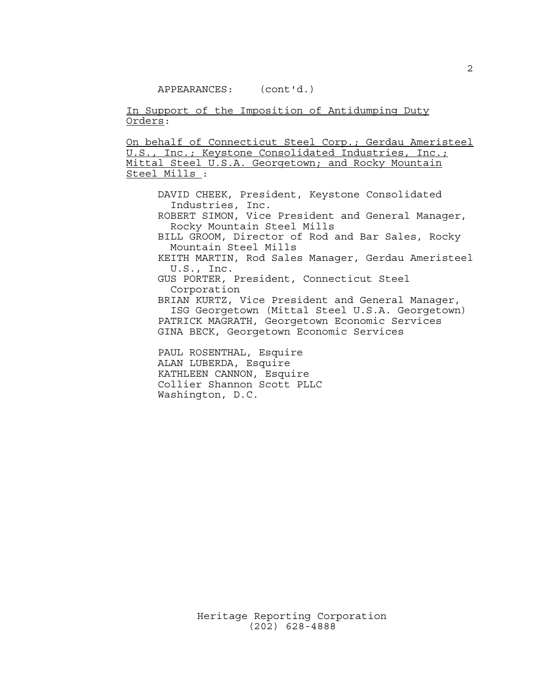In Support of the Imposition of Antidumping Duty Orders:

On behalf of Connecticut Steel Corp.; Gerdau Ameristeel U.S., Inc.; Keystone Consolidated Industries, Inc.; Mittal Steel U.S.A. Georgetown; and Rocky Mountain Steel Mills :

DAVID CHEEK, President, Keystone Consolidated Industries, Inc.

ROBERT SIMON, Vice President and General Manager, Rocky Mountain Steel Mills

BILL GROOM, Director of Rod and Bar Sales, Rocky Mountain Steel Mills

KEITH MARTIN, Rod Sales Manager, Gerdau Ameristeel U.S., Inc.

GUS PORTER, President, Connecticut Steel Corporation

BRIAN KURTZ, Vice President and General Manager, ISG Georgetown (Mittal Steel U.S.A. Georgetown) PATRICK MAGRATH, Georgetown Economic Services GINA BECK, Georgetown Economic Services

PAUL ROSENTHAL, Esquire ALAN LUBERDA, Esquire KATHLEEN CANNON, Esquire Collier Shannon Scott PLLC Washington, D.C.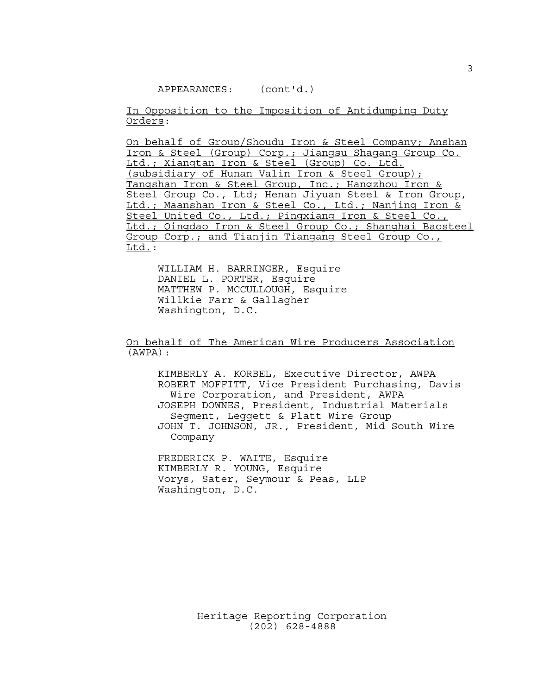In Opposition to the Imposition of Antidumping Duty Orders:

On behalf of Group/Shoudu Iron & Steel Company; Anshan Iron & Steel (Group) Corp.; Jiangsu Shagang Group Co. Ltd.; Xiangtan Iron & Steel (Group) Co. Ltd. (subsidiary of Hunan Valin Iron & Steel Group); Tangshan Iron & Steel Group, Inc.; Hangzhou Iron & Steel Group Co., Ltd; Henan Jiyuan Steel & Iron Group, Ltd.; Maanshan Iron & Steel Co., Ltd.; Nanjing Iron & Steel United Co., Ltd.; Pingxiang Iron & Steel Co., Ltd.; Qingdao Iron & Steel Group Co.; Shanghai Baosteel Group Corp.; and Tianjin Tiangang Steel Group Co., Ltd.:

WILLIAM H. BARRINGER, Esquire DANIEL L. PORTER, Esquire MATTHEW P. MCCULLOUGH, Esquire Willkie Farr & Gallagher Washington, D.C.

On behalf of The American Wire Producers Association (AWPA):

KIMBERLY A. KORBEL, Executive Director, AWPA ROBERT MOFFITT, Vice President Purchasing, Davis Wire Corporation, and President, AWPA JOSEPH DOWNES, President, Industrial Materials Segment, Leggett & Platt Wire Group JOHN T. JOHNSON, JR., President, Mid South Wire Company

FREDERICK P. WAITE, Esquire KIMBERLY R. YOUNG, Esquire Vorys, Sater, Seymour & Peas, LLP Washington, D.C.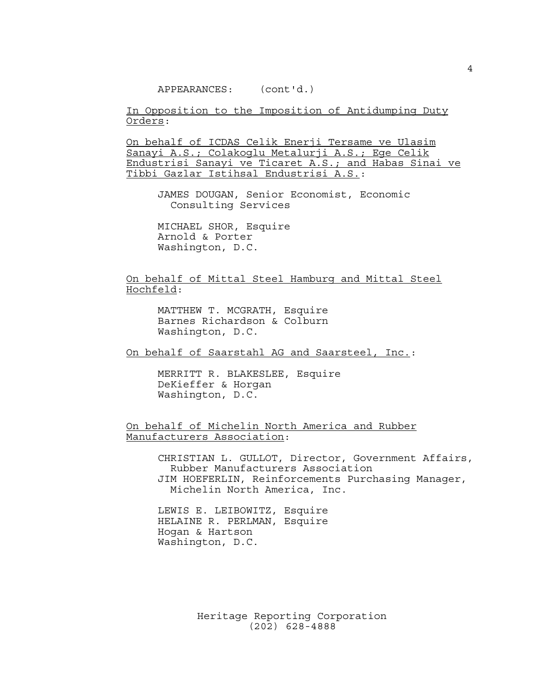In Opposition to the Imposition of Antidumping Duty Orders:

On behalf of ICDAS Celik Enerji Tersame ve Ulasim Sanayi A.S.; Colakoglu Metalurji A.S.; Ege Celik Endustrisi Sanayi ve Ticaret A.S.; and Habas Sinai ve Tibbi Gazlar Istihsal Endustrisi A.S.:

JAMES DOUGAN, Senior Economist, Economic Consulting Services

MICHAEL SHOR, Esquire Arnold & Porter Washington, D.C.

On behalf of Mittal Steel Hamburg and Mittal Steel Hochfeld:

MATTHEW T. MCGRATH, Esquire Barnes Richardson & Colburn Washington, D.C.

On behalf of Saarstahl AG and Saarsteel, Inc.:

MERRITT R. BLAKESLEE, Esquire DeKieffer & Horgan Washington, D.C.

On behalf of Michelin North America and Rubber Manufacturers Association:

> CHRISTIAN L. GULLOT, Director, Government Affairs, Rubber Manufacturers Association JIM HOEFERLIN, Reinforcements Purchasing Manager, Michelin North America, Inc.

LEWIS E. LEIBOWITZ, Esquire HELAINE R. PERLMAN, Esquire Hogan & Hartson Washington, D.C.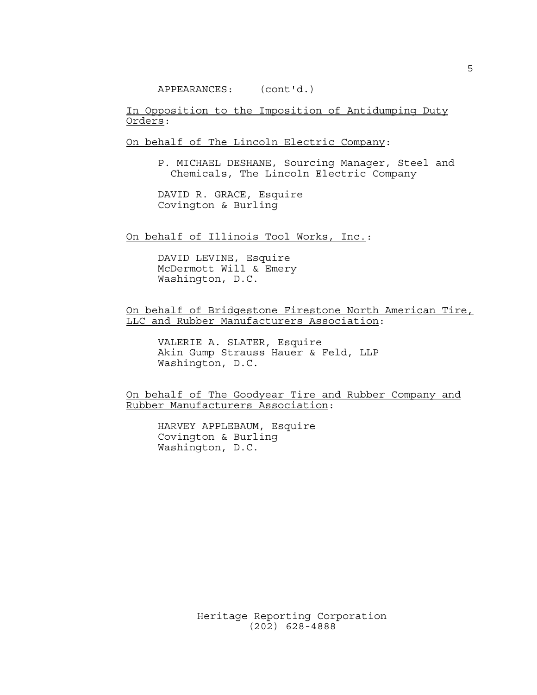In Opposition to the Imposition of Antidumping Duty Orders:

On behalf of The Lincoln Electric Company:

P. MICHAEL DESHANE, Sourcing Manager, Steel and Chemicals, The Lincoln Electric Company

DAVID R. GRACE, Esquire Covington & Burling

On behalf of Illinois Tool Works, Inc.:

DAVID LEVINE, Esquire McDermott Will & Emery Washington, D.C.

### On behalf of Bridgestone Firestone North American Tire, LLC and Rubber Manufacturers Association:

VALERIE A. SLATER, Esquire Akin Gump Strauss Hauer & Feld, LLP Washington, D.C.

On behalf of The Goodyear Tire and Rubber Company and Rubber Manufacturers Association:

HARVEY APPLEBAUM, Esquire Covington & Burling Washington, D.C.

5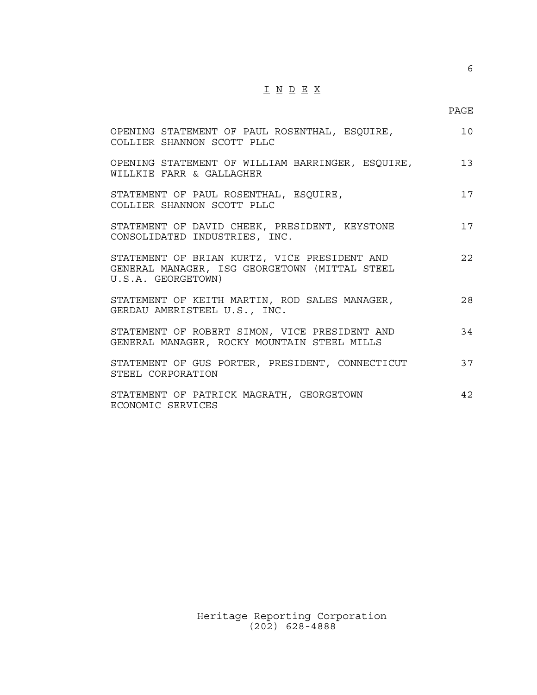# $\underline{\texttt{I}} \ \underline{\texttt{N}} \ \underline{\texttt{D}} \ \underline{\texttt{E}} \ \underline{\texttt{X}}$

6

| OPENING STATEMENT OF PAUL ROSENTHAL, ESQUIRE,<br>COLLIER SHANNON SCOTT PLLC                                         | 10 |
|---------------------------------------------------------------------------------------------------------------------|----|
| OPENING STATEMENT OF WILLIAM BARRINGER, ESQUIRE,<br>WILLKIE FARR & GALLAGHER                                        | 13 |
| STATEMENT OF PAUL ROSENTHAL, ESQUIRE,<br>COLLIER SHANNON SCOTT PLLC                                                 | 17 |
| STATEMENT OF DAVID CHEEK, PRESIDENT, KEYSTONE<br>CONSOLIDATED INDUSTRIES, INC.                                      | 17 |
| STATEMENT OF BRIAN KURTZ, VICE PRESIDENT AND<br>GENERAL MANAGER, ISG GEORGETOWN (MITTAL STEEL<br>U.S.A. GEORGETOWN) | 22 |
| STATEMENT OF KEITH MARTIN, ROD SALES MANAGER,<br>GERDAU AMERISTEEL U.S., INC.                                       | 28 |
| STATEMENT OF ROBERT SIMON, VICE PRESIDENT AND<br>GENERAL MANAGER, ROCKY MOUNTAIN STEEL MILLS                        | 34 |
| STATEMENT OF GUS PORTER, PRESIDENT, CONNECTICUT<br>STEEL CORPORATION                                                | 37 |
| STATEMENT OF PATRICK MAGRATH, GEORGETOWN<br>ECONOMIC SERVICES                                                       | 42 |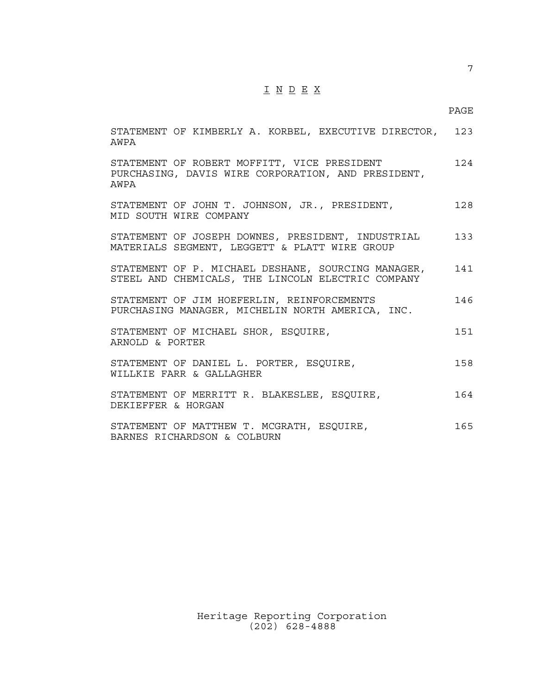## I N D E X

7

| STATEMENT OF KIMBERLY A. KORBEL, EXECUTIVE DIRECTOR, 123<br>AWPA                                          |      |
|-----------------------------------------------------------------------------------------------------------|------|
| STATEMENT OF ROBERT MOFFITT, VICE PRESIDENT<br>PURCHASING, DAVIS WIRE CORPORATION, AND PRESIDENT,<br>AWPA | 12.4 |
| STATEMENT OF JOHN T. JOHNSON, JR., PRESIDENT,<br>MID SOUTH WIRE COMPANY                                   | 128  |
| STATEMENT OF JOSEPH DOWNES, PRESIDENT, INDUSTRIAL<br>MATERIALS SEGMENT, LEGGETT & PLATT WIRE GROUP        | 133  |
| STATEMENT OF P. MICHAEL DESHANE, SOURCING MANAGER,<br>STEEL AND CHEMICALS, THE LINCOLN ELECTRIC COMPANY   | 141  |
| STATEMENT OF JIM HOEFERLIN, REINFORCEMENTS<br>PURCHASING MANAGER, MICHELIN NORTH AMERICA, INC.            | 146  |
| STATEMENT OF MICHAEL SHOR, ESQUIRE,<br>ARNOLD & PORTER                                                    | 151  |
| STATEMENT OF DANIEL L. PORTER, ESQUIRE,<br>WILLKIE FARR & GALLAGHER                                       | 158  |
| STATEMENT OF MERRITT R. BLAKESLEE, ESQUIRE,<br>DEKIFFFER & HORGAN                                         | 164  |
| STATEMENT OF MATTHEW T. MCGRATH, ESQUIRE,<br>BARNES RICHARDSON & COLBURN                                  | 165  |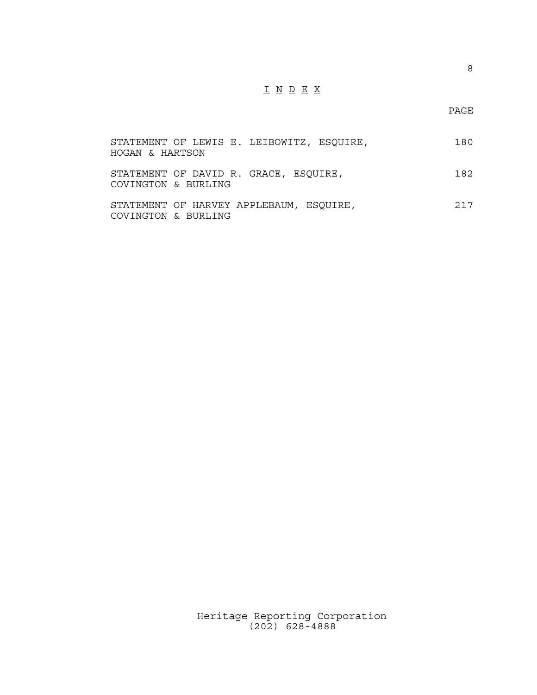# $\underline{\texttt{I}} \ \underline{\texttt{N}} \ \underline{\texttt{D}} \ \underline{\texttt{E}} \ \underline{\texttt{X}}$

PAGE

| STATEMENT OF LEWIS E. LEIBOWITZ, ESQUIRE,<br>HOGAN & HARTSON   | 180 |
|----------------------------------------------------------------|-----|
| STATEMENT OF DAVID R. GRACE, ESQUIRE,<br>COVINGTON & BURLING   | 182 |
| STATEMENT OF HARVEY APPLEBAUM, ESOUIRE,<br>COVINGTON & BURLING | 217 |

Heritage Reporting Corporation (202) 628-4888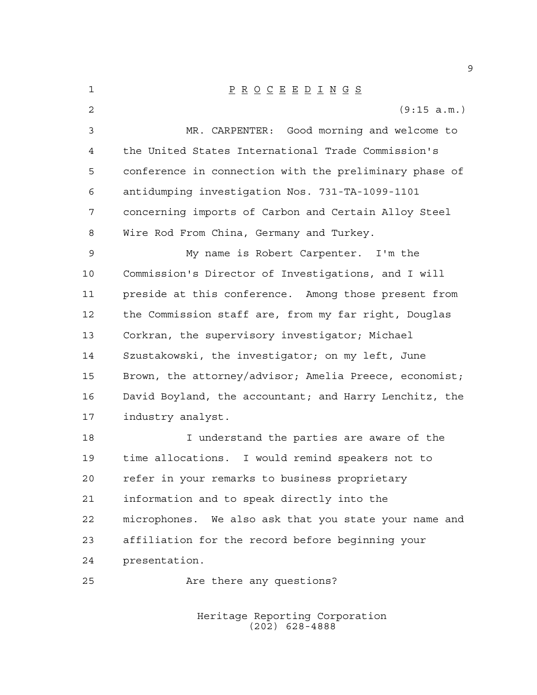P R O C E E D I N G S (9:15 a.m.) MR. CARPENTER: Good morning and welcome to the United States International Trade Commission's conference in connection with the preliminary phase of antidumping investigation Nos. 731-TA-1099-1101 concerning imports of Carbon and Certain Alloy Steel Wire Rod From China, Germany and Turkey. My name is Robert Carpenter. I'm the Commission's Director of Investigations, and I will preside at this conference. Among those present from the Commission staff are, from my far right, Douglas Corkran, the supervisory investigator; Michael Szustakowski, the investigator; on my left, June Brown, the attorney/advisor; Amelia Preece, economist; David Boyland, the accountant; and Harry Lenchitz, the industry analyst. I understand the parties are aware of the time allocations. I would remind speakers not to refer in your remarks to business proprietary information and to speak directly into the microphones. We also ask that you state your name and affiliation for the record before beginning your presentation. Are there any questions?

> Heritage Reporting Corporation (202) 628-4888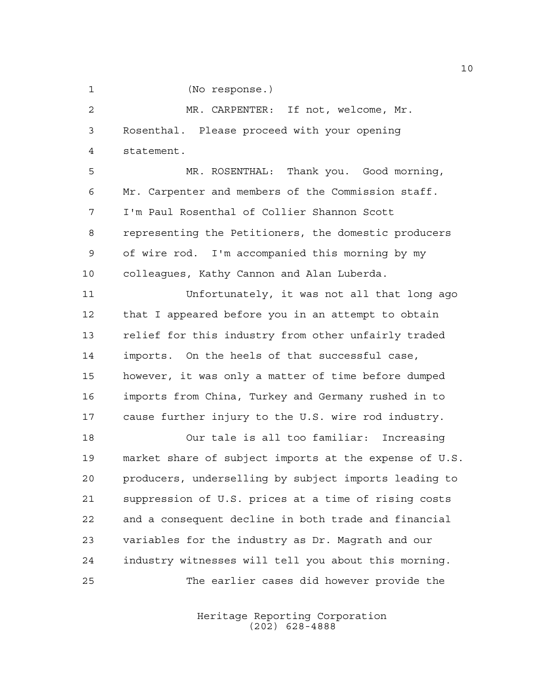(No response.)

 MR. CARPENTER: If not, welcome, Mr. Rosenthal. Please proceed with your opening statement.

 MR. ROSENTHAL: Thank you. Good morning, Mr. Carpenter and members of the Commission staff. I'm Paul Rosenthal of Collier Shannon Scott representing the Petitioners, the domestic producers of wire rod. I'm accompanied this morning by my colleagues, Kathy Cannon and Alan Luberda.

 Unfortunately, it was not all that long ago that I appeared before you in an attempt to obtain relief for this industry from other unfairly traded imports. On the heels of that successful case, however, it was only a matter of time before dumped imports from China, Turkey and Germany rushed in to cause further injury to the U.S. wire rod industry.

 Our tale is all too familiar: Increasing market share of subject imports at the expense of U.S. producers, underselling by subject imports leading to suppression of U.S. prices at a time of rising costs and a consequent decline in both trade and financial variables for the industry as Dr. Magrath and our industry witnesses will tell you about this morning. The earlier cases did however provide the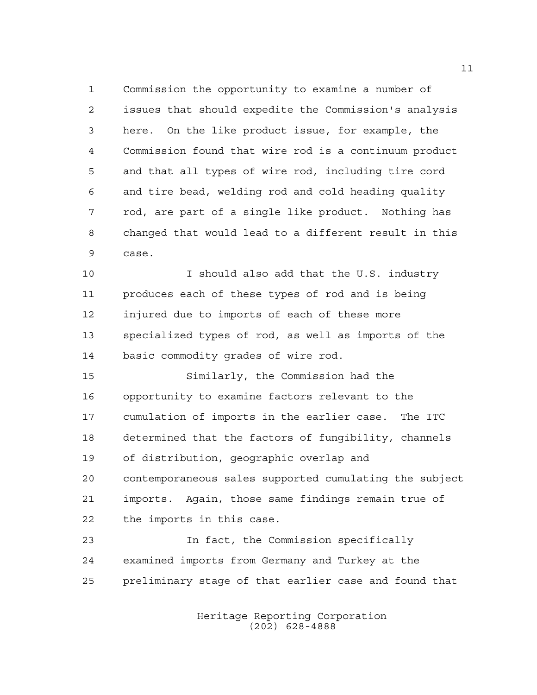Commission the opportunity to examine a number of issues that should expedite the Commission's analysis here. On the like product issue, for example, the Commission found that wire rod is a continuum product and that all types of wire rod, including tire cord and tire bead, welding rod and cold heading quality rod, are part of a single like product. Nothing has changed that would lead to a different result in this case.

 I should also add that the U.S. industry produces each of these types of rod and is being injured due to imports of each of these more specialized types of rod, as well as imports of the basic commodity grades of wire rod.

 Similarly, the Commission had the opportunity to examine factors relevant to the cumulation of imports in the earlier case. The ITC determined that the factors of fungibility, channels of distribution, geographic overlap and contemporaneous sales supported cumulating the subject imports. Again, those same findings remain true of the imports in this case.

 In fact, the Commission specifically examined imports from Germany and Turkey at the preliminary stage of that earlier case and found that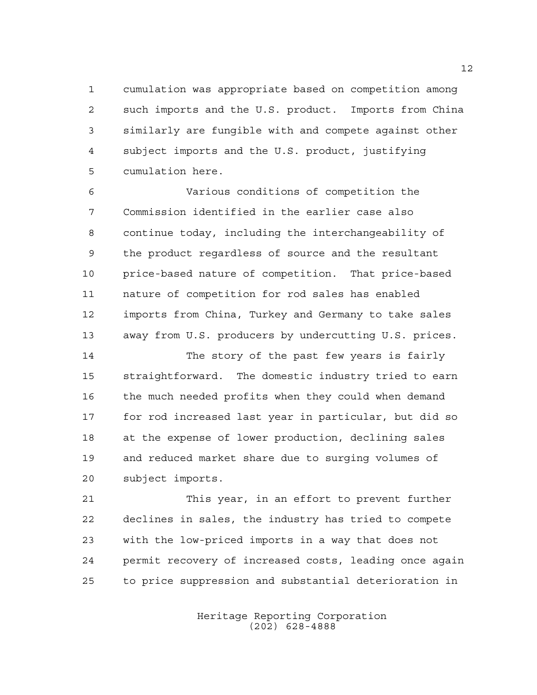cumulation was appropriate based on competition among such imports and the U.S. product. Imports from China similarly are fungible with and compete against other subject imports and the U.S. product, justifying cumulation here.

 Various conditions of competition the Commission identified in the earlier case also continue today, including the interchangeability of the product regardless of source and the resultant price-based nature of competition. That price-based nature of competition for rod sales has enabled imports from China, Turkey and Germany to take sales away from U.S. producers by undercutting U.S. prices.

 The story of the past few years is fairly straightforward. The domestic industry tried to earn the much needed profits when they could when demand for rod increased last year in particular, but did so at the expense of lower production, declining sales and reduced market share due to surging volumes of subject imports.

 This year, in an effort to prevent further declines in sales, the industry has tried to compete with the low-priced imports in a way that does not permit recovery of increased costs, leading once again to price suppression and substantial deterioration in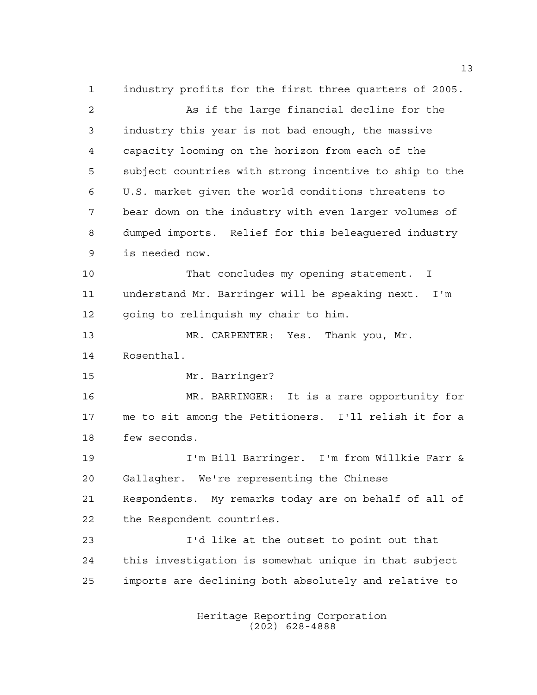industry profits for the first three quarters of 2005. As if the large financial decline for the industry this year is not bad enough, the massive capacity looming on the horizon from each of the subject countries with strong incentive to ship to the U.S. market given the world conditions threatens to bear down on the industry with even larger volumes of dumped imports. Relief for this beleaguered industry is needed now. That concludes my opening statement. I understand Mr. Barringer will be speaking next. I'm going to relinquish my chair to him. MR. CARPENTER: Yes. Thank you, Mr. Rosenthal. Mr. Barringer? MR. BARRINGER: It is a rare opportunity for me to sit among the Petitioners. I'll relish it for a few seconds. I'm Bill Barringer. I'm from Willkie Farr & Gallagher. We're representing the Chinese Respondents. My remarks today are on behalf of all of the Respondent countries. I'd like at the outset to point out that this investigation is somewhat unique in that subject imports are declining both absolutely and relative to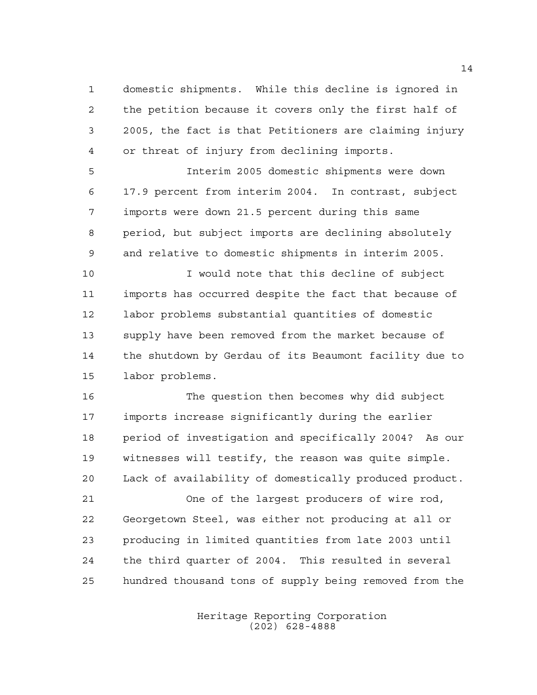domestic shipments. While this decline is ignored in the petition because it covers only the first half of 2005, the fact is that Petitioners are claiming injury or threat of injury from declining imports.

 Interim 2005 domestic shipments were down 17.9 percent from interim 2004. In contrast, subject imports were down 21.5 percent during this same period, but subject imports are declining absolutely and relative to domestic shipments in interim 2005.

 I would note that this decline of subject imports has occurred despite the fact that because of labor problems substantial quantities of domestic supply have been removed from the market because of the shutdown by Gerdau of its Beaumont facility due to labor problems.

 The question then becomes why did subject imports increase significantly during the earlier period of investigation and specifically 2004? As our witnesses will testify, the reason was quite simple. Lack of availability of domestically produced product.

 One of the largest producers of wire rod, Georgetown Steel, was either not producing at all or producing in limited quantities from late 2003 until the third quarter of 2004. This resulted in several hundred thousand tons of supply being removed from the

> Heritage Reporting Corporation (202) 628-4888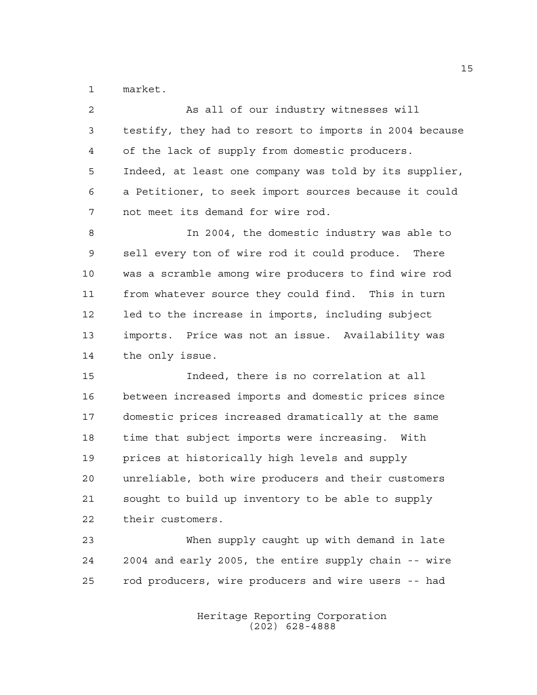market.

| $\overline{2}$ | As all of our industry witnesses will                  |
|----------------|--------------------------------------------------------|
| 3              | testify, they had to resort to imports in 2004 because |
| 4              | of the lack of supply from domestic producers.         |
| 5              | Indeed, at least one company was told by its supplier, |
| 6              | a Petitioner, to seek import sources because it could  |
| 7              | not meet its demand for wire rod.                      |
| 8              | In 2004, the domestic industry was able to             |
| 9              | sell every ton of wire rod it could produce. There     |
| $10$           | was a scramble among wire producers to find wire rod   |
| 11             | from whatever source they could find. This in turn     |
| 12             | led to the increase in imports, including subject      |
| 13             | imports. Price was not an issue. Availability was      |
| 14             | the only issue.                                        |
| 15             | Indeed, there is no correlation at all                 |
| 16             | between increased imports and domestic prices since    |
| 17             | domestic prices increased dramatically at the same     |
| 18             | time that subject imports were increasing. With        |
| 19             | prices at historically high levels and supply          |
| 20             | unreliable, both wire producers and their customers    |
| 21             | sought to build up inventory to be able to supply      |
| 22             | their customers.                                       |
| 23             | When supply caught up with demand in late              |
| 24             | 2004 and early 2005, the entire supply chain -- wire   |
| 25             | rod producers, wire producers and wire users -- had    |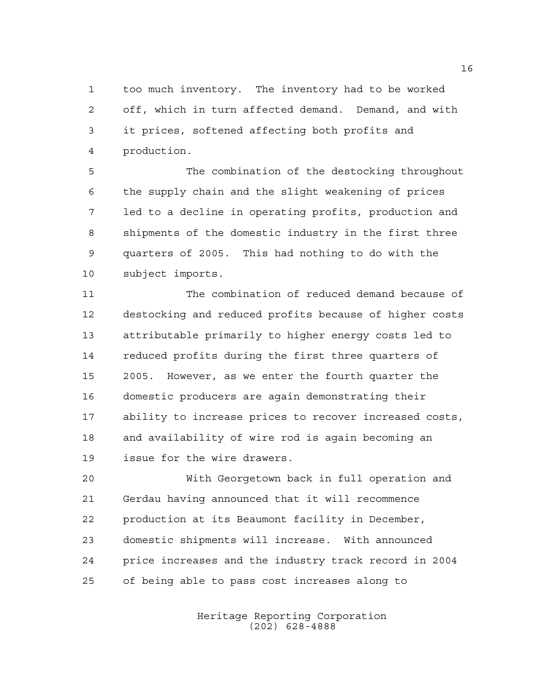too much inventory. The inventory had to be worked off, which in turn affected demand. Demand, and with it prices, softened affecting both profits and production.

 The combination of the destocking throughout the supply chain and the slight weakening of prices led to a decline in operating profits, production and shipments of the domestic industry in the first three quarters of 2005. This had nothing to do with the subject imports.

 The combination of reduced demand because of destocking and reduced profits because of higher costs attributable primarily to higher energy costs led to reduced profits during the first three quarters of 2005. However, as we enter the fourth quarter the domestic producers are again demonstrating their ability to increase prices to recover increased costs, and availability of wire rod is again becoming an issue for the wire drawers.

 With Georgetown back in full operation and Gerdau having announced that it will recommence production at its Beaumont facility in December, domestic shipments will increase. With announced price increases and the industry track record in 2004 of being able to pass cost increases along to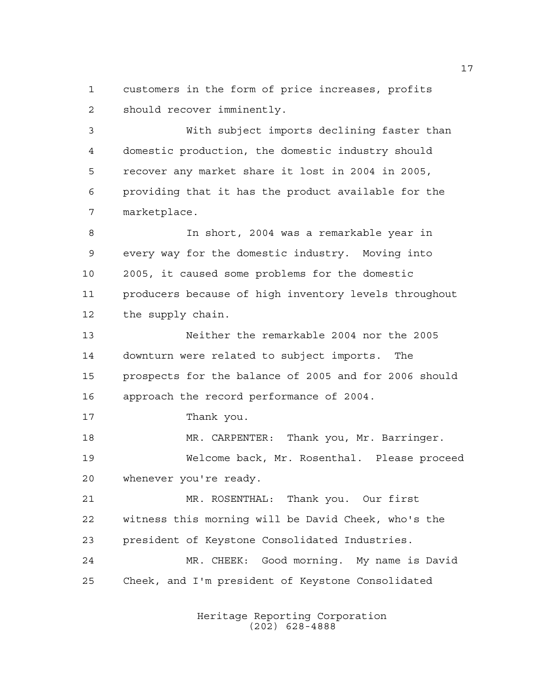customers in the form of price increases, profits should recover imminently.

 With subject imports declining faster than domestic production, the domestic industry should recover any market share it lost in 2004 in 2005, providing that it has the product available for the marketplace.

 In short, 2004 was a remarkable year in every way for the domestic industry. Moving into 2005, it caused some problems for the domestic producers because of high inventory levels throughout the supply chain.

 Neither the remarkable 2004 nor the 2005 downturn were related to subject imports. The prospects for the balance of 2005 and for 2006 should approach the record performance of 2004.

Thank you.

 MR. CARPENTER: Thank you, Mr. Barringer. Welcome back, Mr. Rosenthal. Please proceed whenever you're ready.

 MR. ROSENTHAL: Thank you. Our first witness this morning will be David Cheek, who's the president of Keystone Consolidated Industries. MR. CHEEK: Good morning. My name is David Cheek, and I'm president of Keystone Consolidated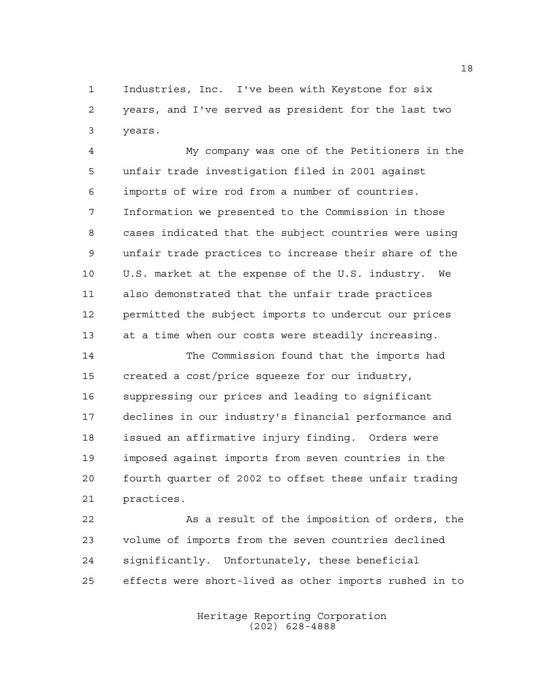Industries, Inc. I've been with Keystone for six years, and I've served as president for the last two years.

 My company was one of the Petitioners in the unfair trade investigation filed in 2001 against imports of wire rod from a number of countries. Information we presented to the Commission in those cases indicated that the subject countries were using unfair trade practices to increase their share of the U.S. market at the expense of the U.S. industry. We also demonstrated that the unfair trade practices permitted the subject imports to undercut our prices at a time when our costs were steadily increasing.

 The Commission found that the imports had created a cost/price squeeze for our industry, suppressing our prices and leading to significant declines in our industry's financial performance and issued an affirmative injury finding. Orders were imposed against imports from seven countries in the fourth quarter of 2002 to offset these unfair trading practices.

 As a result of the imposition of orders, the volume of imports from the seven countries declined significantly. Unfortunately, these beneficial effects were short-lived as other imports rushed in to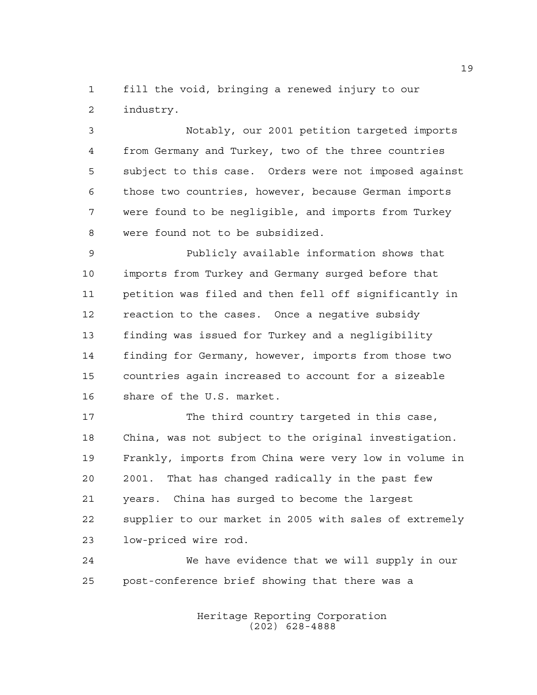fill the void, bringing a renewed injury to our industry.

 Notably, our 2001 petition targeted imports from Germany and Turkey, two of the three countries subject to this case. Orders were not imposed against those two countries, however, because German imports were found to be negligible, and imports from Turkey were found not to be subsidized.

 Publicly available information shows that imports from Turkey and Germany surged before that petition was filed and then fell off significantly in reaction to the cases. Once a negative subsidy finding was issued for Turkey and a negligibility finding for Germany, however, imports from those two countries again increased to account for a sizeable share of the U.S. market.

17 The third country targeted in this case, China, was not subject to the original investigation. Frankly, imports from China were very low in volume in 2001. That has changed radically in the past few years. China has surged to become the largest supplier to our market in 2005 with sales of extremely low-priced wire rod.

 We have evidence that we will supply in our post-conference brief showing that there was a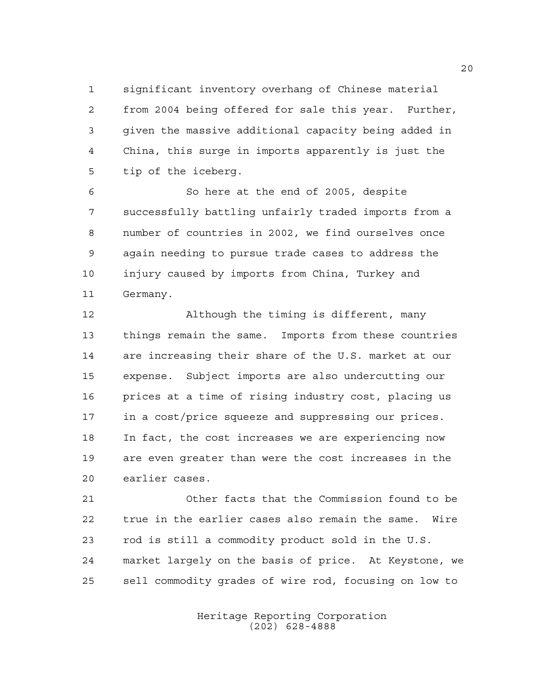significant inventory overhang of Chinese material from 2004 being offered for sale this year. Further, given the massive additional capacity being added in

 China, this surge in imports apparently is just the tip of the iceberg.

 So here at the end of 2005, despite successfully battling unfairly traded imports from a number of countries in 2002, we find ourselves once again needing to pursue trade cases to address the injury caused by imports from China, Turkey and Germany.

 Although the timing is different, many things remain the same. Imports from these countries are increasing their share of the U.S. market at our expense. Subject imports are also undercutting our prices at a time of rising industry cost, placing us in a cost/price squeeze and suppressing our prices. In fact, the cost increases we are experiencing now are even greater than were the cost increases in the earlier cases.

 Other facts that the Commission found to be true in the earlier cases also remain the same. Wire rod is still a commodity product sold in the U.S. market largely on the basis of price. At Keystone, we sell commodity grades of wire rod, focusing on low to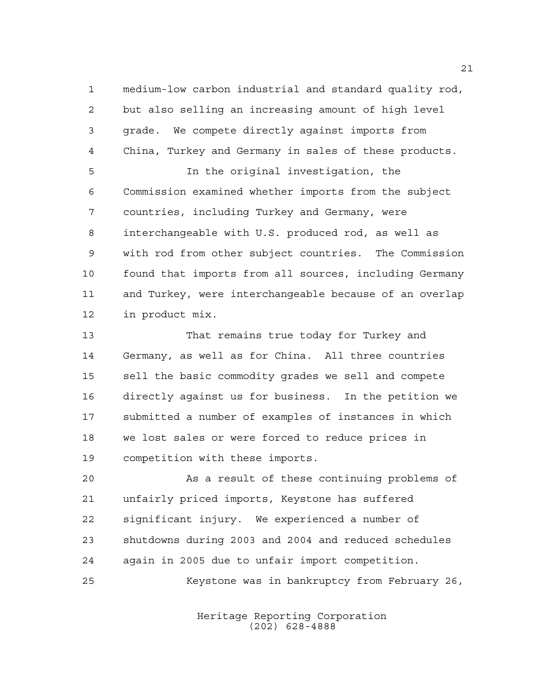medium-low carbon industrial and standard quality rod, but also selling an increasing amount of high level grade. We compete directly against imports from China, Turkey and Germany in sales of these products.

 In the original investigation, the Commission examined whether imports from the subject countries, including Turkey and Germany, were interchangeable with U.S. produced rod, as well as with rod from other subject countries. The Commission found that imports from all sources, including Germany and Turkey, were interchangeable because of an overlap in product mix.

 That remains true today for Turkey and Germany, as well as for China. All three countries sell the basic commodity grades we sell and compete directly against us for business. In the petition we submitted a number of examples of instances in which we lost sales or were forced to reduce prices in competition with these imports.

 As a result of these continuing problems of unfairly priced imports, Keystone has suffered significant injury. We experienced a number of shutdowns during 2003 and 2004 and reduced schedules again in 2005 due to unfair import competition. Keystone was in bankruptcy from February 26,

> Heritage Reporting Corporation (202) 628-4888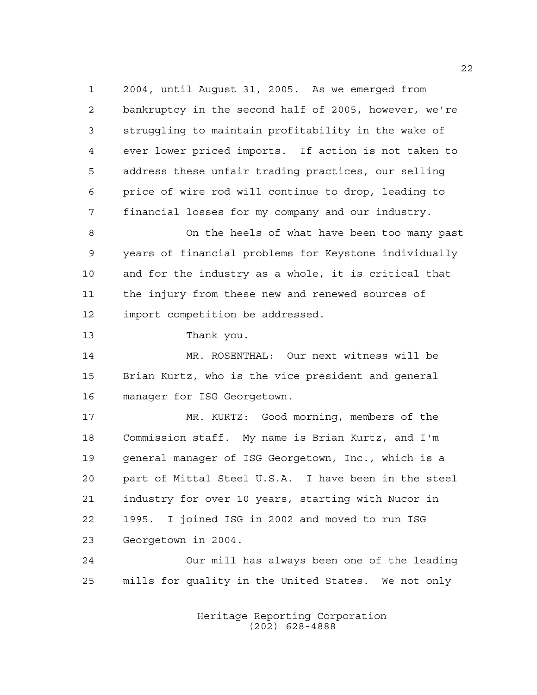2004, until August 31, 2005. As we emerged from bankruptcy in the second half of 2005, however, we're struggling to maintain profitability in the wake of ever lower priced imports. If action is not taken to address these unfair trading practices, our selling price of wire rod will continue to drop, leading to financial losses for my company and our industry.

 On the heels of what have been too many past years of financial problems for Keystone individually and for the industry as a whole, it is critical that the injury from these new and renewed sources of import competition be addressed.

Thank you.

 MR. ROSENTHAL: Our next witness will be Brian Kurtz, who is the vice president and general manager for ISG Georgetown.

 MR. KURTZ: Good morning, members of the Commission staff. My name is Brian Kurtz, and I'm general manager of ISG Georgetown, Inc., which is a part of Mittal Steel U.S.A. I have been in the steel industry for over 10 years, starting with Nucor in 1995. I joined ISG in 2002 and moved to run ISG Georgetown in 2004.

 Our mill has always been one of the leading mills for quality in the United States. We not only

> Heritage Reporting Corporation (202) 628-4888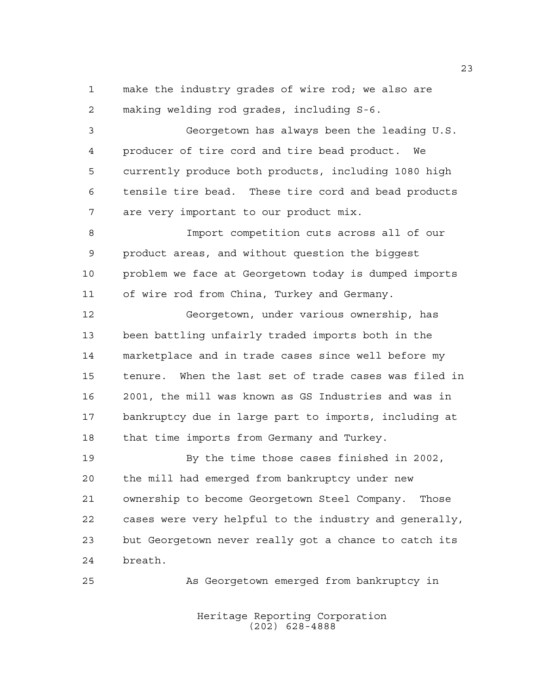make the industry grades of wire rod; we also are making welding rod grades, including S-6.

 Georgetown has always been the leading U.S. producer of tire cord and tire bead product. We currently produce both products, including 1080 high tensile tire bead. These tire cord and bead products are very important to our product mix.

 Import competition cuts across all of our product areas, and without question the biggest problem we face at Georgetown today is dumped imports of wire rod from China, Turkey and Germany.

 Georgetown, under various ownership, has been battling unfairly traded imports both in the marketplace and in trade cases since well before my tenure. When the last set of trade cases was filed in 2001, the mill was known as GS Industries and was in bankruptcy due in large part to imports, including at that time imports from Germany and Turkey.

 By the time those cases finished in 2002, the mill had emerged from bankruptcy under new ownership to become Georgetown Steel Company. Those cases were very helpful to the industry and generally, but Georgetown never really got a chance to catch its breath.

As Georgetown emerged from bankruptcy in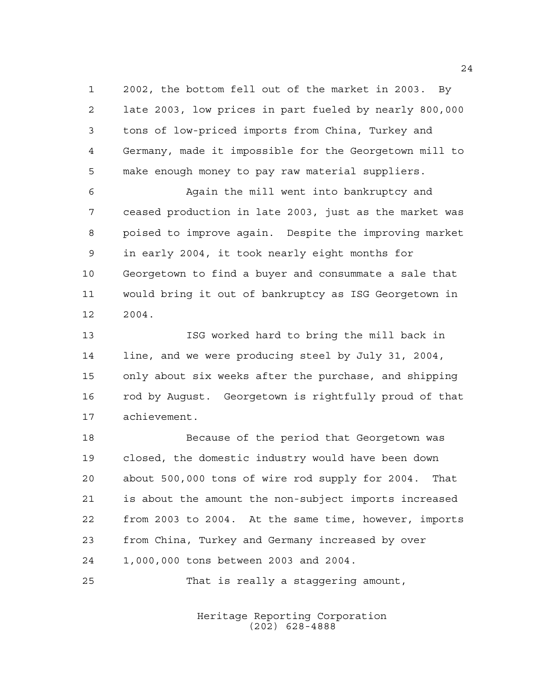2002, the bottom fell out of the market in 2003. By late 2003, low prices in part fueled by nearly 800,000 tons of low-priced imports from China, Turkey and Germany, made it impossible for the Georgetown mill to make enough money to pay raw material suppliers.

 Again the mill went into bankruptcy and ceased production in late 2003, just as the market was poised to improve again. Despite the improving market in early 2004, it took nearly eight months for Georgetown to find a buyer and consummate a sale that would bring it out of bankruptcy as ISG Georgetown in 2004.

 ISG worked hard to bring the mill back in line, and we were producing steel by July 31, 2004, only about six weeks after the purchase, and shipping rod by August. Georgetown is rightfully proud of that achievement.

 Because of the period that Georgetown was closed, the domestic industry would have been down about 500,000 tons of wire rod supply for 2004. That is about the amount the non-subject imports increased from 2003 to 2004. At the same time, however, imports from China, Turkey and Germany increased by over 1,000,000 tons between 2003 and 2004.

That is really a staggering amount,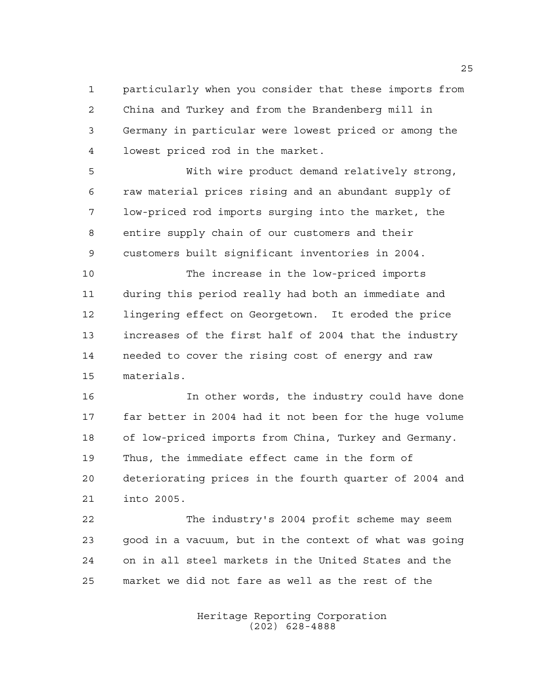particularly when you consider that these imports from China and Turkey and from the Brandenberg mill in Germany in particular were lowest priced or among the lowest priced rod in the market.

 With wire product demand relatively strong, raw material prices rising and an abundant supply of low-priced rod imports surging into the market, the entire supply chain of our customers and their customers built significant inventories in 2004.

 The increase in the low-priced imports during this period really had both an immediate and lingering effect on Georgetown. It eroded the price increases of the first half of 2004 that the industry needed to cover the rising cost of energy and raw materials.

 In other words, the industry could have done far better in 2004 had it not been for the huge volume of low-priced imports from China, Turkey and Germany. Thus, the immediate effect came in the form of deteriorating prices in the fourth quarter of 2004 and into 2005.

 The industry's 2004 profit scheme may seem good in a vacuum, but in the context of what was going on in all steel markets in the United States and the market we did not fare as well as the rest of the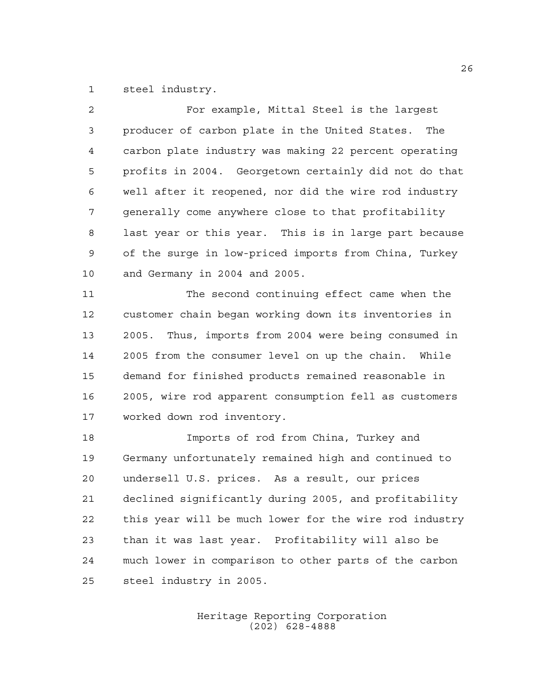steel industry.

| 2           | For example, Mittal Steel is the largest               |
|-------------|--------------------------------------------------------|
| 3           | producer of carbon plate in the United States. The     |
| 4           | carbon plate industry was making 22 percent operating  |
| 5           | profits in 2004. Georgetown certainly did not do that  |
| 6           | well after it reopened, nor did the wire rod industry  |
| 7           | generally come anywhere close to that profitability    |
| 8           | last year or this year. This is in large part because  |
| $\mathsf 9$ | of the surge in low-priced imports from China, Turkey  |
| 10          | and Germany in 2004 and 2005.                          |
| 11          | The second continuing effect came when the             |
| 12          | customer chain began working down its inventories in   |
| 13          | 2005. Thus, imports from 2004 were being consumed in   |
| 14          | 2005 from the consumer level on up the chain. While    |
| 15          | demand for finished products remained reasonable in    |
| 16          | 2005, wire rod apparent consumption fell as customers  |
| 17          | worked down rod inventory.                             |
| 18          | Imports of rod from China, Turkey and                  |
| 19          | Germany unfortunately remained high and continued to   |
| 20          | undersell U.S. prices. As a result, our prices         |
| 21          | declined significantly during 2005, and profitability  |
| 22          | this year will be much lower for the wire rod industry |
| 23          | than it was last year. Profitability will also be      |
| 24          | much lower in comparison to other parts of the carbon  |
| 25          | steel industry in 2005.                                |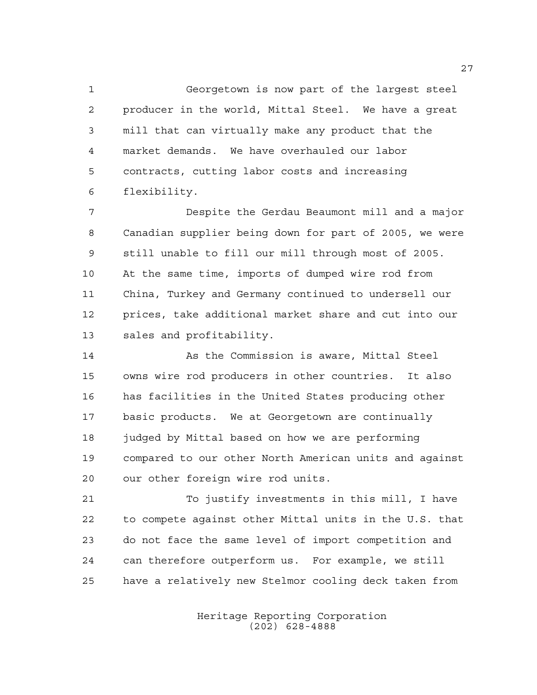Georgetown is now part of the largest steel producer in the world, Mittal Steel. We have a great mill that can virtually make any product that the market demands. We have overhauled our labor contracts, cutting labor costs and increasing flexibility.

 Despite the Gerdau Beaumont mill and a major Canadian supplier being down for part of 2005, we were still unable to fill our mill through most of 2005. At the same time, imports of dumped wire rod from China, Turkey and Germany continued to undersell our prices, take additional market share and cut into our sales and profitability.

 As the Commission is aware, Mittal Steel owns wire rod producers in other countries. It also has facilities in the United States producing other basic products. We at Georgetown are continually 18 judged by Mittal based on how we are performing compared to our other North American units and against our other foreign wire rod units.

 To justify investments in this mill, I have to compete against other Mittal units in the U.S. that do not face the same level of import competition and can therefore outperform us. For example, we still have a relatively new Stelmor cooling deck taken from

> Heritage Reporting Corporation (202) 628-4888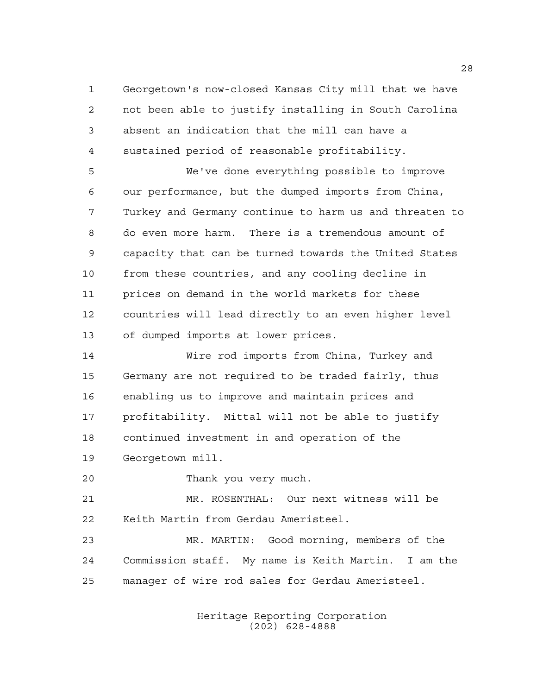Georgetown's now-closed Kansas City mill that we have not been able to justify installing in South Carolina absent an indication that the mill can have a sustained period of reasonable profitability.

 We've done everything possible to improve our performance, but the dumped imports from China, Turkey and Germany continue to harm us and threaten to do even more harm. There is a tremendous amount of capacity that can be turned towards the United States from these countries, and any cooling decline in prices on demand in the world markets for these countries will lead directly to an even higher level of dumped imports at lower prices.

 Wire rod imports from China, Turkey and Germany are not required to be traded fairly, thus enabling us to improve and maintain prices and profitability. Mittal will not be able to justify continued investment in and operation of the Georgetown mill.

Thank you very much.

 MR. ROSENTHAL: Our next witness will be Keith Martin from Gerdau Ameristeel.

 MR. MARTIN: Good morning, members of the Commission staff. My name is Keith Martin. I am the manager of wire rod sales for Gerdau Ameristeel.

> Heritage Reporting Corporation (202) 628-4888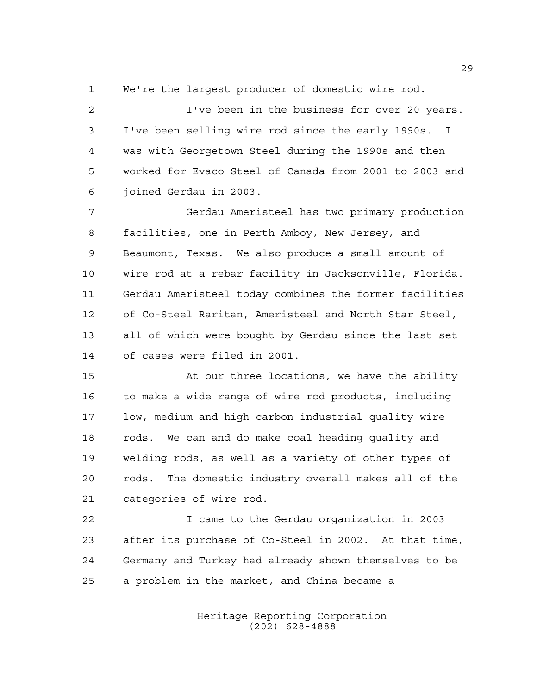We're the largest producer of domestic wire rod.

 I've been in the business for over 20 years. I've been selling wire rod since the early 1990s. I was with Georgetown Steel during the 1990s and then worked for Evaco Steel of Canada from 2001 to 2003 and joined Gerdau in 2003.

 Gerdau Ameristeel has two primary production facilities, one in Perth Amboy, New Jersey, and Beaumont, Texas. We also produce a small amount of wire rod at a rebar facility in Jacksonville, Florida. Gerdau Ameristeel today combines the former facilities of Co-Steel Raritan, Ameristeel and North Star Steel, all of which were bought by Gerdau since the last set of cases were filed in 2001.

 At our three locations, we have the ability to make a wide range of wire rod products, including low, medium and high carbon industrial quality wire rods. We can and do make coal heading quality and welding rods, as well as a variety of other types of rods. The domestic industry overall makes all of the categories of wire rod.

 I came to the Gerdau organization in 2003 after its purchase of Co-Steel in 2002. At that time, Germany and Turkey had already shown themselves to be a problem in the market, and China became a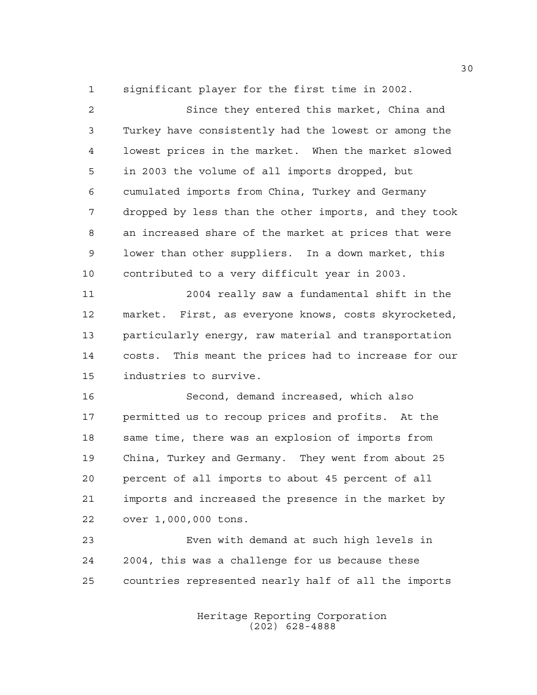significant player for the first time in 2002.

| $\overline{a}$ | Since they entered this market, China and             |
|----------------|-------------------------------------------------------|
| 3              | Turkey have consistently had the lowest or among the  |
| 4              | lowest prices in the market. When the market slowed   |
| 5              | in 2003 the volume of all imports dropped, but        |
| 6              | cumulated imports from China, Turkey and Germany      |
| 7              | dropped by less than the other imports, and they took |
| 8              | an increased share of the market at prices that were  |
| 9              | lower than other suppliers. In a down market, this    |
| 10             | contributed to a very difficult year in 2003.         |
| 11             | 2004 really saw a fundamental shift in the            |
| 12             | market. First, as everyone knows, costs skyrocketed,  |
| 13             | particularly energy, raw material and transportation  |
| 14             | costs. This meant the prices had to increase for our  |
| 15             | industries to survive.                                |
| 16             | Second, demand increased, which also                  |
| 17             | permitted us to recoup prices and profits. At the     |
| 18             | same time, there was an explosion of imports from     |
| 19             | China, Turkey and Germany. They went from about 25    |
| 20             | percent of all imports to about 45 percent of all     |
| 21             | imports and increased the presence in the market by   |
| 22             | over 1,000,000 tons.                                  |
| 23             | Even with demand at such high levels in               |
| 24             | 2004, this was a challenge for us because these       |
| 25             | countries represented nearly half of all the imports  |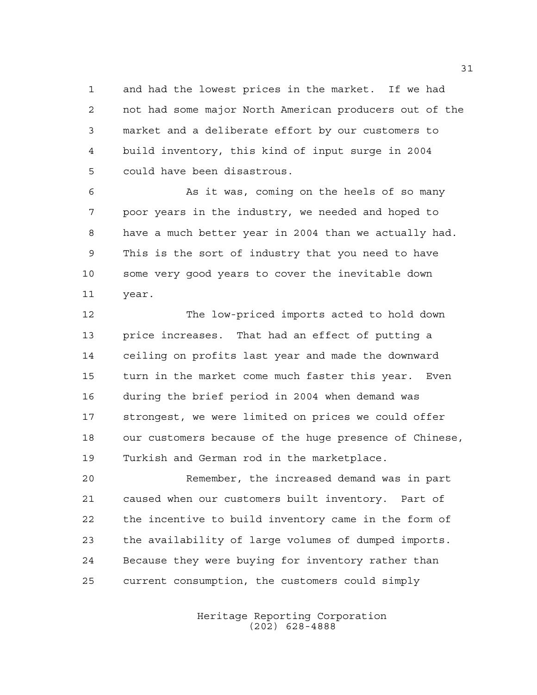and had the lowest prices in the market. If we had not had some major North American producers out of the market and a deliberate effort by our customers to build inventory, this kind of input surge in 2004 could have been disastrous.

 As it was, coming on the heels of so many poor years in the industry, we needed and hoped to have a much better year in 2004 than we actually had. This is the sort of industry that you need to have some very good years to cover the inevitable down year.

 The low-priced imports acted to hold down price increases. That had an effect of putting a ceiling on profits last year and made the downward turn in the market come much faster this year. Even during the brief period in 2004 when demand was strongest, we were limited on prices we could offer our customers because of the huge presence of Chinese, Turkish and German rod in the marketplace.

 Remember, the increased demand was in part caused when our customers built inventory. Part of the incentive to build inventory came in the form of the availability of large volumes of dumped imports. Because they were buying for inventory rather than current consumption, the customers could simply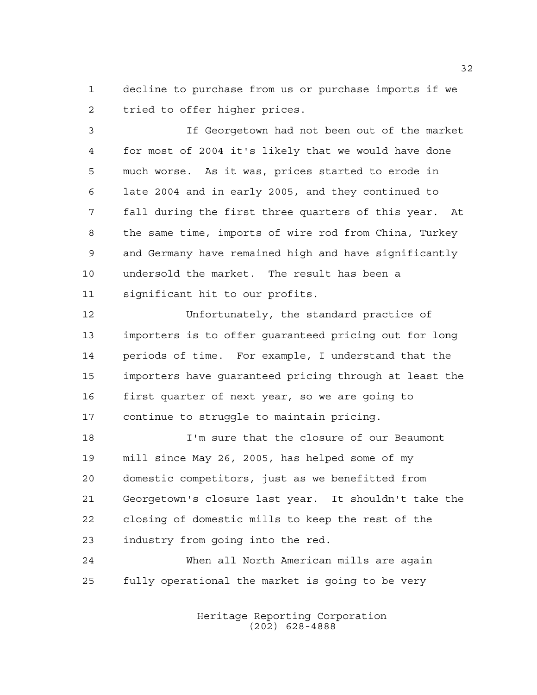decline to purchase from us or purchase imports if we tried to offer higher prices.

 If Georgetown had not been out of the market for most of 2004 it's likely that we would have done much worse. As it was, prices started to erode in late 2004 and in early 2005, and they continued to fall during the first three quarters of this year. At the same time, imports of wire rod from China, Turkey and Germany have remained high and have significantly undersold the market. The result has been a significant hit to our profits.

 Unfortunately, the standard practice of importers is to offer guaranteed pricing out for long periods of time. For example, I understand that the importers have guaranteed pricing through at least the first quarter of next year, so we are going to continue to struggle to maintain pricing.

 I'm sure that the closure of our Beaumont mill since May 26, 2005, has helped some of my domestic competitors, just as we benefitted from Georgetown's closure last year. It shouldn't take the closing of domestic mills to keep the rest of the industry from going into the red.

 When all North American mills are again fully operational the market is going to be very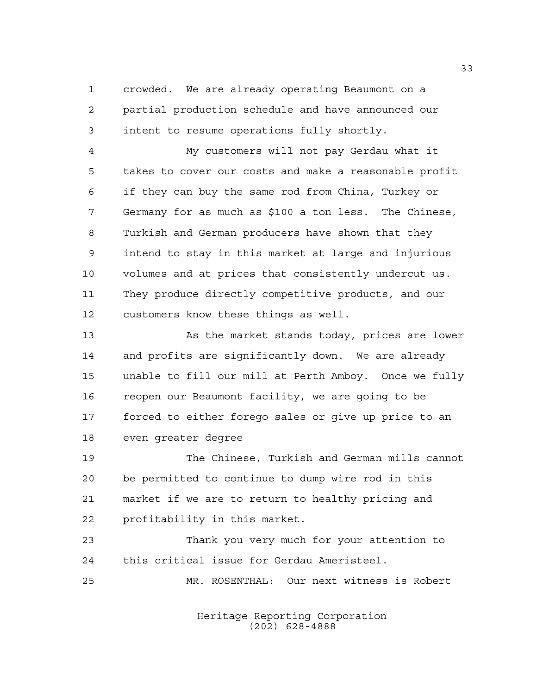crowded. We are already operating Beaumont on a partial production schedule and have announced our intent to resume operations fully shortly.

 My customers will not pay Gerdau what it takes to cover our costs and make a reasonable profit if they can buy the same rod from China, Turkey or Germany for as much as \$100 a ton less. The Chinese, Turkish and German producers have shown that they intend to stay in this market at large and injurious volumes and at prices that consistently undercut us. They produce directly competitive products, and our customers know these things as well.

 As the market stands today, prices are lower and profits are significantly down. We are already unable to fill our mill at Perth Amboy. Once we fully reopen our Beaumont facility, we are going to be forced to either forego sales or give up price to an even greater degree

 The Chinese, Turkish and German mills cannot be permitted to continue to dump wire rod in this market if we are to return to healthy pricing and profitability in this market.

 Thank you very much for your attention to this critical issue for Gerdau Ameristeel. MR. ROSENTHAL: Our next witness is Robert

> Heritage Reporting Corporation (202) 628-4888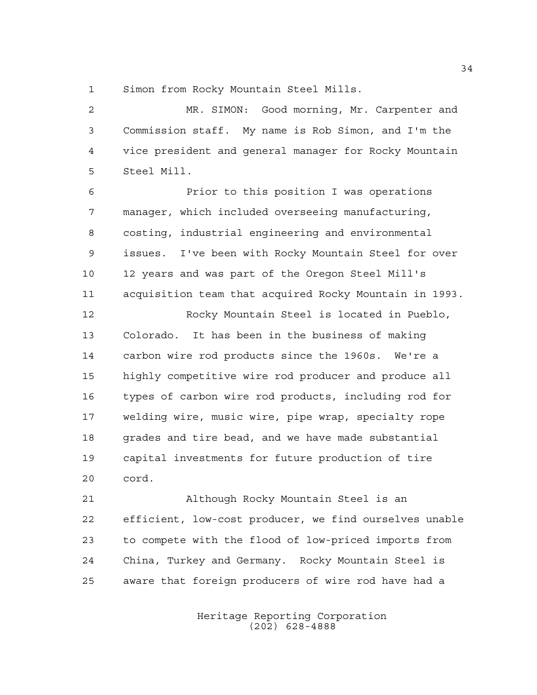Simon from Rocky Mountain Steel Mills.

 MR. SIMON: Good morning, Mr. Carpenter and Commission staff. My name is Rob Simon, and I'm the vice president and general manager for Rocky Mountain Steel Mill.

 Prior to this position I was operations manager, which included overseeing manufacturing, costing, industrial engineering and environmental issues. I've been with Rocky Mountain Steel for over 12 years and was part of the Oregon Steel Mill's acquisition team that acquired Rocky Mountain in 1993.

 Rocky Mountain Steel is located in Pueblo, Colorado. It has been in the business of making carbon wire rod products since the 1960s. We're a highly competitive wire rod producer and produce all types of carbon wire rod products, including rod for welding wire, music wire, pipe wrap, specialty rope 18 grades and tire bead, and we have made substantial capital investments for future production of tire cord.

 Although Rocky Mountain Steel is an efficient, low-cost producer, we find ourselves unable to compete with the flood of low-priced imports from China, Turkey and Germany. Rocky Mountain Steel is aware that foreign producers of wire rod have had a

> Heritage Reporting Corporation (202) 628-4888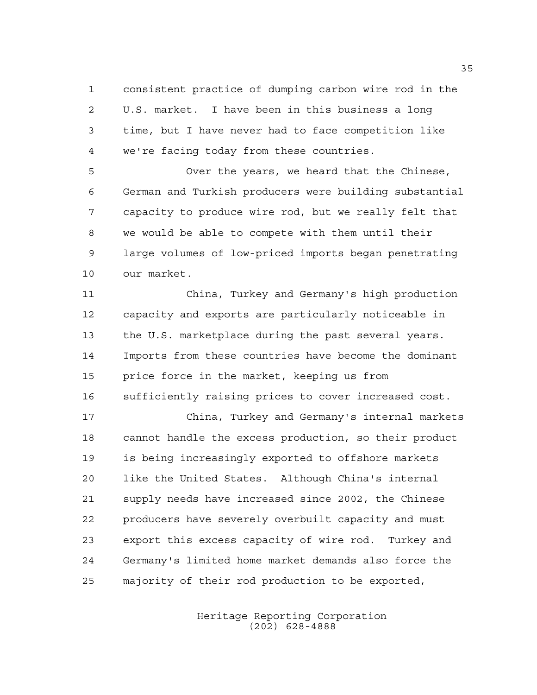consistent practice of dumping carbon wire rod in the U.S. market. I have been in this business a long time, but I have never had to face competition like we're facing today from these countries.

 Over the years, we heard that the Chinese, German and Turkish producers were building substantial capacity to produce wire rod, but we really felt that we would be able to compete with them until their large volumes of low-priced imports began penetrating our market.

 China, Turkey and Germany's high production capacity and exports are particularly noticeable in the U.S. marketplace during the past several years. Imports from these countries have become the dominant price force in the market, keeping us from sufficiently raising prices to cover increased cost.

 China, Turkey and Germany's internal markets cannot handle the excess production, so their product is being increasingly exported to offshore markets like the United States. Although China's internal supply needs have increased since 2002, the Chinese producers have severely overbuilt capacity and must export this excess capacity of wire rod. Turkey and Germany's limited home market demands also force the majority of their rod production to be exported,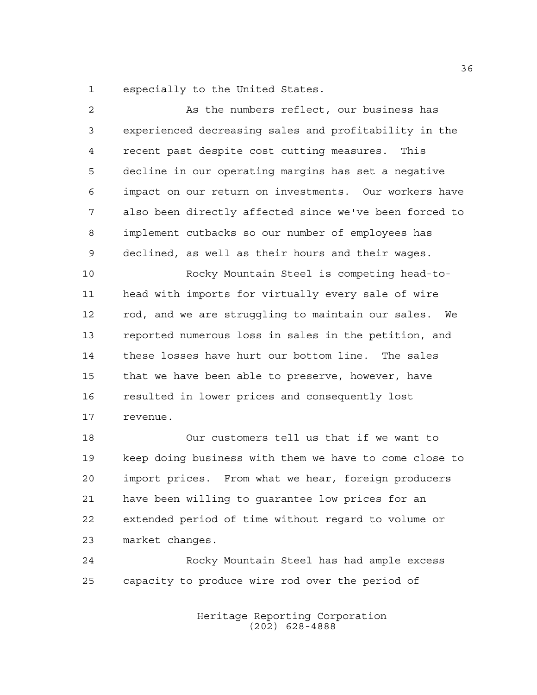especially to the United States.

| $\overline{2}$ | As the numbers reflect, our business has               |
|----------------|--------------------------------------------------------|
| 3              | experienced decreasing sales and profitability in the  |
| $\overline{4}$ | recent past despite cost cutting measures.<br>This     |
| 5              | decline in our operating margins has set a negative    |
| 6              | impact on our return on investments. Our workers have  |
| 7              | also been directly affected since we've been forced to |
| 8              | implement cutbacks so our number of employees has      |
| $\mathsf 9$    | declined, as well as their hours and their wages.      |
| 10             | Rocky Mountain Steel is competing head-to-             |
| 11             | head with imports for virtually every sale of wire     |
| 12             | rod, and we are struggling to maintain our sales. We   |
| 13             | reported numerous loss in sales in the petition, and   |
| 14             | these losses have hurt our bottom line. The sales      |
| 15             | that we have been able to preserve, however, have      |
| 16             | resulted in lower prices and consequently lost         |
| 17             | revenue.                                               |
| 18             | Our customers tell us that if we want to               |
| 19             | keep doing business with them we have to come close to |
| 20             | import prices. From what we hear, foreign producers    |
|                |                                                        |

 have been willing to guarantee low prices for an extended period of time without regard to volume or market changes.

 Rocky Mountain Steel has had ample excess capacity to produce wire rod over the period of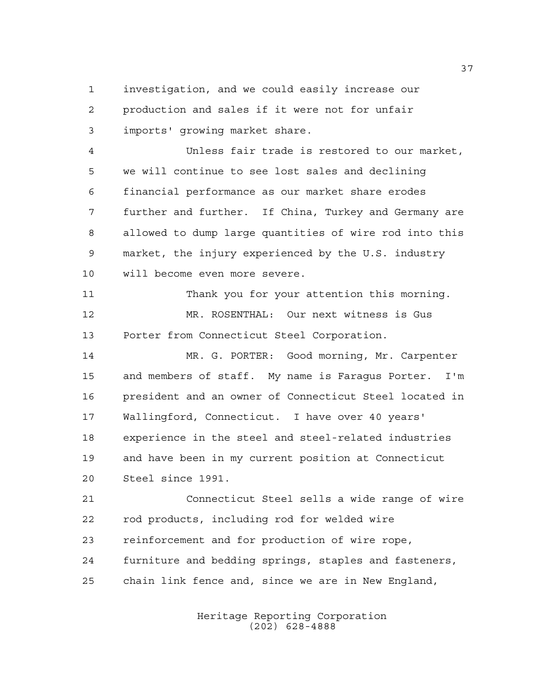investigation, and we could easily increase our production and sales if it were not for unfair imports' growing market share.

 Unless fair trade is restored to our market, we will continue to see lost sales and declining financial performance as our market share erodes further and further. If China, Turkey and Germany are allowed to dump large quantities of wire rod into this market, the injury experienced by the U.S. industry will become even more severe.

 Thank you for your attention this morning. MR. ROSENTHAL: Our next witness is Gus Porter from Connecticut Steel Corporation.

 MR. G. PORTER: Good morning, Mr. Carpenter and members of staff. My name is Faragus Porter. I'm president and an owner of Connecticut Steel located in Wallingford, Connecticut. I have over 40 years' experience in the steel and steel-related industries and have been in my current position at Connecticut Steel since 1991.

 Connecticut Steel sells a wide range of wire rod products, including rod for welded wire reinforcement and for production of wire rope, furniture and bedding springs, staples and fasteners, chain link fence and, since we are in New England,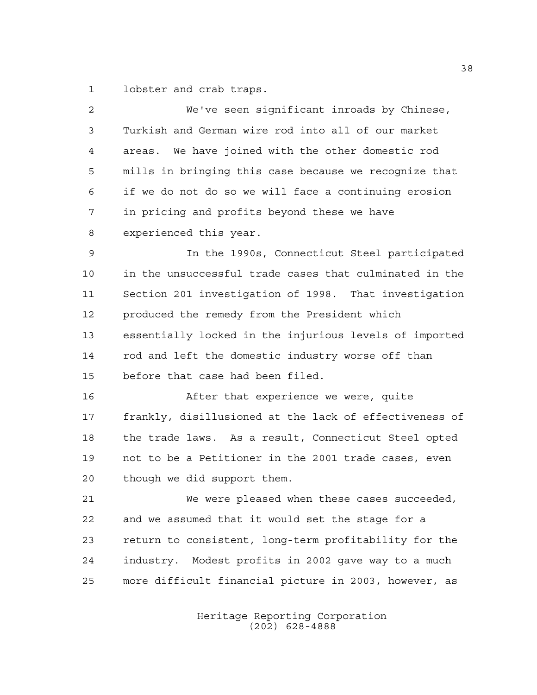lobster and crab traps.

| 2  | We've seen significant inroads by Chinese,             |
|----|--------------------------------------------------------|
| 3  | Turkish and German wire rod into all of our market     |
| 4  | areas. We have joined with the other domestic rod      |
| 5  | mills in bringing this case because we recognize that  |
| 6  | if we do not do so we will face a continuing erosion   |
| 7  | in pricing and profits beyond these we have            |
| 8  | experienced this year.                                 |
| 9  | In the 1990s, Connecticut Steel participated           |
| 10 | in the unsuccessful trade cases that culminated in the |
| 11 | Section 201 investigation of 1998. That investigation  |
| 12 | produced the remedy from the President which           |
| 13 | essentially locked in the injurious levels of imported |
| 14 | rod and left the domestic industry worse off than      |
| 15 | before that case had been filed.                       |
| 16 | After that experience we were, quite                   |
| 17 | frankly, disillusioned at the lack of effectiveness of |
| 18 | the trade laws. As a result, Connecticut Steel opted   |
| 19 | not to be a Petitioner in the 2001 trade cases, even   |
| 20 | though we did support them.                            |
| 21 | We were pleased when these cases succeeded,            |
| 22 | and we assumed that it would set the stage for a       |
| 23 | return to consistent, long-term profitability for the  |
| 24 | industry. Modest profits in 2002 gave way to a much    |
| 25 | more difficult financial picture in 2003, however, as  |
|    |                                                        |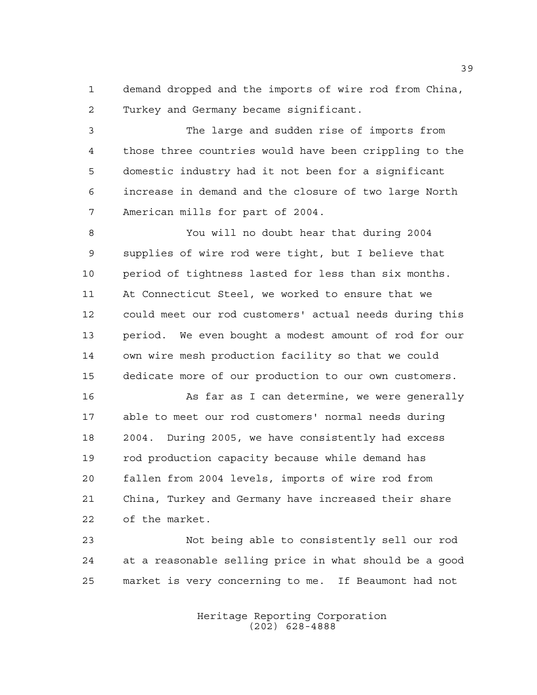demand dropped and the imports of wire rod from China, Turkey and Germany became significant.

 The large and sudden rise of imports from those three countries would have been crippling to the domestic industry had it not been for a significant increase in demand and the closure of two large North American mills for part of 2004.

 You will no doubt hear that during 2004 supplies of wire rod were tight, but I believe that period of tightness lasted for less than six months. At Connecticut Steel, we worked to ensure that we could meet our rod customers' actual needs during this period. We even bought a modest amount of rod for our own wire mesh production facility so that we could dedicate more of our production to our own customers.

 As far as I can determine, we were generally able to meet our rod customers' normal needs during 2004. During 2005, we have consistently had excess rod production capacity because while demand has fallen from 2004 levels, imports of wire rod from China, Turkey and Germany have increased their share of the market.

 Not being able to consistently sell our rod at a reasonable selling price in what should be a good market is very concerning to me. If Beaumont had not

> Heritage Reporting Corporation (202) 628-4888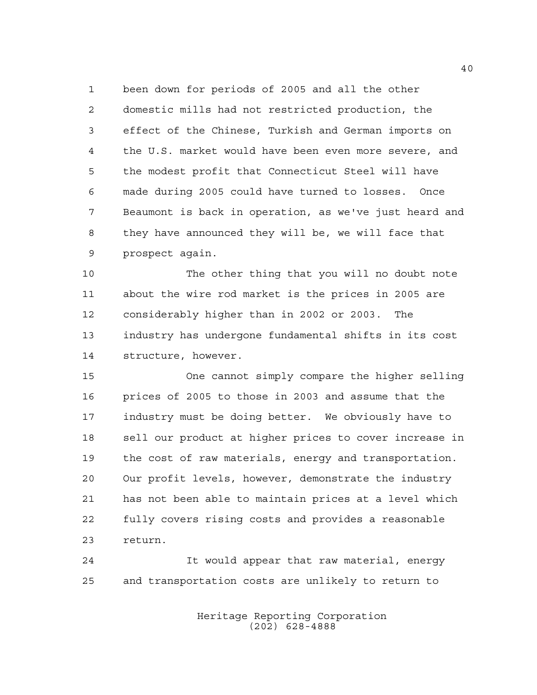been down for periods of 2005 and all the other domestic mills had not restricted production, the effect of the Chinese, Turkish and German imports on the U.S. market would have been even more severe, and the modest profit that Connecticut Steel will have made during 2005 could have turned to losses. Once Beaumont is back in operation, as we've just heard and they have announced they will be, we will face that prospect again.

 The other thing that you will no doubt note about the wire rod market is the prices in 2005 are considerably higher than in 2002 or 2003. The industry has undergone fundamental shifts in its cost structure, however.

 One cannot simply compare the higher selling prices of 2005 to those in 2003 and assume that the industry must be doing better. We obviously have to sell our product at higher prices to cover increase in the cost of raw materials, energy and transportation. Our profit levels, however, demonstrate the industry has not been able to maintain prices at a level which fully covers rising costs and provides a reasonable return.

 It would appear that raw material, energy and transportation costs are unlikely to return to

> Heritage Reporting Corporation (202) 628-4888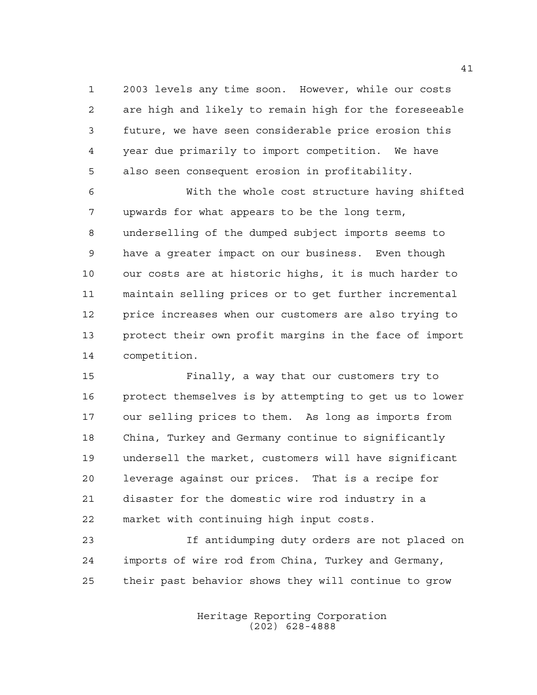2003 levels any time soon. However, while our costs are high and likely to remain high for the foreseeable future, we have seen considerable price erosion this year due primarily to import competition. We have also seen consequent erosion in profitability.

 With the whole cost structure having shifted upwards for what appears to be the long term, underselling of the dumped subject imports seems to have a greater impact on our business. Even though our costs are at historic highs, it is much harder to maintain selling prices or to get further incremental price increases when our customers are also trying to protect their own profit margins in the face of import competition.

 Finally, a way that our customers try to protect themselves is by attempting to get us to lower our selling prices to them. As long as imports from China, Turkey and Germany continue to significantly undersell the market, customers will have significant leverage against our prices. That is a recipe for disaster for the domestic wire rod industry in a market with continuing high input costs.

 If antidumping duty orders are not placed on imports of wire rod from China, Turkey and Germany, their past behavior shows they will continue to grow

> Heritage Reporting Corporation (202) 628-4888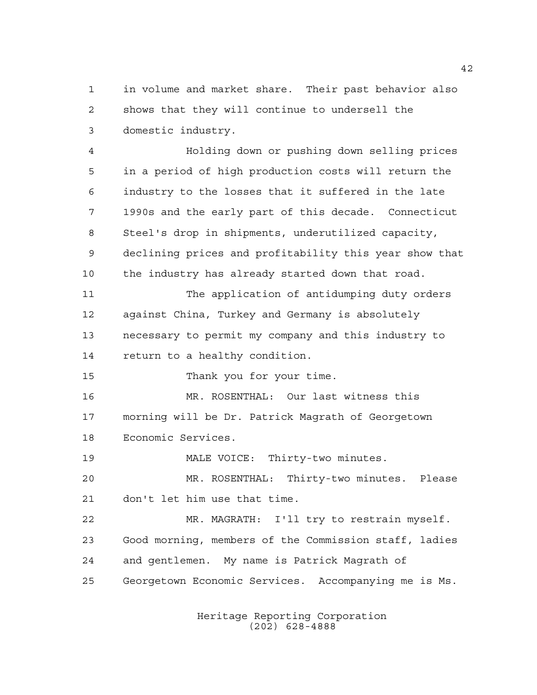in volume and market share. Their past behavior also shows that they will continue to undersell the domestic industry.

 Holding down or pushing down selling prices in a period of high production costs will return the industry to the losses that it suffered in the late 1990s and the early part of this decade. Connecticut Steel's drop in shipments, underutilized capacity, declining prices and profitability this year show that the industry has already started down that road. The application of antidumping duty orders against China, Turkey and Germany is absolutely necessary to permit my company and this industry to

return to a healthy condition.

15 Thank you for your time.

 MR. ROSENTHAL: Our last witness this morning will be Dr. Patrick Magrath of Georgetown Economic Services.

MALE VOICE: Thirty-two minutes.

 MR. ROSENTHAL: Thirty-two minutes. Please don't let him use that time.

 MR. MAGRATH: I'll try to restrain myself. Good morning, members of the Commission staff, ladies and gentlemen. My name is Patrick Magrath of Georgetown Economic Services. Accompanying me is Ms.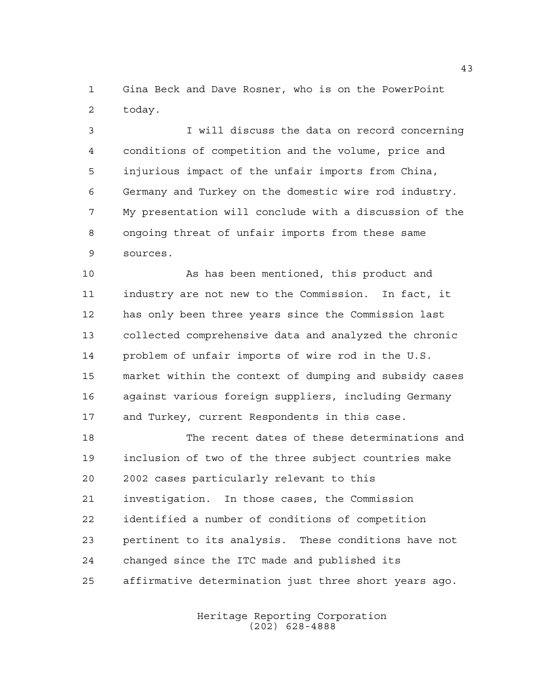Gina Beck and Dave Rosner, who is on the PowerPoint today.

 I will discuss the data on record concerning conditions of competition and the volume, price and injurious impact of the unfair imports from China, Germany and Turkey on the domestic wire rod industry. My presentation will conclude with a discussion of the ongoing threat of unfair imports from these same sources.

 As has been mentioned, this product and industry are not new to the Commission. In fact, it has only been three years since the Commission last collected comprehensive data and analyzed the chronic problem of unfair imports of wire rod in the U.S. market within the context of dumping and subsidy cases against various foreign suppliers, including Germany and Turkey, current Respondents in this case.

 The recent dates of these determinations and inclusion of two of the three subject countries make 2002 cases particularly relevant to this investigation. In those cases, the Commission identified a number of conditions of competition pertinent to its analysis. These conditions have not changed since the ITC made and published its affirmative determination just three short years ago.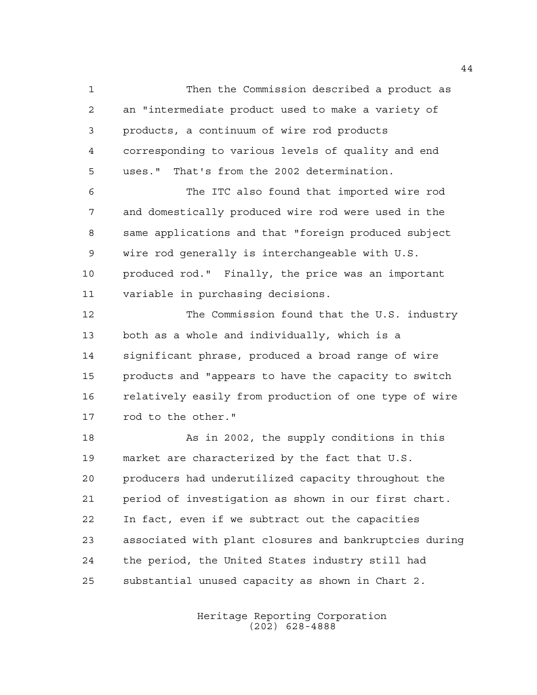Then the Commission described a product as an "intermediate product used to make a variety of products, a continuum of wire rod products corresponding to various levels of quality and end uses." That's from the 2002 determination.

 The ITC also found that imported wire rod and domestically produced wire rod were used in the same applications and that "foreign produced subject wire rod generally is interchangeable with U.S. produced rod." Finally, the price was an important variable in purchasing decisions.

 The Commission found that the U.S. industry both as a whole and individually, which is a significant phrase, produced a broad range of wire products and "appears to have the capacity to switch relatively easily from production of one type of wire rod to the other."

 As in 2002, the supply conditions in this market are characterized by the fact that U.S. producers had underutilized capacity throughout the period of investigation as shown in our first chart. In fact, even if we subtract out the capacities associated with plant closures and bankruptcies during the period, the United States industry still had substantial unused capacity as shown in Chart 2.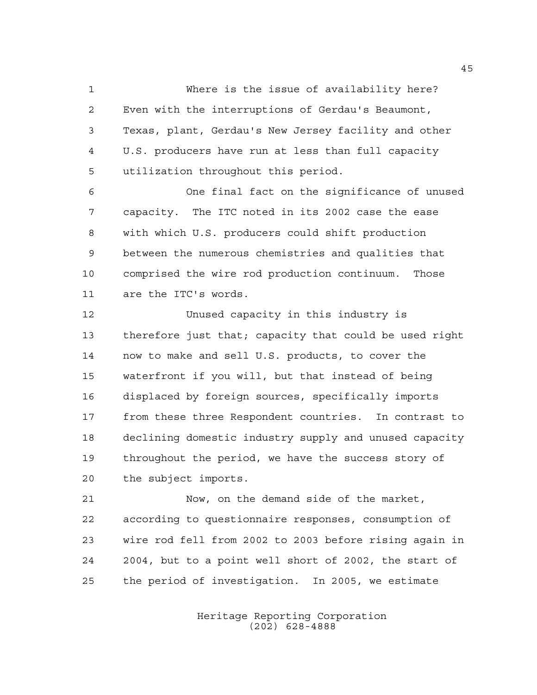Where is the issue of availability here? Even with the interruptions of Gerdau's Beaumont, Texas, plant, Gerdau's New Jersey facility and other U.S. producers have run at less than full capacity utilization throughout this period.

 One final fact on the significance of unused capacity. The ITC noted in its 2002 case the ease with which U.S. producers could shift production between the numerous chemistries and qualities that comprised the wire rod production continuum. Those are the ITC's words.

 Unused capacity in this industry is therefore just that; capacity that could be used right now to make and sell U.S. products, to cover the waterfront if you will, but that instead of being displaced by foreign sources, specifically imports from these three Respondent countries. In contrast to declining domestic industry supply and unused capacity throughout the period, we have the success story of the subject imports.

 Now, on the demand side of the market, according to questionnaire responses, consumption of wire rod fell from 2002 to 2003 before rising again in 2004, but to a point well short of 2002, the start of the period of investigation. In 2005, we estimate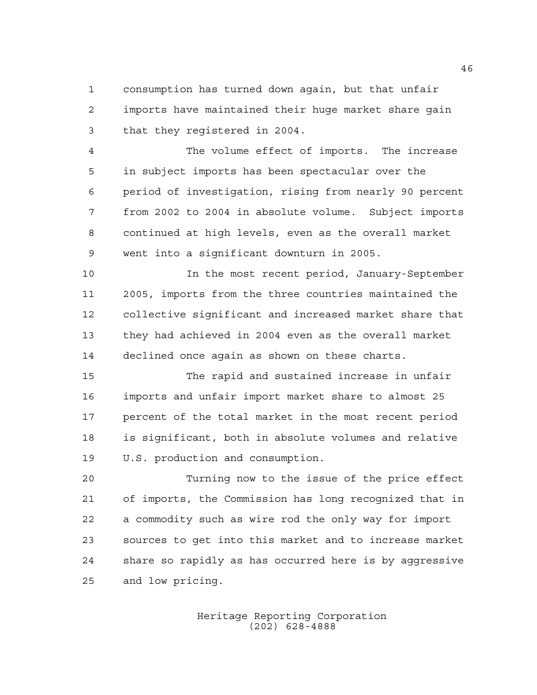consumption has turned down again, but that unfair imports have maintained their huge market share gain that they registered in 2004.

 The volume effect of imports. The increase in subject imports has been spectacular over the period of investigation, rising from nearly 90 percent from 2002 to 2004 in absolute volume. Subject imports continued at high levels, even as the overall market went into a significant downturn in 2005.

 In the most recent period, January-September 2005, imports from the three countries maintained the collective significant and increased market share that they had achieved in 2004 even as the overall market declined once again as shown on these charts.

 The rapid and sustained increase in unfair imports and unfair import market share to almost 25 percent of the total market in the most recent period is significant, both in absolute volumes and relative U.S. production and consumption.

 Turning now to the issue of the price effect of imports, the Commission has long recognized that in a commodity such as wire rod the only way for import sources to get into this market and to increase market share so rapidly as has occurred here is by aggressive and low pricing.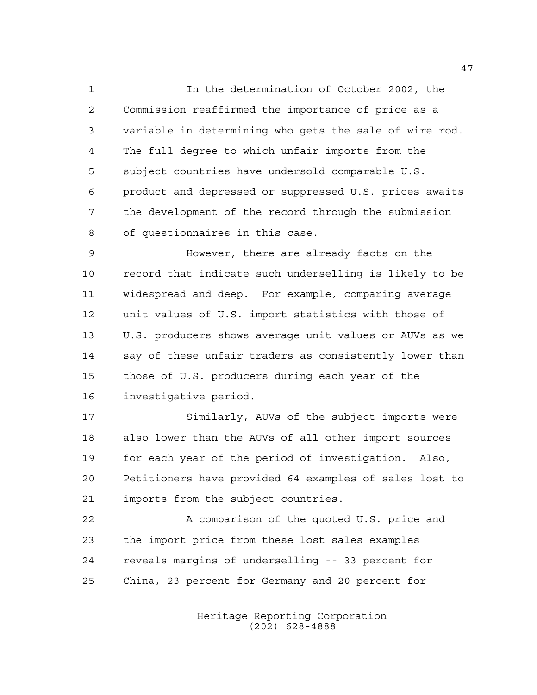In the determination of October 2002, the Commission reaffirmed the importance of price as a variable in determining who gets the sale of wire rod. The full degree to which unfair imports from the subject countries have undersold comparable U.S. product and depressed or suppressed U.S. prices awaits the development of the record through the submission of questionnaires in this case.

 However, there are already facts on the record that indicate such underselling is likely to be widespread and deep. For example, comparing average unit values of U.S. import statistics with those of U.S. producers shows average unit values or AUVs as we say of these unfair traders as consistently lower than those of U.S. producers during each year of the investigative period.

 Similarly, AUVs of the subject imports were also lower than the AUVs of all other import sources for each year of the period of investigation. Also, Petitioners have provided 64 examples of sales lost to imports from the subject countries.

 A comparison of the quoted U.S. price and the import price from these lost sales examples reveals margins of underselling -- 33 percent for China, 23 percent for Germany and 20 percent for

> Heritage Reporting Corporation (202) 628-4888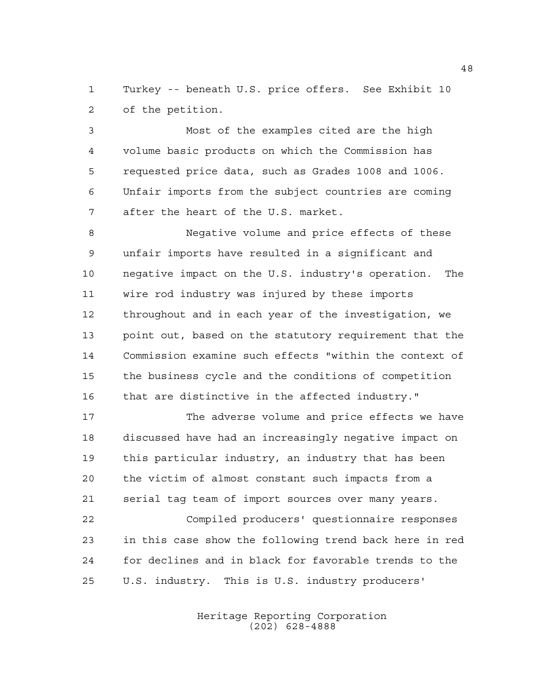Turkey -- beneath U.S. price offers. See Exhibit 10 of the petition.

 Most of the examples cited are the high volume basic products on which the Commission has requested price data, such as Grades 1008 and 1006. Unfair imports from the subject countries are coming after the heart of the U.S. market.

 Negative volume and price effects of these unfair imports have resulted in a significant and negative impact on the U.S. industry's operation. The wire rod industry was injured by these imports throughout and in each year of the investigation, we point out, based on the statutory requirement that the Commission examine such effects "within the context of the business cycle and the conditions of competition that are distinctive in the affected industry."

 The adverse volume and price effects we have discussed have had an increasingly negative impact on this particular industry, an industry that has been the victim of almost constant such impacts from a serial tag team of import sources over many years.

 Compiled producers' questionnaire responses in this case show the following trend back here in red for declines and in black for favorable trends to the U.S. industry. This is U.S. industry producers'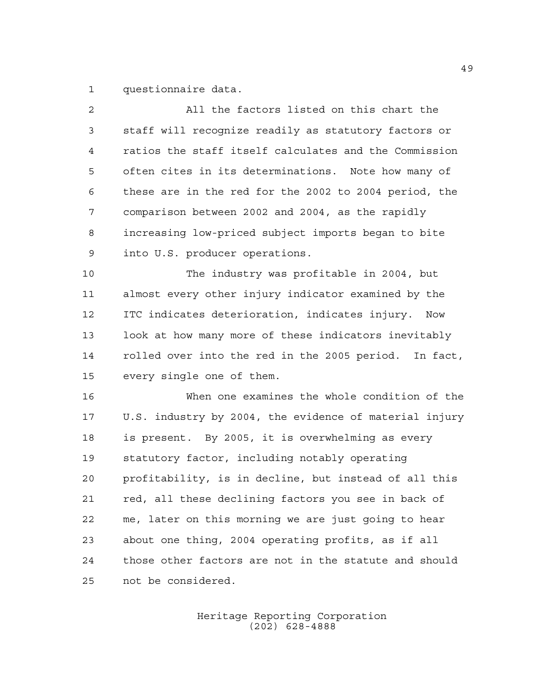questionnaire data.

| $\overline{2}$ | All the factors listed on this chart the               |
|----------------|--------------------------------------------------------|
| 3              | staff will recognize readily as statutory factors or   |
| $\overline{4}$ | ratios the staff itself calculates and the Commission  |
| 5              | often cites in its determinations. Note how many of    |
| 6              | these are in the red for the 2002 to 2004 period, the  |
| 7              | comparison between 2002 and 2004, as the rapidly       |
| 8              | increasing low-priced subject imports began to bite    |
| 9              | into U.S. producer operations.                         |
| 10             | The industry was profitable in 2004, but               |
| 11             | almost every other injury indicator examined by the    |
| 12             | ITC indicates deterioration, indicates injury. Now     |
| 13             | look at how many more of these indicators inevitably   |
| 14             | rolled over into the red in the 2005 period. In fact,  |
| 15             | every single one of them.                              |
| 16             | When one examines the whole condition of the           |
| 17             | U.S. industry by 2004, the evidence of material injury |
| $18\,$         | is present. By 2005, it is overwhelming as every       |
| 19             | statutory factor, including notably operating          |
| 20             | profitability, is in decline, but instead of all this  |
| 21             | red, all these declining factors you see in back of    |
| 22             | me, later on this morning we are just going to hear    |
| 23             | about one thing, 2004 operating profits, as if all     |
| 24             | those other factors are not in the statute and should  |
| 25             | not be considered.                                     |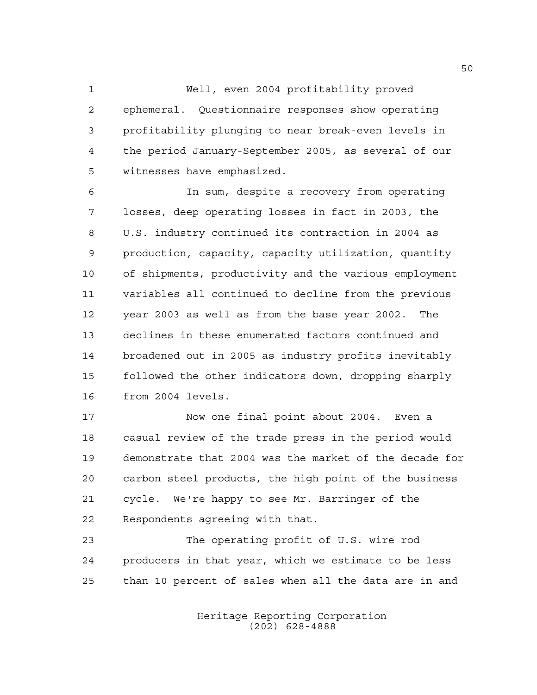Well, even 2004 profitability proved ephemeral. Questionnaire responses show operating profitability plunging to near break-even levels in the period January-September 2005, as several of our witnesses have emphasized.

 In sum, despite a recovery from operating losses, deep operating losses in fact in 2003, the U.S. industry continued its contraction in 2004 as production, capacity, capacity utilization, quantity of shipments, productivity and the various employment variables all continued to decline from the previous year 2003 as well as from the base year 2002. The declines in these enumerated factors continued and broadened out in 2005 as industry profits inevitably followed the other indicators down, dropping sharply from 2004 levels.

 Now one final point about 2004. Even a casual review of the trade press in the period would demonstrate that 2004 was the market of the decade for carbon steel products, the high point of the business cycle. We're happy to see Mr. Barringer of the Respondents agreeing with that.

 The operating profit of U.S. wire rod producers in that year, which we estimate to be less than 10 percent of sales when all the data are in and

> Heritage Reporting Corporation (202) 628-4888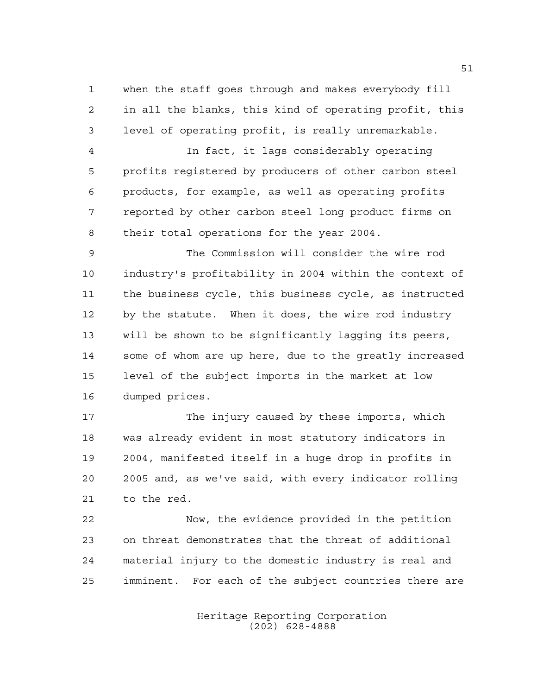when the staff goes through and makes everybody fill in all the blanks, this kind of operating profit, this level of operating profit, is really unremarkable.

 In fact, it lags considerably operating profits registered by producers of other carbon steel products, for example, as well as operating profits reported by other carbon steel long product firms on their total operations for the year 2004.

 The Commission will consider the wire rod industry's profitability in 2004 within the context of the business cycle, this business cycle, as instructed by the statute. When it does, the wire rod industry will be shown to be significantly lagging its peers, some of whom are up here, due to the greatly increased level of the subject imports in the market at low dumped prices.

 The injury caused by these imports, which was already evident in most statutory indicators in 2004, manifested itself in a huge drop in profits in 2005 and, as we've said, with every indicator rolling to the red.

 Now, the evidence provided in the petition on threat demonstrates that the threat of additional material injury to the domestic industry is real and imminent. For each of the subject countries there are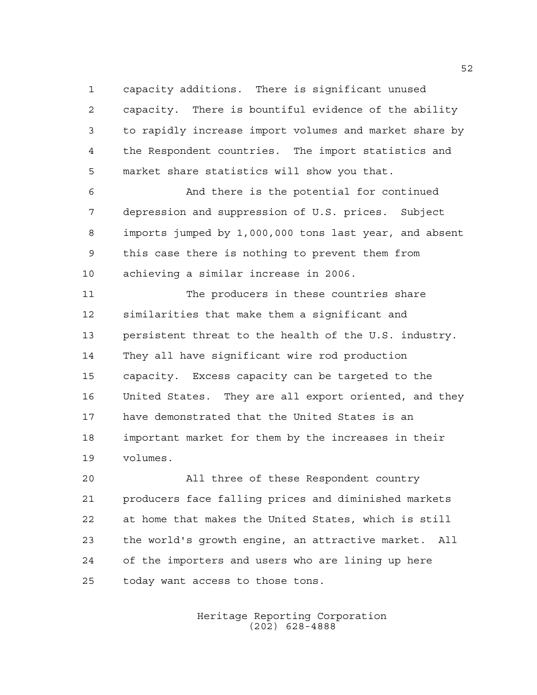capacity additions. There is significant unused capacity. There is bountiful evidence of the ability to rapidly increase import volumes and market share by the Respondent countries. The import statistics and market share statistics will show you that.

 And there is the potential for continued depression and suppression of U.S. prices. Subject imports jumped by 1,000,000 tons last year, and absent this case there is nothing to prevent them from achieving a similar increase in 2006.

 The producers in these countries share similarities that make them a significant and persistent threat to the health of the U.S. industry. They all have significant wire rod production capacity. Excess capacity can be targeted to the United States. They are all export oriented, and they have demonstrated that the United States is an important market for them by the increases in their volumes.

 All three of these Respondent country producers face falling prices and diminished markets at home that makes the United States, which is still the world's growth engine, an attractive market. All of the importers and users who are lining up here today want access to those tons.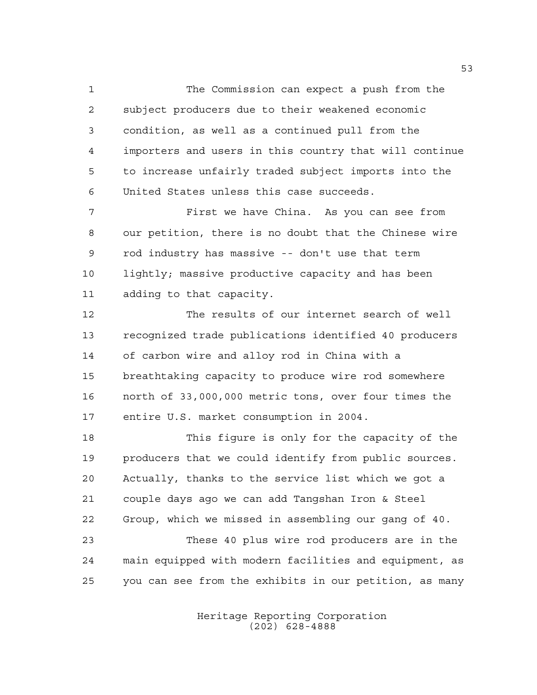The Commission can expect a push from the subject producers due to their weakened economic condition, as well as a continued pull from the importers and users in this country that will continue to increase unfairly traded subject imports into the United States unless this case succeeds.

 First we have China. As you can see from our petition, there is no doubt that the Chinese wire rod industry has massive -- don't use that term lightly; massive productive capacity and has been adding to that capacity.

 The results of our internet search of well recognized trade publications identified 40 producers of carbon wire and alloy rod in China with a breathtaking capacity to produce wire rod somewhere north of 33,000,000 metric tons, over four times the entire U.S. market consumption in 2004.

 This figure is only for the capacity of the producers that we could identify from public sources. Actually, thanks to the service list which we got a couple days ago we can add Tangshan Iron & Steel Group, which we missed in assembling our gang of 40. These 40 plus wire rod producers are in the main equipped with modern facilities and equipment, as you can see from the exhibits in our petition, as many

> Heritage Reporting Corporation (202) 628-4888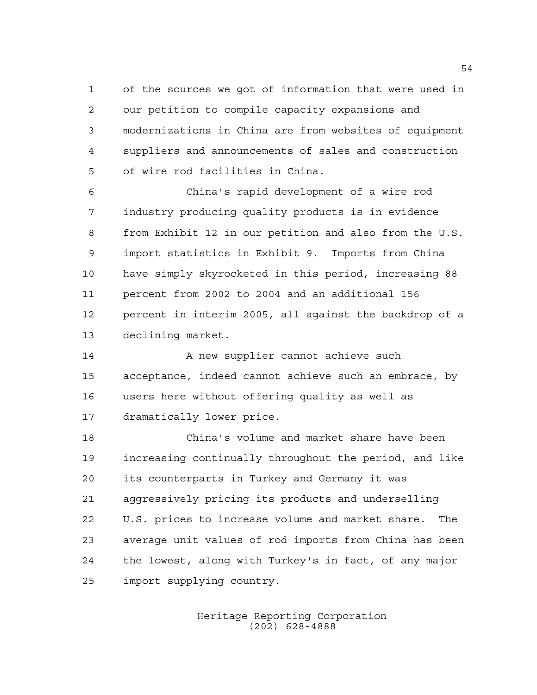of the sources we got of information that were used in our petition to compile capacity expansions and modernizations in China are from websites of equipment suppliers and announcements of sales and construction of wire rod facilities in China.

 China's rapid development of a wire rod industry producing quality products is in evidence from Exhibit 12 in our petition and also from the U.S. import statistics in Exhibit 9. Imports from China have simply skyrocketed in this period, increasing 88 percent from 2002 to 2004 and an additional 156 percent in interim 2005, all against the backdrop of a declining market.

14 A new supplier cannot achieve such acceptance, indeed cannot achieve such an embrace, by users here without offering quality as well as dramatically lower price.

 China's volume and market share have been increasing continually throughout the period, and like its counterparts in Turkey and Germany it was aggressively pricing its products and underselling U.S. prices to increase volume and market share. The average unit values of rod imports from China has been the lowest, along with Turkey's in fact, of any major import supplying country.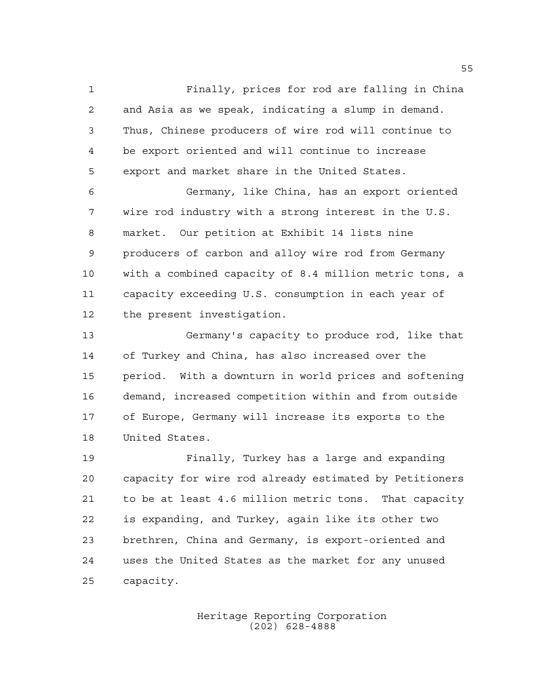Finally, prices for rod are falling in China and Asia as we speak, indicating a slump in demand. Thus, Chinese producers of wire rod will continue to be export oriented and will continue to increase export and market share in the United States.

 Germany, like China, has an export oriented wire rod industry with a strong interest in the U.S. market. Our petition at Exhibit 14 lists nine producers of carbon and alloy wire rod from Germany with a combined capacity of 8.4 million metric tons, a capacity exceeding U.S. consumption in each year of the present investigation.

 Germany's capacity to produce rod, like that of Turkey and China, has also increased over the period. With a downturn in world prices and softening demand, increased competition within and from outside of Europe, Germany will increase its exports to the United States.

 Finally, Turkey has a large and expanding capacity for wire rod already estimated by Petitioners to be at least 4.6 million metric tons. That capacity is expanding, and Turkey, again like its other two brethren, China and Germany, is export-oriented and uses the United States as the market for any unused capacity.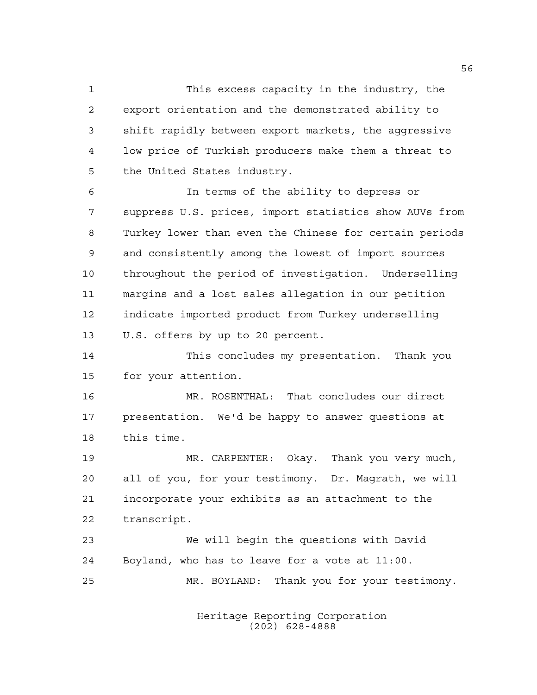This excess capacity in the industry, the export orientation and the demonstrated ability to shift rapidly between export markets, the aggressive low price of Turkish producers make them a threat to the United States industry.

 In terms of the ability to depress or suppress U.S. prices, import statistics show AUVs from Turkey lower than even the Chinese for certain periods and consistently among the lowest of import sources throughout the period of investigation. Underselling margins and a lost sales allegation in our petition indicate imported product from Turkey underselling U.S. offers by up to 20 percent.

 This concludes my presentation. Thank you for your attention.

 MR. ROSENTHAL: That concludes our direct presentation. We'd be happy to answer questions at this time.

 MR. CARPENTER: Okay. Thank you very much, all of you, for your testimony. Dr. Magrath, we will incorporate your exhibits as an attachment to the transcript.

 We will begin the questions with David Boyland, who has to leave for a vote at 11:00. MR. BOYLAND: Thank you for your testimony.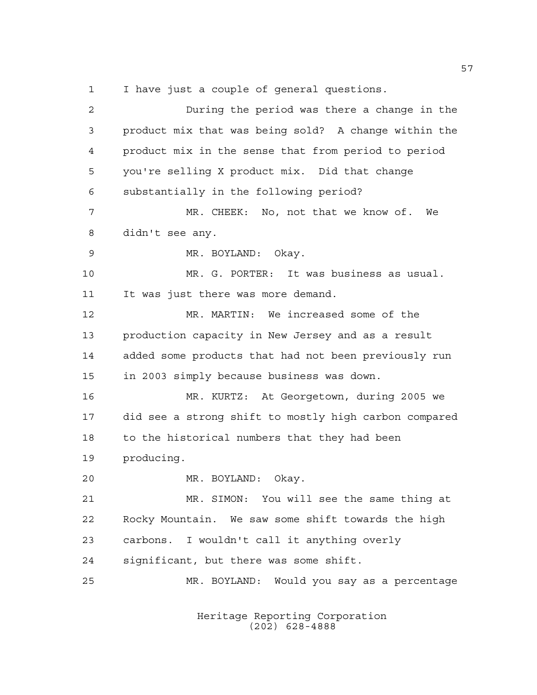I have just a couple of general questions.

 During the period was there a change in the product mix that was being sold? A change within the product mix in the sense that from period to period you're selling X product mix. Did that change substantially in the following period? MR. CHEEK: No, not that we know of. We didn't see any. MR. BOYLAND: Okay. MR. G. PORTER: It was business as usual. 11 It was just there was more demand. MR. MARTIN: We increased some of the production capacity in New Jersey and as a result added some products that had not been previously run in 2003 simply because business was down. MR. KURTZ: At Georgetown, during 2005 we did see a strong shift to mostly high carbon compared 18 to the historical numbers that they had been producing. MR. BOYLAND: Okay. MR. SIMON: You will see the same thing at Rocky Mountain. We saw some shift towards the high carbons. I wouldn't call it anything overly significant, but there was some shift. MR. BOYLAND: Would you say as a percentage

> Heritage Reporting Corporation (202) 628-4888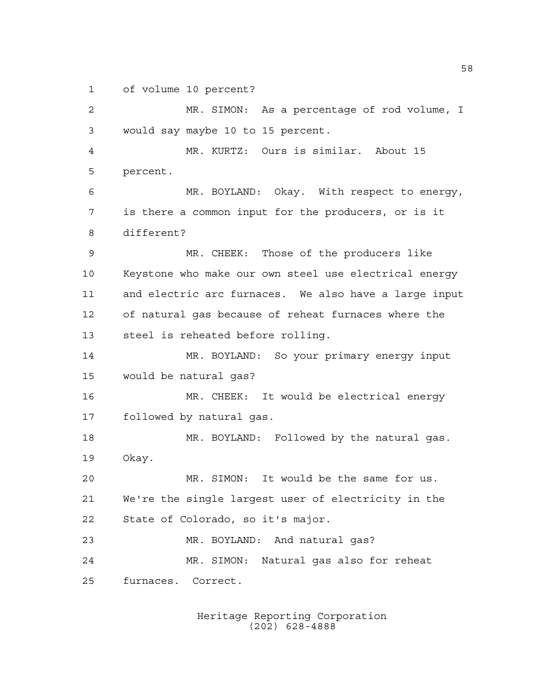of volume 10 percent?

 MR. SIMON: As a percentage of rod volume, I would say maybe 10 to 15 percent. MR. KURTZ: Ours is similar. About 15 percent. MR. BOYLAND: Okay. With respect to energy, is there a common input for the producers, or is it different? MR. CHEEK: Those of the producers like Keystone who make our own steel use electrical energy and electric arc furnaces. We also have a large input of natural gas because of reheat furnaces where the steel is reheated before rolling. MR. BOYLAND: So your primary energy input would be natural gas? MR. CHEEK: It would be electrical energy followed by natural gas. MR. BOYLAND: Followed by the natural gas. Okay. MR. SIMON: It would be the same for us. We're the single largest user of electricity in the State of Colorado, so it's major. MR. BOYLAND: And natural gas? MR. SIMON: Natural gas also for reheat furnaces. Correct.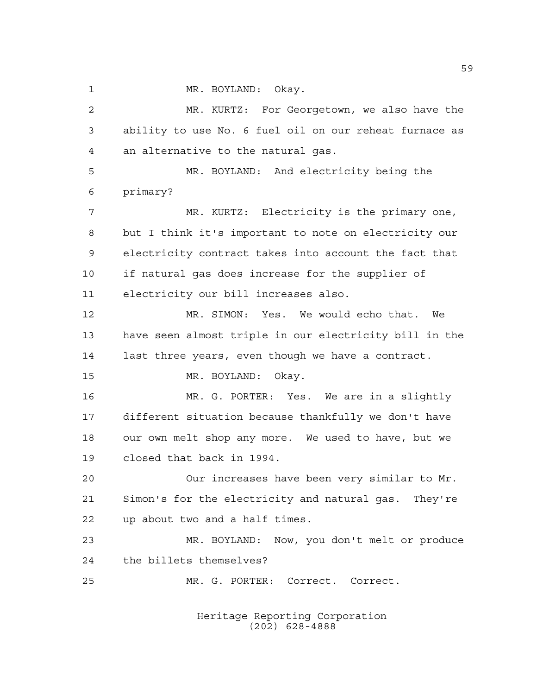MR. BOYLAND: Okay.

 MR. KURTZ: For Georgetown, we also have the ability to use No. 6 fuel oil on our reheat furnace as an alternative to the natural gas. MR. BOYLAND: And electricity being the primary? 7 MR. KURTZ: Electricity is the primary one, but I think it's important to note on electricity our electricity contract takes into account the fact that if natural gas does increase for the supplier of electricity our bill increases also. MR. SIMON: Yes. We would echo that. We have seen almost triple in our electricity bill in the last three years, even though we have a contract. MR. BOYLAND: Okay. MR. G. PORTER: Yes. We are in a slightly different situation because thankfully we don't have our own melt shop any more. We used to have, but we closed that back in 1994. Our increases have been very similar to Mr. Simon's for the electricity and natural gas. They're up about two and a half times. MR. BOYLAND: Now, you don't melt or produce the billets themselves? MR. G. PORTER: Correct. Correct.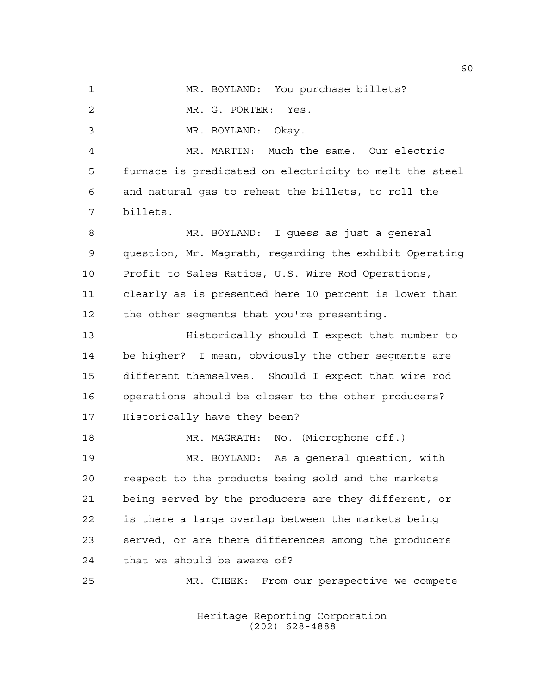MR. BOYLAND: You purchase billets? MR. G. PORTER: Yes. MR. BOYLAND: Okay. MR. MARTIN: Much the same. Our electric furnace is predicated on electricity to melt the steel and natural gas to reheat the billets, to roll the billets. MR. BOYLAND: I guess as just a general question, Mr. Magrath, regarding the exhibit Operating Profit to Sales Ratios, U.S. Wire Rod Operations, clearly as is presented here 10 percent is lower than 12 the other segments that you're presenting. Historically should I expect that number to be higher? I mean, obviously the other segments are different themselves. Should I expect that wire rod operations should be closer to the other producers? Historically have they been? MR. MAGRATH: No. (Microphone off.) MR. BOYLAND: As a general question, with respect to the products being sold and the markets being served by the producers are they different, or is there a large overlap between the markets being served, or are there differences among the producers that we should be aware of? MR. CHEEK: From our perspective we compete

> Heritage Reporting Corporation (202) 628-4888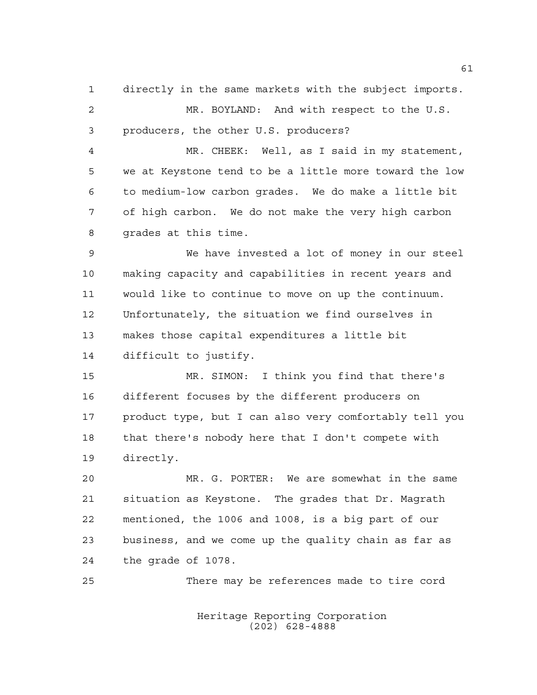directly in the same markets with the subject imports.

 MR. BOYLAND: And with respect to the U.S. producers, the other U.S. producers?

 MR. CHEEK: Well, as I said in my statement, we at Keystone tend to be a little more toward the low to medium-low carbon grades. We do make a little bit of high carbon. We do not make the very high carbon grades at this time.

 We have invested a lot of money in our steel making capacity and capabilities in recent years and would like to continue to move on up the continuum. Unfortunately, the situation we find ourselves in makes those capital expenditures a little bit difficult to justify.

 MR. SIMON: I think you find that there's different focuses by the different producers on product type, but I can also very comfortably tell you that there's nobody here that I don't compete with directly.

 MR. G. PORTER: We are somewhat in the same situation as Keystone. The grades that Dr. Magrath mentioned, the 1006 and 1008, is a big part of our business, and we come up the quality chain as far as the grade of 1078.

There may be references made to tire cord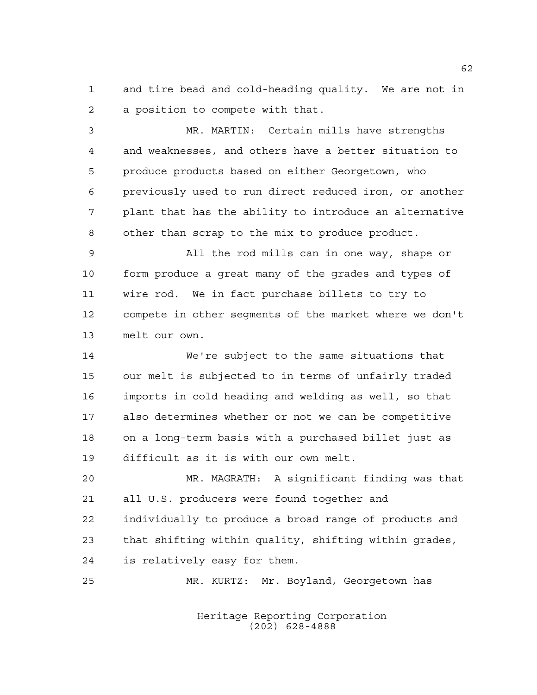and tire bead and cold-heading quality. We are not in a position to compete with that.

 MR. MARTIN: Certain mills have strengths and weaknesses, and others have a better situation to produce products based on either Georgetown, who previously used to run direct reduced iron, or another plant that has the ability to introduce an alternative other than scrap to the mix to produce product.

 All the rod mills can in one way, shape or form produce a great many of the grades and types of wire rod. We in fact purchase billets to try to compete in other segments of the market where we don't melt our own.

 We're subject to the same situations that our melt is subjected to in terms of unfairly traded imports in cold heading and welding as well, so that also determines whether or not we can be competitive on a long-term basis with a purchased billet just as difficult as it is with our own melt.

 MR. MAGRATH: A significant finding was that all U.S. producers were found together and individually to produce a broad range of products and that shifting within quality, shifting within grades, is relatively easy for them.

MR. KURTZ: Mr. Boyland, Georgetown has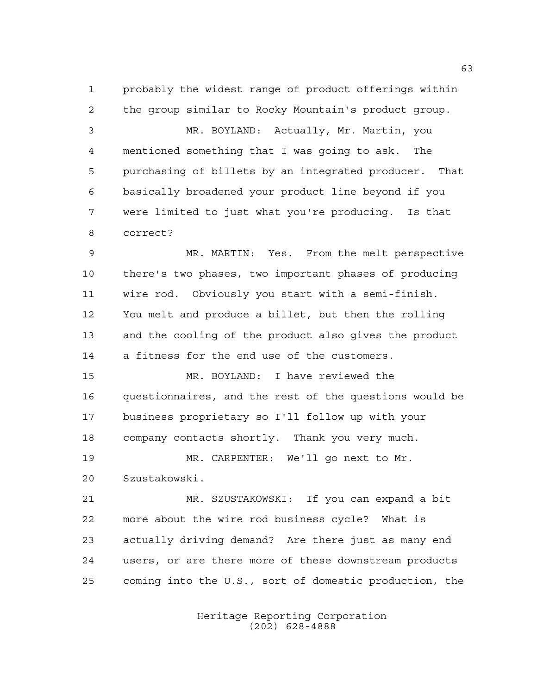probably the widest range of product offerings within the group similar to Rocky Mountain's product group.

 MR. BOYLAND: Actually, Mr. Martin, you mentioned something that I was going to ask. The purchasing of billets by an integrated producer. That basically broadened your product line beyond if you were limited to just what you're producing. Is that correct?

 MR. MARTIN: Yes. From the melt perspective there's two phases, two important phases of producing wire rod. Obviously you start with a semi-finish. You melt and produce a billet, but then the rolling and the cooling of the product also gives the product a fitness for the end use of the customers.

 MR. BOYLAND: I have reviewed the questionnaires, and the rest of the questions would be business proprietary so I'll follow up with your company contacts shortly. Thank you very much.

 MR. CARPENTER: We'll go next to Mr. Szustakowski.

 MR. SZUSTAKOWSKI: If you can expand a bit more about the wire rod business cycle? What is actually driving demand? Are there just as many end users, or are there more of these downstream products coming into the U.S., sort of domestic production, the

> Heritage Reporting Corporation (202) 628-4888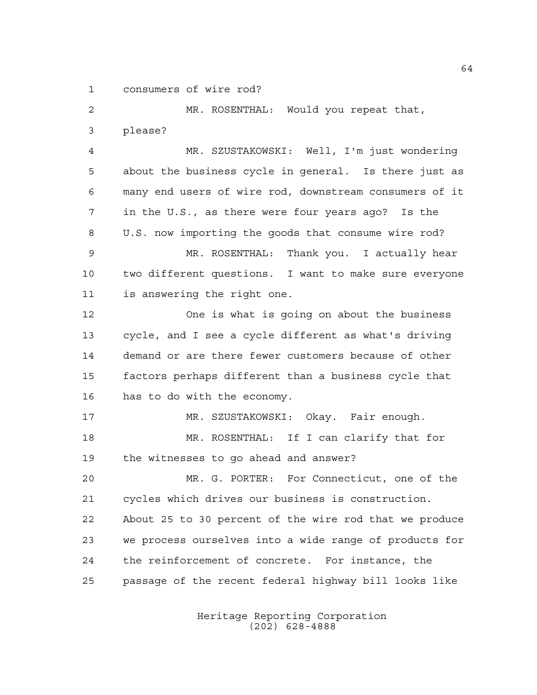consumers of wire rod?

 MR. ROSENTHAL: Would you repeat that, please? MR. SZUSTAKOWSKI: Well, I'm just wondering about the business cycle in general. Is there just as many end users of wire rod, downstream consumers of it in the U.S., as there were four years ago? Is the U.S. now importing the goods that consume wire rod? MR. ROSENTHAL: Thank you. I actually hear two different questions. I want to make sure everyone is answering the right one. One is what is going on about the business cycle, and I see a cycle different as what's driving demand or are there fewer customers because of other factors perhaps different than a business cycle that has to do with the economy. MR. SZUSTAKOWSKI: Okay. Fair enough. MR. ROSENTHAL: If I can clarify that for the witnesses to go ahead and answer? MR. G. PORTER: For Connecticut, one of the cycles which drives our business is construction. About 25 to 30 percent of the wire rod that we produce we process ourselves into a wide range of products for the reinforcement of concrete. For instance, the passage of the recent federal highway bill looks like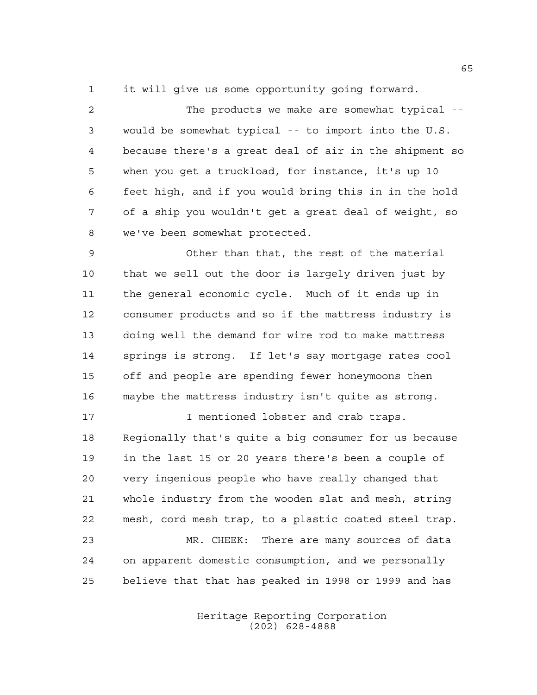it will give us some opportunity going forward.

 The products we make are somewhat typical -- would be somewhat typical -- to import into the U.S. because there's a great deal of air in the shipment so when you get a truckload, for instance, it's up 10 feet high, and if you would bring this in in the hold of a ship you wouldn't get a great deal of weight, so we've been somewhat protected.

 Other than that, the rest of the material that we sell out the door is largely driven just by the general economic cycle. Much of it ends up in consumer products and so if the mattress industry is doing well the demand for wire rod to make mattress springs is strong. If let's say mortgage rates cool off and people are spending fewer honeymoons then maybe the mattress industry isn't quite as strong.

**I** mentioned lobster and crab traps. Regionally that's quite a big consumer for us because in the last 15 or 20 years there's been a couple of very ingenious people who have really changed that whole industry from the wooden slat and mesh, string mesh, cord mesh trap, to a plastic coated steel trap. MR. CHEEK: There are many sources of data on apparent domestic consumption, and we personally believe that that has peaked in 1998 or 1999 and has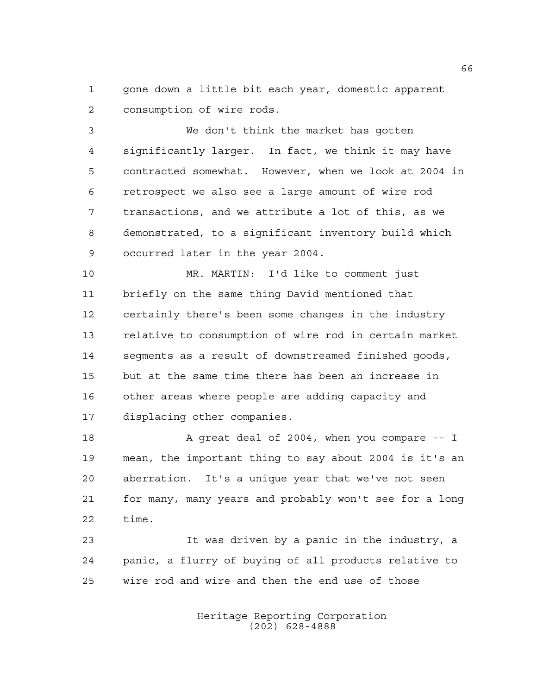gone down a little bit each year, domestic apparent consumption of wire rods.

 We don't think the market has gotten significantly larger. In fact, we think it may have contracted somewhat. However, when we look at 2004 in retrospect we also see a large amount of wire rod transactions, and we attribute a lot of this, as we demonstrated, to a significant inventory build which occurred later in the year 2004.

 MR. MARTIN: I'd like to comment just briefly on the same thing David mentioned that certainly there's been some changes in the industry relative to consumption of wire rod in certain market segments as a result of downstreamed finished goods, but at the same time there has been an increase in other areas where people are adding capacity and displacing other companies.

18 A great deal of 2004, when you compare -- I mean, the important thing to say about 2004 is it's an aberration. It's a unique year that we've not seen for many, many years and probably won't see for a long time.

 It was driven by a panic in the industry, a panic, a flurry of buying of all products relative to wire rod and wire and then the end use of those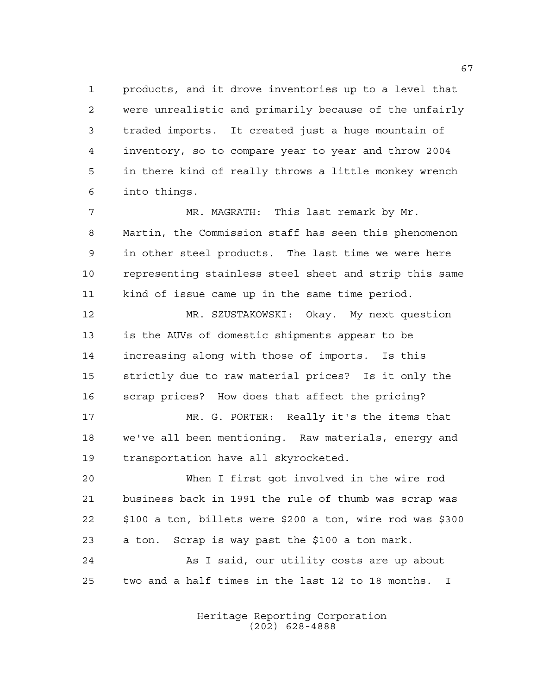products, and it drove inventories up to a level that were unrealistic and primarily because of the unfairly traded imports. It created just a huge mountain of inventory, so to compare year to year and throw 2004 in there kind of really throws a little monkey wrench into things.

7 MR. MAGRATH: This last remark by Mr. Martin, the Commission staff has seen this phenomenon in other steel products. The last time we were here representing stainless steel sheet and strip this same kind of issue came up in the same time period.

 MR. SZUSTAKOWSKI: Okay. My next question is the AUVs of domestic shipments appear to be increasing along with those of imports. Is this strictly due to raw material prices? Is it only the scrap prices? How does that affect the pricing?

 MR. G. PORTER: Really it's the items that we've all been mentioning. Raw materials, energy and transportation have all skyrocketed.

 When I first got involved in the wire rod business back in 1991 the rule of thumb was scrap was \$100 a ton, billets were \$200 a ton, wire rod was \$300 a ton. Scrap is way past the \$100 a ton mark.

 As I said, our utility costs are up about two and a half times in the last 12 to 18 months. I

> Heritage Reporting Corporation (202) 628-4888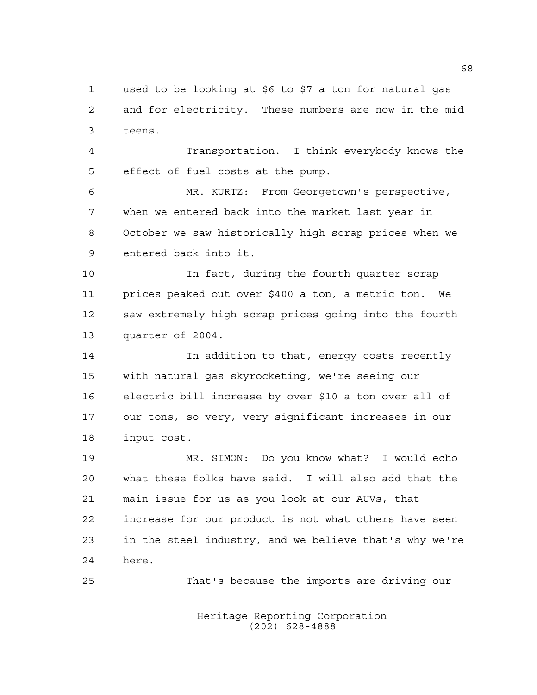used to be looking at \$6 to \$7 a ton for natural gas and for electricity. These numbers are now in the mid teens.

 Transportation. I think everybody knows the effect of fuel costs at the pump.

 MR. KURTZ: From Georgetown's perspective, when we entered back into the market last year in October we saw historically high scrap prices when we entered back into it.

 In fact, during the fourth quarter scrap prices peaked out over \$400 a ton, a metric ton. We saw extremely high scrap prices going into the fourth quarter of 2004.

 In addition to that, energy costs recently with natural gas skyrocketing, we're seeing our electric bill increase by over \$10 a ton over all of our tons, so very, very significant increases in our input cost.

 MR. SIMON: Do you know what? I would echo what these folks have said. I will also add that the main issue for us as you look at our AUVs, that increase for our product is not what others have seen in the steel industry, and we believe that's why we're here.

That's because the imports are driving our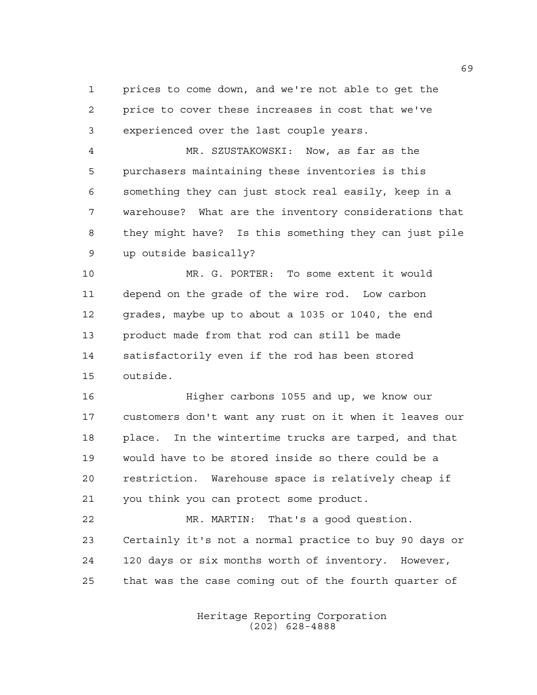prices to come down, and we're not able to get the price to cover these increases in cost that we've experienced over the last couple years.

 MR. SZUSTAKOWSKI: Now, as far as the purchasers maintaining these inventories is this something they can just stock real easily, keep in a warehouse? What are the inventory considerations that they might have? Is this something they can just pile up outside basically?

 MR. G. PORTER: To some extent it would depend on the grade of the wire rod. Low carbon grades, maybe up to about a 1035 or 1040, the end product made from that rod can still be made satisfactorily even if the rod has been stored outside.

 Higher carbons 1055 and up, we know our customers don't want any rust on it when it leaves our place. In the wintertime trucks are tarped, and that would have to be stored inside so there could be a restriction. Warehouse space is relatively cheap if you think you can protect some product.

 MR. MARTIN: That's a good question. Certainly it's not a normal practice to buy 90 days or 120 days or six months worth of inventory. However, that was the case coming out of the fourth quarter of

> Heritage Reporting Corporation (202) 628-4888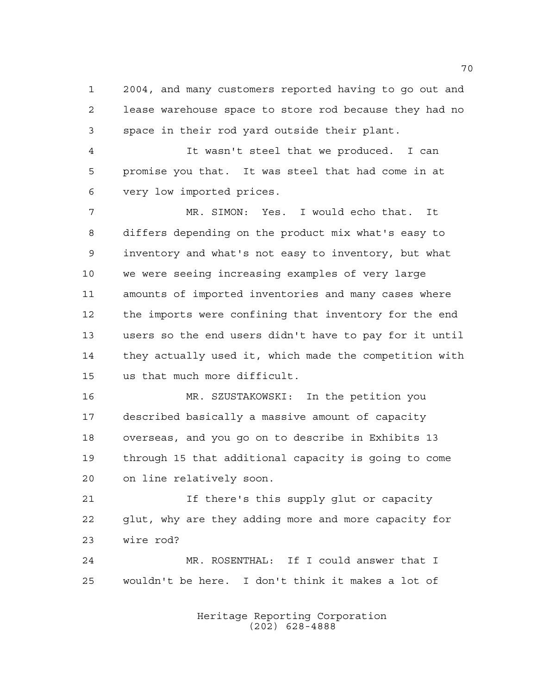2004, and many customers reported having to go out and lease warehouse space to store rod because they had no space in their rod yard outside their plant.

 It wasn't steel that we produced. I can promise you that. It was steel that had come in at very low imported prices.

 MR. SIMON: Yes. I would echo that. It differs depending on the product mix what's easy to inventory and what's not easy to inventory, but what we were seeing increasing examples of very large amounts of imported inventories and many cases where the imports were confining that inventory for the end users so the end users didn't have to pay for it until they actually used it, which made the competition with us that much more difficult.

 MR. SZUSTAKOWSKI: In the petition you described basically a massive amount of capacity overseas, and you go on to describe in Exhibits 13 through 15 that additional capacity is going to come on line relatively soon.

21 15 If there's this supply glut or capacity glut, why are they adding more and more capacity for wire rod?

 MR. ROSENTHAL: If I could answer that I wouldn't be here. I don't think it makes a lot of

> Heritage Reporting Corporation (202) 628-4888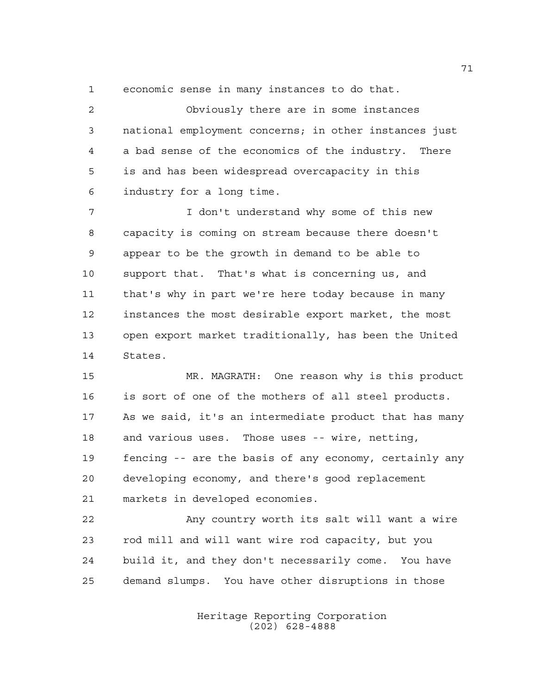economic sense in many instances to do that.

 Obviously there are in some instances national employment concerns; in other instances just a bad sense of the economics of the industry. There is and has been widespread overcapacity in this industry for a long time.

 I don't understand why some of this new capacity is coming on stream because there doesn't appear to be the growth in demand to be able to support that. That's what is concerning us, and that's why in part we're here today because in many instances the most desirable export market, the most open export market traditionally, has been the United States.

 MR. MAGRATH: One reason why is this product is sort of one of the mothers of all steel products. As we said, it's an intermediate product that has many and various uses. Those uses -- wire, netting, fencing -- are the basis of any economy, certainly any developing economy, and there's good replacement markets in developed economies.

 Any country worth its salt will want a wire rod mill and will want wire rod capacity, but you build it, and they don't necessarily come. You have demand slumps. You have other disruptions in those

> Heritage Reporting Corporation (202) 628-4888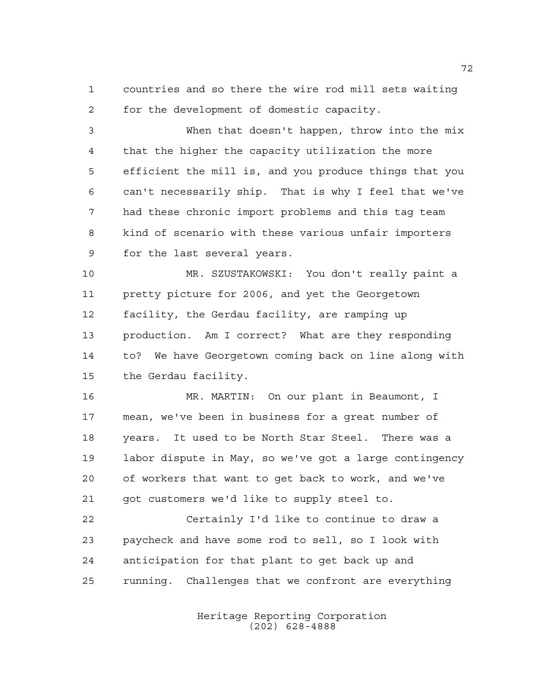countries and so there the wire rod mill sets waiting for the development of domestic capacity.

 When that doesn't happen, throw into the mix that the higher the capacity utilization the more efficient the mill is, and you produce things that you can't necessarily ship. That is why I feel that we've had these chronic import problems and this tag team kind of scenario with these various unfair importers for the last several years.

 MR. SZUSTAKOWSKI: You don't really paint a pretty picture for 2006, and yet the Georgetown facility, the Gerdau facility, are ramping up production. Am I correct? What are they responding to? We have Georgetown coming back on line along with the Gerdau facility.

 MR. MARTIN: On our plant in Beaumont, I mean, we've been in business for a great number of years. It used to be North Star Steel. There was a labor dispute in May, so we've got a large contingency of workers that want to get back to work, and we've got customers we'd like to supply steel to.

 Certainly I'd like to continue to draw a paycheck and have some rod to sell, so I look with anticipation for that plant to get back up and running. Challenges that we confront are everything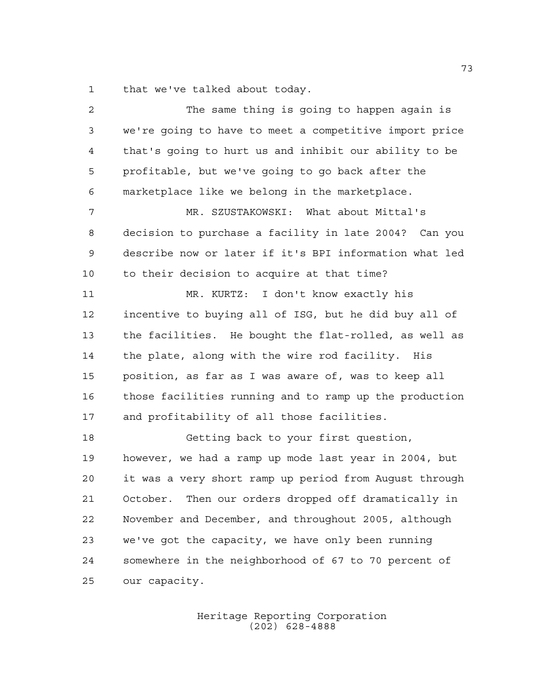that we've talked about today.

| 2  | The same thing is going to happen again is              |
|----|---------------------------------------------------------|
| 3  | we're going to have to meet a competitive import price  |
| 4  | that's going to hurt us and inhibit our ability to be   |
| 5  | profitable, but we've going to go back after the        |
| 6  | marketplace like we belong in the marketplace.          |
| 7  | MR. SZUSTAKOWSKI: What about Mittal's                   |
| 8  | decision to purchase a facility in late 2004? Can you   |
| 9  | describe now or later if it's BPI information what led  |
| 10 | to their decision to acquire at that time?              |
| 11 | MR. KURTZ: I don't know exactly his                     |
| 12 | incentive to buying all of ISG, but he did buy all of   |
| 13 | the facilities. He bought the flat-rolled, as well as   |
| 14 | the plate, along with the wire rod facility. His        |
| 15 | position, as far as I was aware of, was to keep all     |
| 16 | those facilities running and to ramp up the production  |
| 17 | and profitability of all those facilities.              |
| 18 | Getting back to your first question,                    |
| 19 | however, we had a ramp up mode last year in 2004, but   |
| 20 | it was a very short ramp up period from Auqust through  |
| 21 | Then our orders dropped off dramatically in<br>October. |
| 22 | November and December, and throughout 2005, although    |
| 23 | we've got the capacity, we have only been running       |
| 24 | somewhere in the neighborhood of 67 to 70 percent of    |
| 25 | our capacity.                                           |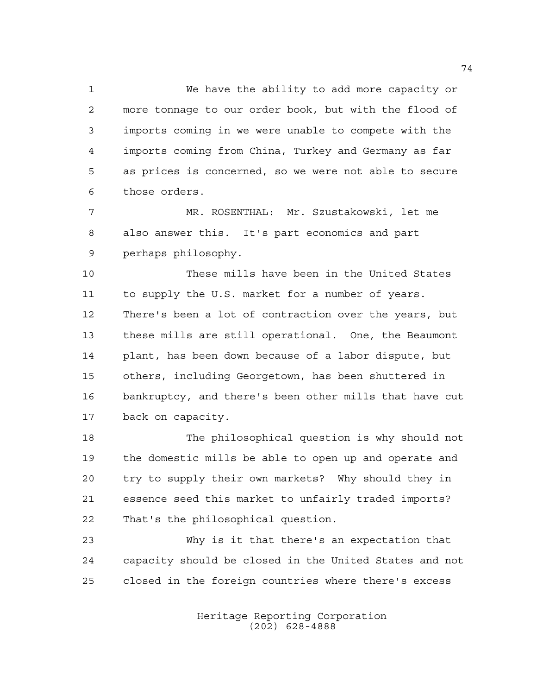We have the ability to add more capacity or more tonnage to our order book, but with the flood of imports coming in we were unable to compete with the imports coming from China, Turkey and Germany as far as prices is concerned, so we were not able to secure those orders.

 MR. ROSENTHAL: Mr. Szustakowski, let me also answer this. It's part economics and part perhaps philosophy.

 These mills have been in the United States to supply the U.S. market for a number of years. There's been a lot of contraction over the years, but these mills are still operational. One, the Beaumont plant, has been down because of a labor dispute, but others, including Georgetown, has been shuttered in bankruptcy, and there's been other mills that have cut back on capacity.

 The philosophical question is why should not the domestic mills be able to open up and operate and try to supply their own markets? Why should they in essence seed this market to unfairly traded imports? That's the philosophical question.

 Why is it that there's an expectation that capacity should be closed in the United States and not closed in the foreign countries where there's excess

> Heritage Reporting Corporation (202) 628-4888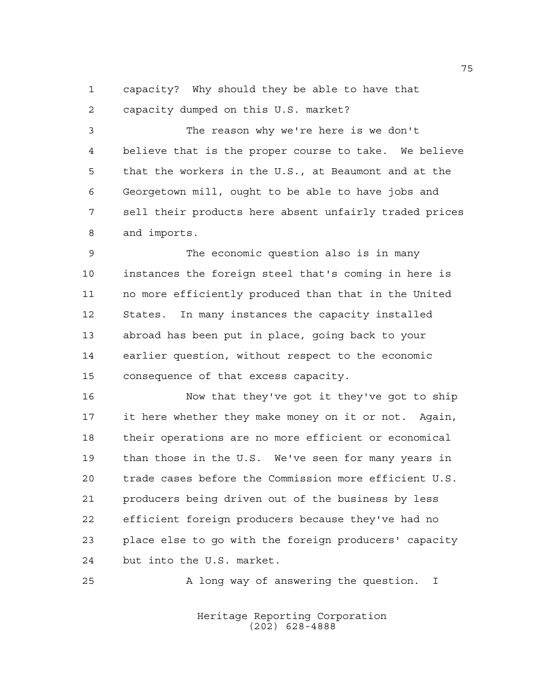capacity? Why should they be able to have that capacity dumped on this U.S. market?

 The reason why we're here is we don't believe that is the proper course to take. We believe that the workers in the U.S., at Beaumont and at the Georgetown mill, ought to be able to have jobs and sell their products here absent unfairly traded prices and imports.

 The economic question also is in many instances the foreign steel that's coming in here is no more efficiently produced than that in the United States. In many instances the capacity installed abroad has been put in place, going back to your earlier question, without respect to the economic consequence of that excess capacity.

 Now that they've got it they've got to ship it here whether they make money on it or not. Again, their operations are no more efficient or economical than those in the U.S. We've seen for many years in trade cases before the Commission more efficient U.S. producers being driven out of the business by less efficient foreign producers because they've had no place else to go with the foreign producers' capacity but into the U.S. market.

A long way of answering the question. I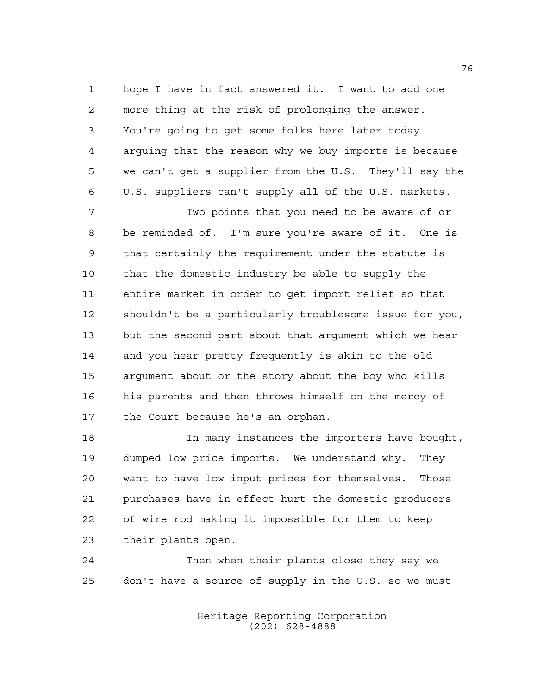hope I have in fact answered it. I want to add one more thing at the risk of prolonging the answer. You're going to get some folks here later today arguing that the reason why we buy imports is because we can't get a supplier from the U.S. They'll say the U.S. suppliers can't supply all of the U.S. markets.

 Two points that you need to be aware of or be reminded of. I'm sure you're aware of it. One is that certainly the requirement under the statute is that the domestic industry be able to supply the entire market in order to get import relief so that shouldn't be a particularly troublesome issue for you, but the second part about that argument which we hear and you hear pretty frequently is akin to the old argument about or the story about the boy who kills his parents and then throws himself on the mercy of the Court because he's an orphan.

 In many instances the importers have bought, dumped low price imports. We understand why. They want to have low input prices for themselves. Those purchases have in effect hurt the domestic producers of wire rod making it impossible for them to keep their plants open.

 Then when their plants close they say we don't have a source of supply in the U.S. so we must

> Heritage Reporting Corporation (202) 628-4888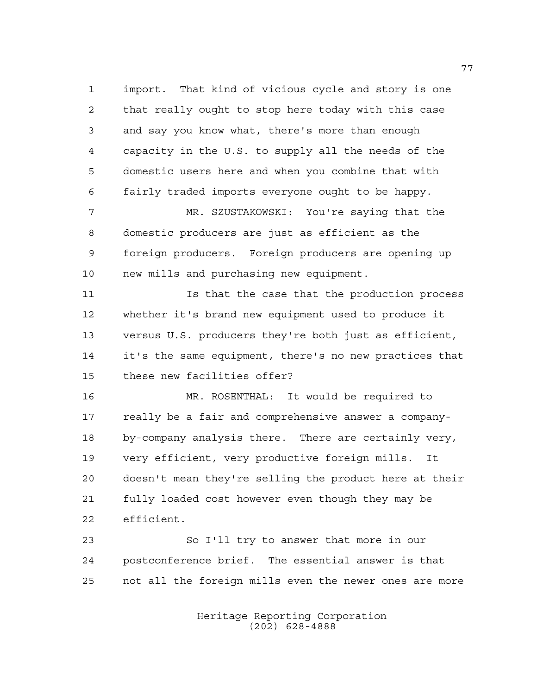import. That kind of vicious cycle and story is one that really ought to stop here today with this case and say you know what, there's more than enough capacity in the U.S. to supply all the needs of the domestic users here and when you combine that with fairly traded imports everyone ought to be happy.

 MR. SZUSTAKOWSKI: You're saying that the domestic producers are just as efficient as the foreign producers. Foreign producers are opening up new mills and purchasing new equipment.

11 11 Is that the case that the production process whether it's brand new equipment used to produce it versus U.S. producers they're both just as efficient, it's the same equipment, there's no new practices that these new facilities offer?

 MR. ROSENTHAL: It would be required to really be a fair and comprehensive answer a company- by-company analysis there. There are certainly very, very efficient, very productive foreign mills. It doesn't mean they're selling the product here at their fully loaded cost however even though they may be efficient.

 So I'll try to answer that more in our postconference brief. The essential answer is that not all the foreign mills even the newer ones are more

> Heritage Reporting Corporation (202) 628-4888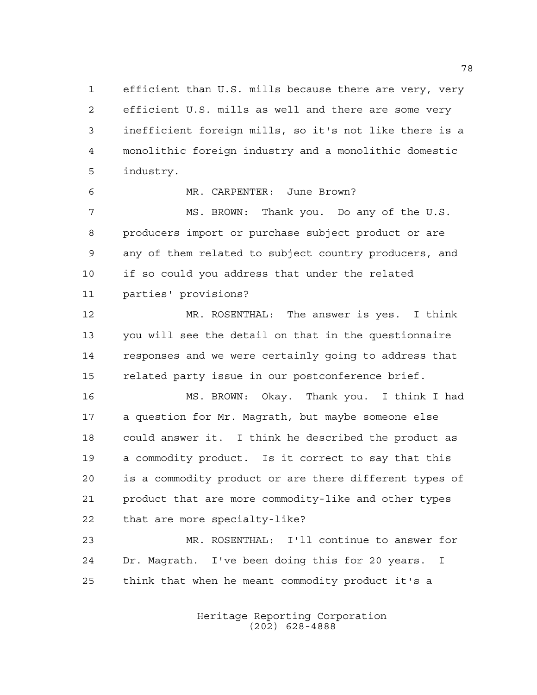efficient than U.S. mills because there are very, very efficient U.S. mills as well and there are some very inefficient foreign mills, so it's not like there is a monolithic foreign industry and a monolithic domestic industry.

MR. CARPENTER: June Brown?

 MS. BROWN: Thank you. Do any of the U.S. producers import or purchase subject product or are any of them related to subject country producers, and if so could you address that under the related parties' provisions?

 MR. ROSENTHAL: The answer is yes. I think you will see the detail on that in the questionnaire responses and we were certainly going to address that related party issue in our postconference brief.

 MS. BROWN: Okay. Thank you. I think I had a question for Mr. Magrath, but maybe someone else could answer it. I think he described the product as a commodity product. Is it correct to say that this is a commodity product or are there different types of product that are more commodity-like and other types that are more specialty-like?

 MR. ROSENTHAL: I'll continue to answer for Dr. Magrath. I've been doing this for 20 years. I think that when he meant commodity product it's a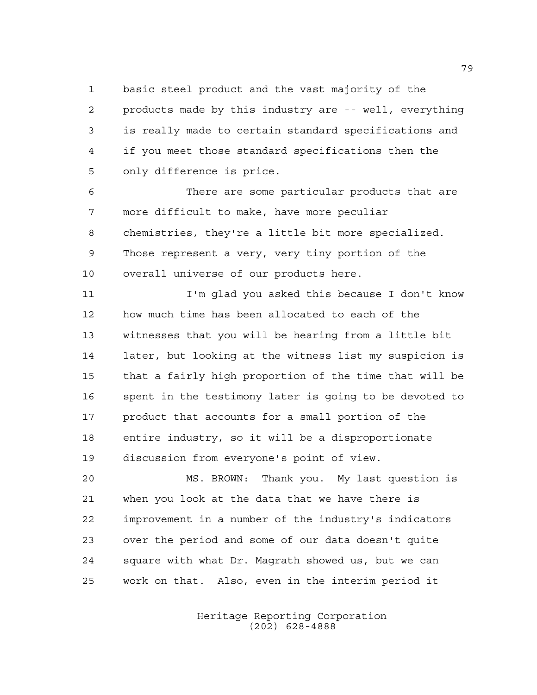basic steel product and the vast majority of the products made by this industry are -- well, everything is really made to certain standard specifications and if you meet those standard specifications then the only difference is price.

 There are some particular products that are more difficult to make, have more peculiar chemistries, they're a little bit more specialized. Those represent a very, very tiny portion of the overall universe of our products here.

 I'm glad you asked this because I don't know how much time has been allocated to each of the witnesses that you will be hearing from a little bit later, but looking at the witness list my suspicion is that a fairly high proportion of the time that will be spent in the testimony later is going to be devoted to product that accounts for a small portion of the entire industry, so it will be a disproportionate discussion from everyone's point of view.

 MS. BROWN: Thank you. My last question is when you look at the data that we have there is improvement in a number of the industry's indicators over the period and some of our data doesn't quite square with what Dr. Magrath showed us, but we can work on that. Also, even in the interim period it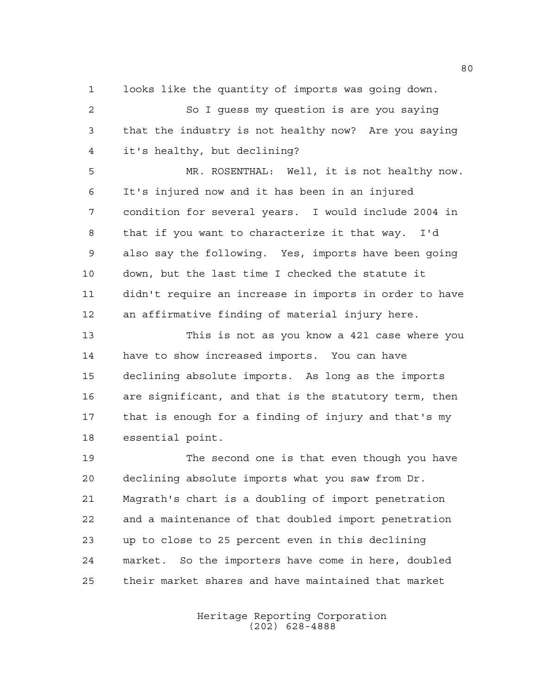looks like the quantity of imports was going down.

 So I guess my question is are you saying that the industry is not healthy now? Are you saying it's healthy, but declining?

 MR. ROSENTHAL: Well, it is not healthy now. It's injured now and it has been in an injured condition for several years. I would include 2004 in that if you want to characterize it that way. I'd also say the following. Yes, imports have been going down, but the last time I checked the statute it didn't require an increase in imports in order to have an affirmative finding of material injury here.

 This is not as you know a 421 case where you have to show increased imports. You can have declining absolute imports. As long as the imports are significant, and that is the statutory term, then that is enough for a finding of injury and that's my essential point.

 The second one is that even though you have declining absolute imports what you saw from Dr. Magrath's chart is a doubling of import penetration and a maintenance of that doubled import penetration up to close to 25 percent even in this declining market. So the importers have come in here, doubled their market shares and have maintained that market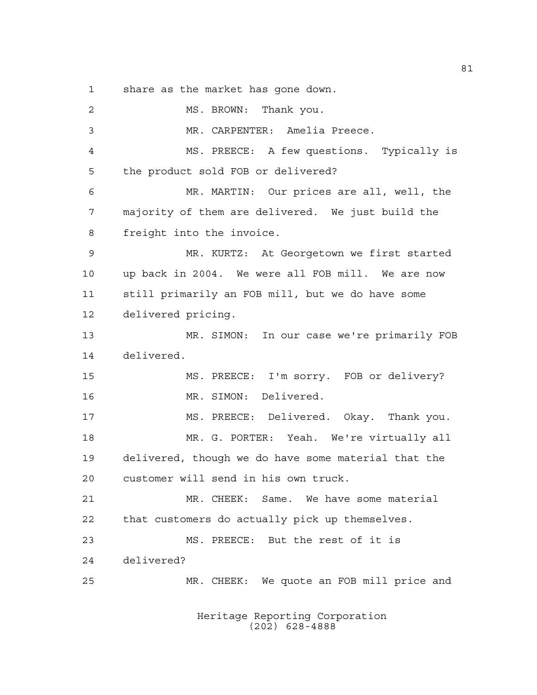share as the market has gone down.

2 MS. BROWN: Thank you. MR. CARPENTER: Amelia Preece. MS. PREECE: A few questions. Typically is the product sold FOB or delivered? MR. MARTIN: Our prices are all, well, the majority of them are delivered. We just build the freight into the invoice. MR. KURTZ: At Georgetown we first started up back in 2004. We were all FOB mill. We are now still primarily an FOB mill, but we do have some delivered pricing. MR. SIMON: In our case we're primarily FOB delivered. MS. PREECE: I'm sorry. FOB or delivery? MR. SIMON: Delivered. MS. PREECE: Delivered. Okay. Thank you. MR. G. PORTER: Yeah. We're virtually all delivered, though we do have some material that the customer will send in his own truck. MR. CHEEK: Same. We have some material that customers do actually pick up themselves. MS. PREECE: But the rest of it is delivered? MR. CHEEK: We quote an FOB mill price and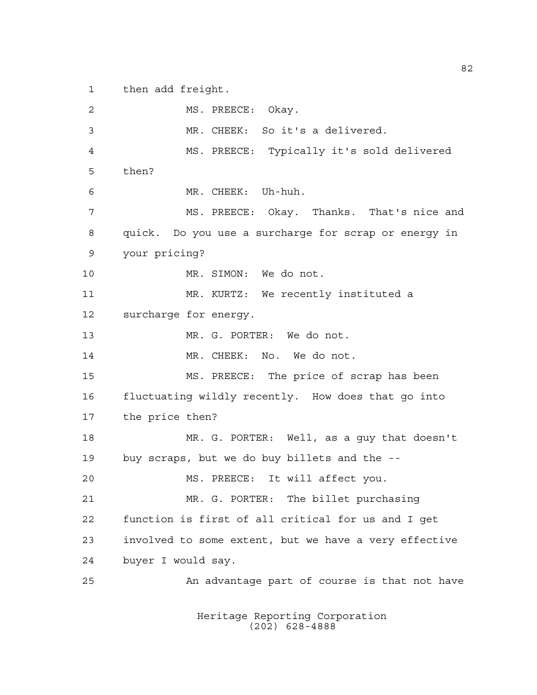then add freight.

2 MS. PREECE: Okay. MR. CHEEK: So it's a delivered. MS. PREECE: Typically it's sold delivered then? MR. CHEEK: Uh-huh. MS. PREECE: Okay. Thanks. That's nice and quick. Do you use a surcharge for scrap or energy in your pricing? MR. SIMON: We do not. MR. KURTZ: We recently instituted a surcharge for energy. MR. G. PORTER: We do not. MR. CHEEK: No. We do not. MS. PREECE: The price of scrap has been fluctuating wildly recently. How does that go into the price then? MR. G. PORTER: Well, as a guy that doesn't buy scraps, but we do buy billets and the -- MS. PREECE: It will affect you. MR. G. PORTER: The billet purchasing function is first of all critical for us and I get involved to some extent, but we have a very effective buyer I would say. An advantage part of course is that not have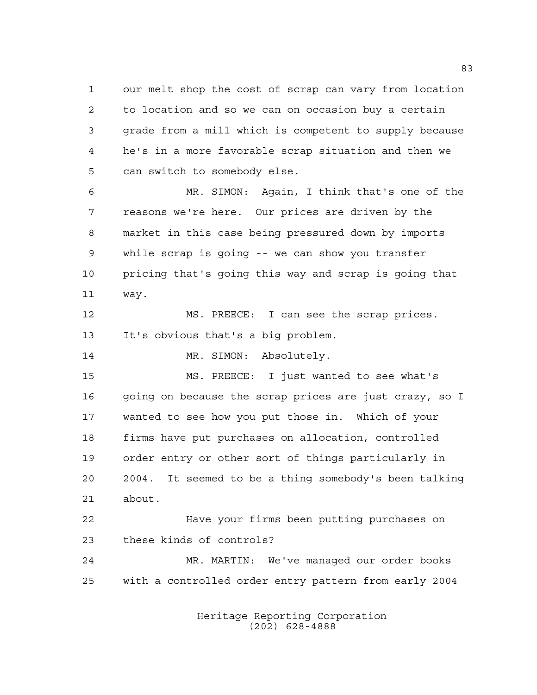our melt shop the cost of scrap can vary from location to location and so we can on occasion buy a certain grade from a mill which is competent to supply because he's in a more favorable scrap situation and then we can switch to somebody else.

 MR. SIMON: Again, I think that's one of the reasons we're here. Our prices are driven by the market in this case being pressured down by imports while scrap is going -- we can show you transfer pricing that's going this way and scrap is going that way.

 MS. PREECE: I can see the scrap prices. It's obvious that's a big problem.

14 MR. SIMON: Absolutely.

 MS. PREECE: I just wanted to see what's 16 going on because the scrap prices are just crazy, so I wanted to see how you put those in. Which of your firms have put purchases on allocation, controlled order entry or other sort of things particularly in 2004. It seemed to be a thing somebody's been talking about.

 Have your firms been putting purchases on these kinds of controls?

 MR. MARTIN: We've managed our order books with a controlled order entry pattern from early 2004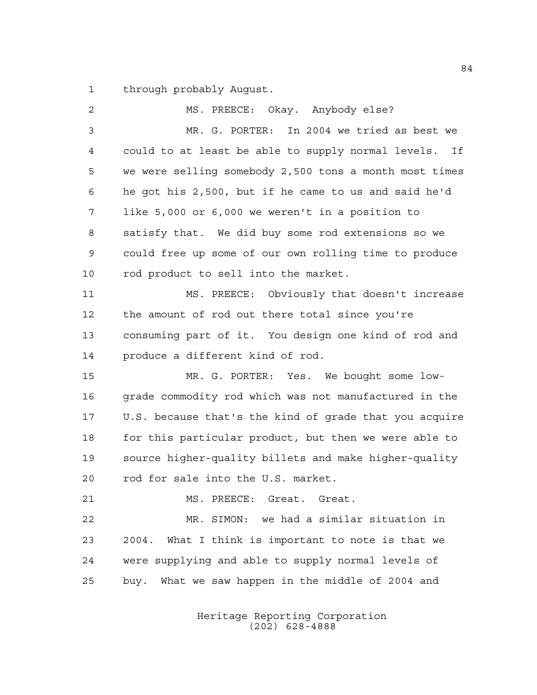through probably August.

| $\overline{2}$ | MS. PREECE: Okay. Anybody else?                        |
|----------------|--------------------------------------------------------|
| $\mathfrak{Z}$ | MR. G. PORTER: In 2004 we tried as best we             |
| 4              | could to at least be able to supply normal levels. If  |
| 5              | we were selling somebody 2,500 tons a month most times |
| 6              | he got his 2,500, but if he came to us and said he'd   |
| 7              | like 5,000 or 6,000 we weren't in a position to        |
| 8              | satisfy that. We did buy some rod extensions so we     |
| 9              | could free up some of our own rolling time to produce  |
| 10             | rod product to sell into the market.                   |
| 11             | MS. PREECE: Obviously that doesn't increase            |
| 12             | the amount of rod out there total since you're         |
| 13             | consuming part of it. You design one kind of rod and   |
| 14             | produce a different kind of rod.                       |
| 15             | MR. G. PORTER: Yes. We bought some low-                |
| 16             | grade commodity rod which was not manufactured in the  |
| 17             | U.S. because that's the kind of grade that you acquire |
| 18             | for this particular product, but then we were able to  |
| 19             | source higher-quality billets and make higher-quality  |
| 20             | rod for sale into the U.S. market.                     |
| 21             | MS. PREECE: Great. Great.                              |
| 22             | MR. SIMON: we had a similar situation in               |
| 23             | 2004. What I think is important to note is that we     |
| 24             | were supplying and able to supply normal levels of     |
| 25             | buy. What we saw happen in the middle of 2004 and      |
|                |                                                        |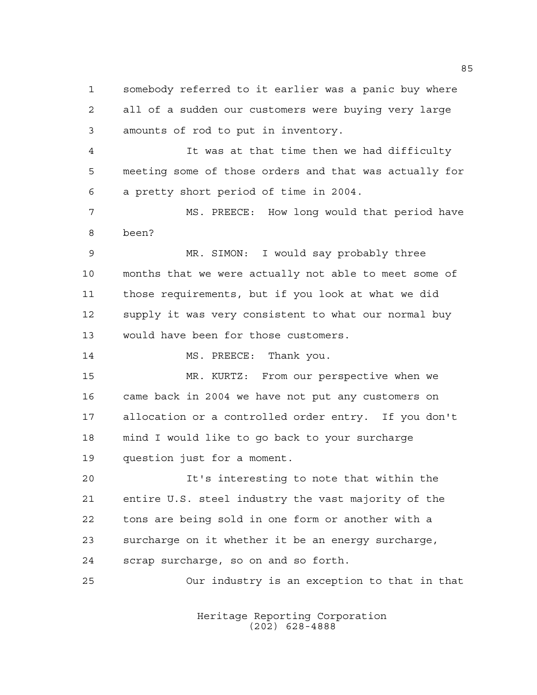somebody referred to it earlier was a panic buy where all of a sudden our customers were buying very large amounts of rod to put in inventory.

 It was at that time then we had difficulty meeting some of those orders and that was actually for a pretty short period of time in 2004.

 MS. PREECE: How long would that period have been?

 MR. SIMON: I would say probably three months that we were actually not able to meet some of those requirements, but if you look at what we did supply it was very consistent to what our normal buy would have been for those customers.

14 MS. PREECE: Thank you.

 MR. KURTZ: From our perspective when we came back in 2004 we have not put any customers on allocation or a controlled order entry. If you don't mind I would like to go back to your surcharge question just for a moment.

 It's interesting to note that within the entire U.S. steel industry the vast majority of the tons are being sold in one form or another with a surcharge on it whether it be an energy surcharge, scrap surcharge, so on and so forth.

Our industry is an exception to that in that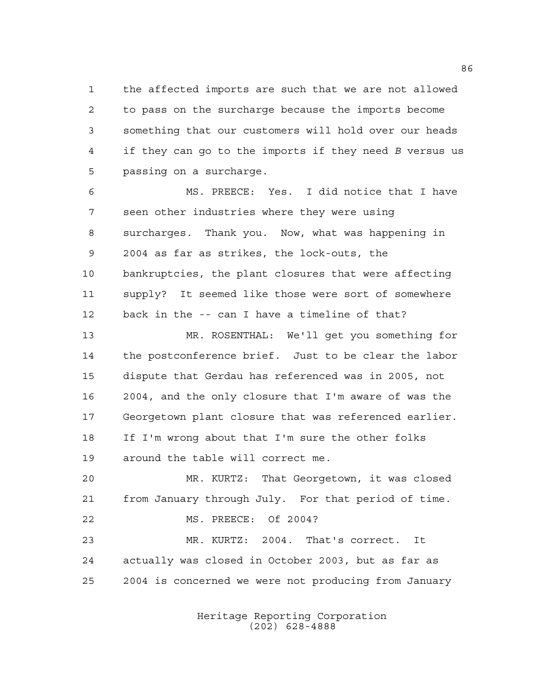the affected imports are such that we are not allowed to pass on the surcharge because the imports become something that our customers will hold over our heads if they can go to the imports if they need *B* versus us passing on a surcharge.

 MS. PREECE: Yes. I did notice that I have seen other industries where they were using surcharges. Thank you. Now, what was happening in 2004 as far as strikes, the lock-outs, the bankruptcies, the plant closures that were affecting supply? It seemed like those were sort of somewhere back in the -- can I have a timeline of that?

 MR. ROSENTHAL: We'll get you something for the postconference brief. Just to be clear the labor dispute that Gerdau has referenced was in 2005, not 2004, and the only closure that I'm aware of was the Georgetown plant closure that was referenced earlier. If I'm wrong about that I'm sure the other folks around the table will correct me.

 MR. KURTZ: That Georgetown, it was closed from January through July. For that period of time. MS. PREECE: Of 2004? MR. KURTZ: 2004. That's correct. It

 actually was closed in October 2003, but as far as 2004 is concerned we were not producing from January

> Heritage Reporting Corporation (202) 628-4888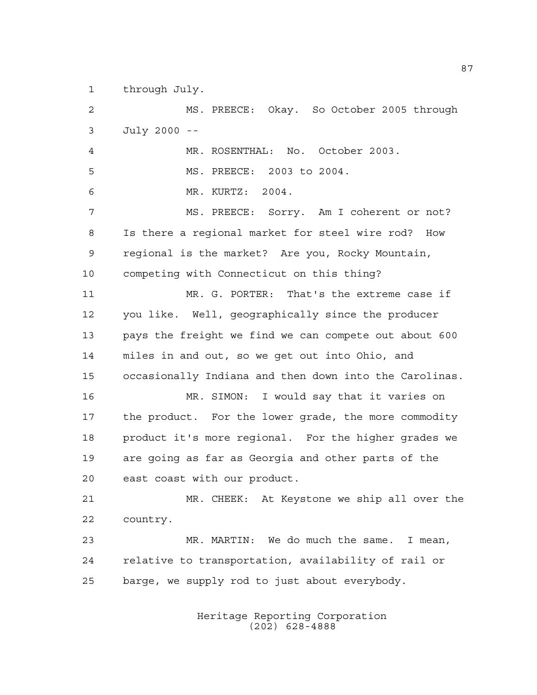through July.

 MS. PREECE: Okay. So October 2005 through July 2000 -- MR. ROSENTHAL: No. October 2003. MS. PREECE: 2003 to 2004. MR. KURTZ: 2004. MS. PREECE: Sorry. Am I coherent or not? Is there a regional market for steel wire rod? How regional is the market? Are you, Rocky Mountain, competing with Connecticut on this thing? MR. G. PORTER: That's the extreme case if you like. Well, geographically since the producer pays the freight we find we can compete out about 600 miles in and out, so we get out into Ohio, and occasionally Indiana and then down into the Carolinas. MR. SIMON: I would say that it varies on the product. For the lower grade, the more commodity product it's more regional. For the higher grades we are going as far as Georgia and other parts of the east coast with our product. MR. CHEEK: At Keystone we ship all over the country. MR. MARTIN: We do much the same. I mean, relative to transportation, availability of rail or barge, we supply rod to just about everybody.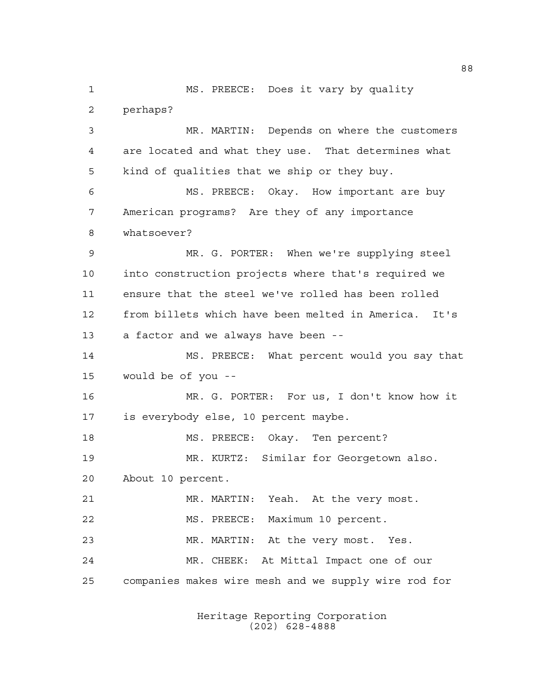MS. PREECE: Does it vary by quality perhaps? MR. MARTIN: Depends on where the customers are located and what they use. That determines what kind of qualities that we ship or they buy. MS. PREECE: Okay. How important are buy American programs? Are they of any importance whatsoever? MR. G. PORTER: When we're supplying steel into construction projects where that's required we ensure that the steel we've rolled has been rolled from billets which have been melted in America. It's a factor and we always have been -- MS. PREECE: What percent would you say that would be of you -- MR. G. PORTER: For us, I don't know how it is everybody else, 10 percent maybe. MS. PREECE: Okay. Ten percent? MR. KURTZ: Similar for Georgetown also. About 10 percent. MR. MARTIN: Yeah. At the very most. MS. PREECE: Maximum 10 percent. MR. MARTIN: At the very most. Yes. MR. CHEEK: At Mittal Impact one of our companies makes wire mesh and we supply wire rod for

> Heritage Reporting Corporation (202) 628-4888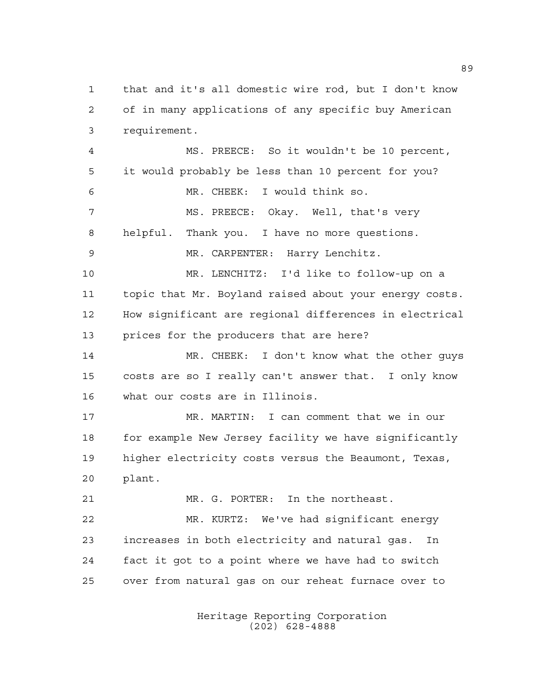that and it's all domestic wire rod, but I don't know of in many applications of any specific buy American requirement. MS. PREECE: So it wouldn't be 10 percent, it would probably be less than 10 percent for you? MR. CHEEK: I would think so. MS. PREECE: Okay. Well, that's very helpful. Thank you. I have no more questions. MR. CARPENTER: Harry Lenchitz. MR. LENCHITZ: I'd like to follow-up on a topic that Mr. Boyland raised about your energy costs. How significant are regional differences in electrical prices for the producers that are here? MR. CHEEK: I don't know what the other guys costs are so I really can't answer that. I only know what our costs are in Illinois. MR. MARTIN: I can comment that we in our for example New Jersey facility we have significantly higher electricity costs versus the Beaumont, Texas, plant. MR. G. PORTER: In the northeast. MR. KURTZ: We've had significant energy increases in both electricity and natural gas. In fact it got to a point where we have had to switch over from natural gas on our reheat furnace over to

> Heritage Reporting Corporation (202) 628-4888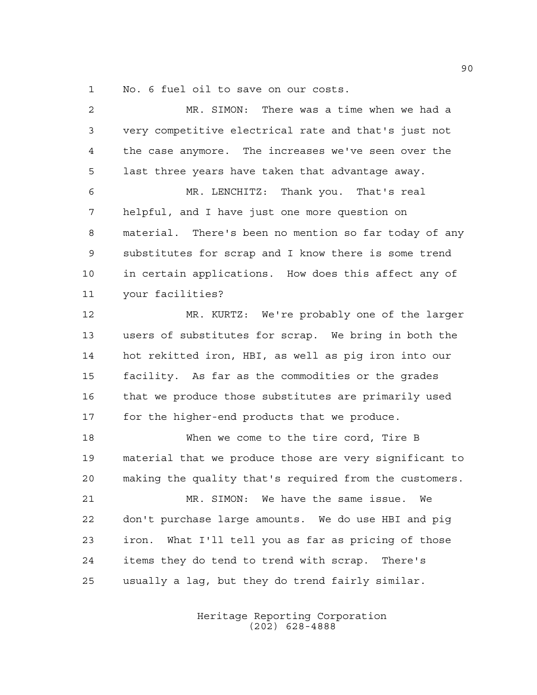No. 6 fuel oil to save on our costs.

 MR. SIMON: There was a time when we had a very competitive electrical rate and that's just not the case anymore. The increases we've seen over the last three years have taken that advantage away. MR. LENCHITZ: Thank you. That's real helpful, and I have just one more question on material. There's been no mention so far today of any substitutes for scrap and I know there is some trend in certain applications. How does this affect any of your facilities? MR. KURTZ: We're probably one of the larger users of substitutes for scrap. We bring in both the hot rekitted iron, HBI, as well as pig iron into our facility. As far as the commodities or the grades that we produce those substitutes are primarily used for the higher-end products that we produce. When we come to the tire cord, Tire B material that we produce those are very significant to making the quality that's required from the customers. MR. SIMON: We have the same issue. We don't purchase large amounts. We do use HBI and pig iron. What I'll tell you as far as pricing of those items they do tend to trend with scrap. There's usually a lag, but they do trend fairly similar.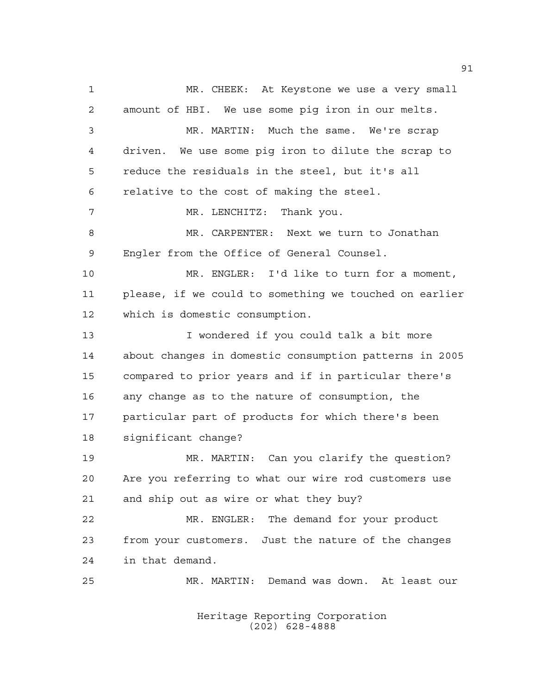MR. CHEEK: At Keystone we use a very small amount of HBI. We use some pig iron in our melts. MR. MARTIN: Much the same. We're scrap driven. We use some pig iron to dilute the scrap to reduce the residuals in the steel, but it's all relative to the cost of making the steel. 7 MR. LENCHITZ: Thank you. MR. CARPENTER: Next we turn to Jonathan Engler from the Office of General Counsel. MR. ENGLER: I'd like to turn for a moment, please, if we could to something we touched on earlier which is domestic consumption. I wondered if you could talk a bit more about changes in domestic consumption patterns in 2005 compared to prior years and if in particular there's any change as to the nature of consumption, the particular part of products for which there's been significant change? MR. MARTIN: Can you clarify the question? Are you referring to what our wire rod customers use and ship out as wire or what they buy? MR. ENGLER: The demand for your product from your customers. Just the nature of the changes in that demand. MR. MARTIN: Demand was down. At least our

> Heritage Reporting Corporation (202) 628-4888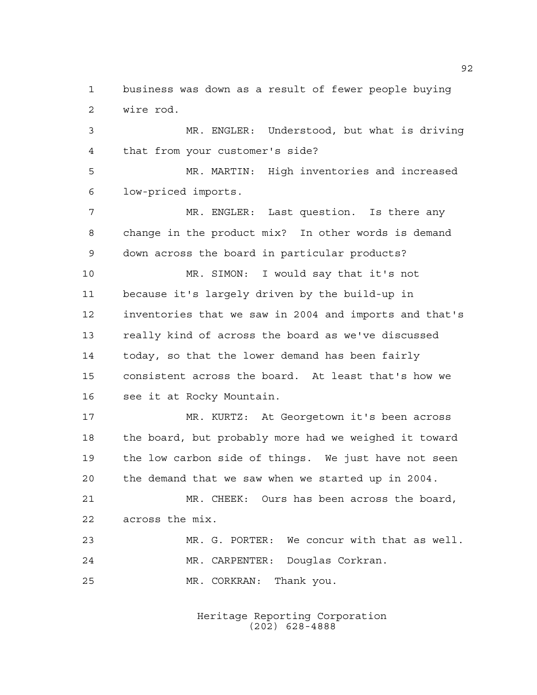business was down as a result of fewer people buying wire rod.

 MR. ENGLER: Understood, but what is driving that from your customer's side?

 MR. MARTIN: High inventories and increased low-priced imports.

 MR. ENGLER: Last question. Is there any change in the product mix? In other words is demand down across the board in particular products?

 MR. SIMON: I would say that it's not because it's largely driven by the build-up in inventories that we saw in 2004 and imports and that's really kind of across the board as we've discussed today, so that the lower demand has been fairly consistent across the board. At least that's how we see it at Rocky Mountain.

 MR. KURTZ: At Georgetown it's been across the board, but probably more had we weighed it toward the low carbon side of things. We just have not seen the demand that we saw when we started up in 2004.

 MR. CHEEK: Ours has been across the board, across the mix.

 MR. G. PORTER: We concur with that as well. MR. CARPENTER: Douglas Corkran. MR. CORKRAN: Thank you.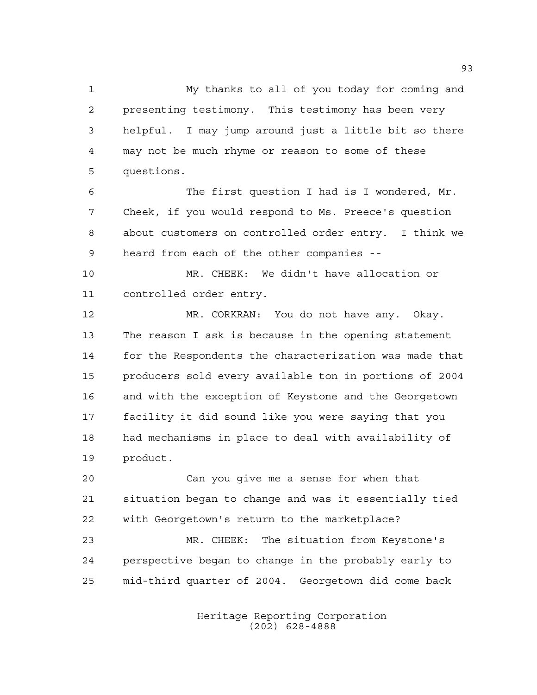My thanks to all of you today for coming and presenting testimony. This testimony has been very helpful. I may jump around just a little bit so there may not be much rhyme or reason to some of these questions.

 The first question I had is I wondered, Mr. Cheek, if you would respond to Ms. Preece's question about customers on controlled order entry. I think we heard from each of the other companies --

 MR. CHEEK: We didn't have allocation or controlled order entry.

 MR. CORKRAN: You do not have any. Okay. The reason I ask is because in the opening statement for the Respondents the characterization was made that producers sold every available ton in portions of 2004 and with the exception of Keystone and the Georgetown facility it did sound like you were saying that you had mechanisms in place to deal with availability of product.

 Can you give me a sense for when that situation began to change and was it essentially tied with Georgetown's return to the marketplace?

 MR. CHEEK: The situation from Keystone's perspective began to change in the probably early to mid-third quarter of 2004. Georgetown did come back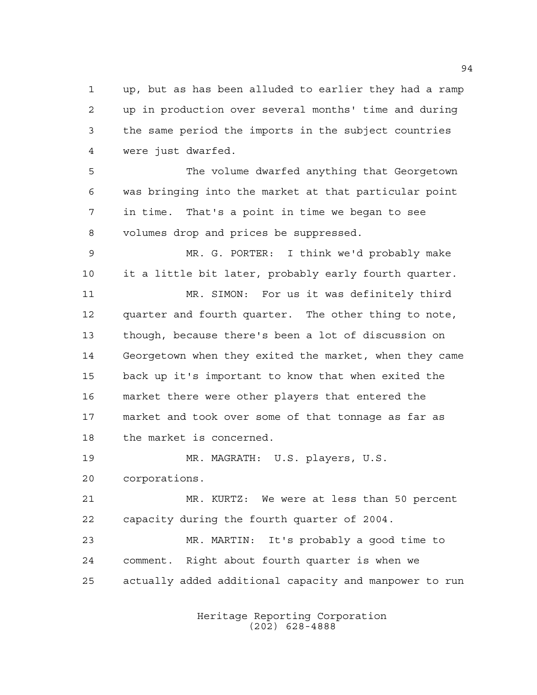up, but as has been alluded to earlier they had a ramp up in production over several months' time and during the same period the imports in the subject countries were just dwarfed.

 The volume dwarfed anything that Georgetown was bringing into the market at that particular point in time. That's a point in time we began to see volumes drop and prices be suppressed.

 MR. G. PORTER: I think we'd probably make it a little bit later, probably early fourth quarter.

 MR. SIMON: For us it was definitely third quarter and fourth quarter. The other thing to note, though, because there's been a lot of discussion on Georgetown when they exited the market, when they came back up it's important to know that when exited the market there were other players that entered the market and took over some of that tonnage as far as the market is concerned.

MR. MAGRATH: U.S. players, U.S.

corporations.

 MR. KURTZ: We were at less than 50 percent capacity during the fourth quarter of 2004.

 MR. MARTIN: It's probably a good time to comment. Right about fourth quarter is when we actually added additional capacity and manpower to run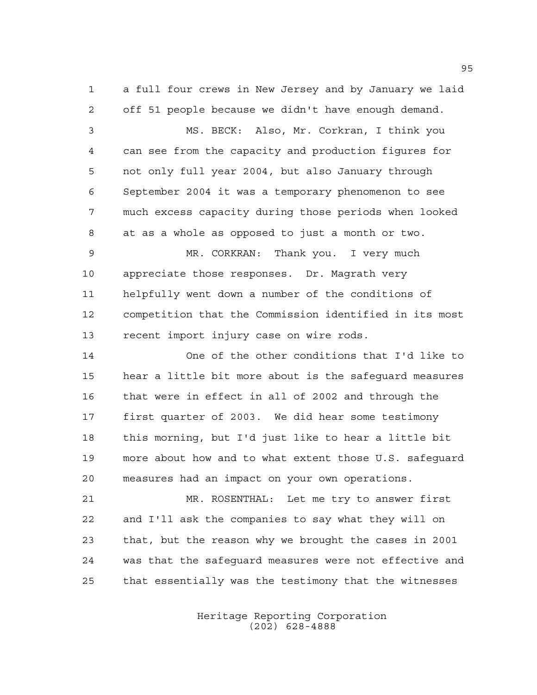a full four crews in New Jersey and by January we laid off 51 people because we didn't have enough demand.

 MS. BECK: Also, Mr. Corkran, I think you can see from the capacity and production figures for not only full year 2004, but also January through September 2004 it was a temporary phenomenon to see much excess capacity during those periods when looked at as a whole as opposed to just a month or two.

 MR. CORKRAN: Thank you. I very much appreciate those responses. Dr. Magrath very helpfully went down a number of the conditions of competition that the Commission identified in its most recent import injury case on wire rods.

 One of the other conditions that I'd like to hear a little bit more about is the safeguard measures that were in effect in all of 2002 and through the first quarter of 2003. We did hear some testimony this morning, but I'd just like to hear a little bit more about how and to what extent those U.S. safeguard measures had an impact on your own operations.

 MR. ROSENTHAL: Let me try to answer first and I'll ask the companies to say what they will on that, but the reason why we brought the cases in 2001 was that the safeguard measures were not effective and that essentially was the testimony that the witnesses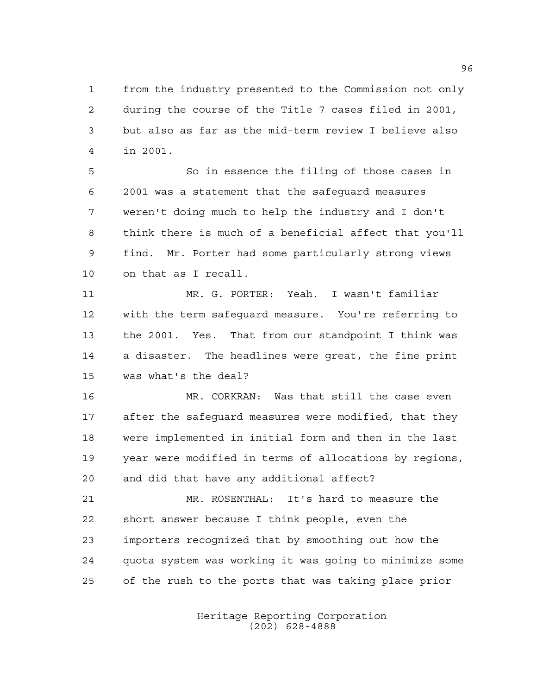from the industry presented to the Commission not only during the course of the Title 7 cases filed in 2001, but also as far as the mid-term review I believe also in 2001.

 So in essence the filing of those cases in 2001 was a statement that the safeguard measures weren't doing much to help the industry and I don't think there is much of a beneficial affect that you'll find. Mr. Porter had some particularly strong views on that as I recall.

 MR. G. PORTER: Yeah. I wasn't familiar with the term safeguard measure. You're referring to the 2001. Yes. That from our standpoint I think was a disaster. The headlines were great, the fine print was what's the deal?

 MR. CORKRAN: Was that still the case even after the safeguard measures were modified, that they were implemented in initial form and then in the last year were modified in terms of allocations by regions, and did that have any additional affect?

 MR. ROSENTHAL: It's hard to measure the short answer because I think people, even the importers recognized that by smoothing out how the quota system was working it was going to minimize some of the rush to the ports that was taking place prior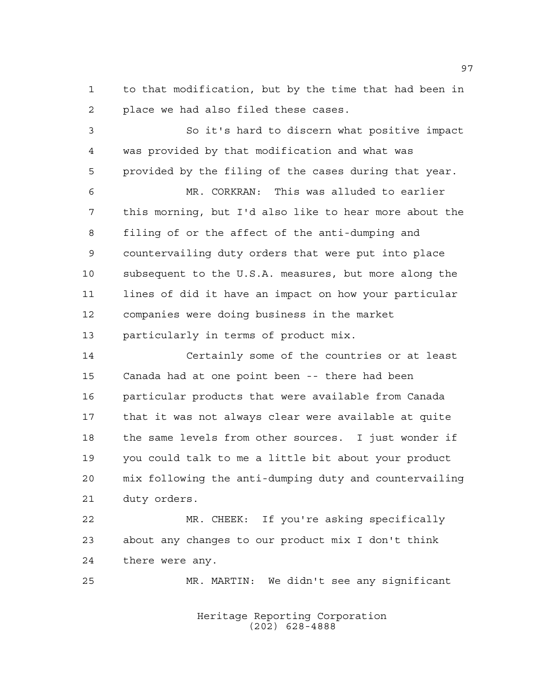to that modification, but by the time that had been in place we had also filed these cases.

 So it's hard to discern what positive impact was provided by that modification and what was provided by the filing of the cases during that year.

 MR. CORKRAN: This was alluded to earlier this morning, but I'd also like to hear more about the filing of or the affect of the anti-dumping and countervailing duty orders that were put into place subsequent to the U.S.A. measures, but more along the lines of did it have an impact on how your particular companies were doing business in the market particularly in terms of product mix.

 Certainly some of the countries or at least Canada had at one point been -- there had been particular products that were available from Canada that it was not always clear were available at quite the same levels from other sources. I just wonder if you could talk to me a little bit about your product mix following the anti-dumping duty and countervailing duty orders.

 MR. CHEEK: If you're asking specifically about any changes to our product mix I don't think there were any.

MR. MARTIN: We didn't see any significant

Heritage Reporting Corporation (202) 628-4888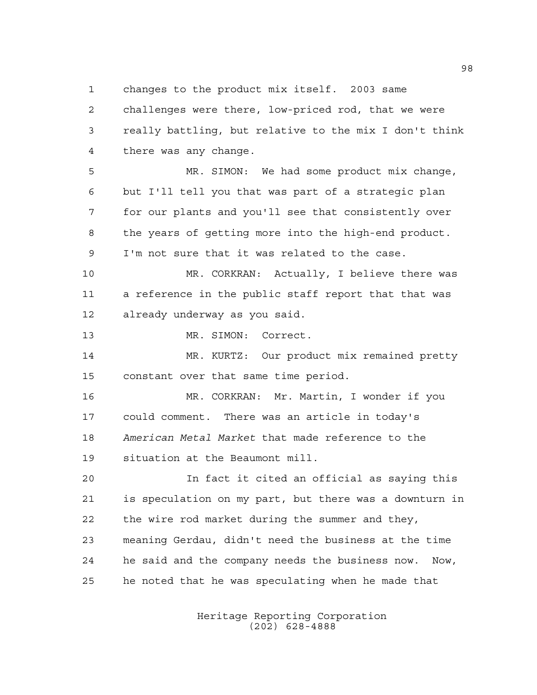changes to the product mix itself. 2003 same

 challenges were there, low-priced rod, that we were really battling, but relative to the mix I don't think there was any change.

 MR. SIMON: We had some product mix change, but I'll tell you that was part of a strategic plan for our plants and you'll see that consistently over the years of getting more into the high-end product. I'm not sure that it was related to the case.

 MR. CORKRAN: Actually, I believe there was a reference in the public staff report that that was already underway as you said.

MR. SIMON: Correct.

 MR. KURTZ: Our product mix remained pretty constant over that same time period.

 MR. CORKRAN: Mr. Martin, I wonder if you could comment. There was an article in today's *American Metal Market* that made reference to the situation at the Beaumont mill.

 In fact it cited an official as saying this is speculation on my part, but there was a downturn in the wire rod market during the summer and they, meaning Gerdau, didn't need the business at the time he said and the company needs the business now. Now, he noted that he was speculating when he made that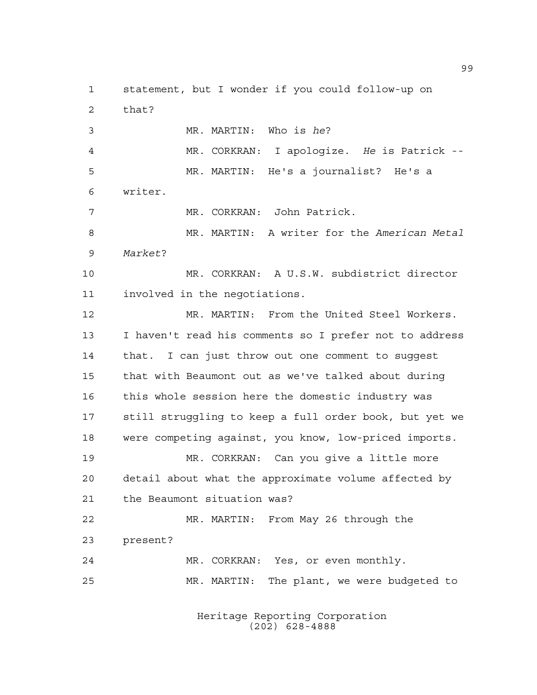statement, but I wonder if you could follow-up on that? MR. MARTIN: Who is *he*? MR. CORKRAN: I apologize. *He* is Patrick -- MR. MARTIN: He's a journalist? He's a writer. MR. CORKRAN: John Patrick. MR. MARTIN: A writer for the *American Metal Market*? MR. CORKRAN: A U.S.W. subdistrict director involved in the negotiations. MR. MARTIN: From the United Steel Workers. I haven't read his comments so I prefer not to address that. I can just throw out one comment to suggest that with Beaumont out as we've talked about during this whole session here the domestic industry was still struggling to keep a full order book, but yet we were competing against, you know, low-priced imports. MR. CORKRAN: Can you give a little more detail about what the approximate volume affected by the Beaumont situation was? MR. MARTIN: From May 26 through the present? MR. CORKRAN: Yes, or even monthly. MR. MARTIN: The plant, we were budgeted to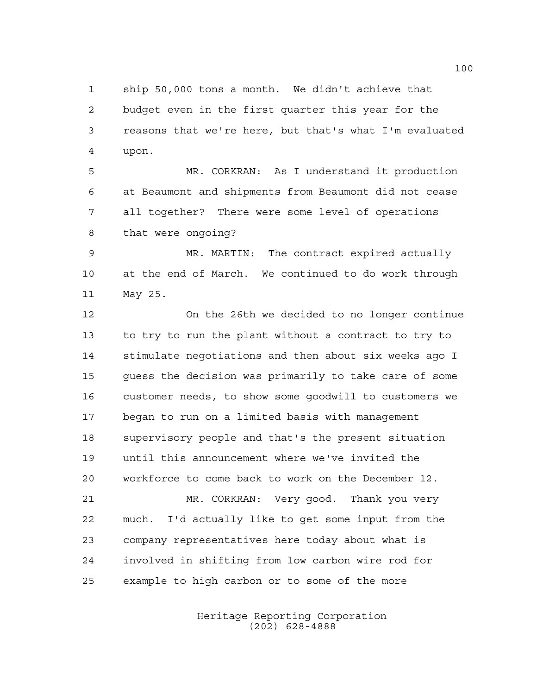ship 50,000 tons a month. We didn't achieve that budget even in the first quarter this year for the reasons that we're here, but that's what I'm evaluated upon.

 MR. CORKRAN: As I understand it production at Beaumont and shipments from Beaumont did not cease all together? There were some level of operations that were ongoing?

 MR. MARTIN: The contract expired actually at the end of March. We continued to do work through May 25.

 On the 26th we decided to no longer continue to try to run the plant without a contract to try to stimulate negotiations and then about six weeks ago I guess the decision was primarily to take care of some customer needs, to show some goodwill to customers we began to run on a limited basis with management supervisory people and that's the present situation until this announcement where we've invited the workforce to come back to work on the December 12. MR. CORKRAN: Very good. Thank you very much. I'd actually like to get some input from the company representatives here today about what is involved in shifting from low carbon wire rod for

example to high carbon or to some of the more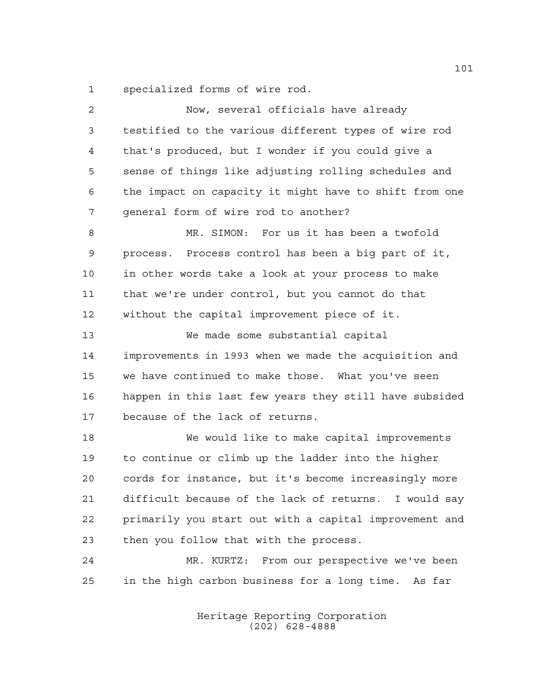specialized forms of wire rod.

| $\overline{2}$ | Now, several officials have already                    |
|----------------|--------------------------------------------------------|
| 3              | testified to the various different types of wire rod   |
| 4              | that's produced, but I wonder if you could give a      |
| 5              | sense of things like adjusting rolling schedules and   |
| 6              | the impact on capacity it might have to shift from one |
| 7              | general form of wire rod to another?                   |
| 8              | MR. SIMON: For us it has been a twofold                |
| 9              | process. Process control has been a big part of it,    |
| 10             | in other words take a look at your process to make     |
| 11             | that we're under control, but you cannot do that       |
| 12             | without the capital improvement piece of it.           |
| 13             | We made some substantial capital                       |
| 14             | improvements in 1993 when we made the acquisition and  |
| 15             | we have continued to make those. What you've seen      |
| 16             | happen in this last few years they still have subsided |
| 17             | because of the lack of returns.                        |
| 18             | We would like to make capital improvements             |
| 19             | to continue or climb up the ladder into the higher     |
| 20             | cords for instance, but it's become increasingly more  |
| 21             | difficult because of the lack of returns. I would say  |
| 22             | primarily you start out with a capital improvement and |
| 23             | then you follow that with the process.                 |
| 24             | MR. KURTZ: From our perspective we've been             |
| 25             | in the high carbon business for a long time. As far    |
|                |                                                        |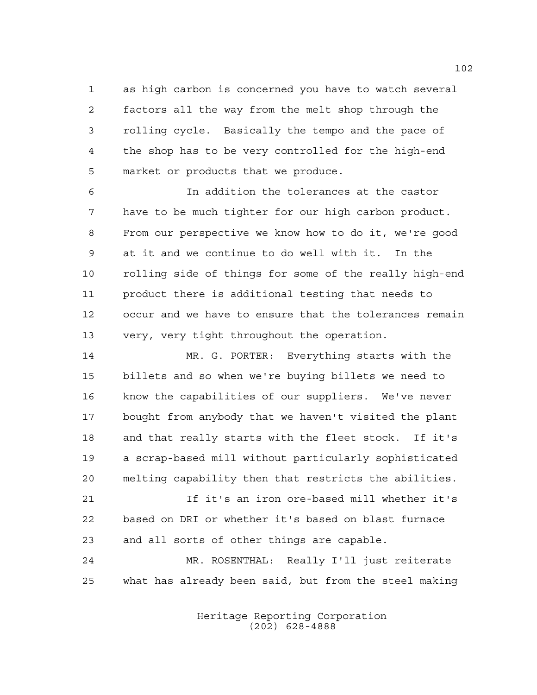as high carbon is concerned you have to watch several factors all the way from the melt shop through the rolling cycle. Basically the tempo and the pace of the shop has to be very controlled for the high-end market or products that we produce.

 In addition the tolerances at the castor have to be much tighter for our high carbon product. From our perspective we know how to do it, we're good at it and we continue to do well with it. In the rolling side of things for some of the really high-end product there is additional testing that needs to occur and we have to ensure that the tolerances remain very, very tight throughout the operation.

 MR. G. PORTER: Everything starts with the billets and so when we're buying billets we need to know the capabilities of our suppliers. We've never bought from anybody that we haven't visited the plant and that really starts with the fleet stock. If it's a scrap-based mill without particularly sophisticated melting capability then that restricts the abilities.

 If it's an iron ore-based mill whether it's based on DRI or whether it's based on blast furnace and all sorts of other things are capable.

 MR. ROSENTHAL: Really I'll just reiterate what has already been said, but from the steel making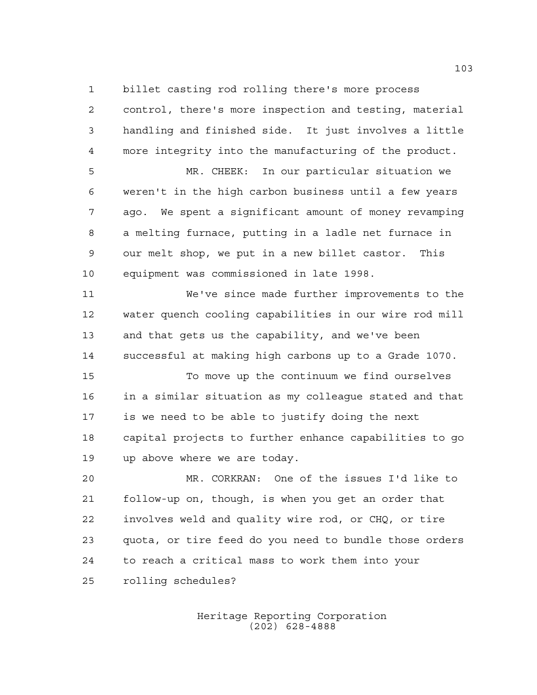billet casting rod rolling there's more process

 control, there's more inspection and testing, material handling and finished side. It just involves a little more integrity into the manufacturing of the product.

 MR. CHEEK: In our particular situation we weren't in the high carbon business until a few years ago. We spent a significant amount of money revamping a melting furnace, putting in a ladle net furnace in our melt shop, we put in a new billet castor. This equipment was commissioned in late 1998.

 We've since made further improvements to the water quench cooling capabilities in our wire rod mill and that gets us the capability, and we've been successful at making high carbons up to a Grade 1070.

 To move up the continuum we find ourselves in a similar situation as my colleague stated and that is we need to be able to justify doing the next capital projects to further enhance capabilities to go up above where we are today.

 MR. CORKRAN: One of the issues I'd like to follow-up on, though, is when you get an order that involves weld and quality wire rod, or CHQ, or tire quota, or tire feed do you need to bundle those orders to reach a critical mass to work them into your rolling schedules?

> Heritage Reporting Corporation (202) 628-4888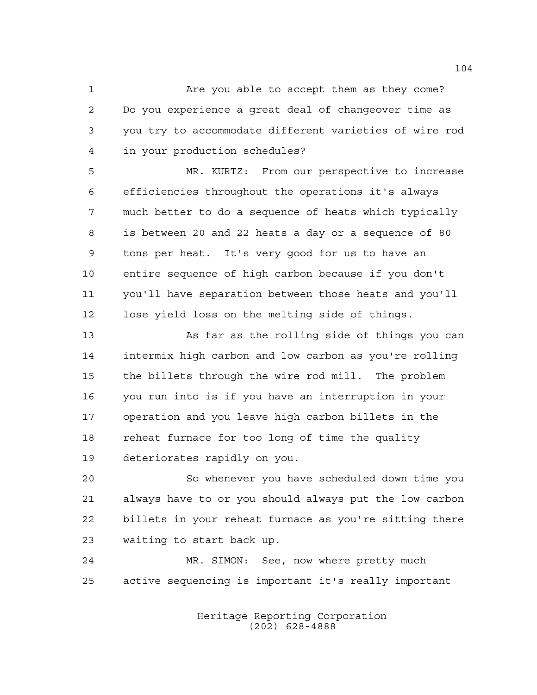1 Are you able to accept them as they come? Do you experience a great deal of changeover time as you try to accommodate different varieties of wire rod in your production schedules?

 MR. KURTZ: From our perspective to increase efficiencies throughout the operations it's always much better to do a sequence of heats which typically is between 20 and 22 heats a day or a sequence of 80 tons per heat. It's very good for us to have an entire sequence of high carbon because if you don't you'll have separation between those heats and you'll lose yield loss on the melting side of things.

 As far as the rolling side of things you can intermix high carbon and low carbon as you're rolling the billets through the wire rod mill. The problem you run into is if you have an interruption in your operation and you leave high carbon billets in the reheat furnace for too long of time the quality deteriorates rapidly on you.

 So whenever you have scheduled down time you always have to or you should always put the low carbon billets in your reheat furnace as you're sitting there waiting to start back up.

 MR. SIMON: See, now where pretty much active sequencing is important it's really important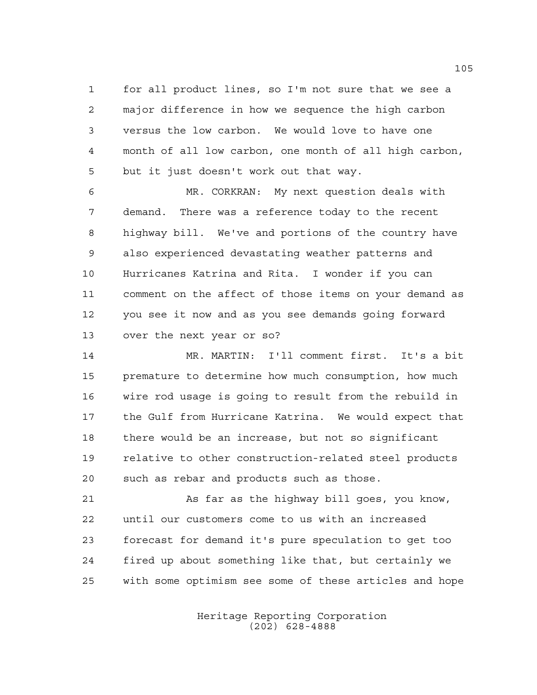for all product lines, so I'm not sure that we see a major difference in how we sequence the high carbon versus the low carbon. We would love to have one month of all low carbon, one month of all high carbon, but it just doesn't work out that way.

 MR. CORKRAN: My next question deals with demand. There was a reference today to the recent highway bill. We've and portions of the country have also experienced devastating weather patterns and Hurricanes Katrina and Rita. I wonder if you can comment on the affect of those items on your demand as you see it now and as you see demands going forward over the next year or so?

 MR. MARTIN: I'll comment first. It's a bit premature to determine how much consumption, how much wire rod usage is going to result from the rebuild in the Gulf from Hurricane Katrina. We would expect that there would be an increase, but not so significant relative to other construction-related steel products such as rebar and products such as those.

 As far as the highway bill goes, you know, until our customers come to us with an increased forecast for demand it's pure speculation to get too fired up about something like that, but certainly we with some optimism see some of these articles and hope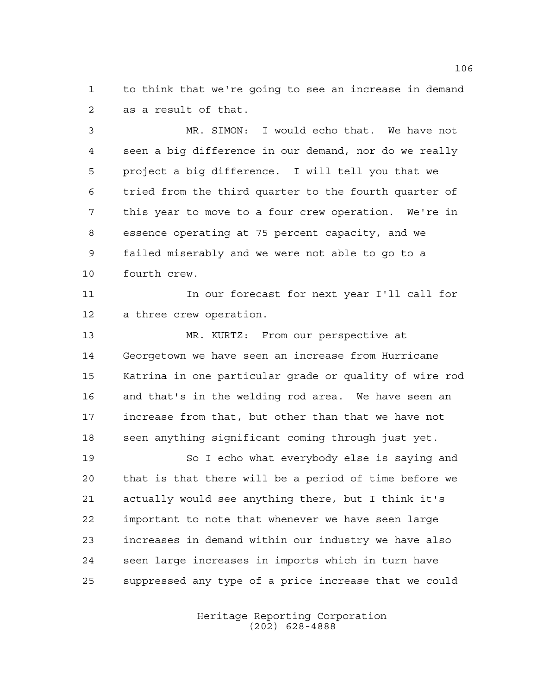to think that we're going to see an increase in demand as a result of that.

 MR. SIMON: I would echo that. We have not seen a big difference in our demand, nor do we really project a big difference. I will tell you that we tried from the third quarter to the fourth quarter of this year to move to a four crew operation. We're in essence operating at 75 percent capacity, and we failed miserably and we were not able to go to a fourth crew.

11 11 In our forecast for next year I'll call for a three crew operation.

 MR. KURTZ: From our perspective at Georgetown we have seen an increase from Hurricane Katrina in one particular grade or quality of wire rod and that's in the welding rod area. We have seen an increase from that, but other than that we have not seen anything significant coming through just yet.

 So I echo what everybody else is saying and that is that there will be a period of time before we actually would see anything there, but I think it's important to note that whenever we have seen large increases in demand within our industry we have also seen large increases in imports which in turn have suppressed any type of a price increase that we could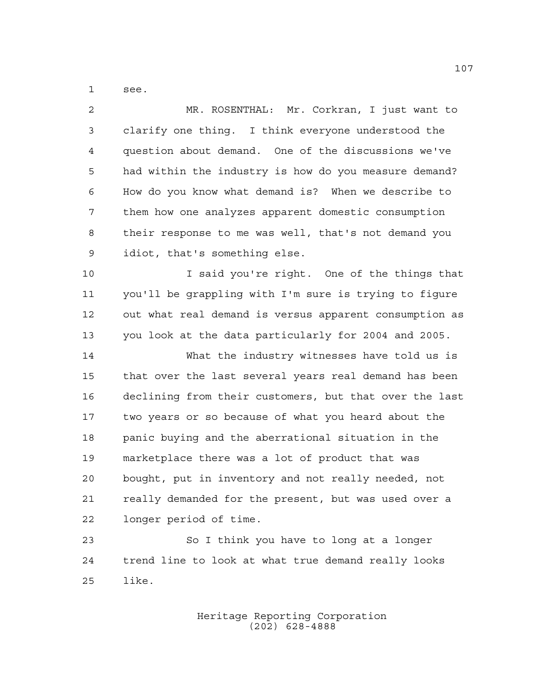see.

like.

| $\overline{a}$ | MR. ROSENTHAL: Mr. Corkran, I just want to             |
|----------------|--------------------------------------------------------|
| 3              | clarify one thing. I think everyone understood the     |
| 4              | question about demand. One of the discussions we've    |
| 5              | had within the industry is how do you measure demand?  |
| 6              | How do you know what demand is? When we describe to    |
| 7              | them how one analyzes apparent domestic consumption    |
| 8              | their response to me was well, that's not demand you   |
| $\mathsf 9$    | idiot, that's something else.                          |
| 10             | I said you're right. One of the things that            |
| 11             | you'll be grappling with I'm sure is trying to figure  |
| 12             | out what real demand is versus apparent consumption as |
| 13             | you look at the data particularly for 2004 and 2005.   |
| 14             | What the industry witnesses have told us is            |
| 15             | that over the last several years real demand has been  |
| 16             | declining from their customers, but that over the last |
| 17             | two years or so because of what you heard about the    |
| 18             | panic buying and the aberrational situation in the     |
| 19             | marketplace there was a lot of product that was        |
| 20             | bought, put in inventory and not really needed, not    |
| 21             | really demanded for the present, but was used over a   |
| 22             | longer period of time.                                 |
| 23             | So I think you have to long at a longer                |
| 24             | trend line to look at what true demand really looks    |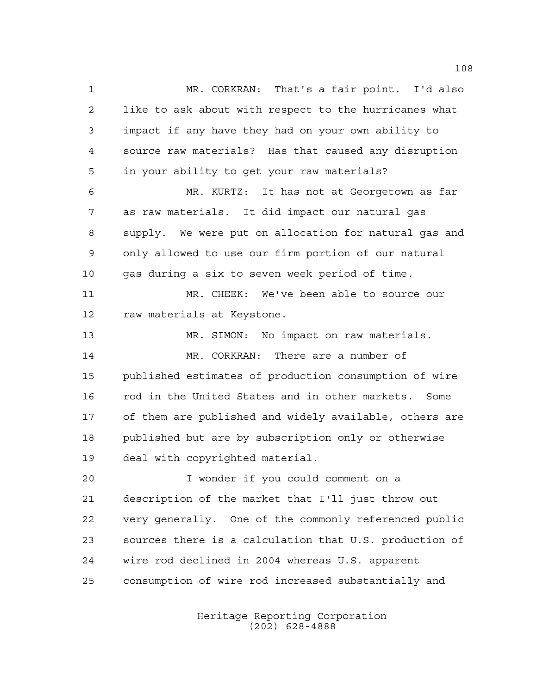MR. CORKRAN: That's a fair point. I'd also like to ask about with respect to the hurricanes what impact if any have they had on your own ability to source raw materials? Has that caused any disruption in your ability to get your raw materials? MR. KURTZ: It has not at Georgetown as far as raw materials. It did impact our natural gas supply. We were put on allocation for natural gas and only allowed to use our firm portion of our natural gas during a six to seven week period of time. MR. CHEEK: We've been able to source our raw materials at Keystone. MR. SIMON: No impact on raw materials. MR. CORKRAN: There are a number of published estimates of production consumption of wire rod in the United States and in other markets. Some of them are published and widely available, others are published but are by subscription only or otherwise deal with copyrighted material. I wonder if you could comment on a description of the market that I'll just throw out very generally. One of the commonly referenced public sources there is a calculation that U.S. production of wire rod declined in 2004 whereas U.S. apparent consumption of wire rod increased substantially and

> Heritage Reporting Corporation (202) 628-4888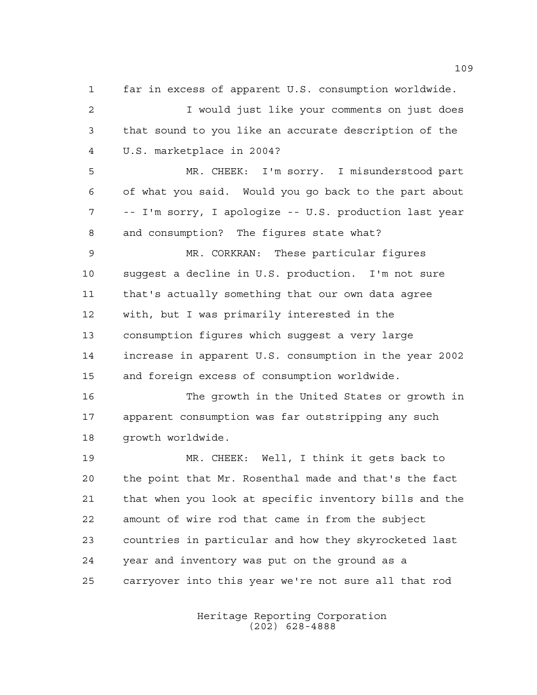far in excess of apparent U.S. consumption worldwide.

 I would just like your comments on just does that sound to you like an accurate description of the U.S. marketplace in 2004?

 MR. CHEEK: I'm sorry. I misunderstood part of what you said. Would you go back to the part about -- I'm sorry, I apologize -- U.S. production last year and consumption? The figures state what?

 MR. CORKRAN: These particular figures suggest a decline in U.S. production. I'm not sure that's actually something that our own data agree with, but I was primarily interested in the consumption figures which suggest a very large increase in apparent U.S. consumption in the year 2002 and foreign excess of consumption worldwide.

 The growth in the United States or growth in apparent consumption was far outstripping any such growth worldwide.

 MR. CHEEK: Well, I think it gets back to the point that Mr. Rosenthal made and that's the fact that when you look at specific inventory bills and the amount of wire rod that came in from the subject countries in particular and how they skyrocketed last year and inventory was put on the ground as a carryover into this year we're not sure all that rod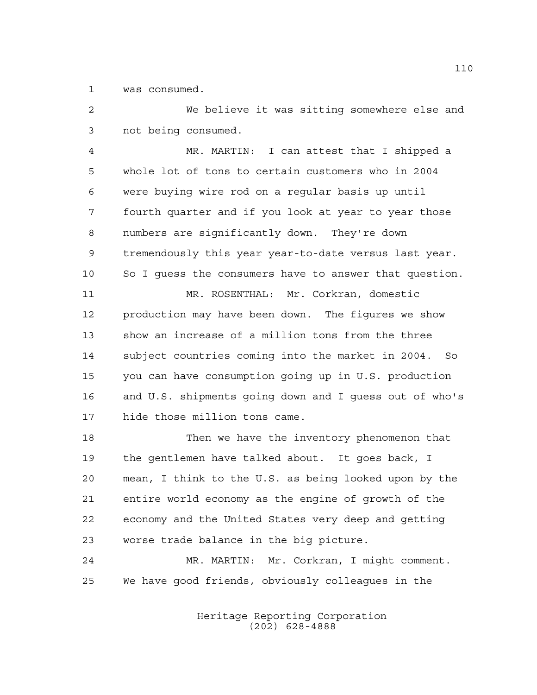was consumed.

 We believe it was sitting somewhere else and not being consumed.

 MR. MARTIN: I can attest that I shipped a whole lot of tons to certain customers who in 2004 were buying wire rod on a regular basis up until fourth quarter and if you look at year to year those numbers are significantly down. They're down tremendously this year year-to-date versus last year. So I guess the consumers have to answer that question. MR. ROSENTHAL: Mr. Corkran, domestic

 production may have been down. The figures we show show an increase of a million tons from the three subject countries coming into the market in 2004. So you can have consumption going up in U.S. production and U.S. shipments going down and I guess out of who's hide those million tons came.

18 Then we have the inventory phenomenon that the gentlemen have talked about. It goes back, I mean, I think to the U.S. as being looked upon by the entire world economy as the engine of growth of the economy and the United States very deep and getting worse trade balance in the big picture.

 MR. MARTIN: Mr. Corkran, I might comment. We have good friends, obviously colleagues in the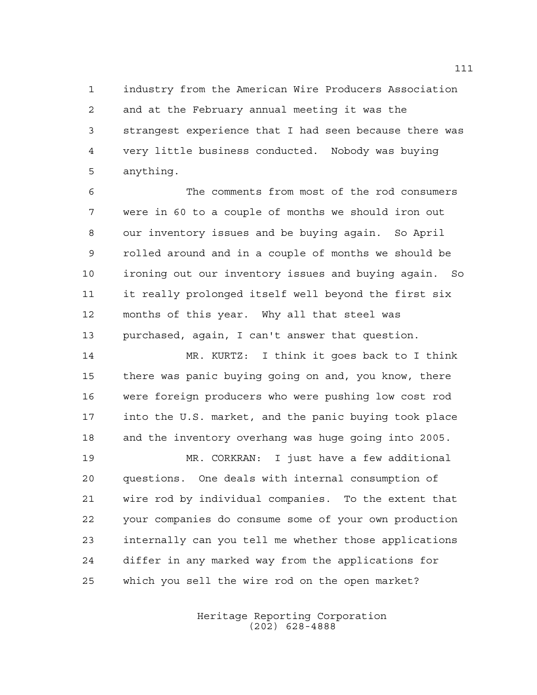industry from the American Wire Producers Association and at the February annual meeting it was the strangest experience that I had seen because there was very little business conducted. Nobody was buying anything.

 The comments from most of the rod consumers were in 60 to a couple of months we should iron out our inventory issues and be buying again. So April rolled around and in a couple of months we should be ironing out our inventory issues and buying again. So it really prolonged itself well beyond the first six months of this year. Why all that steel was purchased, again, I can't answer that question.

 MR. KURTZ: I think it goes back to I think there was panic buying going on and, you know, there were foreign producers who were pushing low cost rod into the U.S. market, and the panic buying took place and the inventory overhang was huge going into 2005.

 MR. CORKRAN: I just have a few additional questions. One deals with internal consumption of wire rod by individual companies. To the extent that your companies do consume some of your own production internally can you tell me whether those applications differ in any marked way from the applications for which you sell the wire rod on the open market?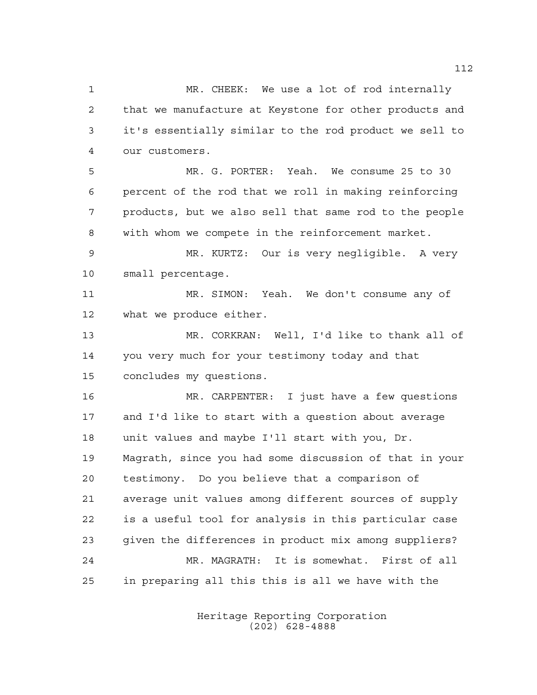MR. CHEEK: We use a lot of rod internally that we manufacture at Keystone for other products and it's essentially similar to the rod product we sell to our customers. MR. G. PORTER: Yeah. We consume 25 to 30 percent of the rod that we roll in making reinforcing products, but we also sell that same rod to the people with whom we compete in the reinforcement market. MR. KURTZ: Our is very negligible. A very small percentage. MR. SIMON: Yeah. We don't consume any of what we produce either. MR. CORKRAN: Well, I'd like to thank all of you very much for your testimony today and that concludes my questions. MR. CARPENTER: I just have a few questions and I'd like to start with a question about average unit values and maybe I'll start with you, Dr. Magrath, since you had some discussion of that in your testimony. Do you believe that a comparison of average unit values among different sources of supply is a useful tool for analysis in this particular case given the differences in product mix among suppliers? MR. MAGRATH: It is somewhat. First of all in preparing all this this is all we have with the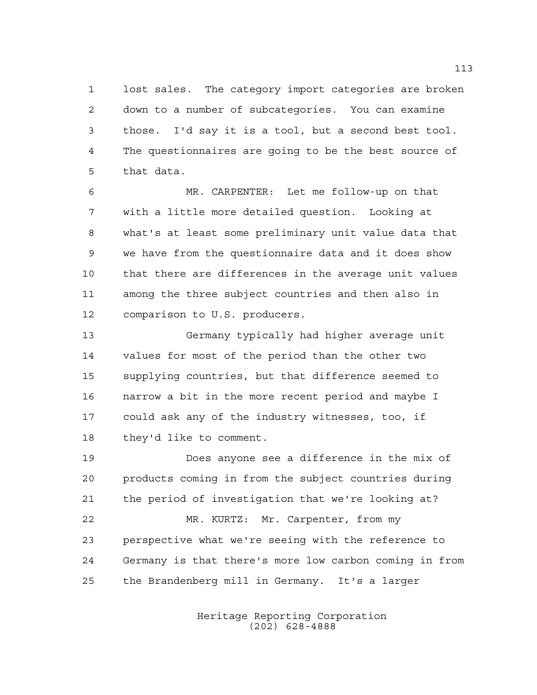lost sales. The category import categories are broken down to a number of subcategories. You can examine those. I'd say it is a tool, but a second best tool. The questionnaires are going to be the best source of that data.

 MR. CARPENTER: Let me follow-up on that with a little more detailed question. Looking at what's at least some preliminary unit value data that we have from the questionnaire data and it does show that there are differences in the average unit values among the three subject countries and then also in comparison to U.S. producers.

 Germany typically had higher average unit values for most of the period than the other two supplying countries, but that difference seemed to narrow a bit in the more recent period and maybe I could ask any of the industry witnesses, too, if they'd like to comment.

 Does anyone see a difference in the mix of products coming in from the subject countries during the period of investigation that we're looking at? MR. KURTZ: Mr. Carpenter, from my perspective what we're seeing with the reference to Germany is that there's more low carbon coming in from the Brandenberg mill in Germany. It's a larger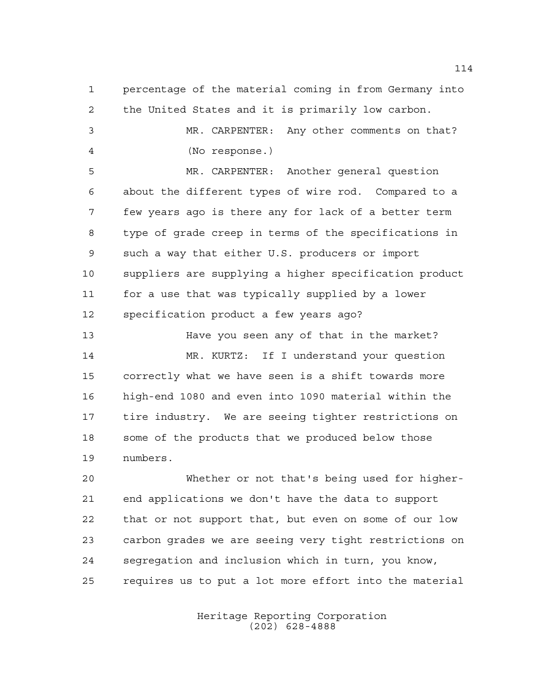percentage of the material coming in from Germany into the United States and it is primarily low carbon. MR. CARPENTER: Any other comments on that? (No response.) MR. CARPENTER: Another general question about the different types of wire rod. Compared to a few years ago is there any for lack of a better term type of grade creep in terms of the specifications in such a way that either U.S. producers or import suppliers are supplying a higher specification product for a use that was typically supplied by a lower specification product a few years ago? Have you seen any of that in the market? MR. KURTZ: If I understand your question correctly what we have seen is a shift towards more high-end 1080 and even into 1090 material within the

 some of the products that we produced below those numbers.

tire industry. We are seeing tighter restrictions on

 Whether or not that's being used for higher- end applications we don't have the data to support that or not support that, but even on some of our low carbon grades we are seeing very tight restrictions on segregation and inclusion which in turn, you know, requires us to put a lot more effort into the material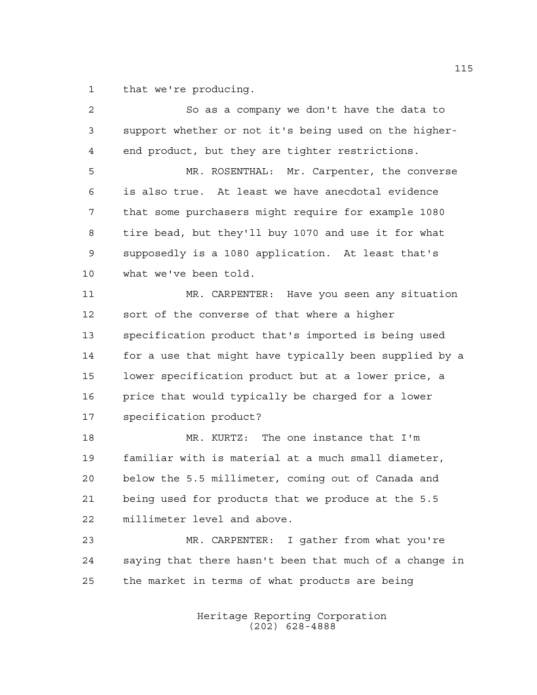that we're producing.

| $\overline{a}$ | So as a company we don't have the data to              |
|----------------|--------------------------------------------------------|
| 3              | support whether or not it's being used on the higher-  |
| $\overline{4}$ | end product, but they are tighter restrictions.        |
| 5              | MR. ROSENTHAL: Mr. Carpenter, the converse             |
| 6              | is also true. At least we have anecdotal evidence      |
| 7              | that some purchasers might require for example 1080    |
| 8              | tire bead, but they'll buy 1070 and use it for what    |
| 9              | supposedly is a 1080 application. At least that's      |
| 10             | what we've been told.                                  |
| 11             | MR. CARPENTER: Have you seen any situation             |
| 12             | sort of the converse of that where a higher            |
| 13             | specification product that's imported is being used    |
| 14             | for a use that might have typically been supplied by a |
| 15             | lower specification product but at a lower price, a    |
| 16             | price that would typically be charged for a lower      |
| 17             | specification product?                                 |
| 18             | MR. KURTZ: The one instance that I'm                   |
| 19             | familiar with is material at a much small diameter,    |
| 20             | below the 5.5 millimeter, coming out of Canada and     |
| 21             | being used for products that we produce at the 5.5     |
| 22             | millimeter level and above.                            |
| 23             | MR. CARPENTER: I gather from what you're               |
| 24             | saying that there hasn't been that much of a change in |
| 25             | the market in terms of what products are being         |
|                |                                                        |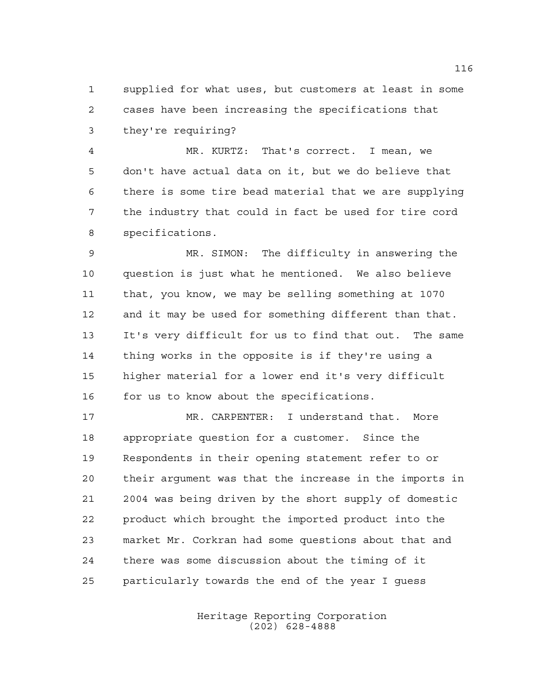supplied for what uses, but customers at least in some cases have been increasing the specifications that they're requiring?

 MR. KURTZ: That's correct. I mean, we don't have actual data on it, but we do believe that there is some tire bead material that we are supplying the industry that could in fact be used for tire cord specifications.

 MR. SIMON: The difficulty in answering the question is just what he mentioned. We also believe that, you know, we may be selling something at 1070 and it may be used for something different than that. It's very difficult for us to find that out. The same thing works in the opposite is if they're using a higher material for a lower end it's very difficult for us to know about the specifications.

 MR. CARPENTER: I understand that. More appropriate question for a customer. Since the Respondents in their opening statement refer to or their argument was that the increase in the imports in 2004 was being driven by the short supply of domestic product which brought the imported product into the market Mr. Corkran had some questions about that and there was some discussion about the timing of it particularly towards the end of the year I guess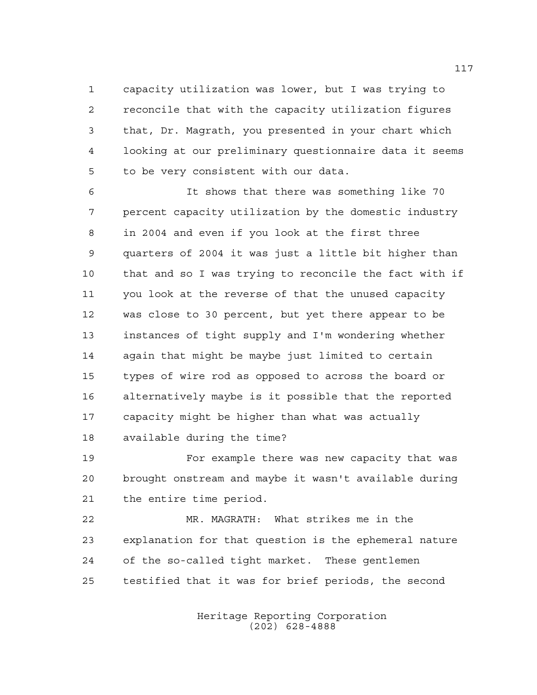capacity utilization was lower, but I was trying to reconcile that with the capacity utilization figures that, Dr. Magrath, you presented in your chart which looking at our preliminary questionnaire data it seems to be very consistent with our data.

 It shows that there was something like 70 percent capacity utilization by the domestic industry in 2004 and even if you look at the first three quarters of 2004 it was just a little bit higher than that and so I was trying to reconcile the fact with if you look at the reverse of that the unused capacity was close to 30 percent, but yet there appear to be instances of tight supply and I'm wondering whether again that might be maybe just limited to certain types of wire rod as opposed to across the board or alternatively maybe is it possible that the reported capacity might be higher than what was actually available during the time?

 For example there was new capacity that was brought onstream and maybe it wasn't available during the entire time period.

 MR. MAGRATH: What strikes me in the explanation for that question is the ephemeral nature of the so-called tight market. These gentlemen testified that it was for brief periods, the second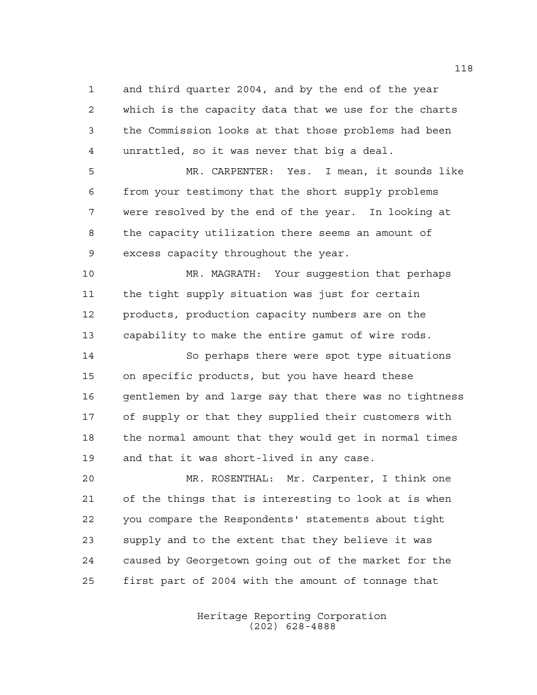and third quarter 2004, and by the end of the year which is the capacity data that we use for the charts the Commission looks at that those problems had been unrattled, so it was never that big a deal.

 MR. CARPENTER: Yes. I mean, it sounds like from your testimony that the short supply problems were resolved by the end of the year. In looking at the capacity utilization there seems an amount of excess capacity throughout the year.

 MR. MAGRATH: Your suggestion that perhaps the tight supply situation was just for certain products, production capacity numbers are on the capability to make the entire gamut of wire rods.

 So perhaps there were spot type situations on specific products, but you have heard these gentlemen by and large say that there was no tightness of supply or that they supplied their customers with the normal amount that they would get in normal times and that it was short-lived in any case.

 MR. ROSENTHAL: Mr. Carpenter, I think one of the things that is interesting to look at is when you compare the Respondents' statements about tight supply and to the extent that they believe it was caused by Georgetown going out of the market for the first part of 2004 with the amount of tonnage that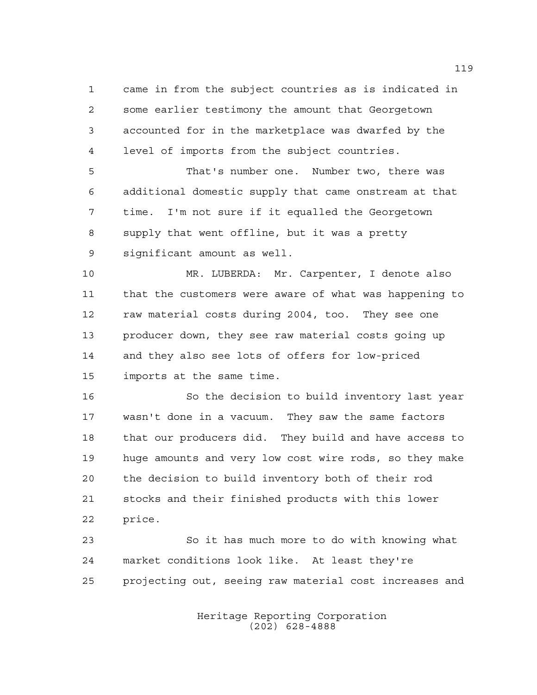came in from the subject countries as is indicated in some earlier testimony the amount that Georgetown accounted for in the marketplace was dwarfed by the level of imports from the subject countries.

 That's number one. Number two, there was additional domestic supply that came onstream at that time. I'm not sure if it equalled the Georgetown supply that went offline, but it was a pretty significant amount as well.

 MR. LUBERDA: Mr. Carpenter, I denote also that the customers were aware of what was happening to raw material costs during 2004, too. They see one producer down, they see raw material costs going up and they also see lots of offers for low-priced imports at the same time.

 So the decision to build inventory last year wasn't done in a vacuum. They saw the same factors that our producers did. They build and have access to huge amounts and very low cost wire rods, so they make the decision to build inventory both of their rod stocks and their finished products with this lower price.

 So it has much more to do with knowing what market conditions look like. At least they're projecting out, seeing raw material cost increases and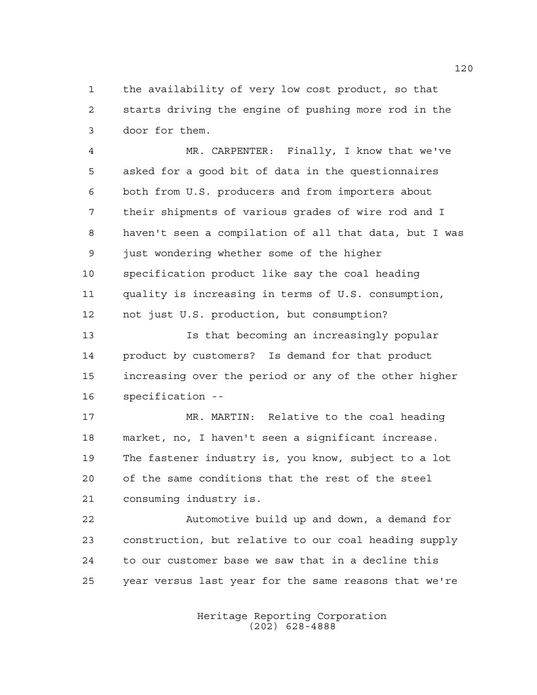the availability of very low cost product, so that starts driving the engine of pushing more rod in the door for them.

 MR. CARPENTER: Finally, I know that we've asked for a good bit of data in the questionnaires both from U.S. producers and from importers about their shipments of various grades of wire rod and I haven't seen a compilation of all that data, but I was just wondering whether some of the higher specification product like say the coal heading quality is increasing in terms of U.S. consumption, not just U.S. production, but consumption?

 Is that becoming an increasingly popular product by customers? Is demand for that product increasing over the period or any of the other higher specification --

 MR. MARTIN: Relative to the coal heading market, no, I haven't seen a significant increase. The fastener industry is, you know, subject to a lot of the same conditions that the rest of the steel consuming industry is.

 Automotive build up and down, a demand for construction, but relative to our coal heading supply to our customer base we saw that in a decline this year versus last year for the same reasons that we're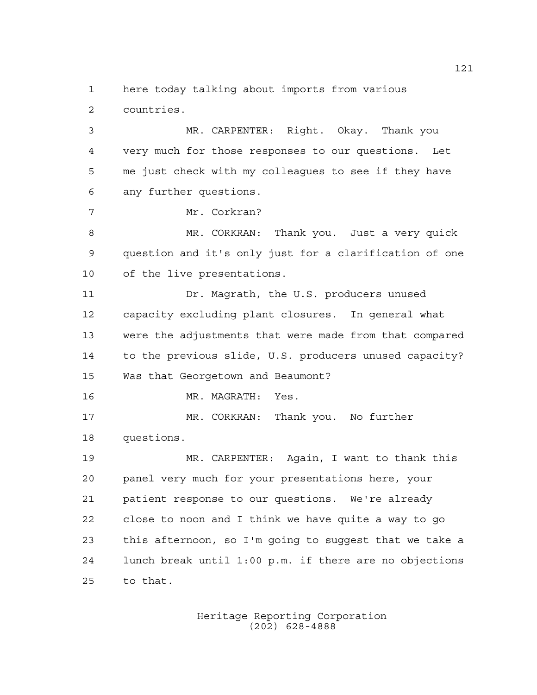here today talking about imports from various countries.

 MR. CARPENTER: Right. Okay. Thank you very much for those responses to our questions. Let me just check with my colleagues to see if they have any further questions.

Mr. Corkran?

 MR. CORKRAN: Thank you. Just a very quick question and it's only just for a clarification of one of the live presentations.

 Dr. Magrath, the U.S. producers unused capacity excluding plant closures. In general what were the adjustments that were made from that compared to the previous slide, U.S. producers unused capacity? Was that Georgetown and Beaumont?

MR. MAGRATH: Yes.

 MR. CORKRAN: Thank you. No further questions.

 MR. CARPENTER: Again, I want to thank this panel very much for your presentations here, your patient response to our questions. We're already close to noon and I think we have quite a way to go this afternoon, so I'm going to suggest that we take a lunch break until 1:00 p.m. if there are no objections to that.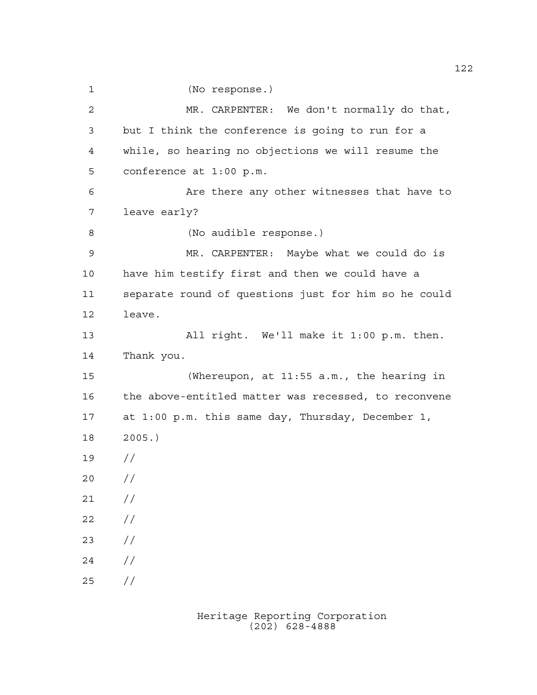(No response.)

 MR. CARPENTER: We don't normally do that, but I think the conference is going to run for a while, so hearing no objections we will resume the conference at 1:00 p.m. Are there any other witnesses that have to leave early? (No audible response.) MR. CARPENTER: Maybe what we could do is have him testify first and then we could have a separate round of questions just for him so he could leave. All right. We'll make it 1:00 p.m. then. Thank you. (Whereupon, at 11:55 a.m., the hearing in the above-entitled matter was recessed, to reconvene at 1:00 p.m. this same day, Thursday, December 1, 2005.) //  $20 /$  $21 /$  $22 / /$  //  $24 /$ //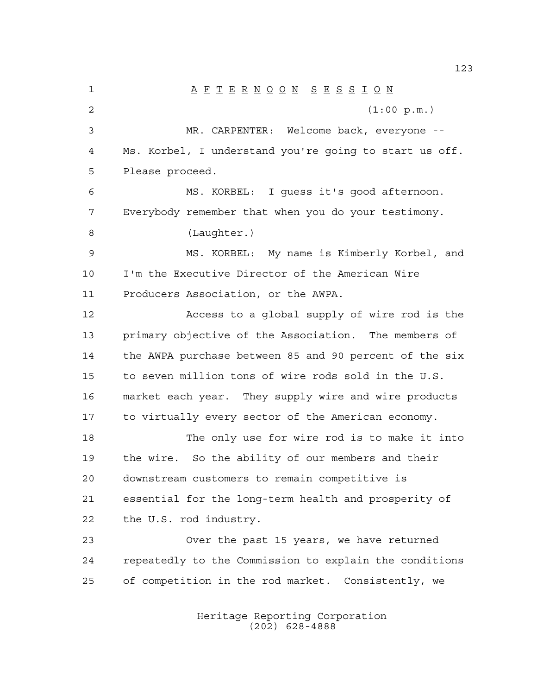A F T E R N O O N S E S S I O N (1:00 p.m.) MR. CARPENTER: Welcome back, everyone -- Ms. Korbel, I understand you're going to start us off. Please proceed. MS. KORBEL: I guess it's good afternoon. Everybody remember that when you do your testimony. (Laughter.) MS. KORBEL: My name is Kimberly Korbel, and I'm the Executive Director of the American Wire Producers Association, or the AWPA. Access to a global supply of wire rod is the primary objective of the Association. The members of the AWPA purchase between 85 and 90 percent of the six to seven million tons of wire rods sold in the U.S. market each year. They supply wire and wire products to virtually every sector of the American economy. 18 The only use for wire rod is to make it into the wire. So the ability of our members and their downstream customers to remain competitive is essential for the long-term health and prosperity of the U.S. rod industry. Over the past 15 years, we have returned repeatedly to the Commission to explain the conditions of competition in the rod market. Consistently, we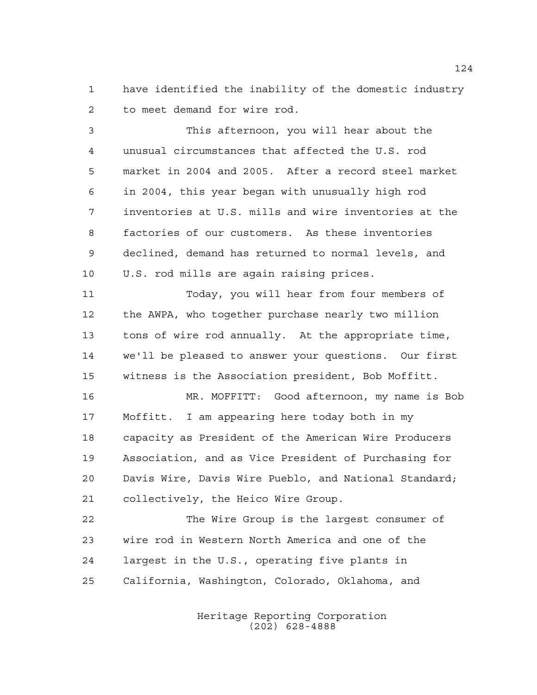have identified the inability of the domestic industry to meet demand for wire rod.

 This afternoon, you will hear about the unusual circumstances that affected the U.S. rod market in 2004 and 2005. After a record steel market in 2004, this year began with unusually high rod inventories at U.S. mills and wire inventories at the factories of our customers. As these inventories declined, demand has returned to normal levels, and U.S. rod mills are again raising prices.

 Today, you will hear from four members of the AWPA, who together purchase nearly two million tons of wire rod annually. At the appropriate time, we'll be pleased to answer your questions. Our first witness is the Association president, Bob Moffitt.

 MR. MOFFITT: Good afternoon, my name is Bob Moffitt. I am appearing here today both in my capacity as President of the American Wire Producers Association, and as Vice President of Purchasing for Davis Wire, Davis Wire Pueblo, and National Standard; collectively, the Heico Wire Group.

 The Wire Group is the largest consumer of wire rod in Western North America and one of the largest in the U.S., operating five plants in California, Washington, Colorado, Oklahoma, and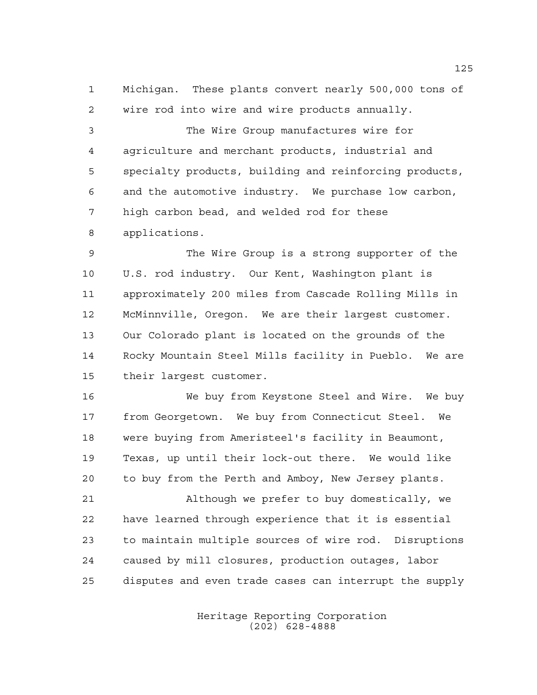Michigan. These plants convert nearly 500,000 tons of wire rod into wire and wire products annually.

 The Wire Group manufactures wire for agriculture and merchant products, industrial and specialty products, building and reinforcing products, and the automotive industry. We purchase low carbon, high carbon bead, and welded rod for these applications.

 The Wire Group is a strong supporter of the U.S. rod industry. Our Kent, Washington plant is approximately 200 miles from Cascade Rolling Mills in McMinnville, Oregon. We are their largest customer. Our Colorado plant is located on the grounds of the Rocky Mountain Steel Mills facility in Pueblo. We are their largest customer.

 We buy from Keystone Steel and Wire. We buy from Georgetown. We buy from Connecticut Steel. We were buying from Ameristeel's facility in Beaumont, Texas, up until their lock-out there. We would like to buy from the Perth and Amboy, New Jersey plants.

 Although we prefer to buy domestically, we have learned through experience that it is essential to maintain multiple sources of wire rod. Disruptions caused by mill closures, production outages, labor disputes and even trade cases can interrupt the supply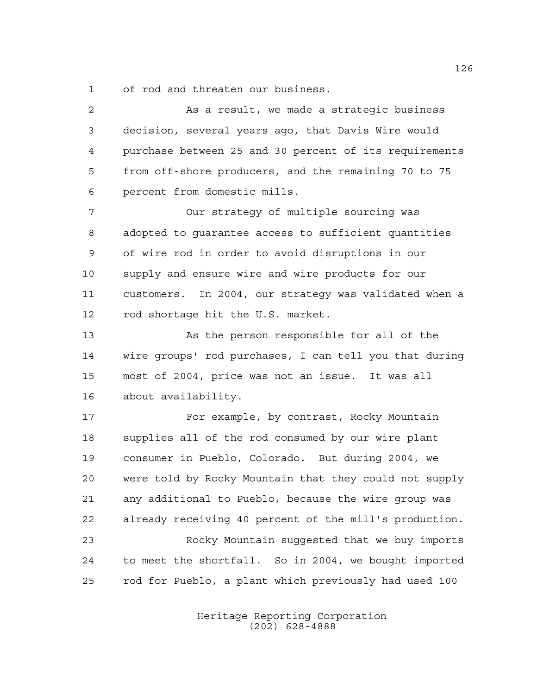of rod and threaten our business.

 As a result, we made a strategic business decision, several years ago, that Davis Wire would purchase between 25 and 30 percent of its requirements from off-shore producers, and the remaining 70 to 75 percent from domestic mills. Our strategy of multiple sourcing was adopted to guarantee access to sufficient quantities of wire rod in order to avoid disruptions in our supply and ensure wire and wire products for our customers. In 2004, our strategy was validated when a rod shortage hit the U.S. market. As the person responsible for all of the wire groups' rod purchases, I can tell you that during most of 2004, price was not an issue. It was all about availability. For example, by contrast, Rocky Mountain supplies all of the rod consumed by our wire plant consumer in Pueblo, Colorado. But during 2004, we were told by Rocky Mountain that they could not supply any additional to Pueblo, because the wire group was already receiving 40 percent of the mill's production. Rocky Mountain suggested that we buy imports to meet the shortfall. So in 2004, we bought imported rod for Pueblo, a plant which previously had used 100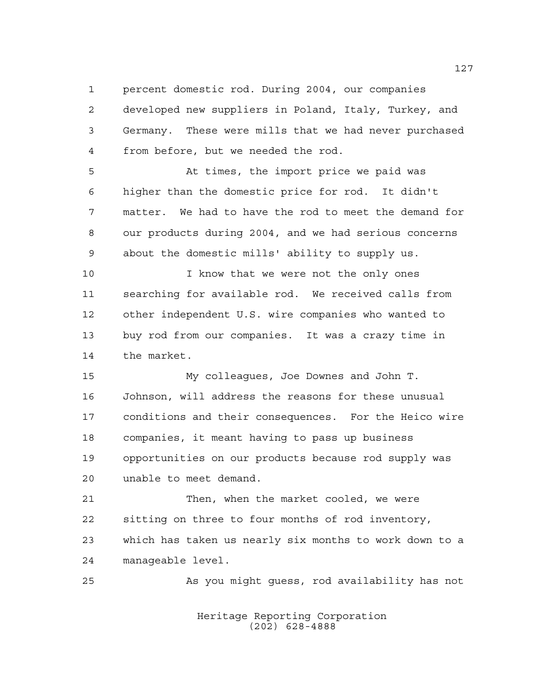percent domestic rod. During 2004, our companies

 developed new suppliers in Poland, Italy, Turkey, and Germany. These were mills that we had never purchased from before, but we needed the rod.

 At times, the import price we paid was higher than the domestic price for rod. It didn't matter. We had to have the rod to meet the demand for our products during 2004, and we had serious concerns about the domestic mills' ability to supply us.

 I know that we were not the only ones searching for available rod. We received calls from other independent U.S. wire companies who wanted to buy rod from our companies. It was a crazy time in the market.

 My colleagues, Joe Downes and John T. Johnson, will address the reasons for these unusual conditions and their consequences. For the Heico wire companies, it meant having to pass up business opportunities on our products because rod supply was unable to meet demand.

 Then, when the market cooled, we were sitting on three to four months of rod inventory, which has taken us nearly six months to work down to a manageable level.

As you might guess, rod availability has not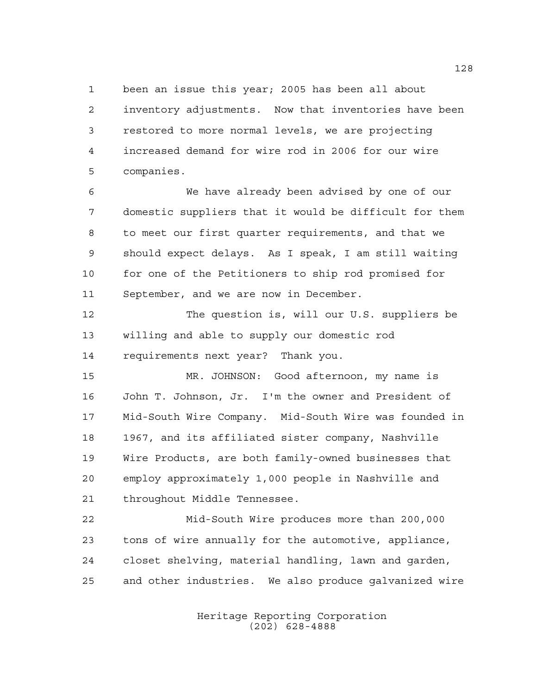been an issue this year; 2005 has been all about inventory adjustments. Now that inventories have been restored to more normal levels, we are projecting increased demand for wire rod in 2006 for our wire companies.

 We have already been advised by one of our domestic suppliers that it would be difficult for them to meet our first quarter requirements, and that we should expect delays. As I speak, I am still waiting for one of the Petitioners to ship rod promised for September, and we are now in December.

 The question is, will our U.S. suppliers be willing and able to supply our domestic rod requirements next year? Thank you.

 MR. JOHNSON: Good afternoon, my name is John T. Johnson, Jr. I'm the owner and President of Mid-South Wire Company. Mid-South Wire was founded in 1967, and its affiliated sister company, Nashville Wire Products, are both family-owned businesses that employ approximately 1,000 people in Nashville and throughout Middle Tennessee.

 Mid-South Wire produces more than 200,000 tons of wire annually for the automotive, appliance, closet shelving, material handling, lawn and garden, and other industries. We also produce galvanized wire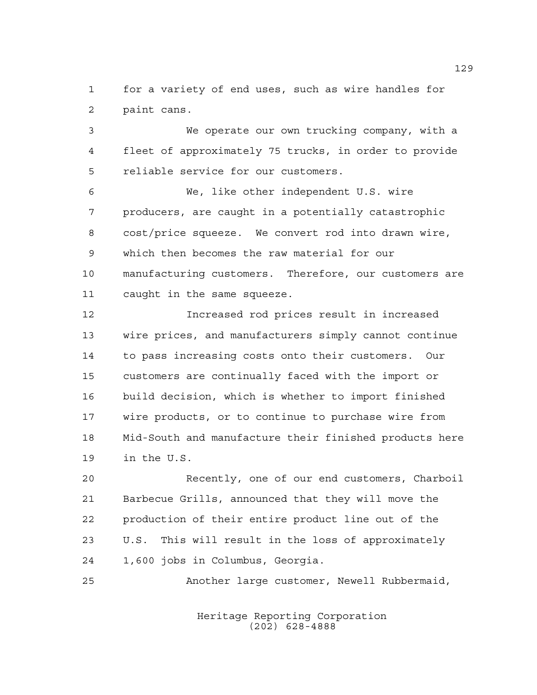for a variety of end uses, such as wire handles for paint cans.

 We operate our own trucking company, with a fleet of approximately 75 trucks, in order to provide reliable service for our customers.

 We, like other independent U.S. wire producers, are caught in a potentially catastrophic cost/price squeeze. We convert rod into drawn wire, which then becomes the raw material for our manufacturing customers. Therefore, our customers are caught in the same squeeze.

 Increased rod prices result in increased wire prices, and manufacturers simply cannot continue to pass increasing costs onto their customers. Our customers are continually faced with the import or build decision, which is whether to import finished wire products, or to continue to purchase wire from Mid-South and manufacture their finished products here in the U.S.

 Recently, one of our end customers, Charboil Barbecue Grills, announced that they will move the production of their entire product line out of the U.S. This will result in the loss of approximately 1,600 jobs in Columbus, Georgia.

Another large customer, Newell Rubbermaid,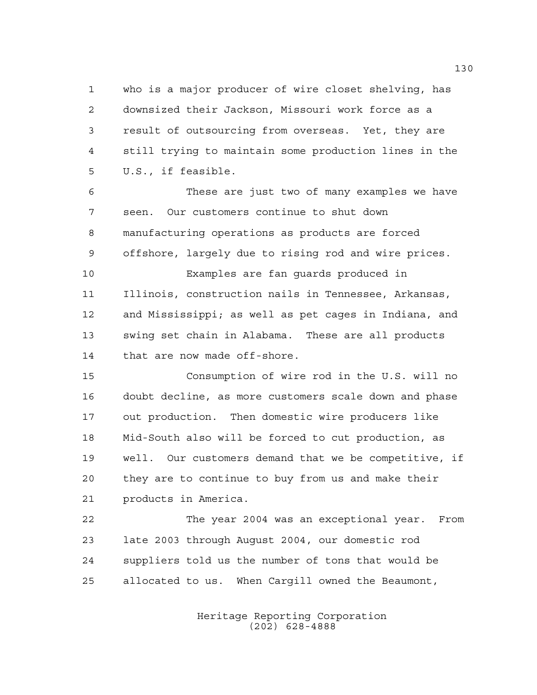who is a major producer of wire closet shelving, has downsized their Jackson, Missouri work force as a result of outsourcing from overseas. Yet, they are still trying to maintain some production lines in the U.S., if feasible.

 These are just two of many examples we have seen. Our customers continue to shut down manufacturing operations as products are forced offshore, largely due to rising rod and wire prices. Examples are fan guards produced in Illinois, construction nails in Tennessee, Arkansas, and Mississippi; as well as pet cages in Indiana, and swing set chain in Alabama. These are all products that are now made off-shore.

 Consumption of wire rod in the U.S. will no doubt decline, as more customers scale down and phase out production. Then domestic wire producers like Mid-South also will be forced to cut production, as well. Our customers demand that we be competitive, if they are to continue to buy from us and make their products in America.

 The year 2004 was an exceptional year. From late 2003 through August 2004, our domestic rod suppliers told us the number of tons that would be allocated to us. When Cargill owned the Beaumont,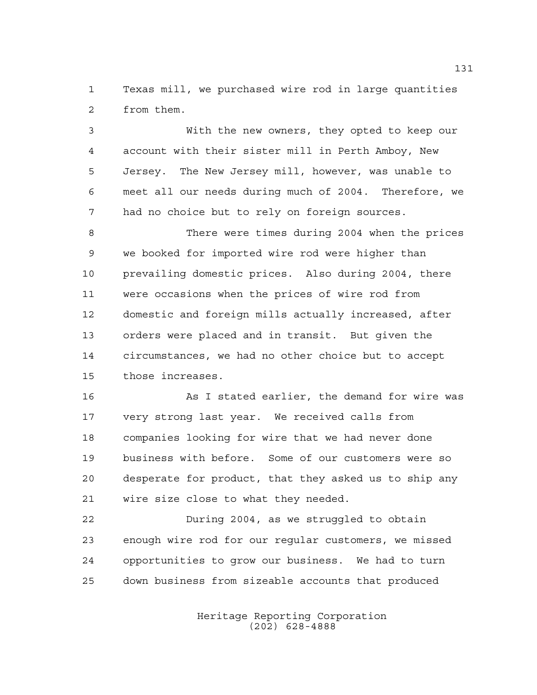Texas mill, we purchased wire rod in large quantities from them.

 With the new owners, they opted to keep our account with their sister mill in Perth Amboy, New Jersey. The New Jersey mill, however, was unable to meet all our needs during much of 2004. Therefore, we had no choice but to rely on foreign sources.

 There were times during 2004 when the prices we booked for imported wire rod were higher than prevailing domestic prices. Also during 2004, there were occasions when the prices of wire rod from domestic and foreign mills actually increased, after orders were placed and in transit. But given the circumstances, we had no other choice but to accept those increases.

16 As I stated earlier, the demand for wire was very strong last year. We received calls from companies looking for wire that we had never done business with before. Some of our customers were so desperate for product, that they asked us to ship any wire size close to what they needed.

 During 2004, as we struggled to obtain enough wire rod for our regular customers, we missed opportunities to grow our business. We had to turn down business from sizeable accounts that produced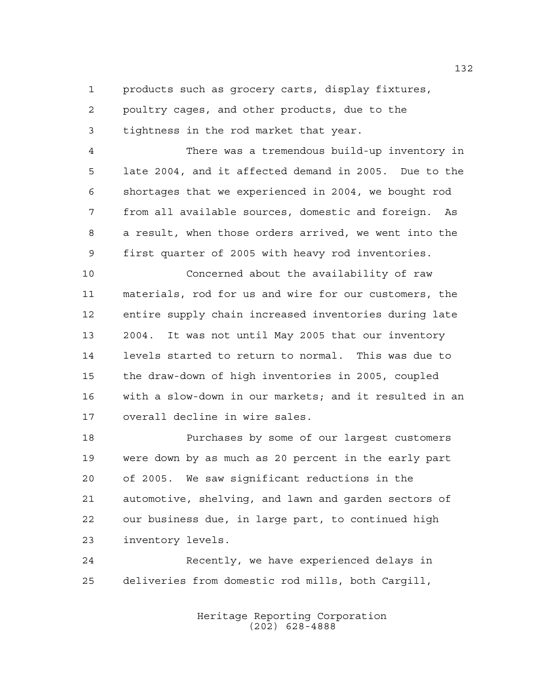products such as grocery carts, display fixtures,

poultry cages, and other products, due to the

tightness in the rod market that year.

 There was a tremendous build-up inventory in late 2004, and it affected demand in 2005. Due to the shortages that we experienced in 2004, we bought rod from all available sources, domestic and foreign. As a result, when those orders arrived, we went into the first quarter of 2005 with heavy rod inventories.

 Concerned about the availability of raw materials, rod for us and wire for our customers, the entire supply chain increased inventories during late 2004. It was not until May 2005 that our inventory levels started to return to normal. This was due to the draw-down of high inventories in 2005, coupled with a slow-down in our markets; and it resulted in an overall decline in wire sales.

 Purchases by some of our largest customers were down by as much as 20 percent in the early part of 2005. We saw significant reductions in the automotive, shelving, and lawn and garden sectors of our business due, in large part, to continued high inventory levels.

 Recently, we have experienced delays in deliveries from domestic rod mills, both Cargill,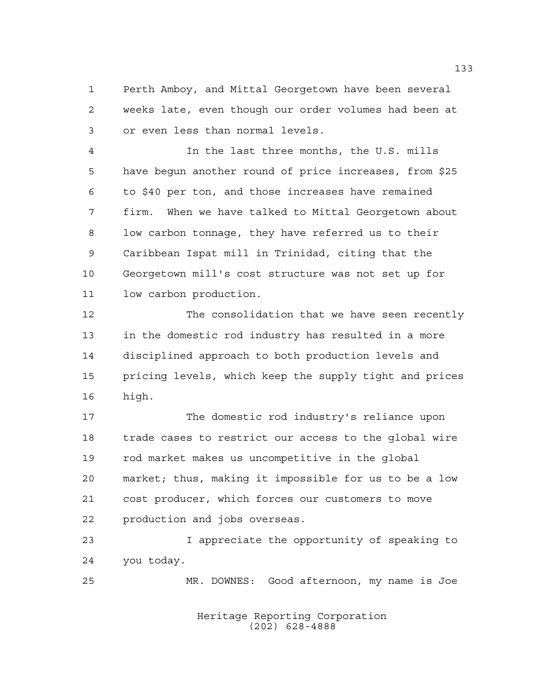Perth Amboy, and Mittal Georgetown have been several weeks late, even though our order volumes had been at or even less than normal levels.

 In the last three months, the U.S. mills have begun another round of price increases, from \$25 to \$40 per ton, and those increases have remained firm. When we have talked to Mittal Georgetown about low carbon tonnage, they have referred us to their Caribbean Ispat mill in Trinidad, citing that the Georgetown mill's cost structure was not set up for low carbon production.

 The consolidation that we have seen recently in the domestic rod industry has resulted in a more disciplined approach to both production levels and pricing levels, which keep the supply tight and prices high.

 The domestic rod industry's reliance upon trade cases to restrict our access to the global wire rod market makes us uncompetitive in the global market; thus, making it impossible for us to be a low cost producer, which forces our customers to move production and jobs overseas.

 I appreciate the opportunity of speaking to you today.

MR. DOWNES: Good afternoon, my name is Joe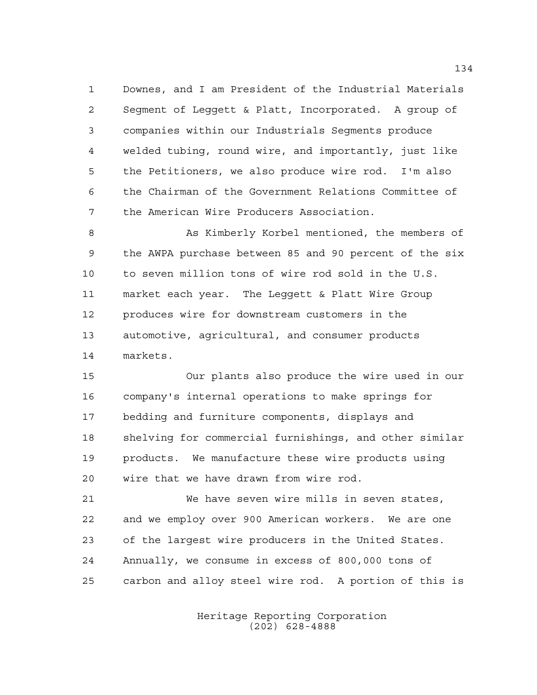Downes, and I am President of the Industrial Materials Segment of Leggett & Platt, Incorporated. A group of companies within our Industrials Segments produce welded tubing, round wire, and importantly, just like the Petitioners, we also produce wire rod. I'm also the Chairman of the Government Relations Committee of the American Wire Producers Association.

8 As Kimberly Korbel mentioned, the members of the AWPA purchase between 85 and 90 percent of the six to seven million tons of wire rod sold in the U.S. market each year. The Leggett & Platt Wire Group produces wire for downstream customers in the automotive, agricultural, and consumer products markets.

 Our plants also produce the wire used in our company's internal operations to make springs for bedding and furniture components, displays and shelving for commercial furnishings, and other similar products. We manufacture these wire products using wire that we have drawn from wire rod.

 We have seven wire mills in seven states, and we employ over 900 American workers. We are one of the largest wire producers in the United States. Annually, we consume in excess of 800,000 tons of carbon and alloy steel wire rod. A portion of this is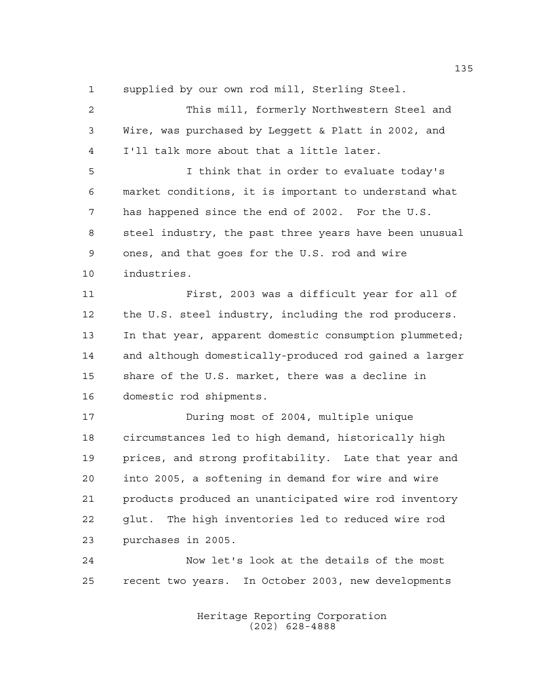supplied by our own rod mill, Sterling Steel.

 This mill, formerly Northwestern Steel and Wire, was purchased by Leggett & Platt in 2002, and I'll talk more about that a little later.

 I think that in order to evaluate today's market conditions, it is important to understand what has happened since the end of 2002. For the U.S. steel industry, the past three years have been unusual ones, and that goes for the U.S. rod and wire industries.

 First, 2003 was a difficult year for all of the U.S. steel industry, including the rod producers. In that year, apparent domestic consumption plummeted; and although domestically-produced rod gained a larger share of the U.S. market, there was a decline in domestic rod shipments.

 During most of 2004, multiple unique circumstances led to high demand, historically high prices, and strong profitability. Late that year and into 2005, a softening in demand for wire and wire products produced an unanticipated wire rod inventory glut. The high inventories led to reduced wire rod purchases in 2005.

 Now let's look at the details of the most recent two years. In October 2003, new developments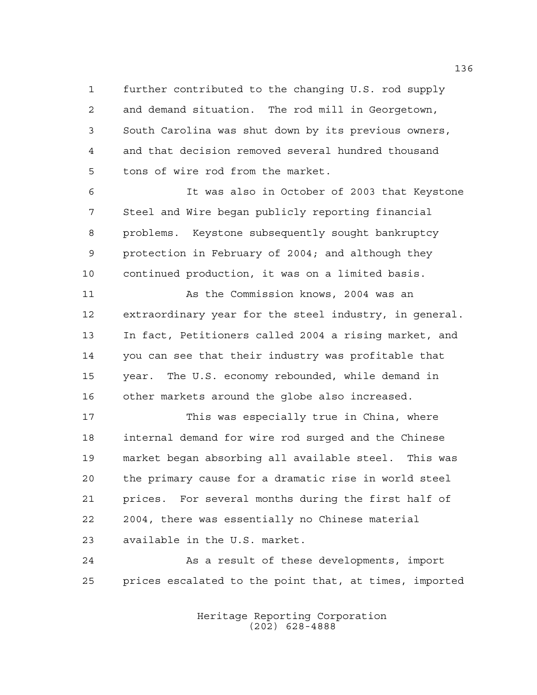further contributed to the changing U.S. rod supply and demand situation. The rod mill in Georgetown, South Carolina was shut down by its previous owners, and that decision removed several hundred thousand tons of wire rod from the market.

 It was also in October of 2003 that Keystone Steel and Wire began publicly reporting financial problems. Keystone subsequently sought bankruptcy protection in February of 2004; and although they continued production, it was on a limited basis.

11 As the Commission knows, 2004 was an extraordinary year for the steel industry, in general. In fact, Petitioners called 2004 a rising market, and you can see that their industry was profitable that year. The U.S. economy rebounded, while demand in other markets around the globe also increased.

 This was especially true in China, where internal demand for wire rod surged and the Chinese market began absorbing all available steel. This was the primary cause for a dramatic rise in world steel prices. For several months during the first half of 2004, there was essentially no Chinese material available in the U.S. market.

 As a result of these developments, import prices escalated to the point that, at times, imported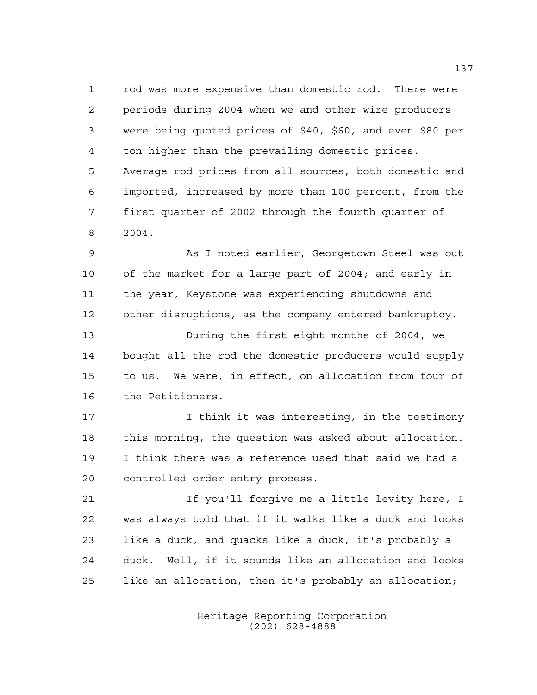rod was more expensive than domestic rod. There were periods during 2004 when we and other wire producers were being quoted prices of \$40, \$60, and even \$80 per ton higher than the prevailing domestic prices. Average rod prices from all sources, both domestic and imported, increased by more than 100 percent, from the first quarter of 2002 through the fourth quarter of 2004.

 As I noted earlier, Georgetown Steel was out of the market for a large part of 2004; and early in the year, Keystone was experiencing shutdowns and other disruptions, as the company entered bankruptcy.

 During the first eight months of 2004, we bought all the rod the domestic producers would supply to us. We were, in effect, on allocation from four of the Petitioners.

 I think it was interesting, in the testimony this morning, the question was asked about allocation. I think there was a reference used that said we had a controlled order entry process.

 If you'll forgive me a little levity here, I was always told that if it walks like a duck and looks like a duck, and quacks like a duck, it's probably a duck. Well, if it sounds like an allocation and looks like an allocation, then it's probably an allocation;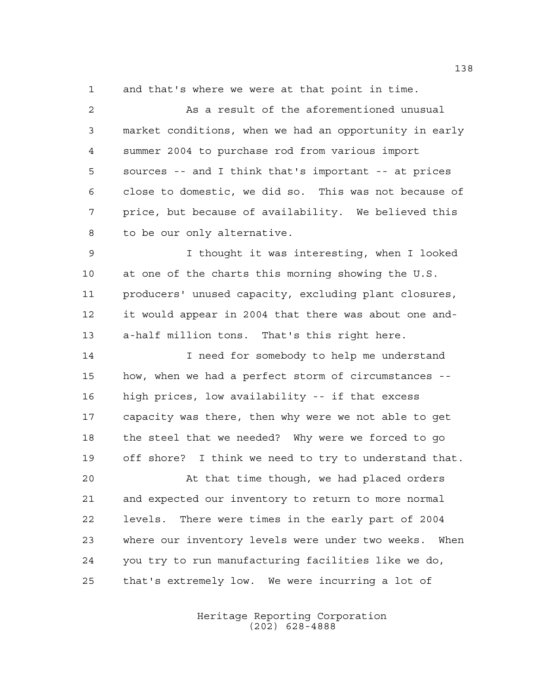and that's where we were at that point in time.

 As a result of the aforementioned unusual market conditions, when we had an opportunity in early summer 2004 to purchase rod from various import sources -- and I think that's important -- at prices close to domestic, we did so. This was not because of price, but because of availability. We believed this to be our only alternative.

 I thought it was interesting, when I looked at one of the charts this morning showing the U.S. producers' unused capacity, excluding plant closures, it would appear in 2004 that there was about one and-a-half million tons. That's this right here.

 I need for somebody to help me understand how, when we had a perfect storm of circumstances -- high prices, low availability -- if that excess capacity was there, then why were we not able to get the steel that we needed? Why were we forced to go off shore? I think we need to try to understand that.

 At that time though, we had placed orders and expected our inventory to return to more normal levels. There were times in the early part of 2004 where our inventory levels were under two weeks. When you try to run manufacturing facilities like we do, that's extremely low. We were incurring a lot of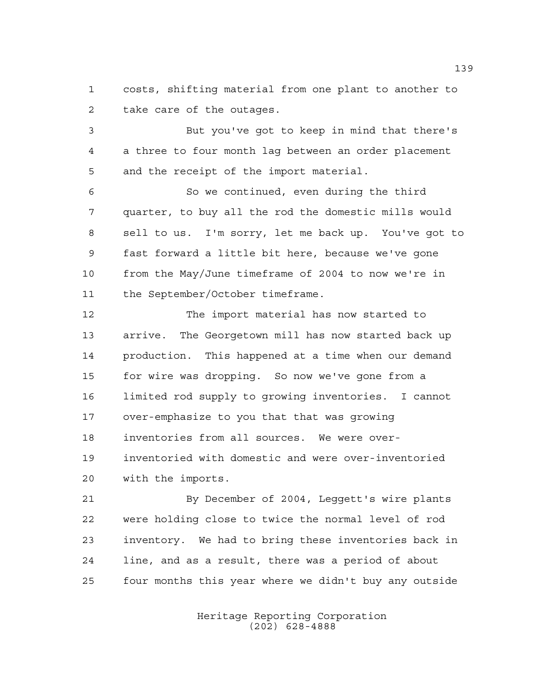costs, shifting material from one plant to another to take care of the outages.

 But you've got to keep in mind that there's a three to four month lag between an order placement and the receipt of the import material.

 So we continued, even during the third quarter, to buy all the rod the domestic mills would sell to us. I'm sorry, let me back up. You've got to fast forward a little bit here, because we've gone from the May/June timeframe of 2004 to now we're in the September/October timeframe.

 The import material has now started to arrive. The Georgetown mill has now started back up production. This happened at a time when our demand for wire was dropping. So now we've gone from a limited rod supply to growing inventories. I cannot over-emphasize to you that that was growing inventories from all sources. We were over- inventoried with domestic and were over-inventoried with the imports.

 By December of 2004, Leggett's wire plants were holding close to twice the normal level of rod inventory. We had to bring these inventories back in line, and as a result, there was a period of about four months this year where we didn't buy any outside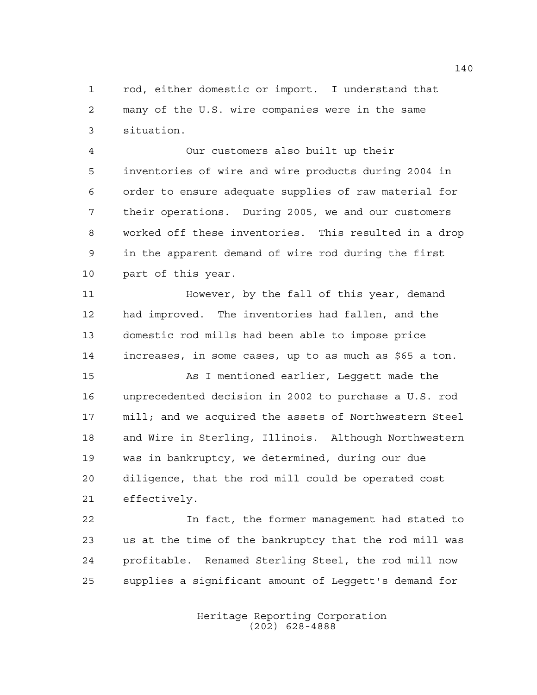rod, either domestic or import. I understand that many of the U.S. wire companies were in the same situation.

 Our customers also built up their inventories of wire and wire products during 2004 in order to ensure adequate supplies of raw material for their operations. During 2005, we and our customers worked off these inventories. This resulted in a drop in the apparent demand of wire rod during the first part of this year.

 However, by the fall of this year, demand had improved. The inventories had fallen, and the domestic rod mills had been able to impose price increases, in some cases, up to as much as \$65 a ton.

 As I mentioned earlier, Leggett made the unprecedented decision in 2002 to purchase a U.S. rod mill; and we acquired the assets of Northwestern Steel and Wire in Sterling, Illinois. Although Northwestern was in bankruptcy, we determined, during our due diligence, that the rod mill could be operated cost effectively.

 In fact, the former management had stated to us at the time of the bankruptcy that the rod mill was profitable. Renamed Sterling Steel, the rod mill now supplies a significant amount of Leggett's demand for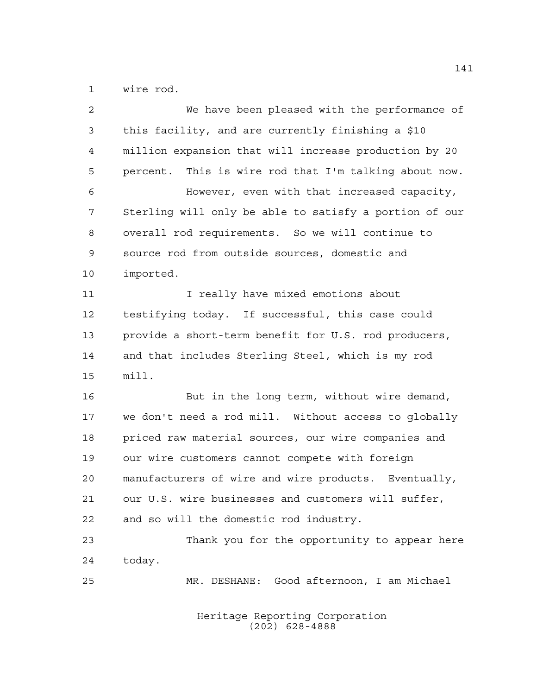wire rod.

| $\overline{2}$ | We have been pleased with the performance of           |
|----------------|--------------------------------------------------------|
| 3              | this facility, and are currently finishing a \$10      |
| 4              | million expansion that will increase production by 20  |
| 5              | percent. This is wire rod that I'm talking about now.  |
| 6              | However, even with that increased capacity,            |
| 7              | Sterling will only be able to satisfy a portion of our |
| 8              | overall rod requirements. So we will continue to       |
| $\mathsf 9$    | source rod from outside sources, domestic and          |
| 10             | imported.                                              |
| 11             | I really have mixed emotions about                     |
| 12             | testifying today. If successful, this case could       |
| 13             | provide a short-term benefit for U.S. rod producers,   |
| 14             | and that includes Sterling Steel, which is my rod      |
| 15             | $min11$ .                                              |
| 16             | But in the long term, without wire demand,             |
| 17             | we don't need a rod mill. Without access to globally   |
| 18             | priced raw material sources, our wire companies and    |
| 19             | our wire customers cannot compete with foreign         |
| 20             | manufacturers of wire and wire products. Eventually,   |
| 21             | our U.S. wire businesses and customers will suffer,    |
| 22             | and so will the domestic rod industry.                 |
| 23             | Thank you for the opportunity to appear here           |
| 24             | today.                                                 |
| 25             | MR. DESHANE: Good afternoon, I am Michael              |
|                |                                                        |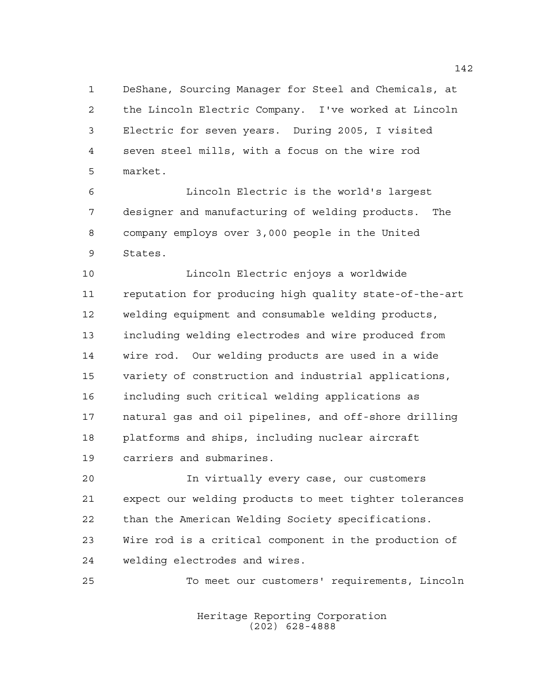DeShane, Sourcing Manager for Steel and Chemicals, at the Lincoln Electric Company. I've worked at Lincoln Electric for seven years. During 2005, I visited seven steel mills, with a focus on the wire rod market.

 Lincoln Electric is the world's largest designer and manufacturing of welding products. The company employs over 3,000 people in the United States.

 Lincoln Electric enjoys a worldwide reputation for producing high quality state-of-the-art welding equipment and consumable welding products, including welding electrodes and wire produced from wire rod. Our welding products are used in a wide variety of construction and industrial applications, including such critical welding applications as natural gas and oil pipelines, and off-shore drilling platforms and ships, including nuclear aircraft carriers and submarines.

 In virtually every case, our customers expect our welding products to meet tighter tolerances than the American Welding Society specifications. Wire rod is a critical component in the production of welding electrodes and wires.

To meet our customers' requirements, Lincoln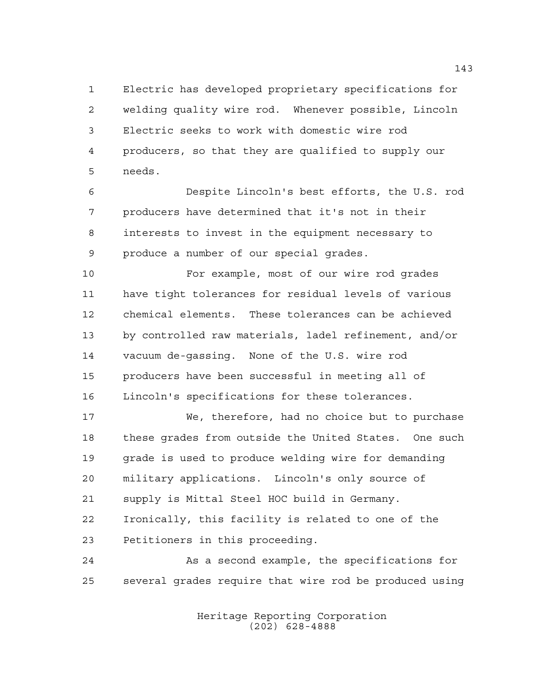Electric has developed proprietary specifications for welding quality wire rod. Whenever possible, Lincoln Electric seeks to work with domestic wire rod producers, so that they are qualified to supply our needs.

 Despite Lincoln's best efforts, the U.S. rod producers have determined that it's not in their interests to invest in the equipment necessary to produce a number of our special grades.

 For example, most of our wire rod grades have tight tolerances for residual levels of various chemical elements. These tolerances can be achieved by controlled raw materials, ladel refinement, and/or vacuum de-gassing. None of the U.S. wire rod producers have been successful in meeting all of Lincoln's specifications for these tolerances.

 We, therefore, had no choice but to purchase these grades from outside the United States. One such grade is used to produce welding wire for demanding military applications. Lincoln's only source of supply is Mittal Steel HOC build in Germany. Ironically, this facility is related to one of the Petitioners in this proceeding.

 As a second example, the specifications for several grades require that wire rod be produced using

> Heritage Reporting Corporation (202) 628-4888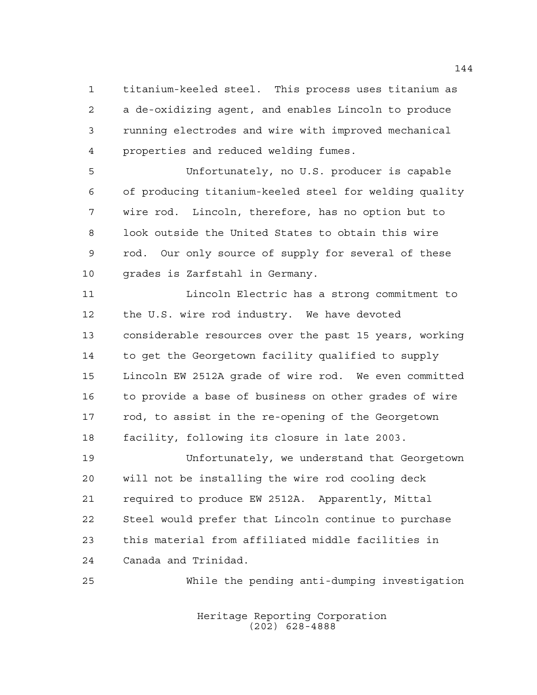titanium-keeled steel. This process uses titanium as a de-oxidizing agent, and enables Lincoln to produce running electrodes and wire with improved mechanical properties and reduced welding fumes.

 Unfortunately, no U.S. producer is capable of producing titanium-keeled steel for welding quality wire rod. Lincoln, therefore, has no option but to look outside the United States to obtain this wire rod. Our only source of supply for several of these grades is Zarfstahl in Germany.

 Lincoln Electric has a strong commitment to the U.S. wire rod industry. We have devoted considerable resources over the past 15 years, working to get the Georgetown facility qualified to supply Lincoln EW 2512A grade of wire rod. We even committed to provide a base of business on other grades of wire rod, to assist in the re-opening of the Georgetown facility, following its closure in late 2003.

 Unfortunately, we understand that Georgetown will not be installing the wire rod cooling deck required to produce EW 2512A. Apparently, Mittal Steel would prefer that Lincoln continue to purchase this material from affiliated middle facilities in Canada and Trinidad.

While the pending anti-dumping investigation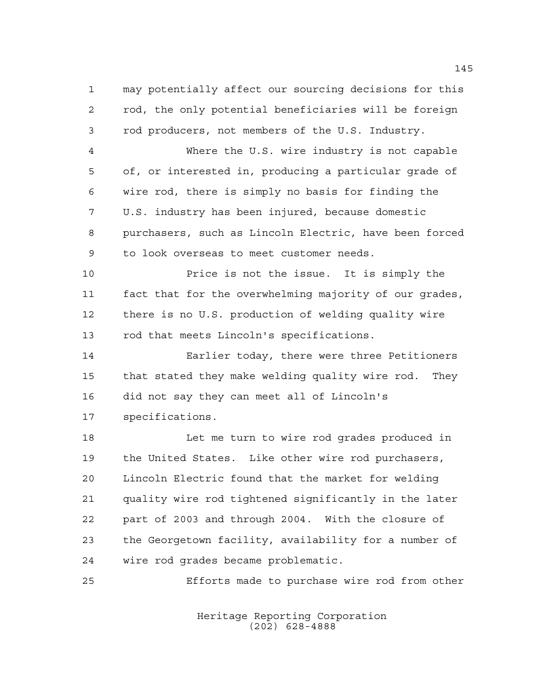may potentially affect our sourcing decisions for this rod, the only potential beneficiaries will be foreign rod producers, not members of the U.S. Industry.

 Where the U.S. wire industry is not capable of, or interested in, producing a particular grade of wire rod, there is simply no basis for finding the U.S. industry has been injured, because domestic purchasers, such as Lincoln Electric, have been forced to look overseas to meet customer needs.

 Price is not the issue. It is simply the fact that for the overwhelming majority of our grades, there is no U.S. production of welding quality wire rod that meets Lincoln's specifications.

 Earlier today, there were three Petitioners that stated they make welding quality wire rod. They did not say they can meet all of Lincoln's specifications.

18 Let me turn to wire rod grades produced in the United States. Like other wire rod purchasers, Lincoln Electric found that the market for welding quality wire rod tightened significantly in the later part of 2003 and through 2004. With the closure of the Georgetown facility, availability for a number of wire rod grades became problematic.

Efforts made to purchase wire rod from other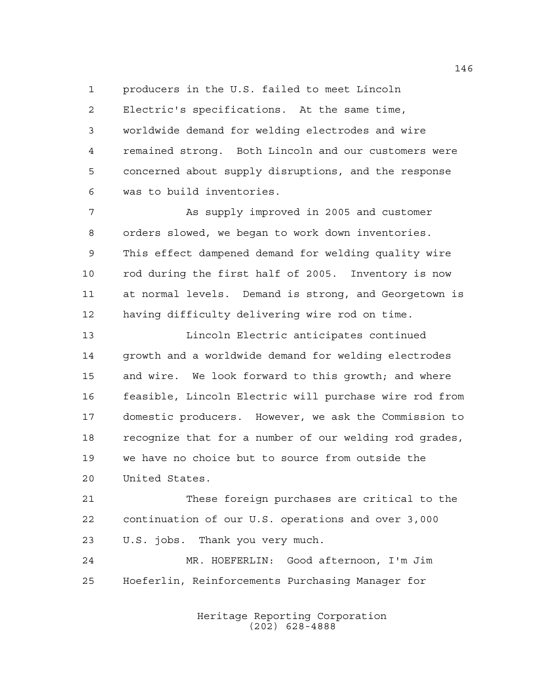producers in the U.S. failed to meet Lincoln

 Electric's specifications. At the same time, worldwide demand for welding electrodes and wire remained strong. Both Lincoln and our customers were concerned about supply disruptions, and the response was to build inventories.

 As supply improved in 2005 and customer orders slowed, we began to work down inventories. This effect dampened demand for welding quality wire rod during the first half of 2005. Inventory is now at normal levels. Demand is strong, and Georgetown is having difficulty delivering wire rod on time.

 Lincoln Electric anticipates continued growth and a worldwide demand for welding electrodes and wire. We look forward to this growth; and where feasible, Lincoln Electric will purchase wire rod from domestic producers. However, we ask the Commission to recognize that for a number of our welding rod grades, we have no choice but to source from outside the United States.

 These foreign purchases are critical to the continuation of our U.S. operations and over 3,000 U.S. jobs. Thank you very much.

 MR. HOEFERLIN: Good afternoon, I'm Jim Hoeferlin, Reinforcements Purchasing Manager for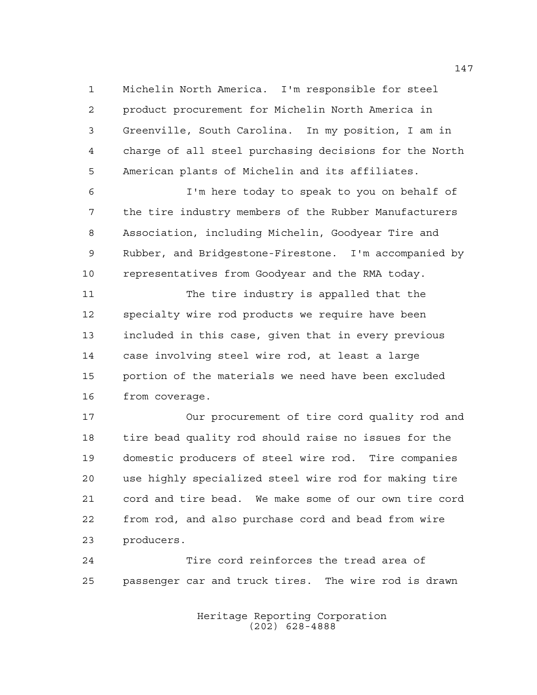Michelin North America. I'm responsible for steel product procurement for Michelin North America in Greenville, South Carolina. In my position, I am in charge of all steel purchasing decisions for the North American plants of Michelin and its affiliates.

 I'm here today to speak to you on behalf of the tire industry members of the Rubber Manufacturers Association, including Michelin, Goodyear Tire and Rubber, and Bridgestone-Firestone. I'm accompanied by representatives from Goodyear and the RMA today.

 The tire industry is appalled that the specialty wire rod products we require have been included in this case, given that in every previous case involving steel wire rod, at least a large portion of the materials we need have been excluded from coverage.

 Our procurement of tire cord quality rod and tire bead quality rod should raise no issues for the domestic producers of steel wire rod. Tire companies use highly specialized steel wire rod for making tire cord and tire bead. We make some of our own tire cord from rod, and also purchase cord and bead from wire producers.

 Tire cord reinforces the tread area of passenger car and truck tires. The wire rod is drawn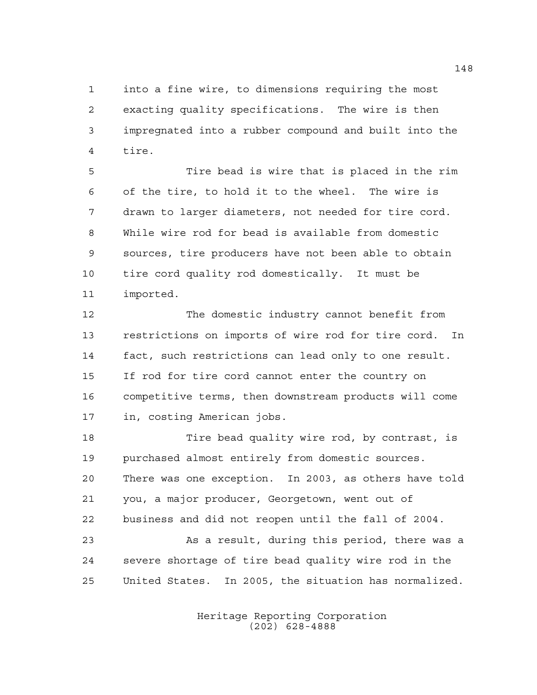into a fine wire, to dimensions requiring the most exacting quality specifications. The wire is then impregnated into a rubber compound and built into the tire.

 Tire bead is wire that is placed in the rim of the tire, to hold it to the wheel. The wire is drawn to larger diameters, not needed for tire cord. While wire rod for bead is available from domestic sources, tire producers have not been able to obtain tire cord quality rod domestically. It must be imported.

 The domestic industry cannot benefit from restrictions on imports of wire rod for tire cord. In fact, such restrictions can lead only to one result. If rod for tire cord cannot enter the country on competitive terms, then downstream products will come in, costing American jobs.

 Tire bead quality wire rod, by contrast, is purchased almost entirely from domestic sources. There was one exception. In 2003, as others have told you, a major producer, Georgetown, went out of business and did not reopen until the fall of 2004.

 As a result, during this period, there was a severe shortage of tire bead quality wire rod in the United States. In 2005, the situation has normalized.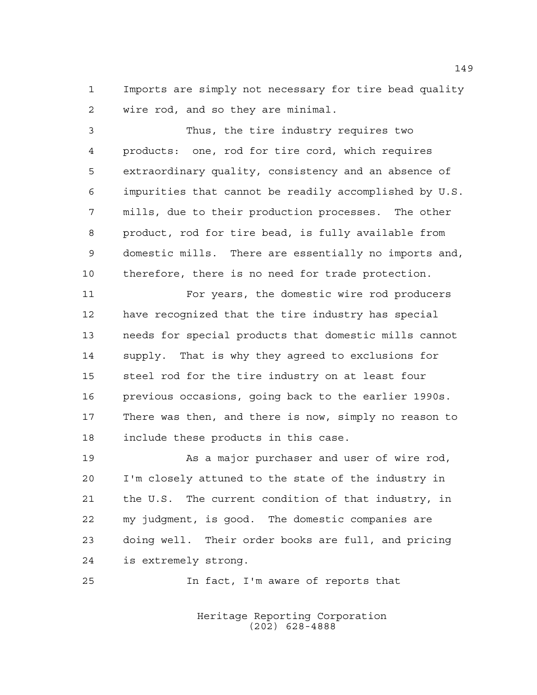Imports are simply not necessary for tire bead quality wire rod, and so they are minimal.

 Thus, the tire industry requires two products: one, rod for tire cord, which requires extraordinary quality, consistency and an absence of impurities that cannot be readily accomplished by U.S. mills, due to their production processes. The other product, rod for tire bead, is fully available from domestic mills. There are essentially no imports and, therefore, there is no need for trade protection.

 For years, the domestic wire rod producers have recognized that the tire industry has special needs for special products that domestic mills cannot supply. That is why they agreed to exclusions for steel rod for the tire industry on at least four previous occasions, going back to the earlier 1990s. There was then, and there is now, simply no reason to include these products in this case.

19 As a major purchaser and user of wire rod, I'm closely attuned to the state of the industry in the U.S. The current condition of that industry, in my judgment, is good. The domestic companies are doing well. Their order books are full, and pricing is extremely strong.

In fact, I'm aware of reports that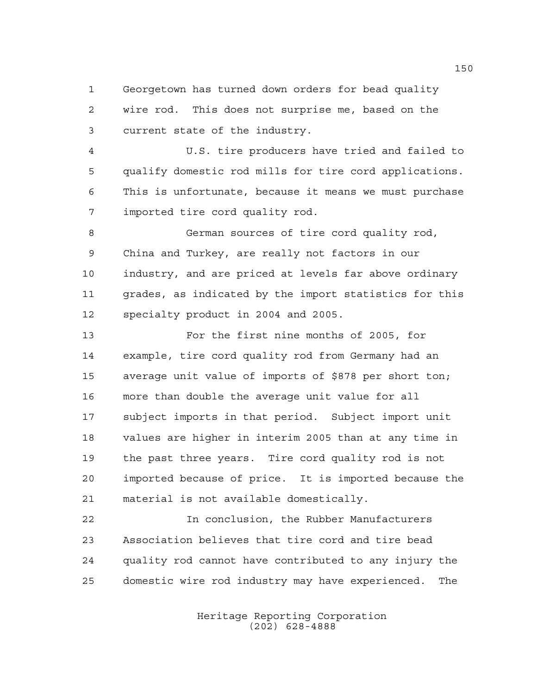Georgetown has turned down orders for bead quality wire rod. This does not surprise me, based on the current state of the industry.

 U.S. tire producers have tried and failed to qualify domestic rod mills for tire cord applications. This is unfortunate, because it means we must purchase imported tire cord quality rod.

 German sources of tire cord quality rod, China and Turkey, are really not factors in our industry, and are priced at levels far above ordinary grades, as indicated by the import statistics for this specialty product in 2004 and 2005.

 For the first nine months of 2005, for example, tire cord quality rod from Germany had an average unit value of imports of \$878 per short ton; more than double the average unit value for all subject imports in that period. Subject import unit values are higher in interim 2005 than at any time in the past three years. Tire cord quality rod is not imported because of price. It is imported because the material is not available domestically.

 In conclusion, the Rubber Manufacturers Association believes that tire cord and tire bead quality rod cannot have contributed to any injury the domestic wire rod industry may have experienced. The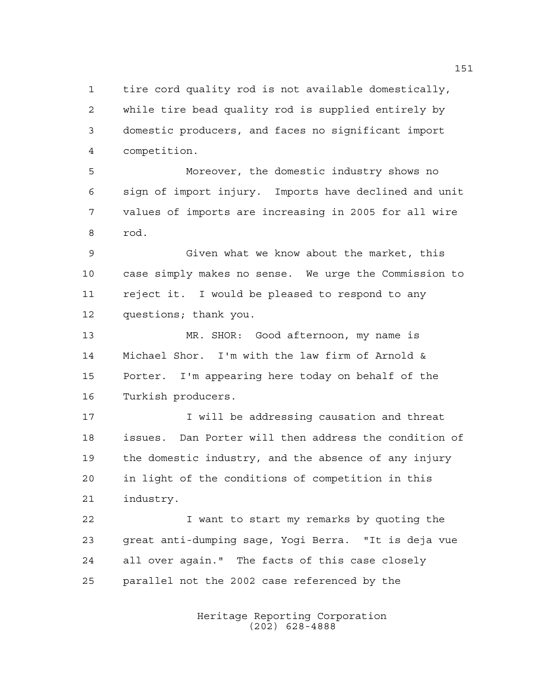tire cord quality rod is not available domestically, while tire bead quality rod is supplied entirely by domestic producers, and faces no significant import competition.

 Moreover, the domestic industry shows no sign of import injury. Imports have declined and unit values of imports are increasing in 2005 for all wire rod.

 Given what we know about the market, this case simply makes no sense. We urge the Commission to reject it. I would be pleased to respond to any questions; thank you.

 MR. SHOR: Good afternoon, my name is Michael Shor. I'm with the law firm of Arnold & Porter. I'm appearing here today on behalf of the Turkish producers.

**I** will be addressing causation and threat issues. Dan Porter will then address the condition of the domestic industry, and the absence of any injury in light of the conditions of competition in this industry.

 I want to start my remarks by quoting the great anti-dumping sage, Yogi Berra. "It is deja vue all over again." The facts of this case closely parallel not the 2002 case referenced by the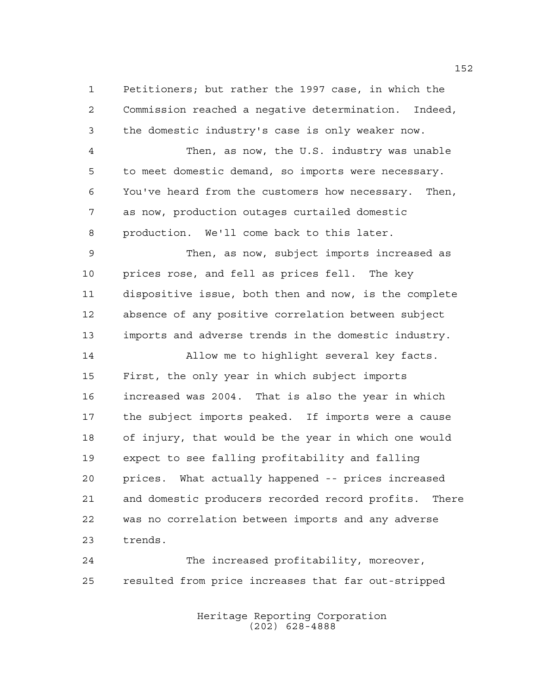Petitioners; but rather the 1997 case, in which the Commission reached a negative determination. Indeed, the domestic industry's case is only weaker now.

 Then, as now, the U.S. industry was unable to meet domestic demand, so imports were necessary. You've heard from the customers how necessary. Then, as now, production outages curtailed domestic production. We'll come back to this later.

 Then, as now, subject imports increased as prices rose, and fell as prices fell. The key dispositive issue, both then and now, is the complete absence of any positive correlation between subject imports and adverse trends in the domestic industry.

 Allow me to highlight several key facts. First, the only year in which subject imports increased was 2004. That is also the year in which the subject imports peaked. If imports were a cause of injury, that would be the year in which one would expect to see falling profitability and falling prices. What actually happened -- prices increased and domestic producers recorded record profits. There was no correlation between imports and any adverse trends.

 The increased profitability, moreover, resulted from price increases that far out-stripped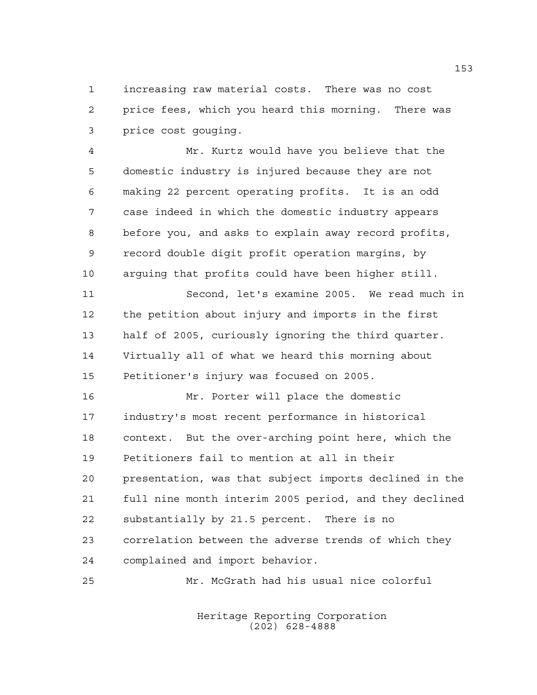increasing raw material costs. There was no cost price fees, which you heard this morning. There was price cost gouging.

 Mr. Kurtz would have you believe that the domestic industry is injured because they are not making 22 percent operating profits. It is an odd case indeed in which the domestic industry appears before you, and asks to explain away record profits, record double digit profit operation margins, by arguing that profits could have been higher still. Second, let's examine 2005. We read much in the petition about injury and imports in the first half of 2005, curiously ignoring the third quarter. Virtually all of what we heard this morning about Petitioner's injury was focused on 2005. Mr. Porter will place the domestic industry's most recent performance in historical context. But the over-arching point here, which the Petitioners fail to mention at all in their presentation, was that subject imports declined in the full nine month interim 2005 period, and they declined substantially by 21.5 percent. There is no correlation between the adverse trends of which they complained and import behavior.

Mr. McGrath had his usual nice colorful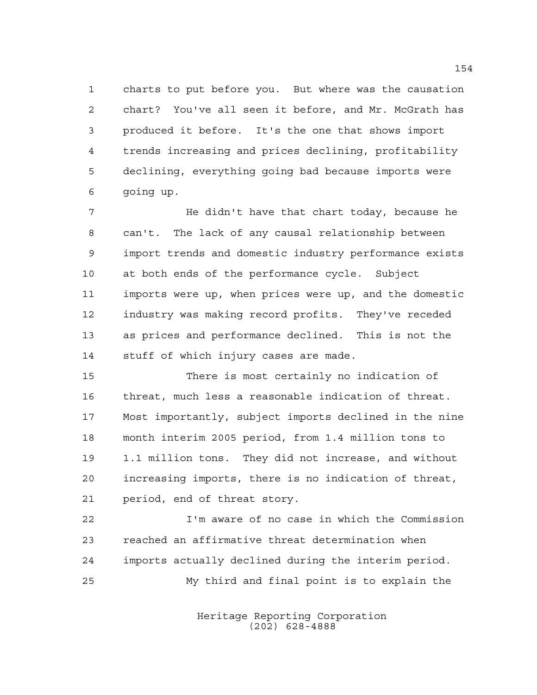charts to put before you. But where was the causation chart? You've all seen it before, and Mr. McGrath has produced it before. It's the one that shows import trends increasing and prices declining, profitability declining, everything going bad because imports were going up.

 He didn't have that chart today, because he can't. The lack of any causal relationship between import trends and domestic industry performance exists at both ends of the performance cycle. Subject imports were up, when prices were up, and the domestic industry was making record profits. They've receded as prices and performance declined. This is not the stuff of which injury cases are made.

 There is most certainly no indication of threat, much less a reasonable indication of threat. Most importantly, subject imports declined in the nine month interim 2005 period, from 1.4 million tons to 1.1 million tons. They did not increase, and without increasing imports, there is no indication of threat, period, end of threat story.

 I'm aware of no case in which the Commission reached an affirmative threat determination when imports actually declined during the interim period. My third and final point is to explain the

> Heritage Reporting Corporation (202) 628-4888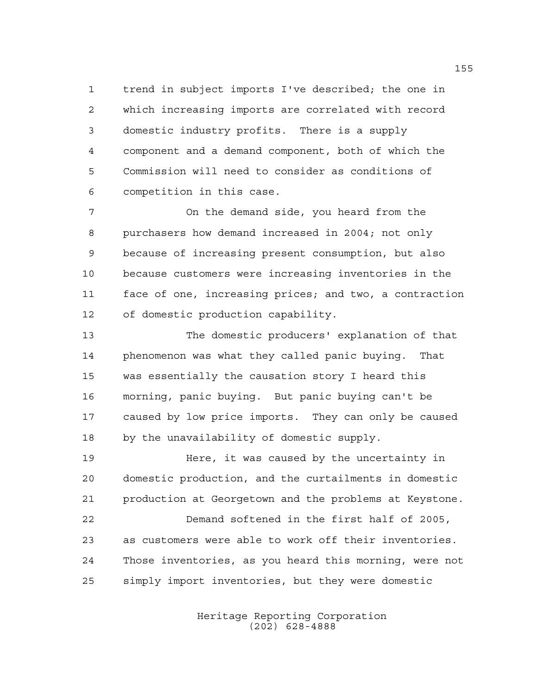trend in subject imports I've described; the one in which increasing imports are correlated with record domestic industry profits. There is a supply component and a demand component, both of which the Commission will need to consider as conditions of competition in this case.

 On the demand side, you heard from the purchasers how demand increased in 2004; not only because of increasing present consumption, but also because customers were increasing inventories in the face of one, increasing prices; and two, a contraction of domestic production capability.

 The domestic producers' explanation of that phenomenon was what they called panic buying. That was essentially the causation story I heard this morning, panic buying. But panic buying can't be caused by low price imports. They can only be caused by the unavailability of domestic supply.

 Here, it was caused by the uncertainty in domestic production, and the curtailments in domestic production at Georgetown and the problems at Keystone.

 Demand softened in the first half of 2005, as customers were able to work off their inventories. Those inventories, as you heard this morning, were not simply import inventories, but they were domestic

> Heritage Reporting Corporation (202) 628-4888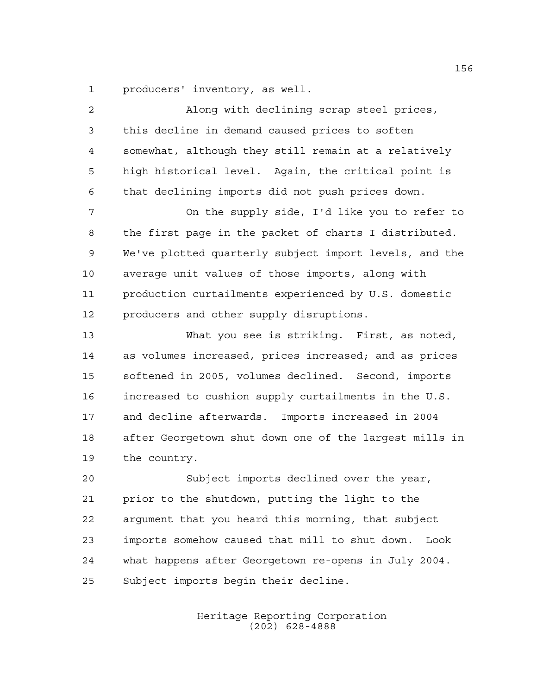producers' inventory, as well.

| $\overline{2}$ | Along with declining scrap steel prices,               |
|----------------|--------------------------------------------------------|
| 3              | this decline in demand caused prices to soften         |
| $\overline{4}$ | somewhat, although they still remain at a relatively   |
| 5              | high historical level. Again, the critical point is    |
| 6              | that declining imports did not push prices down.       |
| 7              | On the supply side, I'd like you to refer to           |
| 8              | the first page in the packet of charts I distributed.  |
| $\mathsf 9$    | We've plotted quarterly subject import levels, and the |
| 10             | average unit values of those imports, along with       |
| 11             | production curtailments experienced by U.S. domestic   |
| 12             | producers and other supply disruptions.                |
| 13             | What you see is striking. First, as noted,             |
| 14             | as volumes increased, prices increased; and as prices  |
| 15             | softened in 2005, volumes declined. Second, imports    |
| 16             | increased to cushion supply curtailments in the U.S.   |
| 17             | and decline afterwards. Imports increased in 2004      |
| 18             | after Georgetown shut down one of the largest mills in |
| 19             | the country.                                           |
| 20             | Subject imports declined over the year,                |
| 21             | prior to the shutdown, putting the light to the        |
| 22             | argument that you heard this morning, that subject     |
| 23             | imports somehow caused that mill to shut down.<br>Look |
| 24             | what happens after Georgetown re-opens in July 2004.   |
| 25             | Subject imports begin their decline.                   |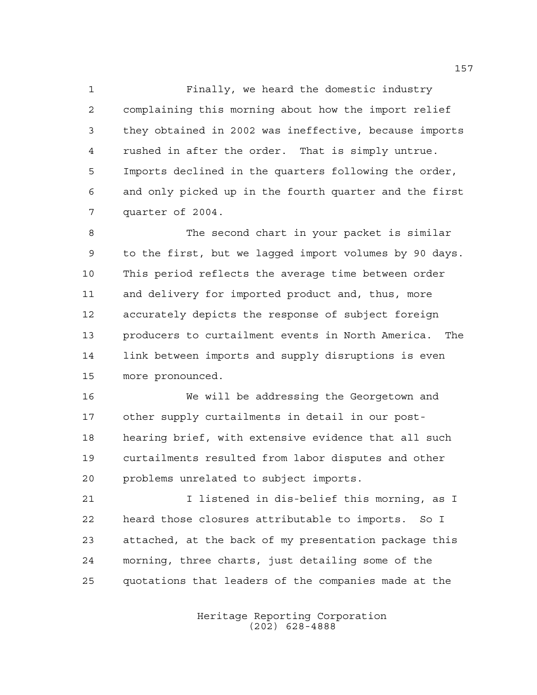Finally, we heard the domestic industry complaining this morning about how the import relief they obtained in 2002 was ineffective, because imports rushed in after the order. That is simply untrue. Imports declined in the quarters following the order, and only picked up in the fourth quarter and the first quarter of 2004.

 The second chart in your packet is similar to the first, but we lagged import volumes by 90 days. This period reflects the average time between order and delivery for imported product and, thus, more accurately depicts the response of subject foreign producers to curtailment events in North America. The link between imports and supply disruptions is even more pronounced.

 We will be addressing the Georgetown and other supply curtailments in detail in our post- hearing brief, with extensive evidence that all such curtailments resulted from labor disputes and other problems unrelated to subject imports.

 I listened in dis-belief this morning, as I heard those closures attributable to imports. So I attached, at the back of my presentation package this morning, three charts, just detailing some of the quotations that leaders of the companies made at the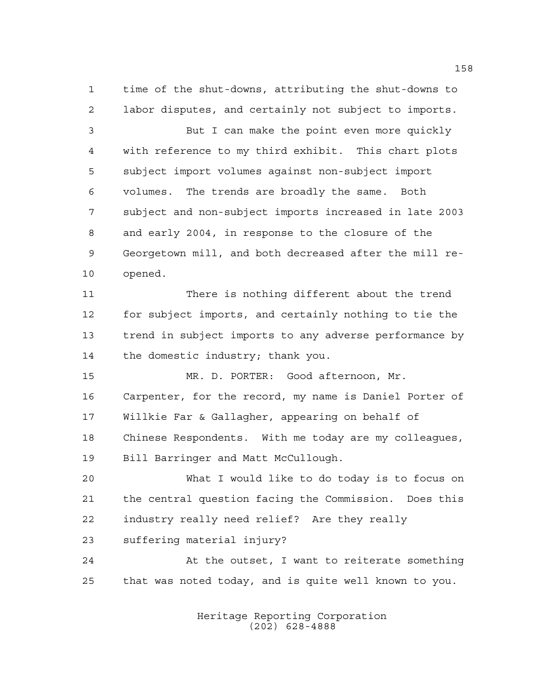time of the shut-downs, attributing the shut-downs to labor disputes, and certainly not subject to imports.

 But I can make the point even more quickly with reference to my third exhibit. This chart plots subject import volumes against non-subject import volumes. The trends are broadly the same. Both subject and non-subject imports increased in late 2003 and early 2004, in response to the closure of the Georgetown mill, and both decreased after the mill re-opened.

 There is nothing different about the trend for subject imports, and certainly nothing to tie the trend in subject imports to any adverse performance by the domestic industry; thank you.

 MR. D. PORTER: Good afternoon, Mr. Carpenter, for the record, my name is Daniel Porter of Willkie Far & Gallagher, appearing on behalf of Chinese Respondents. With me today are my colleagues, Bill Barringer and Matt McCullough.

 What I would like to do today is to focus on the central question facing the Commission. Does this industry really need relief? Are they really suffering material injury?

 At the outset, I want to reiterate something that was noted today, and is quite well known to you.

> Heritage Reporting Corporation (202) 628-4888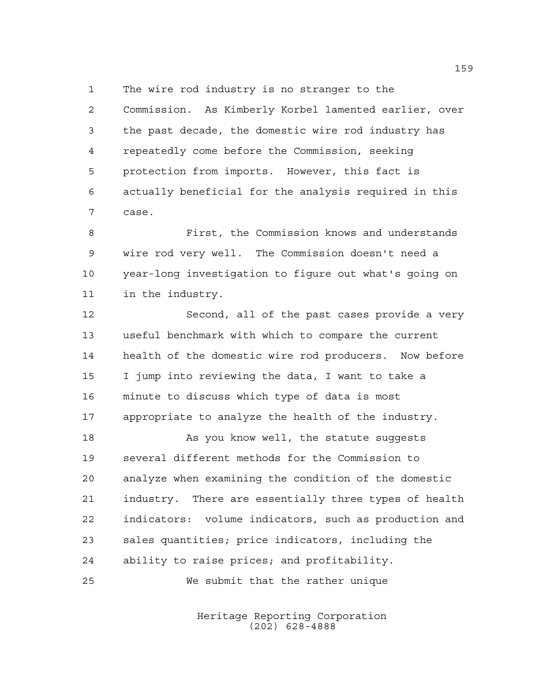The wire rod industry is no stranger to the

 Commission. As Kimberly Korbel lamented earlier, over the past decade, the domestic wire rod industry has repeatedly come before the Commission, seeking protection from imports. However, this fact is actually beneficial for the analysis required in this case.

 First, the Commission knows and understands wire rod very well. The Commission doesn't need a year-long investigation to figure out what's going on in the industry.

 Second, all of the past cases provide a very useful benchmark with which to compare the current health of the domestic wire rod producers. Now before I jump into reviewing the data, I want to take a minute to discuss which type of data is most appropriate to analyze the health of the industry.

18 As you know well, the statute suqqests several different methods for the Commission to analyze when examining the condition of the domestic industry. There are essentially three types of health indicators: volume indicators, such as production and sales quantities; price indicators, including the ability to raise prices; and profitability. We submit that the rather unique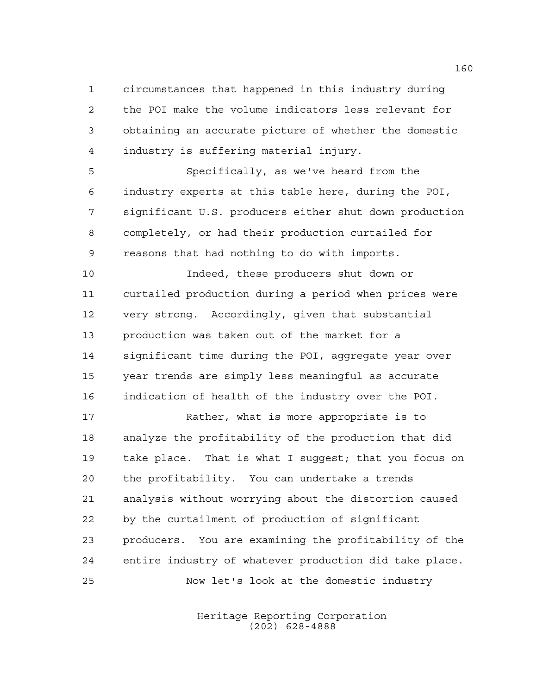circumstances that happened in this industry during the POI make the volume indicators less relevant for obtaining an accurate picture of whether the domestic industry is suffering material injury.

 Specifically, as we've heard from the industry experts at this table here, during the POI, significant U.S. producers either shut down production completely, or had their production curtailed for reasons that had nothing to do with imports.

 Indeed, these producers shut down or curtailed production during a period when prices were very strong. Accordingly, given that substantial production was taken out of the market for a significant time during the POI, aggregate year over year trends are simply less meaningful as accurate indication of health of the industry over the POI.

 Rather, what is more appropriate is to analyze the profitability of the production that did take place. That is what I suggest; that you focus on the profitability. You can undertake a trends analysis without worrying about the distortion caused by the curtailment of production of significant producers. You are examining the profitability of the entire industry of whatever production did take place. Now let's look at the domestic industry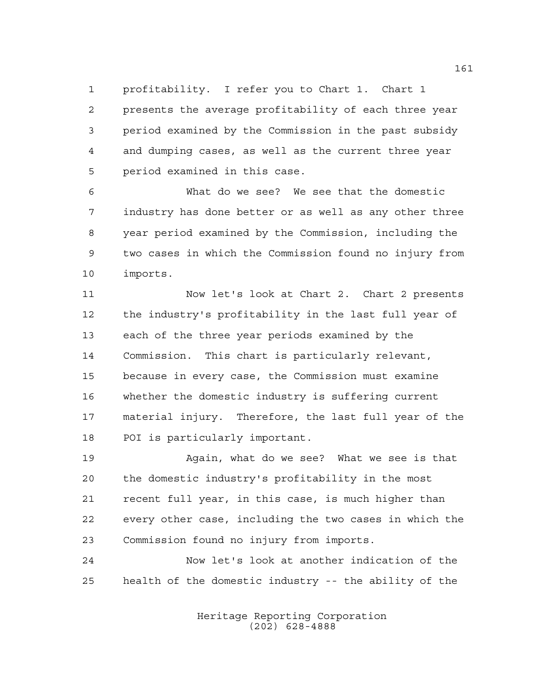profitability. I refer you to Chart 1. Chart 1

 presents the average profitability of each three year period examined by the Commission in the past subsidy and dumping cases, as well as the current three year period examined in this case.

 What do we see? We see that the domestic industry has done better or as well as any other three year period examined by the Commission, including the two cases in which the Commission found no injury from imports.

 Now let's look at Chart 2. Chart 2 presents the industry's profitability in the last full year of each of the three year periods examined by the Commission. This chart is particularly relevant, because in every case, the Commission must examine whether the domestic industry is suffering current material injury. Therefore, the last full year of the POI is particularly important.

 Again, what do we see? What we see is that the domestic industry's profitability in the most recent full year, in this case, is much higher than every other case, including the two cases in which the Commission found no injury from imports.

 Now let's look at another indication of the health of the domestic industry -- the ability of the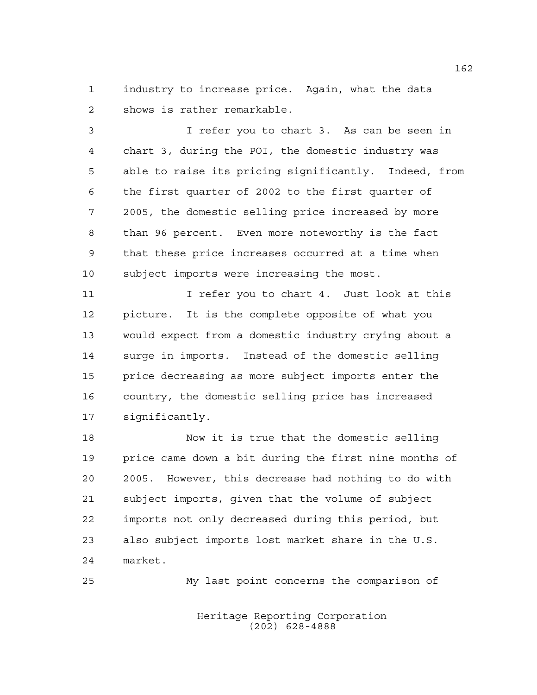industry to increase price. Again, what the data shows is rather remarkable.

 I refer you to chart 3. As can be seen in chart 3, during the POI, the domestic industry was able to raise its pricing significantly. Indeed, from the first quarter of 2002 to the first quarter of 2005, the domestic selling price increased by more than 96 percent. Even more noteworthy is the fact that these price increases occurred at a time when subject imports were increasing the most.

11 11 I refer you to chart 4. Just look at this picture. It is the complete opposite of what you would expect from a domestic industry crying about a surge in imports. Instead of the domestic selling price decreasing as more subject imports enter the country, the domestic selling price has increased significantly.

 Now it is true that the domestic selling price came down a bit during the first nine months of 2005. However, this decrease had nothing to do with subject imports, given that the volume of subject imports not only decreased during this period, but also subject imports lost market share in the U.S. market.

My last point concerns the comparison of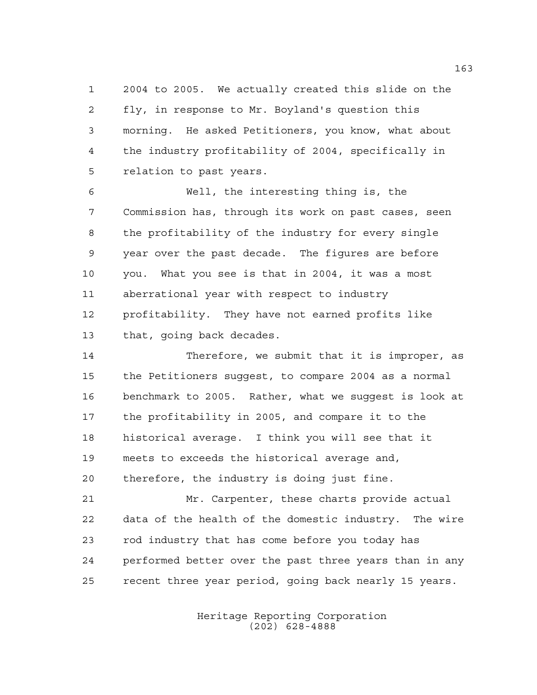2004 to 2005. We actually created this slide on the fly, in response to Mr. Boyland's question this morning. He asked Petitioners, you know, what about the industry profitability of 2004, specifically in relation to past years.

 Well, the interesting thing is, the Commission has, through its work on past cases, seen the profitability of the industry for every single year over the past decade. The figures are before you. What you see is that in 2004, it was a most aberrational year with respect to industry profitability. They have not earned profits like that, going back decades.

 Therefore, we submit that it is improper, as the Petitioners suggest, to compare 2004 as a normal benchmark to 2005. Rather, what we suggest is look at the profitability in 2005, and compare it to the historical average. I think you will see that it meets to exceeds the historical average and, therefore, the industry is doing just fine.

 Mr. Carpenter, these charts provide actual data of the health of the domestic industry. The wire rod industry that has come before you today has performed better over the past three years than in any recent three year period, going back nearly 15 years.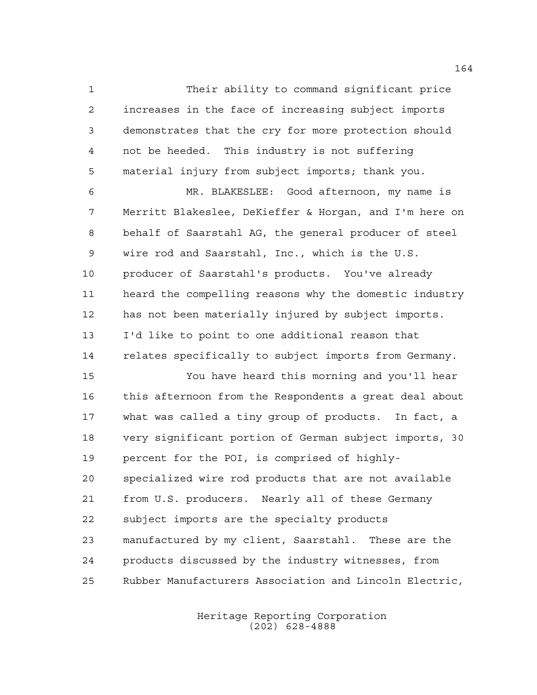Their ability to command significant price increases in the face of increasing subject imports demonstrates that the cry for more protection should not be heeded. This industry is not suffering material injury from subject imports; thank you.

 MR. BLAKESLEE: Good afternoon, my name is Merritt Blakeslee, DeKieffer & Horgan, and I'm here on behalf of Saarstahl AG, the general producer of steel wire rod and Saarstahl, Inc., which is the U.S. producer of Saarstahl's products. You've already heard the compelling reasons why the domestic industry has not been materially injured by subject imports. I'd like to point to one additional reason that relates specifically to subject imports from Germany.

 You have heard this morning and you'll hear this afternoon from the Respondents a great deal about what was called a tiny group of products. In fact, a very significant portion of German subject imports, 30 percent for the POI, is comprised of highly- specialized wire rod products that are not available from U.S. producers. Nearly all of these Germany subject imports are the specialty products manufactured by my client, Saarstahl. These are the products discussed by the industry witnesses, from Rubber Manufacturers Association and Lincoln Electric,

> Heritage Reporting Corporation (202) 628-4888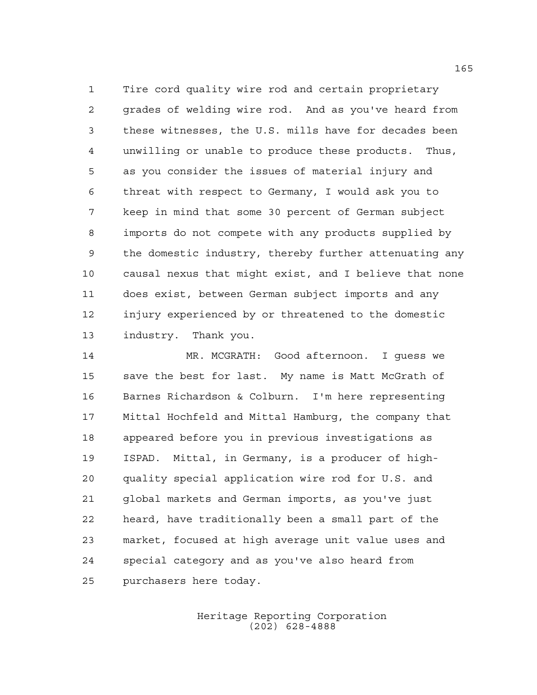Tire cord quality wire rod and certain proprietary grades of welding wire rod. And as you've heard from these witnesses, the U.S. mills have for decades been unwilling or unable to produce these products. Thus, as you consider the issues of material injury and threat with respect to Germany, I would ask you to keep in mind that some 30 percent of German subject imports do not compete with any products supplied by the domestic industry, thereby further attenuating any causal nexus that might exist, and I believe that none does exist, between German subject imports and any injury experienced by or threatened to the domestic industry. Thank you.

 MR. MCGRATH: Good afternoon. I guess we save the best for last. My name is Matt McGrath of Barnes Richardson & Colburn. I'm here representing Mittal Hochfeld and Mittal Hamburg, the company that appeared before you in previous investigations as ISPAD. Mittal, in Germany, is a producer of high- quality special application wire rod for U.S. and global markets and German imports, as you've just heard, have traditionally been a small part of the market, focused at high average unit value uses and special category and as you've also heard from purchasers here today.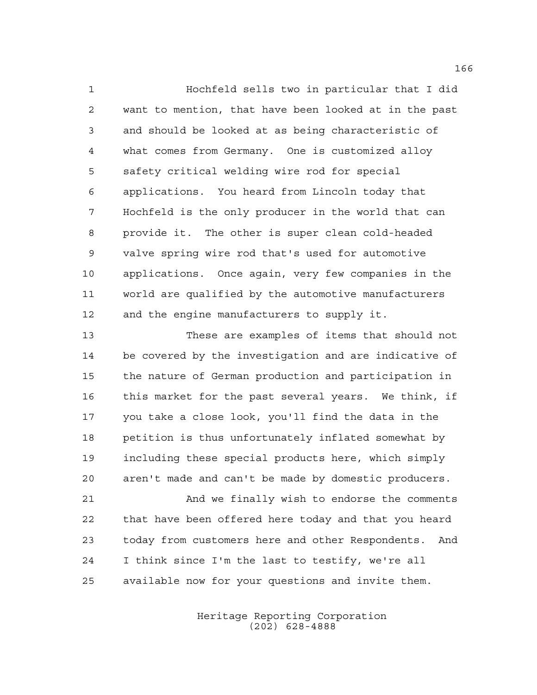Hochfeld sells two in particular that I did want to mention, that have been looked at in the past and should be looked at as being characteristic of what comes from Germany. One is customized alloy safety critical welding wire rod for special applications. You heard from Lincoln today that Hochfeld is the only producer in the world that can provide it. The other is super clean cold-headed valve spring wire rod that's used for automotive applications. Once again, very few companies in the world are qualified by the automotive manufacturers 12 and the engine manufacturers to supply it.

 These are examples of items that should not be covered by the investigation and are indicative of the nature of German production and participation in this market for the past several years. We think, if you take a close look, you'll find the data in the petition is thus unfortunately inflated somewhat by including these special products here, which simply aren't made and can't be made by domestic producers.

 And we finally wish to endorse the comments that have been offered here today and that you heard today from customers here and other Respondents. And I think since I'm the last to testify, we're all available now for your questions and invite them.

> Heritage Reporting Corporation (202) 628-4888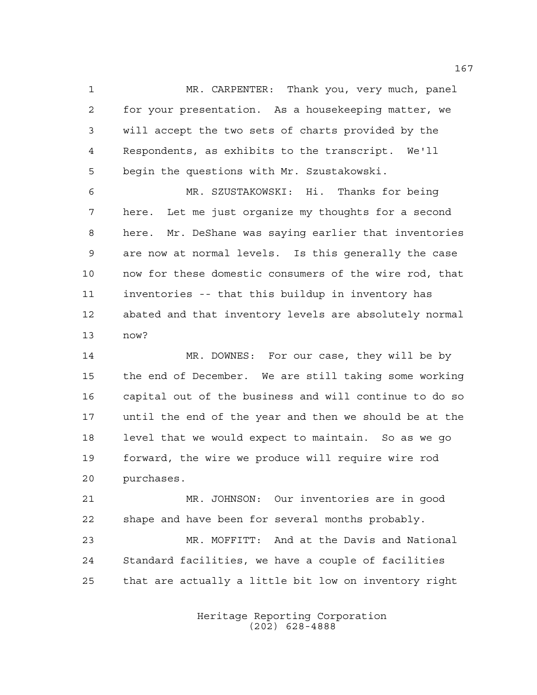MR. CARPENTER: Thank you, very much, panel for your presentation. As a housekeeping matter, we will accept the two sets of charts provided by the Respondents, as exhibits to the transcript. We'll begin the questions with Mr. Szustakowski.

 MR. SZUSTAKOWSKI: Hi. Thanks for being here. Let me just organize my thoughts for a second here. Mr. DeShane was saying earlier that inventories are now at normal levels. Is this generally the case now for these domestic consumers of the wire rod, that inventories -- that this buildup in inventory has abated and that inventory levels are absolutely normal now?

 MR. DOWNES: For our case, they will be by the end of December. We are still taking some working capital out of the business and will continue to do so until the end of the year and then we should be at the level that we would expect to maintain. So as we go forward, the wire we produce will require wire rod purchases.

 MR. JOHNSON: Our inventories are in good shape and have been for several months probably. MR. MOFFITT: And at the Davis and National Standard facilities, we have a couple of facilities that are actually a little bit low on inventory right

> Heritage Reporting Corporation (202) 628-4888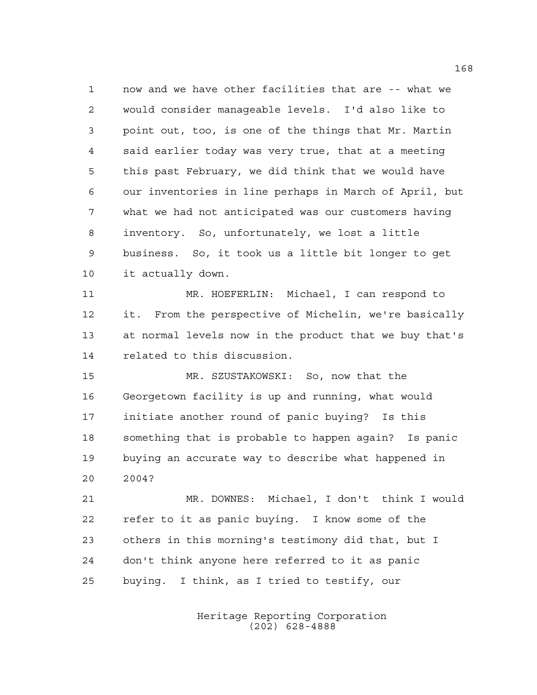now and we have other facilities that are -- what we would consider manageable levels. I'd also like to point out, too, is one of the things that Mr. Martin said earlier today was very true, that at a meeting this past February, we did think that we would have our inventories in line perhaps in March of April, but what we had not anticipated was our customers having inventory. So, unfortunately, we lost a little business. So, it took us a little bit longer to get it actually down.

 MR. HOEFERLIN: Michael, I can respond to it. From the perspective of Michelin, we're basically at normal levels now in the product that we buy that's related to this discussion.

 MR. SZUSTAKOWSKI: So, now that the Georgetown facility is up and running, what would initiate another round of panic buying? Is this something that is probable to happen again? Is panic buying an accurate way to describe what happened in 2004?

 MR. DOWNES: Michael, I don't think I would refer to it as panic buying. I know some of the others in this morning's testimony did that, but I don't think anyone here referred to it as panic buying. I think, as I tried to testify, our

> Heritage Reporting Corporation (202) 628-4888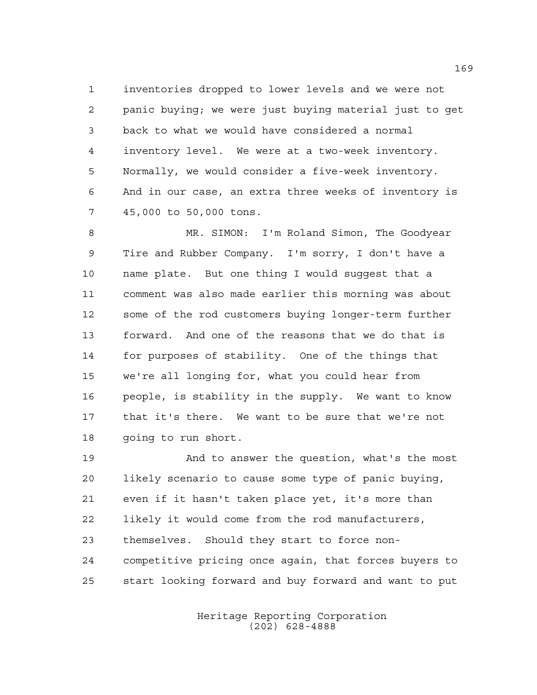inventories dropped to lower levels and we were not panic buying; we were just buying material just to get back to what we would have considered a normal inventory level. We were at a two-week inventory. Normally, we would consider a five-week inventory. And in our case, an extra three weeks of inventory is 45,000 to 50,000 tons.

 MR. SIMON: I'm Roland Simon, The Goodyear Tire and Rubber Company. I'm sorry, I don't have a name plate. But one thing I would suggest that a comment was also made earlier this morning was about some of the rod customers buying longer-term further forward. And one of the reasons that we do that is for purposes of stability. One of the things that we're all longing for, what you could hear from people, is stability in the supply. We want to know that it's there. We want to be sure that we're not going to run short.

 And to answer the question, what's the most likely scenario to cause some type of panic buying, even if it hasn't taken place yet, it's more than likely it would come from the rod manufacturers, themselves. Should they start to force non- competitive pricing once again, that forces buyers to start looking forward and buy forward and want to put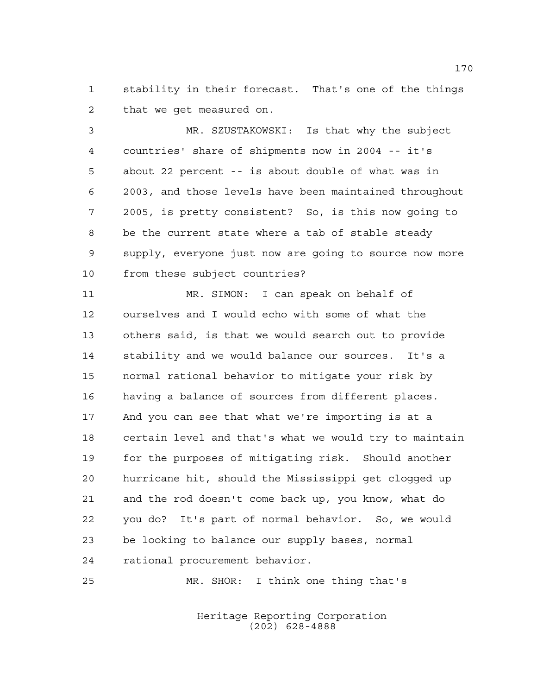stability in their forecast. That's one of the things that we get measured on.

 MR. SZUSTAKOWSKI: Is that why the subject countries' share of shipments now in 2004 -- it's about 22 percent -- is about double of what was in 2003, and those levels have been maintained throughout 2005, is pretty consistent? So, is this now going to be the current state where a tab of stable steady supply, everyone just now are going to source now more from these subject countries?

 MR. SIMON: I can speak on behalf of ourselves and I would echo with some of what the others said, is that we would search out to provide stability and we would balance our sources. It's a normal rational behavior to mitigate your risk by having a balance of sources from different places. And you can see that what we're importing is at a certain level and that's what we would try to maintain for the purposes of mitigating risk. Should another hurricane hit, should the Mississippi get clogged up and the rod doesn't come back up, you know, what do you do? It's part of normal behavior. So, we would be looking to balance our supply bases, normal rational procurement behavior.

MR. SHOR: I think one thing that's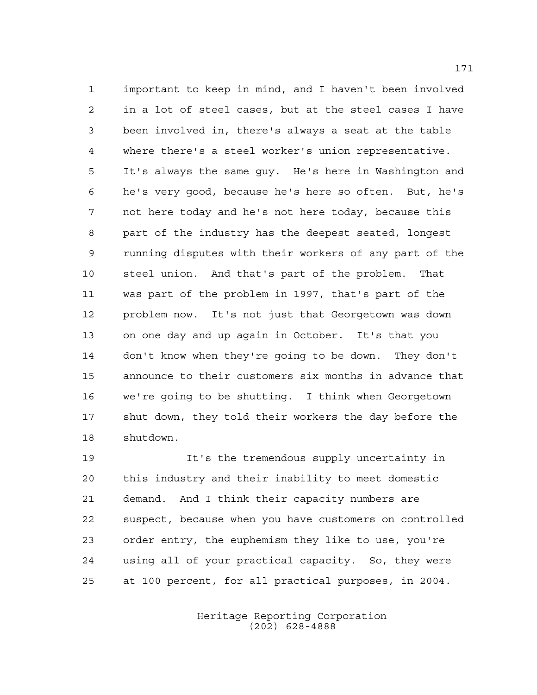important to keep in mind, and I haven't been involved in a lot of steel cases, but at the steel cases I have been involved in, there's always a seat at the table where there's a steel worker's union representative. It's always the same guy. He's here in Washington and he's very good, because he's here so often. But, he's not here today and he's not here today, because this part of the industry has the deepest seated, longest running disputes with their workers of any part of the steel union. And that's part of the problem. That was part of the problem in 1997, that's part of the problem now. It's not just that Georgetown was down on one day and up again in October. It's that you don't know when they're going to be down. They don't announce to their customers six months in advance that we're going to be shutting. I think when Georgetown shut down, they told their workers the day before the shutdown.

 It's the tremendous supply uncertainty in this industry and their inability to meet domestic demand. And I think their capacity numbers are suspect, because when you have customers on controlled order entry, the euphemism they like to use, you're using all of your practical capacity. So, they were at 100 percent, for all practical purposes, in 2004.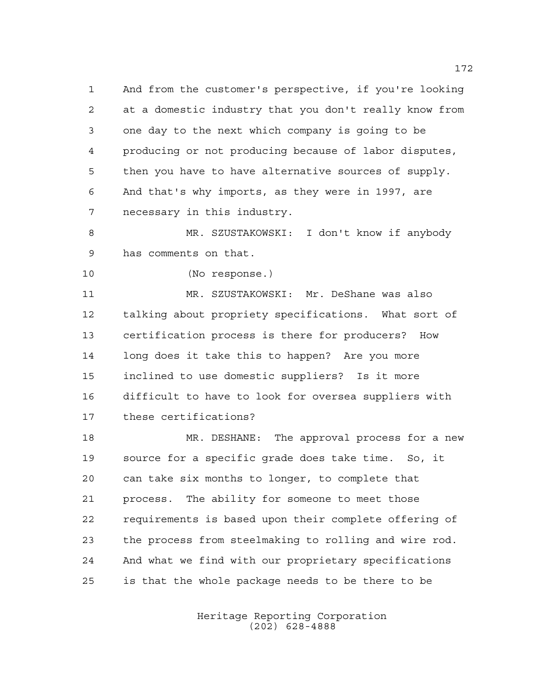And from the customer's perspective, if you're looking at a domestic industry that you don't really know from one day to the next which company is going to be producing or not producing because of labor disputes, then you have to have alternative sources of supply. And that's why imports, as they were in 1997, are necessary in this industry.

 MR. SZUSTAKOWSKI: I don't know if anybody has comments on that.

(No response.)

 MR. SZUSTAKOWSKI: Mr. DeShane was also talking about propriety specifications. What sort of certification process is there for producers? How long does it take this to happen? Are you more inclined to use domestic suppliers? Is it more difficult to have to look for oversea suppliers with these certifications?

18 MR. DESHANE: The approval process for a new source for a specific grade does take time. So, it can take six months to longer, to complete that process. The ability for someone to meet those requirements is based upon their complete offering of the process from steelmaking to rolling and wire rod. And what we find with our proprietary specifications is that the whole package needs to be there to be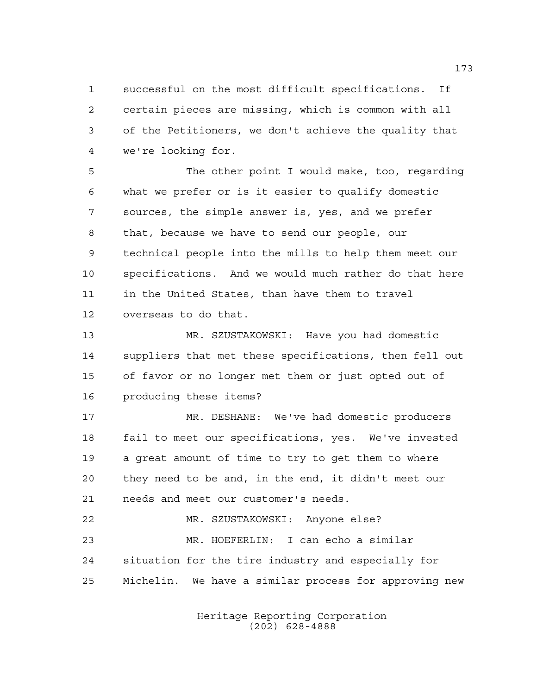successful on the most difficult specifications. If certain pieces are missing, which is common with all of the Petitioners, we don't achieve the quality that we're looking for.

 The other point I would make, too, regarding what we prefer or is it easier to qualify domestic sources, the simple answer is, yes, and we prefer that, because we have to send our people, our technical people into the mills to help them meet our specifications. And we would much rather do that here in the United States, than have them to travel overseas to do that.

 MR. SZUSTAKOWSKI: Have you had domestic suppliers that met these specifications, then fell out of favor or no longer met them or just opted out of producing these items?

 MR. DESHANE: We've had domestic producers fail to meet our specifications, yes. We've invested a great amount of time to try to get them to where they need to be and, in the end, it didn't meet our needs and meet our customer's needs.

 MR. SZUSTAKOWSKI: Anyone else? MR. HOEFERLIN: I can echo a similar situation for the tire industry and especially for Michelin. We have a similar process for approving new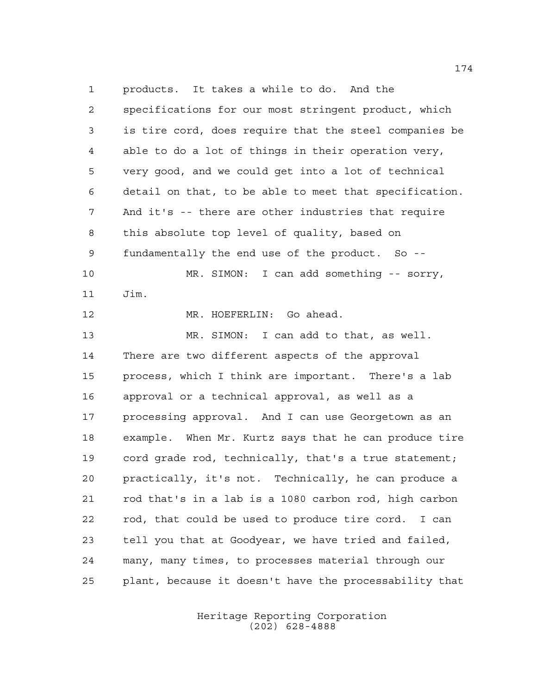products. It takes a while to do. And the specifications for our most stringent product, which is tire cord, does require that the steel companies be able to do a lot of things in their operation very, very good, and we could get into a lot of technical detail on that, to be able to meet that specification. And it's -- there are other industries that require this absolute top level of quality, based on fundamentally the end use of the product. So -- MR. SIMON: I can add something -- sorry, Jim. MR. HOEFERLIN: Go ahead. MR. SIMON: I can add to that, as well. There are two different aspects of the approval process, which I think are important. There's a lab approval or a technical approval, as well as a processing approval. And I can use Georgetown as an example. When Mr. Kurtz says that he can produce tire cord grade rod, technically, that's a true statement; practically, it's not. Technically, he can produce a rod that's in a lab is a 1080 carbon rod, high carbon rod, that could be used to produce tire cord. I can tell you that at Goodyear, we have tried and failed, many, many times, to processes material through our plant, because it doesn't have the processability that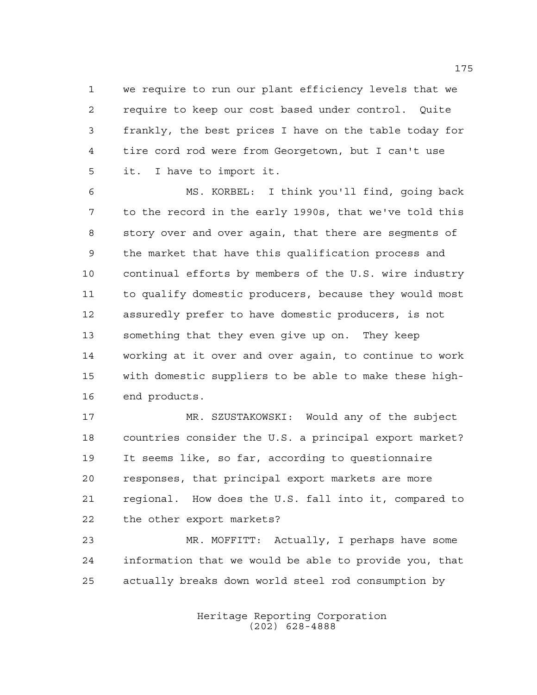we require to run our plant efficiency levels that we require to keep our cost based under control. Quite frankly, the best prices I have on the table today for tire cord rod were from Georgetown, but I can't use it. I have to import it.

 MS. KORBEL: I think you'll find, going back to the record in the early 1990s, that we've told this story over and over again, that there are segments of the market that have this qualification process and continual efforts by members of the U.S. wire industry to qualify domestic producers, because they would most assuredly prefer to have domestic producers, is not something that they even give up on. They keep working at it over and over again, to continue to work with domestic suppliers to be able to make these high-end products.

 MR. SZUSTAKOWSKI: Would any of the subject countries consider the U.S. a principal export market? It seems like, so far, according to questionnaire responses, that principal export markets are more regional. How does the U.S. fall into it, compared to the other export markets?

 MR. MOFFITT: Actually, I perhaps have some information that we would be able to provide you, that actually breaks down world steel rod consumption by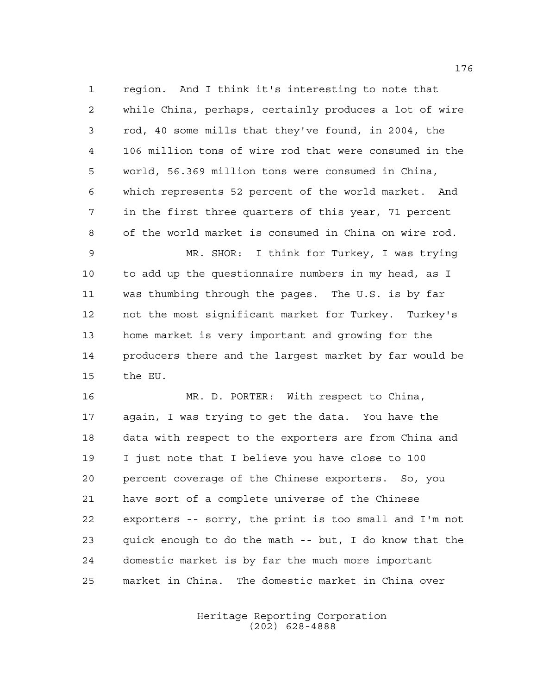region. And I think it's interesting to note that while China, perhaps, certainly produces a lot of wire rod, 40 some mills that they've found, in 2004, the 106 million tons of wire rod that were consumed in the world, 56.369 million tons were consumed in China, which represents 52 percent of the world market. And in the first three quarters of this year, 71 percent of the world market is consumed in China on wire rod.

 MR. SHOR: I think for Turkey, I was trying to add up the questionnaire numbers in my head, as I was thumbing through the pages. The U.S. is by far not the most significant market for Turkey. Turkey's home market is very important and growing for the producers there and the largest market by far would be the EU.

 MR. D. PORTER: With respect to China, again, I was trying to get the data. You have the data with respect to the exporters are from China and I just note that I believe you have close to 100 percent coverage of the Chinese exporters. So, you have sort of a complete universe of the Chinese exporters -- sorry, the print is too small and I'm not quick enough to do the math -- but, I do know that the domestic market is by far the much more important market in China. The domestic market in China over

> Heritage Reporting Corporation (202) 628-4888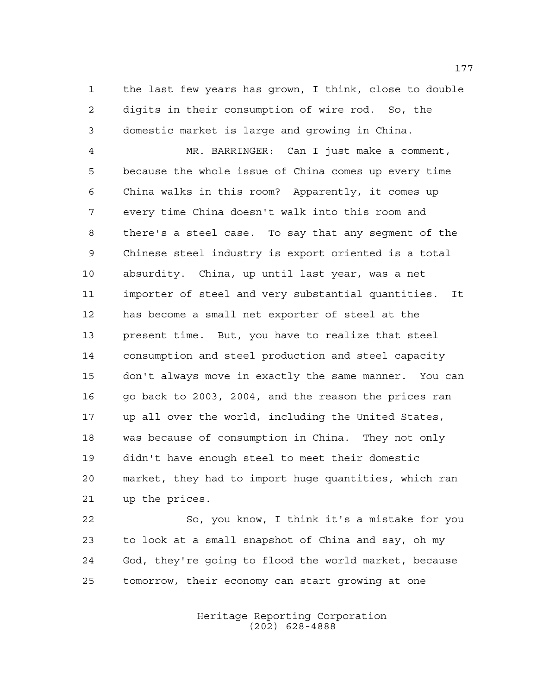the last few years has grown, I think, close to double digits in their consumption of wire rod. So, the domestic market is large and growing in China.

 MR. BARRINGER: Can I just make a comment, because the whole issue of China comes up every time China walks in this room? Apparently, it comes up every time China doesn't walk into this room and there's a steel case. To say that any segment of the Chinese steel industry is export oriented is a total absurdity. China, up until last year, was a net importer of steel and very substantial quantities. It has become a small net exporter of steel at the present time. But, you have to realize that steel consumption and steel production and steel capacity don't always move in exactly the same manner. You can go back to 2003, 2004, and the reason the prices ran up all over the world, including the United States, was because of consumption in China. They not only didn't have enough steel to meet their domestic market, they had to import huge quantities, which ran up the prices.

 So, you know, I think it's a mistake for you to look at a small snapshot of China and say, oh my God, they're going to flood the world market, because tomorrow, their economy can start growing at one

> Heritage Reporting Corporation (202) 628-4888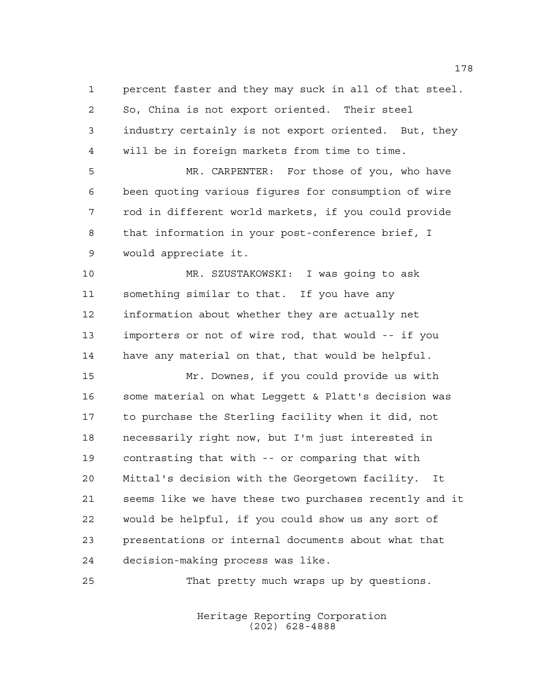percent faster and they may suck in all of that steel.

 So, China is not export oriented. Their steel industry certainly is not export oriented. But, they

will be in foreign markets from time to time.

 MR. CARPENTER: For those of you, who have been quoting various figures for consumption of wire rod in different world markets, if you could provide that information in your post-conference brief, I would appreciate it.

 MR. SZUSTAKOWSKI: I was going to ask something similar to that. If you have any information about whether they are actually net importers or not of wire rod, that would -- if you have any material on that, that would be helpful.

 Mr. Downes, if you could provide us with some material on what Leggett & Platt's decision was to purchase the Sterling facility when it did, not necessarily right now, but I'm just interested in contrasting that with -- or comparing that with Mittal's decision with the Georgetown facility. It seems like we have these two purchases recently and it would be helpful, if you could show us any sort of presentations or internal documents about what that decision-making process was like.

That pretty much wraps up by questions.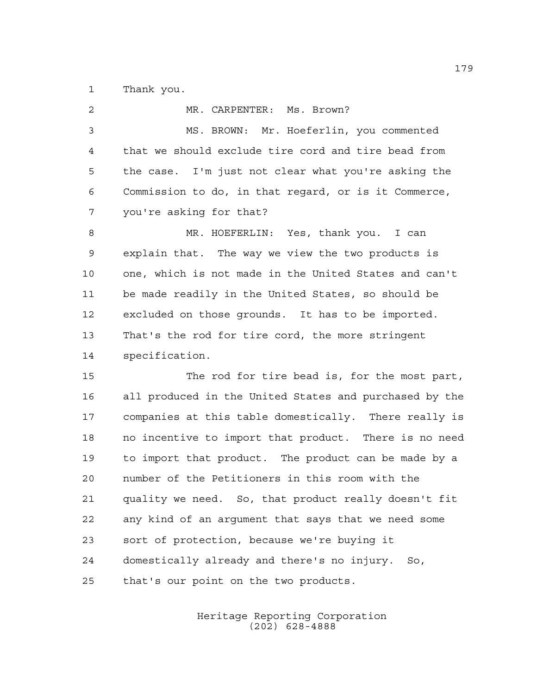Thank you.

| 2              | MR. CARPENTER: Ms. Brown?                              |
|----------------|--------------------------------------------------------|
| $\mathfrak{Z}$ | MS. BROWN: Mr. Hoeferlin, you commented                |
| $\overline{4}$ | that we should exclude tire cord and tire bead from    |
| 5              | the case. I'm just not clear what you're asking the    |
| 6              | Commission to do, in that regard, or is it Commerce,   |
| 7              | you're asking for that?                                |
| 8              | MR. HOEFERLIN: Yes, thank you. I can                   |
| 9              | explain that. The way we view the two products is      |
| 10             | one, which is not made in the United States and can't  |
| 11             | be made readily in the United States, so should be     |
| 12             | excluded on those grounds. It has to be imported.      |
| 13             | That's the rod for tire cord, the more stringent       |
| 14             | specification.                                         |
| 15             | The rod for tire bead is, for the most part,           |
| 16             | all produced in the United States and purchased by the |
| 17             | companies at this table domestically. There really is  |
| 18             | no incentive to import that product. There is no need  |
| 19             | to import that product. The product can be made by a   |
| 20             | number of the Petitioners in this room with the        |
| 21             | quality we need. So, that product really doesn't fit   |
| 22             | any kind of an argument that says that we need some    |
| 23             | sort of protection, because we're buying it            |
| 24             | domestically already and there's no injury. So,        |
| 25             | that's our point on the two products.                  |

Heritage Reporting Corporation (202) 628-4888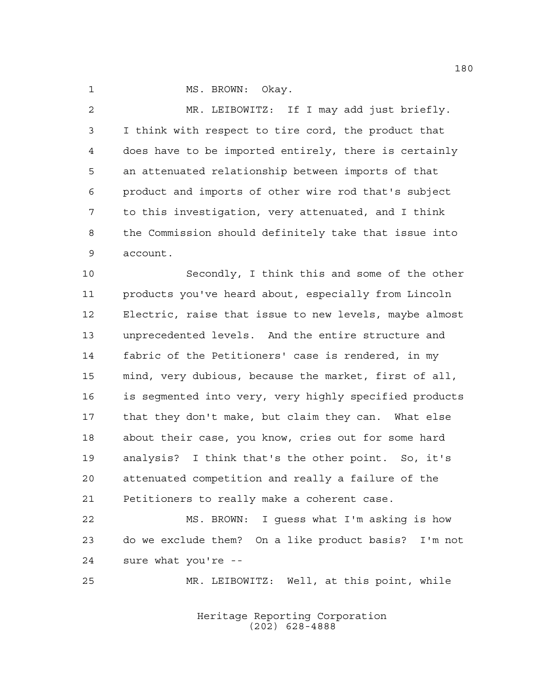1 MS. BROWN: Okay.

 MR. LEIBOWITZ: If I may add just briefly. I think with respect to tire cord, the product that does have to be imported entirely, there is certainly an attenuated relationship between imports of that product and imports of other wire rod that's subject to this investigation, very attenuated, and I think the Commission should definitely take that issue into account.

 Secondly, I think this and some of the other products you've heard about, especially from Lincoln Electric, raise that issue to new levels, maybe almost unprecedented levels. And the entire structure and fabric of the Petitioners' case is rendered, in my mind, very dubious, because the market, first of all, is segmented into very, very highly specified products that they don't make, but claim they can. What else about their case, you know, cries out for some hard analysis? I think that's the other point. So, it's attenuated competition and really a failure of the Petitioners to really make a coherent case.

 MS. BROWN: I guess what I'm asking is how do we exclude them? On a like product basis? I'm not sure what you're --

MR. LEIBOWITZ: Well, at this point, while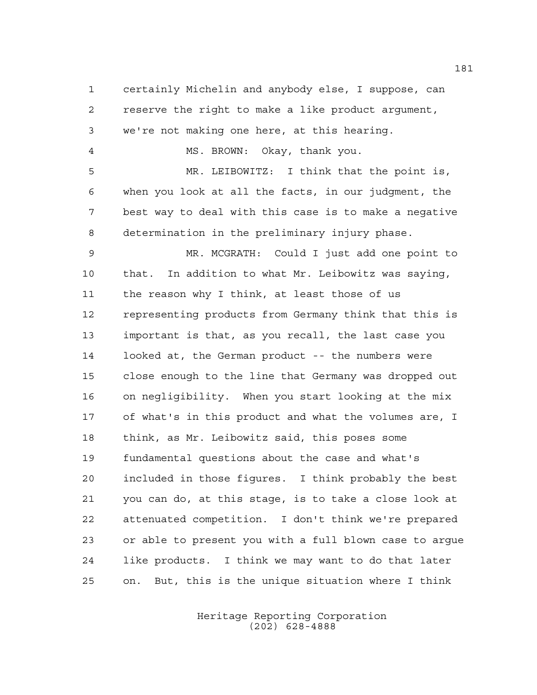certainly Michelin and anybody else, I suppose, can reserve the right to make a like product argument, we're not making one here, at this hearing. MS. BROWN: Okay, thank you. MR. LEIBOWITZ: I think that the point is, when you look at all the facts, in our judgment, the best way to deal with this case is to make a negative determination in the preliminary injury phase. MR. MCGRATH: Could I just add one point to that. In addition to what Mr. Leibowitz was saying, the reason why I think, at least those of us representing products from Germany think that this is important is that, as you recall, the last case you looked at, the German product -- the numbers were close enough to the line that Germany was dropped out on negligibility. When you start looking at the mix of what's in this product and what the volumes are, I think, as Mr. Leibowitz said, this poses some fundamental questions about the case and what's included in those figures. I think probably the best you can do, at this stage, is to take a close look at attenuated competition. I don't think we're prepared or able to present you with a full blown case to argue like products. I think we may want to do that later on. But, this is the unique situation where I think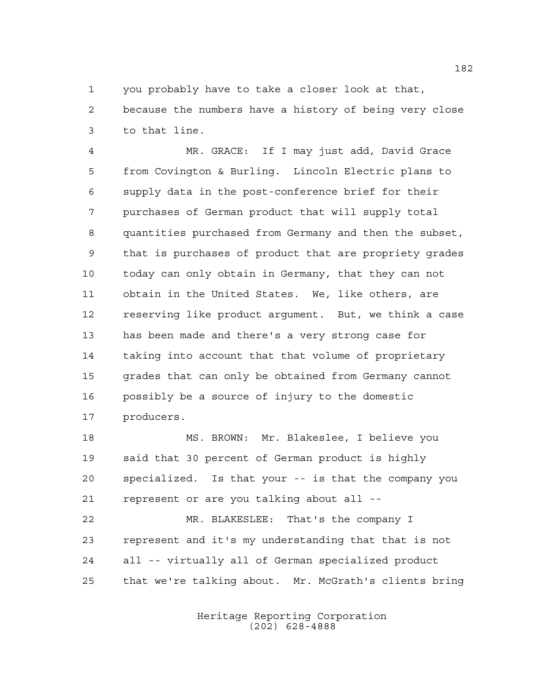you probably have to take a closer look at that,

 because the numbers have a history of being very close to that line.

 MR. GRACE: If I may just add, David Grace from Covington & Burling. Lincoln Electric plans to supply data in the post-conference brief for their purchases of German product that will supply total quantities purchased from Germany and then the subset, that is purchases of product that are propriety grades today can only obtain in Germany, that they can not obtain in the United States. We, like others, are reserving like product argument. But, we think a case has been made and there's a very strong case for taking into account that that volume of proprietary grades that can only be obtained from Germany cannot possibly be a source of injury to the domestic producers.

 MS. BROWN: Mr. Blakeslee, I believe you said that 30 percent of German product is highly specialized. Is that your -- is that the company you represent or are you talking about all --

 MR. BLAKESLEE: That's the company I represent and it's my understanding that that is not all -- virtually all of German specialized product that we're talking about. Mr. McGrath's clients bring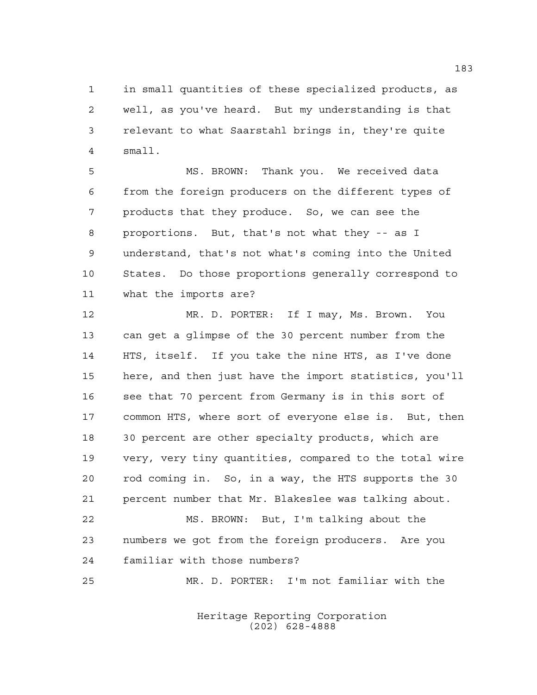in small quantities of these specialized products, as well, as you've heard. But my understanding is that relevant to what Saarstahl brings in, they're quite small.

 MS. BROWN: Thank you. We received data from the foreign producers on the different types of products that they produce. So, we can see the proportions. But, that's not what they -- as I understand, that's not what's coming into the United States. Do those proportions generally correspond to what the imports are?

 MR. D. PORTER: If I may, Ms. Brown. You can get a glimpse of the 30 percent number from the HTS, itself. If you take the nine HTS, as I've done here, and then just have the import statistics, you'll see that 70 percent from Germany is in this sort of common HTS, where sort of everyone else is. But, then 30 percent are other specialty products, which are very, very tiny quantities, compared to the total wire rod coming in. So, in a way, the HTS supports the 30 percent number that Mr. Blakeslee was talking about. MS. BROWN: But, I'm talking about the numbers we got from the foreign producers. Are you

familiar with those numbers?

MR. D. PORTER: I'm not familiar with the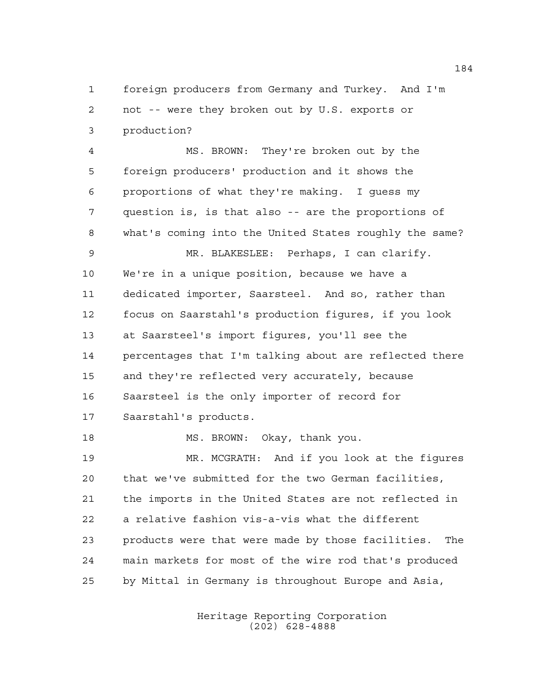foreign producers from Germany and Turkey. And I'm not -- were they broken out by U.S. exports or production?

 MS. BROWN: They're broken out by the foreign producers' production and it shows the proportions of what they're making. I guess my question is, is that also -- are the proportions of what's coming into the United States roughly the same? MR. BLAKESLEE: Perhaps, I can clarify. We're in a unique position, because we have a dedicated importer, Saarsteel. And so, rather than focus on Saarstahl's production figures, if you look at Saarsteel's import figures, you'll see the percentages that I'm talking about are reflected there and they're reflected very accurately, because Saarsteel is the only importer of record for Saarstahl's products. MS. BROWN: Okay, thank you. MR. MCGRATH: And if you look at the figures that we've submitted for the two German facilities, the imports in the United States are not reflected in a relative fashion vis-a-vis what the different products were that were made by those facilities. The main markets for most of the wire rod that's produced

by Mittal in Germany is throughout Europe and Asia,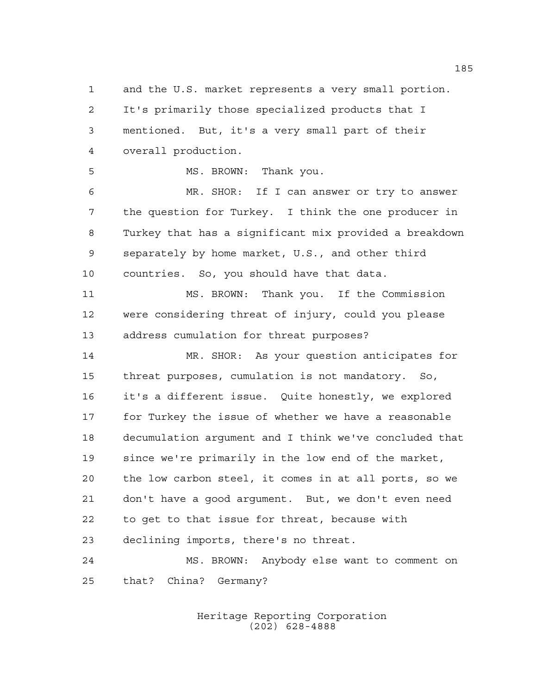and the U.S. market represents a very small portion. It's primarily those specialized products that I mentioned. But, it's a very small part of their overall production.

MS. BROWN: Thank you.

 MR. SHOR: If I can answer or try to answer the question for Turkey. I think the one producer in Turkey that has a significant mix provided a breakdown separately by home market, U.S., and other third

 MS. BROWN: Thank you. If the Commission were considering threat of injury, could you please address cumulation for threat purposes?

countries. So, you should have that data.

 MR. SHOR: As your question anticipates for threat purposes, cumulation is not mandatory. So, it's a different issue. Quite honestly, we explored for Turkey the issue of whether we have a reasonable decumulation argument and I think we've concluded that since we're primarily in the low end of the market, the low carbon steel, it comes in at all ports, so we don't have a good argument. But, we don't even need to get to that issue for threat, because with declining imports, there's no threat.

 MS. BROWN: Anybody else want to comment on that? China? Germany?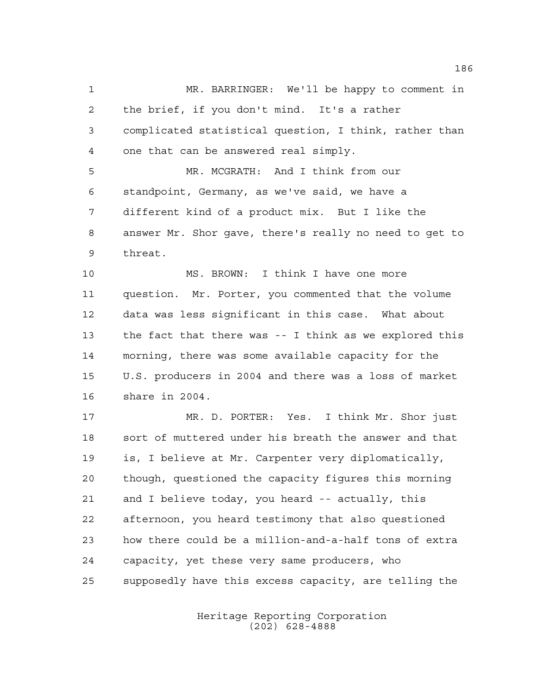MR. BARRINGER: We'll be happy to comment in the brief, if you don't mind. It's a rather complicated statistical question, I think, rather than one that can be answered real simply. MR. MCGRATH: And I think from our standpoint, Germany, as we've said, we have a

 different kind of a product mix. But I like the answer Mr. Shor gave, there's really no need to get to threat.

 MS. BROWN: I think I have one more question. Mr. Porter, you commented that the volume data was less significant in this case. What about the fact that there was -- I think as we explored this morning, there was some available capacity for the U.S. producers in 2004 and there was a loss of market share in 2004.

 MR. D. PORTER: Yes. I think Mr. Shor just sort of muttered under his breath the answer and that is, I believe at Mr. Carpenter very diplomatically, though, questioned the capacity figures this morning and I believe today, you heard -- actually, this afternoon, you heard testimony that also questioned how there could be a million-and-a-half tons of extra capacity, yet these very same producers, who supposedly have this excess capacity, are telling the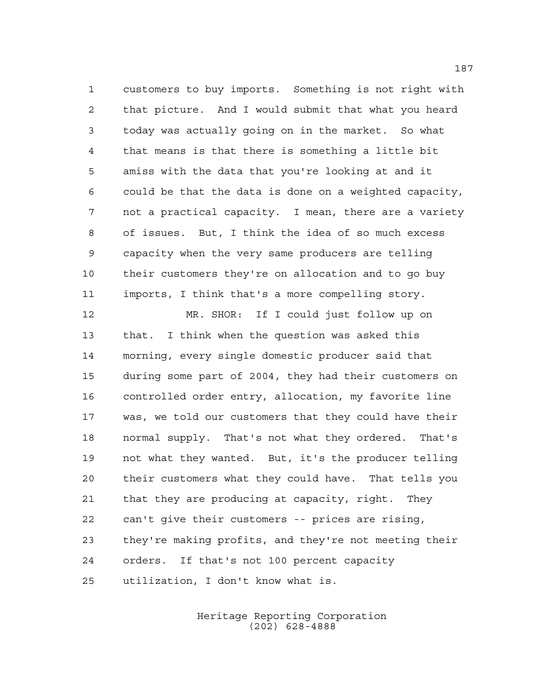customers to buy imports. Something is not right with that picture. And I would submit that what you heard today was actually going on in the market. So what that means is that there is something a little bit amiss with the data that you're looking at and it could be that the data is done on a weighted capacity, not a practical capacity. I mean, there are a variety of issues. But, I think the idea of so much excess capacity when the very same producers are telling their customers they're on allocation and to go buy imports, I think that's a more compelling story.

 MR. SHOR: If I could just follow up on that. I think when the question was asked this morning, every single domestic producer said that during some part of 2004, they had their customers on controlled order entry, allocation, my favorite line was, we told our customers that they could have their normal supply. That's not what they ordered. That's not what they wanted. But, it's the producer telling their customers what they could have. That tells you that they are producing at capacity, right. They can't give their customers -- prices are rising, they're making profits, and they're not meeting their orders. If that's not 100 percent capacity utilization, I don't know what is.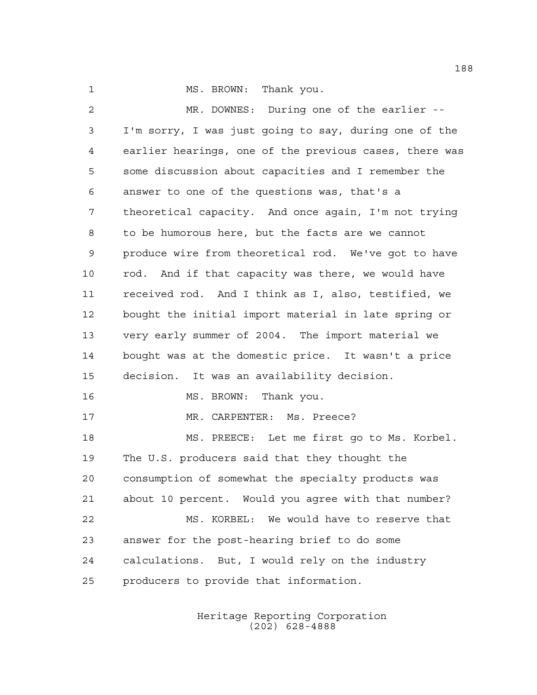1 MS. BROWN: Thank you.

 MR. DOWNES: During one of the earlier -- I'm sorry, I was just going to say, during one of the earlier hearings, one of the previous cases, there was some discussion about capacities and I remember the answer to one of the questions was, that's a theoretical capacity. And once again, I'm not trying to be humorous here, but the facts are we cannot produce wire from theoretical rod. We've got to have rod. And if that capacity was there, we would have received rod. And I think as I, also, testified, we bought the initial import material in late spring or very early summer of 2004. The import material we bought was at the domestic price. It wasn't a price decision. It was an availability decision. 16 MS. BROWN: Thank you. MR. CARPENTER: Ms. Preece? MS. PREECE: Let me first go to Ms. Korbel. The U.S. producers said that they thought the consumption of somewhat the specialty products was about 10 percent. Would you agree with that number? MS. KORBEL: We would have to reserve that answer for the post-hearing brief to do some calculations. But, I would rely on the industry producers to provide that information.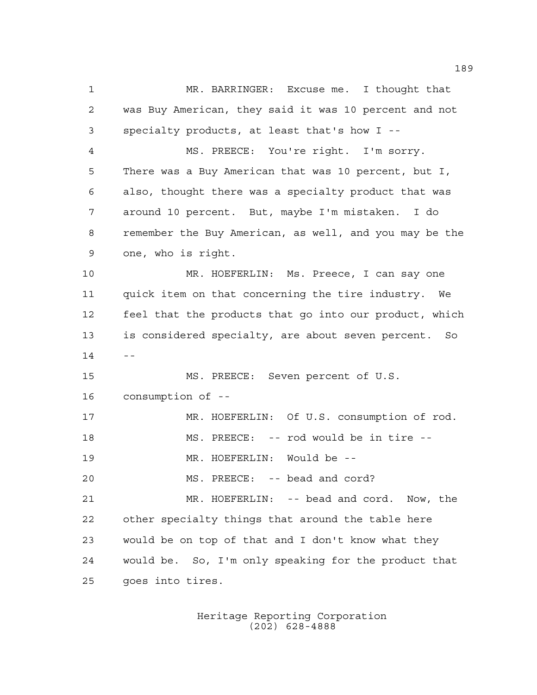MR. BARRINGER: Excuse me. I thought that was Buy American, they said it was 10 percent and not specialty products, at least that's how I -- MS. PREECE: You're right. I'm sorry. There was a Buy American that was 10 percent, but I, also, thought there was a specialty product that was around 10 percent. But, maybe I'm mistaken. I do remember the Buy American, as well, and you may be the one, who is right. MR. HOEFERLIN: Ms. Preece, I can say one quick item on that concerning the tire industry. We feel that the products that go into our product, which is considered specialty, are about seven percent. So  $14 - -$  MS. PREECE: Seven percent of U.S. consumption of -- MR. HOEFERLIN: Of U.S. consumption of rod. MS. PREECE: -- rod would be in tire -- MR. HOEFERLIN: Would be -- 20 MS. PREECE: -- bead and cord? MR. HOEFERLIN: -- bead and cord. Now, the other specialty things that around the table here would be on top of that and I don't know what they would be. So, I'm only speaking for the product that goes into tires.

> Heritage Reporting Corporation (202) 628-4888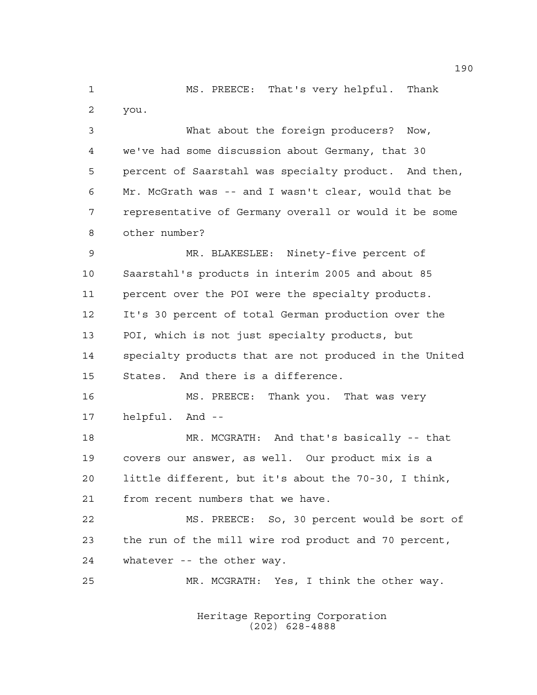MS. PREECE: That's very helpful. Thank you.

 What about the foreign producers? Now, we've had some discussion about Germany, that 30 percent of Saarstahl was specialty product. And then, Mr. McGrath was -- and I wasn't clear, would that be representative of Germany overall or would it be some other number?

 MR. BLAKESLEE: Ninety-five percent of Saarstahl's products in interim 2005 and about 85 percent over the POI were the specialty products. It's 30 percent of total German production over the POI, which is not just specialty products, but specialty products that are not produced in the United States. And there is a difference.

 MS. PREECE: Thank you. That was very helpful. And --

 MR. MCGRATH: And that's basically -- that covers our answer, as well. Our product mix is a little different, but it's about the 70-30, I think, from recent numbers that we have.

 MS. PREECE: So, 30 percent would be sort of the run of the mill wire rod product and 70 percent, whatever -- the other way.

MR. MCGRATH: Yes, I think the other way.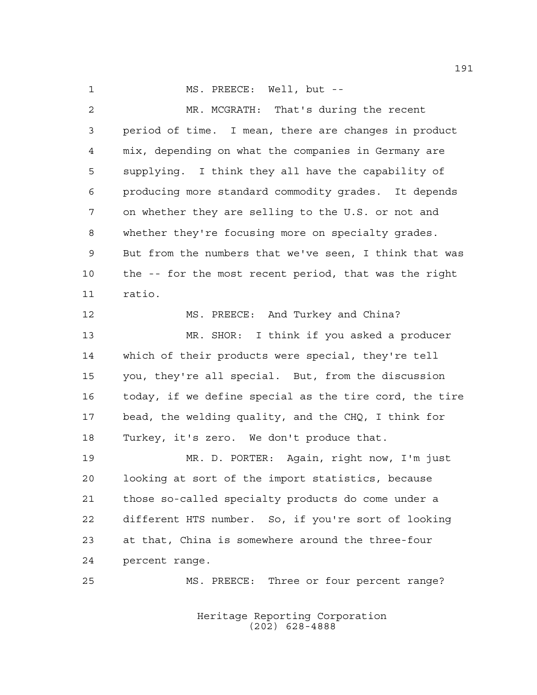1 MS. PREECE: Well, but --

 MR. MCGRATH: That's during the recent period of time. I mean, there are changes in product mix, depending on what the companies in Germany are supplying. I think they all have the capability of producing more standard commodity grades. It depends on whether they are selling to the U.S. or not and whether they're focusing more on specialty grades. But from the numbers that we've seen, I think that was the -- for the most recent period, that was the right ratio. MS. PREECE: And Turkey and China? MR. SHOR: I think if you asked a producer which of their products were special, they're tell you, they're all special. But, from the discussion today, if we define special as the tire cord, the tire bead, the welding quality, and the CHQ, I think for Turkey, it's zero. We don't produce that. MR. D. PORTER: Again, right now, I'm just looking at sort of the import statistics, because those so-called specialty products do come under a different HTS number. So, if you're sort of looking at that, China is somewhere around the three-four percent range. MS. PREECE: Three or four percent range?

> Heritage Reporting Corporation (202) 628-4888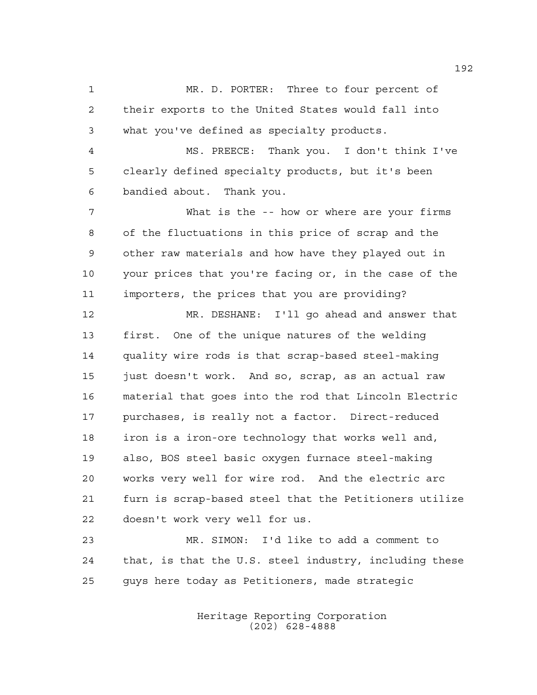MR. D. PORTER: Three to four percent of their exports to the United States would fall into what you've defined as specialty products. MS. PREECE: Thank you. I don't think I've

 clearly defined specialty products, but it's been bandied about. Thank you.

 What is the -- how or where are your firms of the fluctuations in this price of scrap and the other raw materials and how have they played out in your prices that you're facing or, in the case of the importers, the prices that you are providing?

 MR. DESHANE: I'll go ahead and answer that first. One of the unique natures of the welding quality wire rods is that scrap-based steel-making just doesn't work. And so, scrap, as an actual raw material that goes into the rod that Lincoln Electric purchases, is really not a factor. Direct-reduced iron is a iron-ore technology that works well and, also, BOS steel basic oxygen furnace steel-making works very well for wire rod. And the electric arc furn is scrap-based steel that the Petitioners utilize doesn't work very well for us.

 MR. SIMON: I'd like to add a comment to that, is that the U.S. steel industry, including these guys here today as Petitioners, made strategic

> Heritage Reporting Corporation (202) 628-4888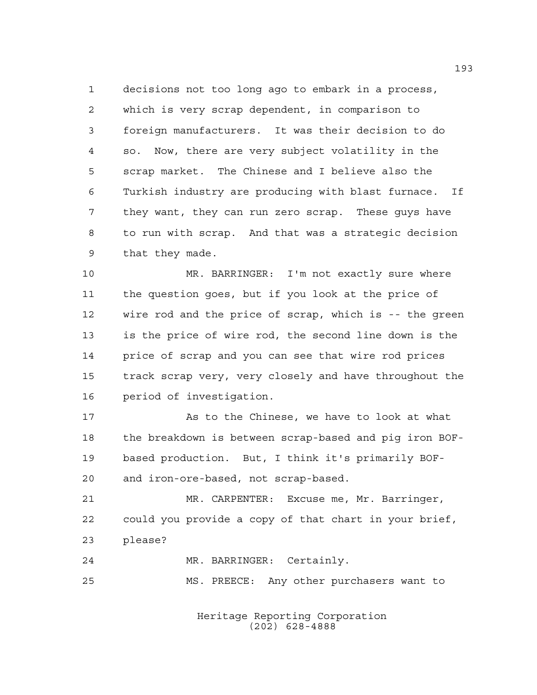decisions not too long ago to embark in a process, which is very scrap dependent, in comparison to foreign manufacturers. It was their decision to do so. Now, there are very subject volatility in the scrap market. The Chinese and I believe also the Turkish industry are producing with blast furnace. If they want, they can run zero scrap. These guys have to run with scrap. And that was a strategic decision that they made.

 MR. BARRINGER: I'm not exactly sure where the question goes, but if you look at the price of wire rod and the price of scrap, which is -- the green is the price of wire rod, the second line down is the price of scrap and you can see that wire rod prices track scrap very, very closely and have throughout the period of investigation.

17 As to the Chinese, we have to look at what the breakdown is between scrap-based and pig iron BOF- based production. But, I think it's primarily BOF-and iron-ore-based, not scrap-based.

 MR. CARPENTER: Excuse me, Mr. Barringer, could you provide a copy of that chart in your brief, please?

 MR. BARRINGER: Certainly. MS. PREECE: Any other purchasers want to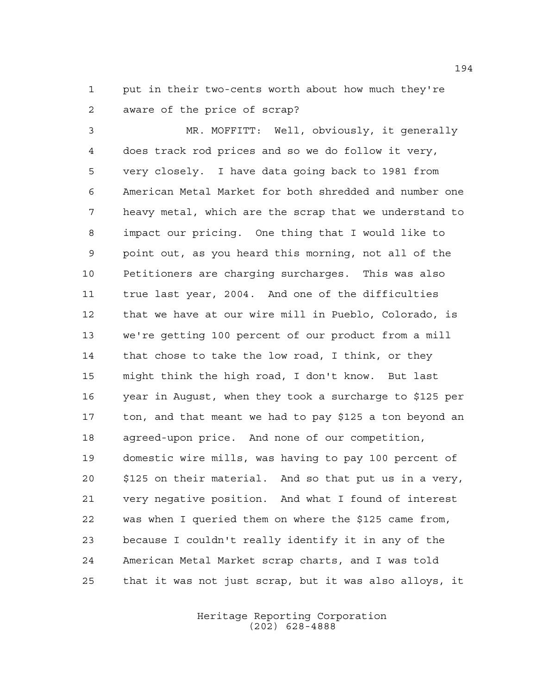put in their two-cents worth about how much they're aware of the price of scrap?

 MR. MOFFITT: Well, obviously, it generally does track rod prices and so we do follow it very, very closely. I have data going back to 1981 from American Metal Market for both shredded and number one heavy metal, which are the scrap that we understand to impact our pricing. One thing that I would like to point out, as you heard this morning, not all of the Petitioners are charging surcharges. This was also true last year, 2004. And one of the difficulties that we have at our wire mill in Pueblo, Colorado, is we're getting 100 percent of our product from a mill that chose to take the low road, I think, or they might think the high road, I don't know. But last year in August, when they took a surcharge to \$125 per ton, and that meant we had to pay \$125 a ton beyond an agreed-upon price. And none of our competition, domestic wire mills, was having to pay 100 percent of \$125 on their material. And so that put us in a very, very negative position. And what I found of interest was when I queried them on where the \$125 came from, because I couldn't really identify it in any of the American Metal Market scrap charts, and I was told that it was not just scrap, but it was also alloys, it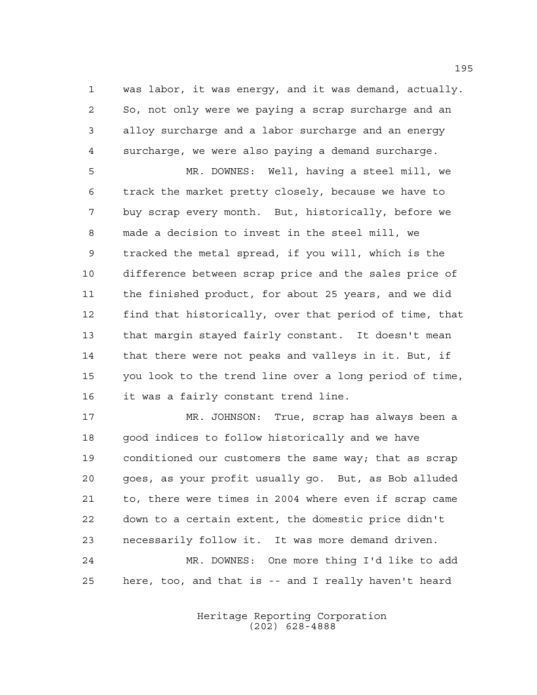was labor, it was energy, and it was demand, actually. So, not only were we paying a scrap surcharge and an alloy surcharge and a labor surcharge and an energy surcharge, we were also paying a demand surcharge.

 MR. DOWNES: Well, having a steel mill, we track the market pretty closely, because we have to buy scrap every month. But, historically, before we made a decision to invest in the steel mill, we tracked the metal spread, if you will, which is the difference between scrap price and the sales price of the finished product, for about 25 years, and we did find that historically, over that period of time, that that margin stayed fairly constant. It doesn't mean 14 that there were not peaks and valleys in it. But, if you look to the trend line over a long period of time, it was a fairly constant trend line.

 MR. JOHNSON: True, scrap has always been a 18 good indices to follow historically and we have conditioned our customers the same way; that as scrap goes, as your profit usually go. But, as Bob alluded to, there were times in 2004 where even if scrap came down to a certain extent, the domestic price didn't necessarily follow it. It was more demand driven. MR. DOWNES: One more thing I'd like to add here, too, and that is -- and I really haven't heard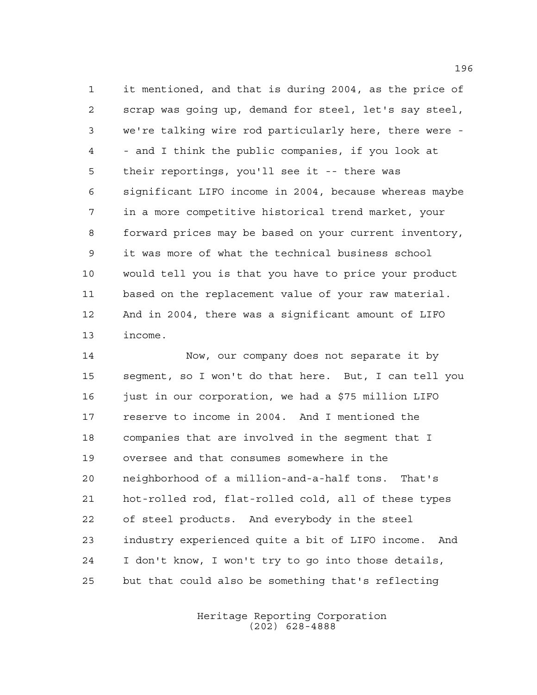it mentioned, and that is during 2004, as the price of scrap was going up, demand for steel, let's say steel, we're talking wire rod particularly here, there were - - and I think the public companies, if you look at their reportings, you'll see it -- there was significant LIFO income in 2004, because whereas maybe in a more competitive historical trend market, your forward prices may be based on your current inventory, it was more of what the technical business school would tell you is that you have to price your product based on the replacement value of your raw material. And in 2004, there was a significant amount of LIFO income.

 Now, our company does not separate it by segment, so I won't do that here. But, I can tell you 16 just in our corporation, we had a \$75 million LIFO reserve to income in 2004. And I mentioned the companies that are involved in the segment that I oversee and that consumes somewhere in the neighborhood of a million-and-a-half tons. That's hot-rolled rod, flat-rolled cold, all of these types of steel products. And everybody in the steel industry experienced quite a bit of LIFO income. And I don't know, I won't try to go into those details, but that could also be something that's reflecting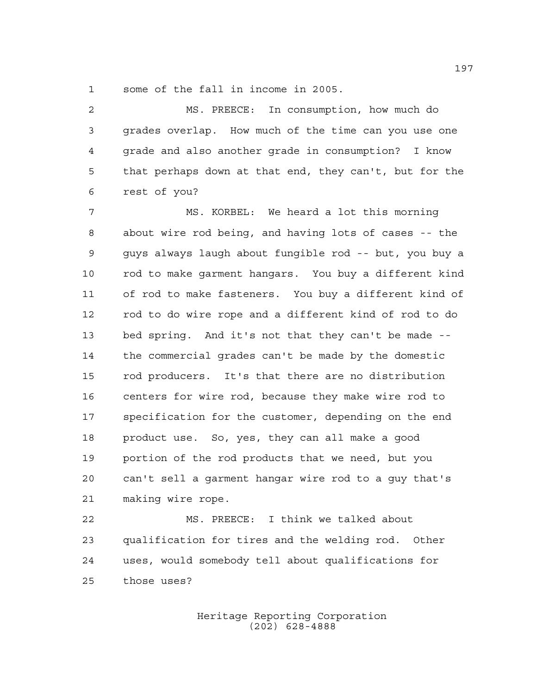some of the fall in income in 2005.

 MS. PREECE: In consumption, how much do grades overlap. How much of the time can you use one grade and also another grade in consumption? I know that perhaps down at that end, they can't, but for the rest of you?

 MS. KORBEL: We heard a lot this morning about wire rod being, and having lots of cases -- the guys always laugh about fungible rod -- but, you buy a rod to make garment hangars. You buy a different kind of rod to make fasteners. You buy a different kind of rod to do wire rope and a different kind of rod to do bed spring. And it's not that they can't be made -- the commercial grades can't be made by the domestic rod producers. It's that there are no distribution centers for wire rod, because they make wire rod to specification for the customer, depending on the end product use. So, yes, they can all make a good portion of the rod products that we need, but you can't sell a garment hangar wire rod to a guy that's making wire rope.

 MS. PREECE: I think we talked about qualification for tires and the welding rod. Other uses, would somebody tell about qualifications for those uses?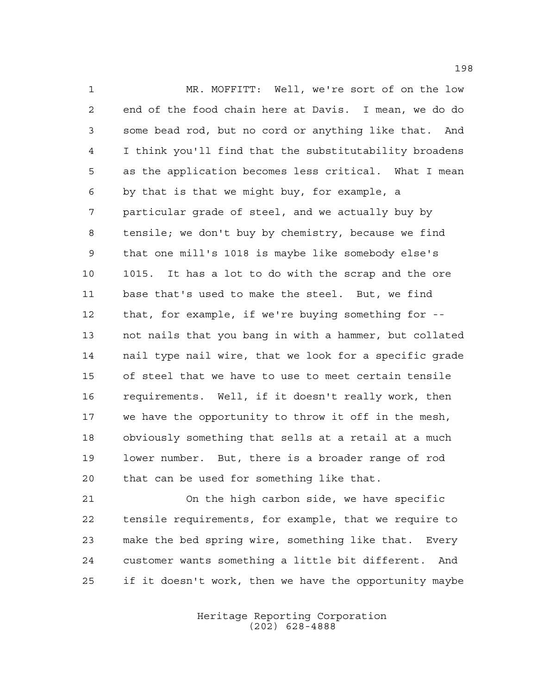MR. MOFFITT: Well, we're sort of on the low end of the food chain here at Davis. I mean, we do do some bead rod, but no cord or anything like that. And I think you'll find that the substitutability broadens as the application becomes less critical. What I mean by that is that we might buy, for example, a particular grade of steel, and we actually buy by tensile; we don't buy by chemistry, because we find that one mill's 1018 is maybe like somebody else's 1015. It has a lot to do with the scrap and the ore base that's used to make the steel. But, we find that, for example, if we're buying something for -- not nails that you bang in with a hammer, but collated nail type nail wire, that we look for a specific grade of steel that we have to use to meet certain tensile requirements. Well, if it doesn't really work, then we have the opportunity to throw it off in the mesh, obviously something that sells at a retail at a much lower number. But, there is a broader range of rod that can be used for something like that.

 On the high carbon side, we have specific tensile requirements, for example, that we require to make the bed spring wire, something like that. Every customer wants something a little bit different. And if it doesn't work, then we have the opportunity maybe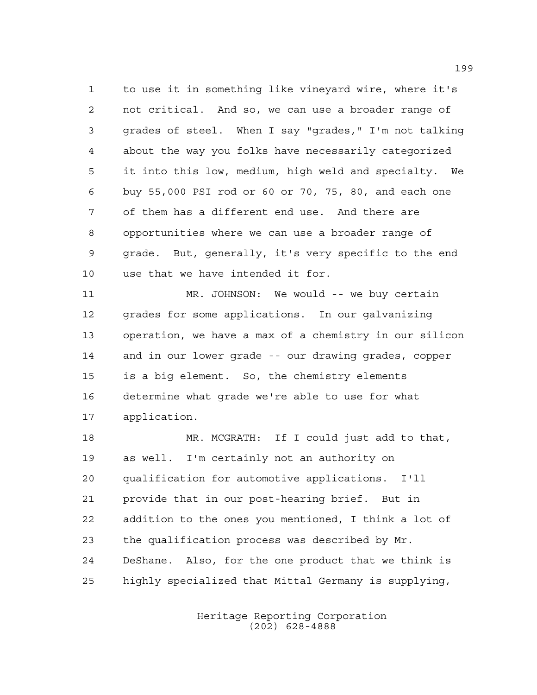to use it in something like vineyard wire, where it's not critical. And so, we can use a broader range of grades of steel. When I say "grades," I'm not talking about the way you folks have necessarily categorized it into this low, medium, high weld and specialty. We buy 55,000 PSI rod or 60 or 70, 75, 80, and each one of them has a different end use. And there are opportunities where we can use a broader range of grade. But, generally, it's very specific to the end use that we have intended it for.

 MR. JOHNSON: We would -- we buy certain grades for some applications. In our galvanizing operation, we have a max of a chemistry in our silicon and in our lower grade -- our drawing grades, copper is a big element. So, the chemistry elements determine what grade we're able to use for what application.

 MR. MCGRATH: If I could just add to that, as well. I'm certainly not an authority on qualification for automotive applications. I'll provide that in our post-hearing brief. But in addition to the ones you mentioned, I think a lot of the qualification process was described by Mr. DeShane. Also, for the one product that we think is highly specialized that Mittal Germany is supplying,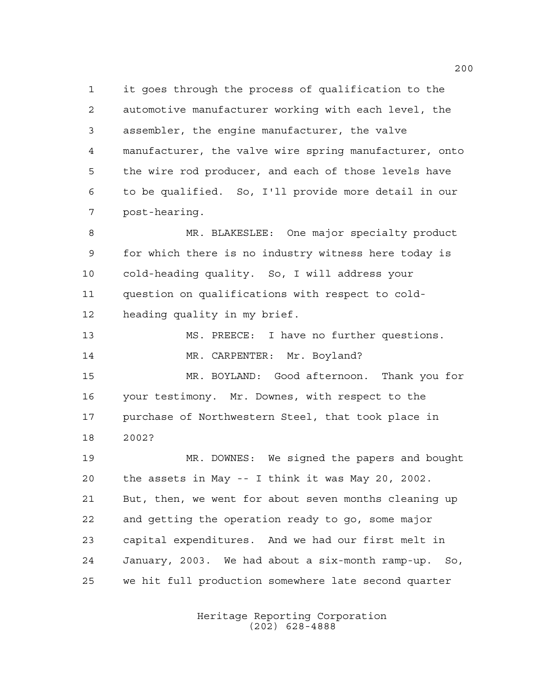it goes through the process of qualification to the automotive manufacturer working with each level, the assembler, the engine manufacturer, the valve manufacturer, the valve wire spring manufacturer, onto the wire rod producer, and each of those levels have to be qualified. So, I'll provide more detail in our post-hearing. MR. BLAKESLEE: One major specialty product for which there is no industry witness here today is cold-heading quality. So, I will address your question on qualifications with respect to cold-heading quality in my brief.

 MS. PREECE: I have no further questions. 14 MR. CARPENTER: Mr. Boyland?

 MR. BOYLAND: Good afternoon. Thank you for your testimony. Mr. Downes, with respect to the purchase of Northwestern Steel, that took place in 2002?

 MR. DOWNES: We signed the papers and bought the assets in May -- I think it was May 20, 2002. But, then, we went for about seven months cleaning up and getting the operation ready to go, some major capital expenditures. And we had our first melt in January, 2003. We had about a six-month ramp-up. So, we hit full production somewhere late second quarter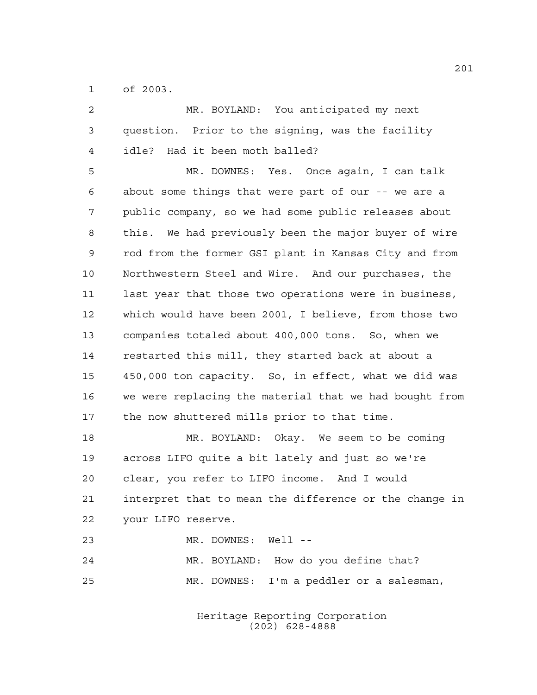of 2003.

| $\overline{2}$ | MR. BOYLAND: You anticipated my next                   |
|----------------|--------------------------------------------------------|
| 3              | question. Prior to the signing, was the facility       |
| 4              | Had it been moth balled?<br>idle?                      |
| 5              | MR. DOWNES: Yes. Once again, I can talk                |
| 6              | about some things that were part of our -- we are a    |
| 7              | public company, so we had some public releases about   |
| 8              | this. We had previously been the major buyer of wire   |
| $\mathsf 9$    | rod from the former GSI plant in Kansas City and from  |
| 10             | Northwestern Steel and Wire. And our purchases, the    |
| 11             | last year that those two operations were in business,  |
| 12             | which would have been 2001, I believe, from those two  |
| 13             | companies totaled about 400,000 tons. So, when we      |
| 14             | restarted this mill, they started back at about a      |
| 15             | 450,000 ton capacity. So, in effect, what we did was   |
| 16             | we were replacing the material that we had bought from |
| 17             | the now shuttered mills prior to that time.            |
| 18             | MR. BOYLAND: Okay. We seem to be coming                |
| 19             | across LIFO quite a bit lately and just so we're       |
| 20             | clear, you refer to LIFO income. And I would           |
| 21             | interpret that to mean the difference or the change in |
| 22             | your LIFO reserve.                                     |

MR. DOWNES: Well --

 MR. BOYLAND: How do you define that? MR. DOWNES: I'm a peddler or a salesman,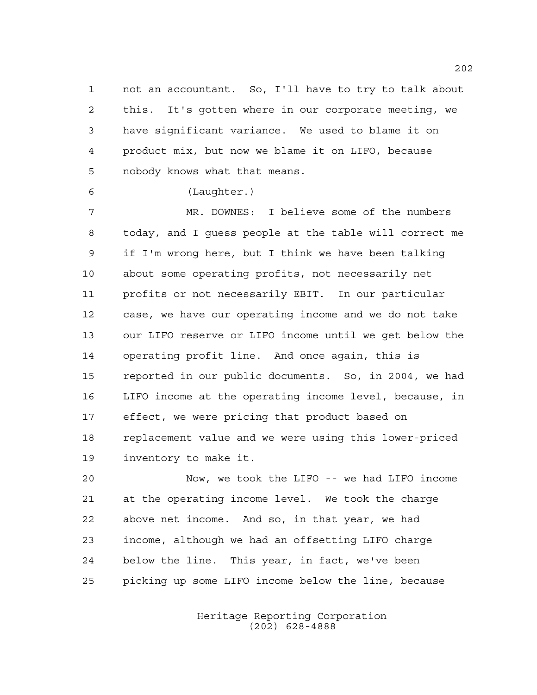not an accountant. So, I'll have to try to talk about this. It's gotten where in our corporate meeting, we have significant variance. We used to blame it on product mix, but now we blame it on LIFO, because nobody knows what that means.

## (Laughter.)

 MR. DOWNES: I believe some of the numbers today, and I guess people at the table will correct me if I'm wrong here, but I think we have been talking about some operating profits, not necessarily net profits or not necessarily EBIT. In our particular case, we have our operating income and we do not take our LIFO reserve or LIFO income until we get below the operating profit line. And once again, this is reported in our public documents. So, in 2004, we had LIFO income at the operating income level, because, in effect, we were pricing that product based on replacement value and we were using this lower-priced inventory to make it.

 Now, we took the LIFO -- we had LIFO income at the operating income level. We took the charge above net income. And so, in that year, we had income, although we had an offsetting LIFO charge below the line. This year, in fact, we've been picking up some LIFO income below the line, because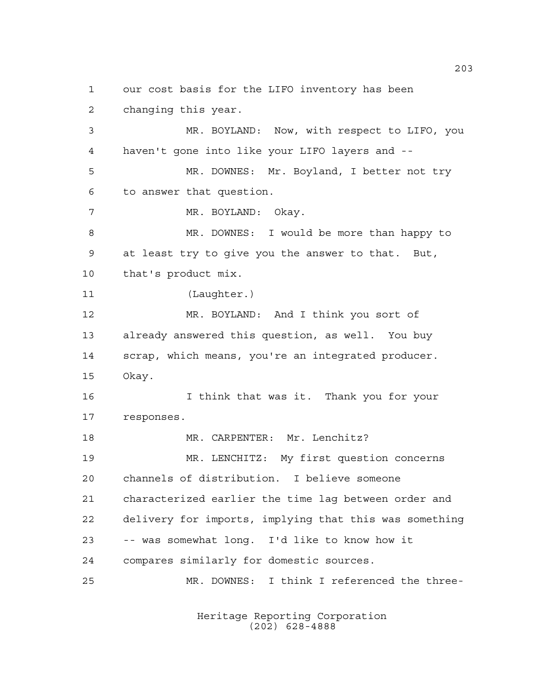our cost basis for the LIFO inventory has been changing this year. MR. BOYLAND: Now, with respect to LIFO, you haven't gone into like your LIFO layers and -- MR. DOWNES: Mr. Boyland, I better not try to answer that question. MR. BOYLAND: Okay. MR. DOWNES: I would be more than happy to at least try to give you the answer to that. But, that's product mix. (Laughter.) MR. BOYLAND: And I think you sort of already answered this question, as well. You buy scrap, which means, you're an integrated producer. Okay. I think that was it. Thank you for your responses. 18 MR. CARPENTER: Mr. Lenchitz? MR. LENCHITZ: My first question concerns channels of distribution. I believe someone characterized earlier the time lag between order and delivery for imports, implying that this was something -- was somewhat long. I'd like to know how it compares similarly for domestic sources. MR. DOWNES: I think I referenced the three-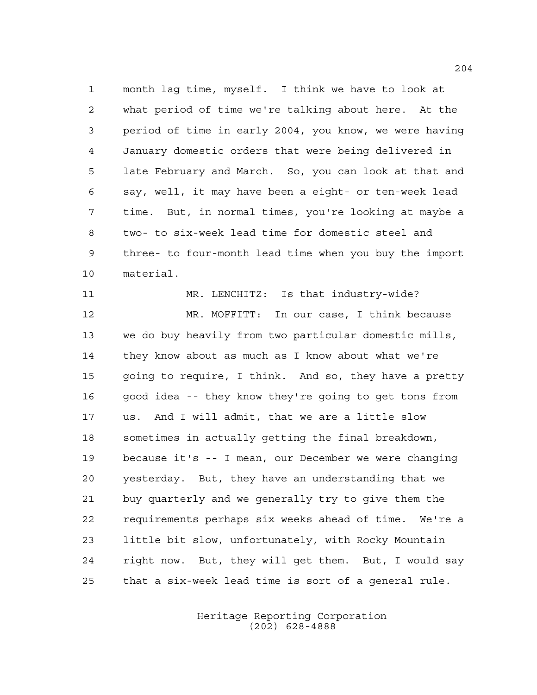month lag time, myself. I think we have to look at what period of time we're talking about here. At the period of time in early 2004, you know, we were having January domestic orders that were being delivered in late February and March. So, you can look at that and say, well, it may have been a eight- or ten-week lead time. But, in normal times, you're looking at maybe a two- to six-week lead time for domestic steel and three- to four-month lead time when you buy the import material.

 MR. LENCHITZ: Is that industry-wide? MR. MOFFITT: In our case, I think because we do buy heavily from two particular domestic mills, they know about as much as I know about what we're going to require, I think. And so, they have a pretty good idea -- they know they're going to get tons from us. And I will admit, that we are a little slow sometimes in actually getting the final breakdown, because it's -- I mean, our December we were changing yesterday. But, they have an understanding that we buy quarterly and we generally try to give them the requirements perhaps six weeks ahead of time. We're a little bit slow, unfortunately, with Rocky Mountain right now. But, they will get them. But, I would say that a six-week lead time is sort of a general rule.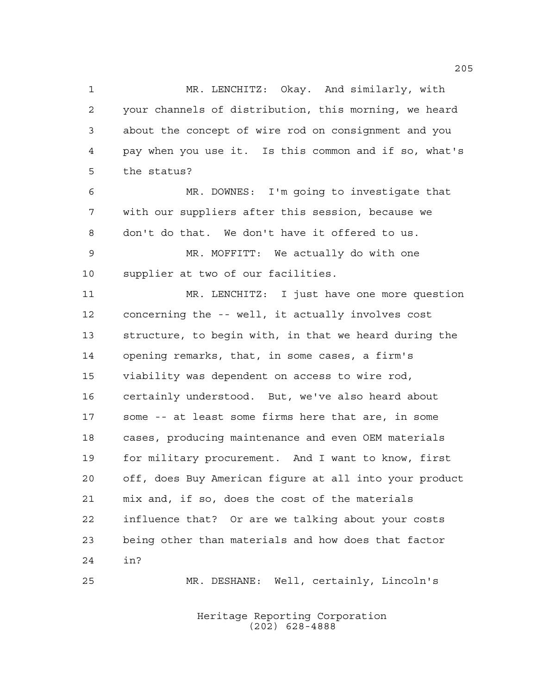MR. LENCHITZ: Okay. And similarly, with your channels of distribution, this morning, we heard about the concept of wire rod on consignment and you pay when you use it. Is this common and if so, what's the status?

 MR. DOWNES: I'm going to investigate that with our suppliers after this session, because we don't do that. We don't have it offered to us.

 MR. MOFFITT: We actually do with one supplier at two of our facilities.

 MR. LENCHITZ: I just have one more question concerning the -- well, it actually involves cost structure, to begin with, in that we heard during the opening remarks, that, in some cases, a firm's viability was dependent on access to wire rod, certainly understood. But, we've also heard about some -- at least some firms here that are, in some cases, producing maintenance and even OEM materials for military procurement. And I want to know, first off, does Buy American figure at all into your product mix and, if so, does the cost of the materials influence that? Or are we talking about your costs being other than materials and how does that factor in?

Heritage Reporting Corporation (202) 628-4888

MR. DESHANE: Well, certainly, Lincoln's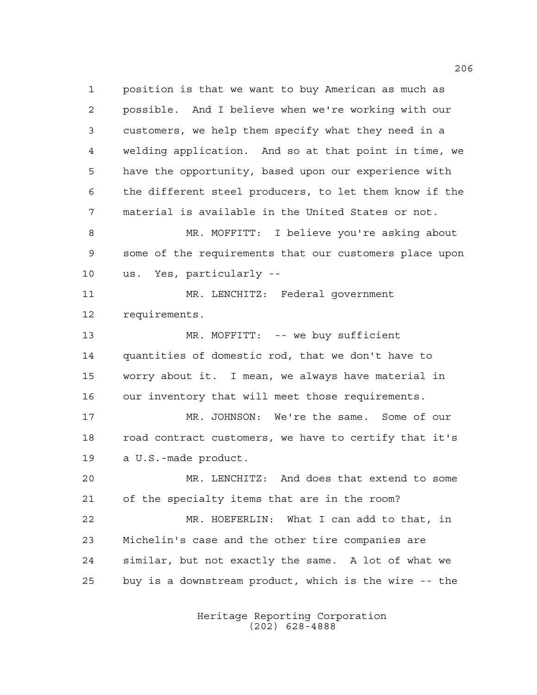position is that we want to buy American as much as possible. And I believe when we're working with our customers, we help them specify what they need in a welding application. And so at that point in time, we have the opportunity, based upon our experience with the different steel producers, to let them know if the material is available in the United States or not. MR. MOFFITT: I believe you're asking about some of the requirements that our customers place upon us. Yes, particularly -- MR. LENCHITZ: Federal government requirements. MR. MOFFITT: -- we buy sufficient quantities of domestic rod, that we don't have to worry about it. I mean, we always have material in our inventory that will meet those requirements. MR. JOHNSON: We're the same. Some of our road contract customers, we have to certify that it's a U.S.-made product. MR. LENCHITZ: And does that extend to some of the specialty items that are in the room? MR. HOEFERLIN: What I can add to that, in Michelin's case and the other tire companies are similar, but not exactly the same. A lot of what we buy is a downstream product, which is the wire -- the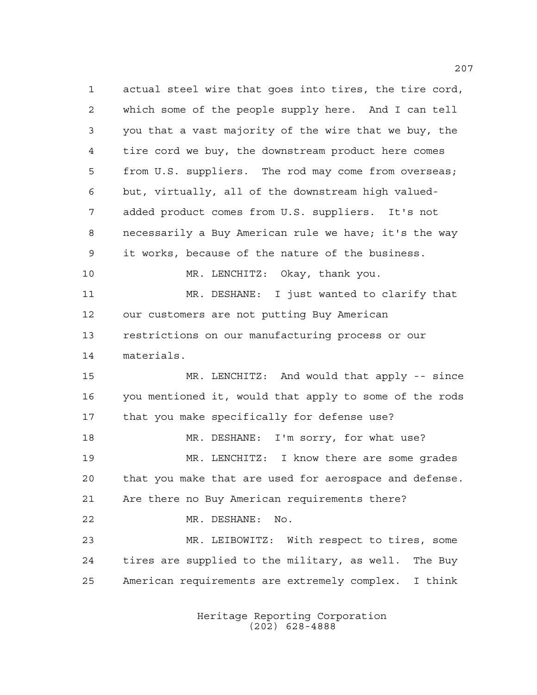actual steel wire that goes into tires, the tire cord, which some of the people supply here. And I can tell you that a vast majority of the wire that we buy, the tire cord we buy, the downstream product here comes from U.S. suppliers. The rod may come from overseas; but, virtually, all of the downstream high valued- added product comes from U.S. suppliers. It's not necessarily a Buy American rule we have; it's the way it works, because of the nature of the business. MR. LENCHITZ: Okay, thank you. MR. DESHANE: I just wanted to clarify that our customers are not putting Buy American restrictions on our manufacturing process or our materials. MR. LENCHITZ: And would that apply -- since you mentioned it, would that apply to some of the rods that you make specifically for defense use? MR. DESHANE: I'm sorry, for what use? MR. LENCHITZ: I know there are some grades that you make that are used for aerospace and defense. Are there no Buy American requirements there? MR. DESHANE: No. MR. LEIBOWITZ: With respect to tires, some tires are supplied to the military, as well. The Buy American requirements are extremely complex. I think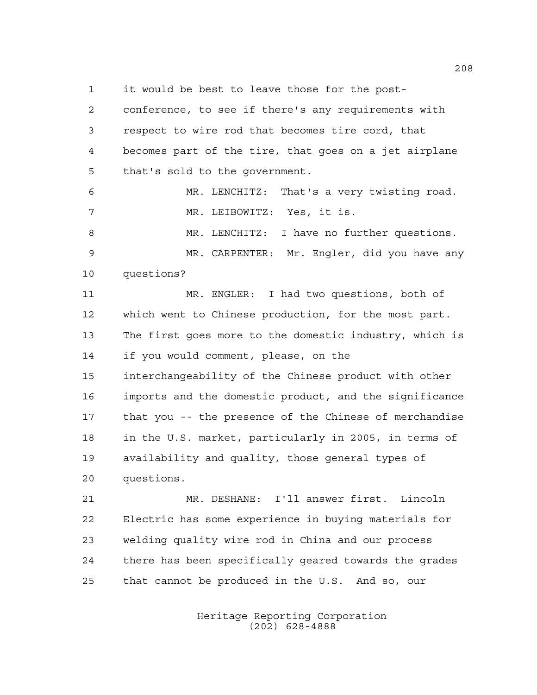it would be best to leave those for the post-

 conference, to see if there's any requirements with respect to wire rod that becomes tire cord, that becomes part of the tire, that goes on a jet airplane that's sold to the government.

 MR. LENCHITZ: That's a very twisting road. MR. LEIBOWITZ: Yes, it is. MR. LENCHITZ: I have no further questions. MR. CARPENTER: Mr. Engler, did you have any questions?

 MR. ENGLER: I had two questions, both of which went to Chinese production, for the most part. The first goes more to the domestic industry, which is if you would comment, please, on the interchangeability of the Chinese product with other imports and the domestic product, and the significance that you -- the presence of the Chinese of merchandise in the U.S. market, particularly in 2005, in terms of availability and quality, those general types of questions.

 MR. DESHANE: I'll answer first. Lincoln Electric has some experience in buying materials for welding quality wire rod in China and our process there has been specifically geared towards the grades that cannot be produced in the U.S. And so, our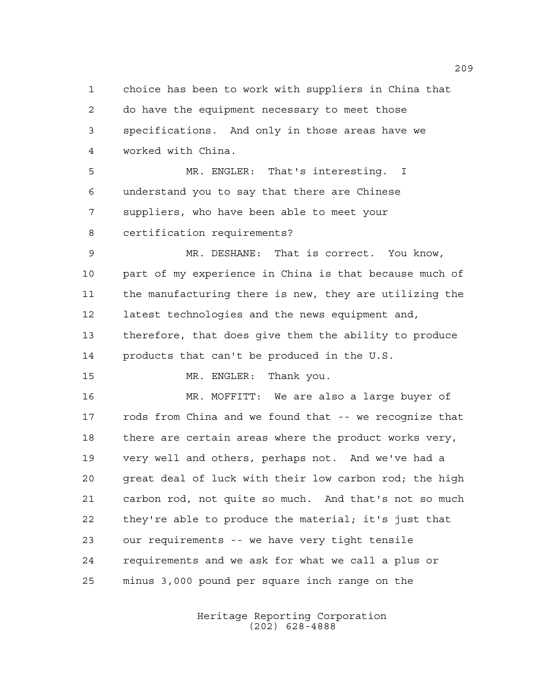choice has been to work with suppliers in China that do have the equipment necessary to meet those specifications. And only in those areas have we worked with China.

 MR. ENGLER: That's interesting. I understand you to say that there are Chinese suppliers, who have been able to meet your certification requirements?

 MR. DESHANE: That is correct. You know, part of my experience in China is that because much of the manufacturing there is new, they are utilizing the latest technologies and the news equipment and, therefore, that does give them the ability to produce products that can't be produced in the U.S.

15 MR. ENGLER: Thank you.

 MR. MOFFITT: We are also a large buyer of rods from China and we found that -- we recognize that there are certain areas where the product works very, very well and others, perhaps not. And we've had a great deal of luck with their low carbon rod; the high carbon rod, not quite so much. And that's not so much they're able to produce the material; it's just that our requirements -- we have very tight tensile requirements and we ask for what we call a plus or minus 3,000 pound per square inch range on the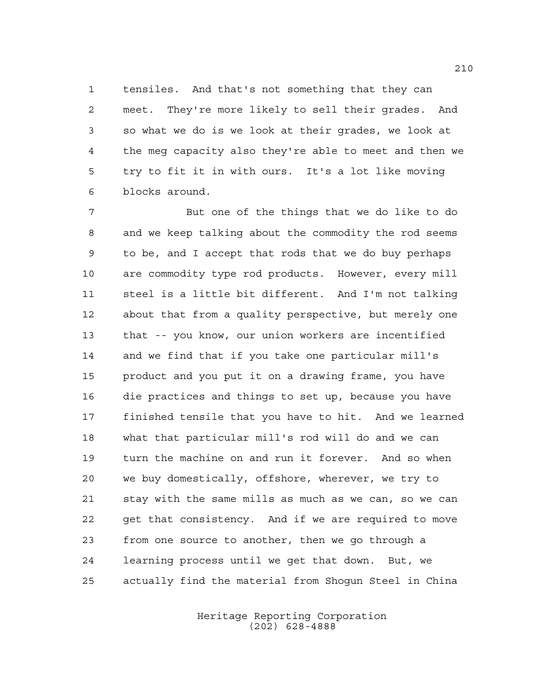tensiles. And that's not something that they can meet. They're more likely to sell their grades. And so what we do is we look at their grades, we look at the meg capacity also they're able to meet and then we try to fit it in with ours. It's a lot like moving blocks around.

 But one of the things that we do like to do and we keep talking about the commodity the rod seems to be, and I accept that rods that we do buy perhaps are commodity type rod products. However, every mill steel is a little bit different. And I'm not talking about that from a quality perspective, but merely one that -- you know, our union workers are incentified and we find that if you take one particular mill's product and you put it on a drawing frame, you have die practices and things to set up, because you have finished tensile that you have to hit. And we learned what that particular mill's rod will do and we can turn the machine on and run it forever. And so when we buy domestically, offshore, wherever, we try to stay with the same mills as much as we can, so we can get that consistency. And if we are required to move from one source to another, then we go through a learning process until we get that down. But, we actually find the material from Shogun Steel in China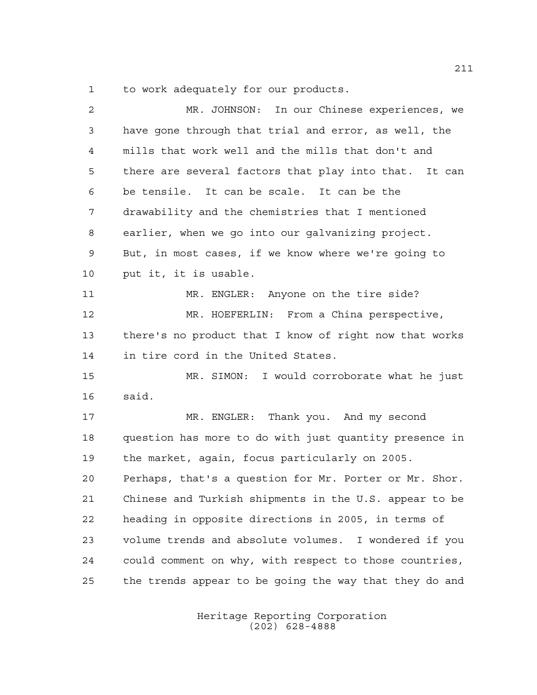to work adequately for our products.

| $\overline{2}$ | MR. JOHNSON: In our Chinese experiences, we            |
|----------------|--------------------------------------------------------|
| 3              | have gone through that trial and error, as well, the   |
| 4              | mills that work well and the mills that don't and      |
| 5              | there are several factors that play into that. It can  |
| 6              | be tensile. It can be scale. It can be the             |
| 7              | drawability and the chemistries that I mentioned       |
| 8              | earlier, when we go into our galvanizing project.      |
| 9              | But, in most cases, if we know where we're going to    |
| 10             | put it, it is usable.                                  |
| 11             | MR. ENGLER: Anyone on the tire side?                   |
| 12             | MR. HOEFERLIN: From a China perspective,               |
| 13             | there's no product that I know of right now that works |
| 14             | in tire cord in the United States.                     |
| 15             | MR. SIMON: I would corroborate what he just            |
| 16             | said.                                                  |
| 17             | MR. ENGLER: Thank you. And my second                   |
| 18             | question has more to do with just quantity presence in |
| 19             | the market, again, focus particularly on 2005.         |
| 20             | Perhaps, that's a question for Mr. Porter or Mr. Shor. |
| 21             | Chinese and Turkish shipments in the U.S. appear to be |
| 22             | heading in opposite directions in 2005, in terms of    |
| 23             | volume trends and absolute volumes. I wondered if you  |
| 24             | could comment on why, with respect to those countries, |
| 25             | the trends appear to be going the way that they do and |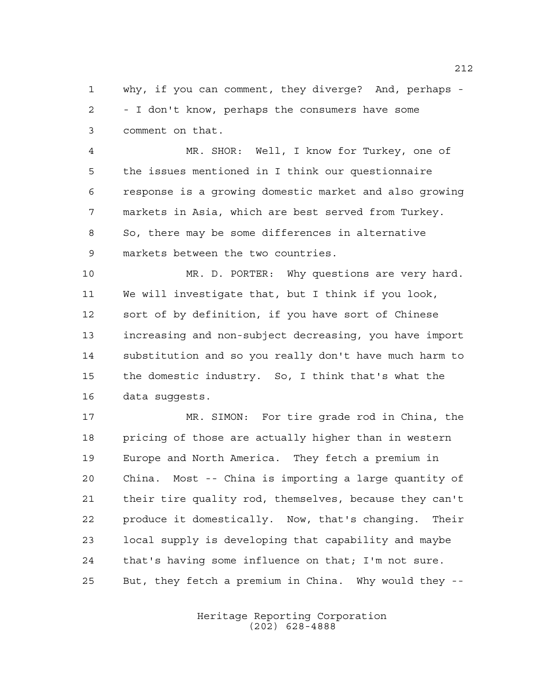why, if you can comment, they diverge? And, perhaps - - I don't know, perhaps the consumers have some comment on that.

 MR. SHOR: Well, I know for Turkey, one of the issues mentioned in I think our questionnaire response is a growing domestic market and also growing markets in Asia, which are best served from Turkey. So, there may be some differences in alternative markets between the two countries.

 MR. D. PORTER: Why questions are very hard. We will investigate that, but I think if you look, sort of by definition, if you have sort of Chinese increasing and non-subject decreasing, you have import substitution and so you really don't have much harm to the domestic industry. So, I think that's what the data suggests.

 MR. SIMON: For tire grade rod in China, the pricing of those are actually higher than in western Europe and North America. They fetch a premium in China. Most -- China is importing a large quantity of their tire quality rod, themselves, because they can't produce it domestically. Now, that's changing. Their local supply is developing that capability and maybe that's having some influence on that; I'm not sure. But, they fetch a premium in China. Why would they --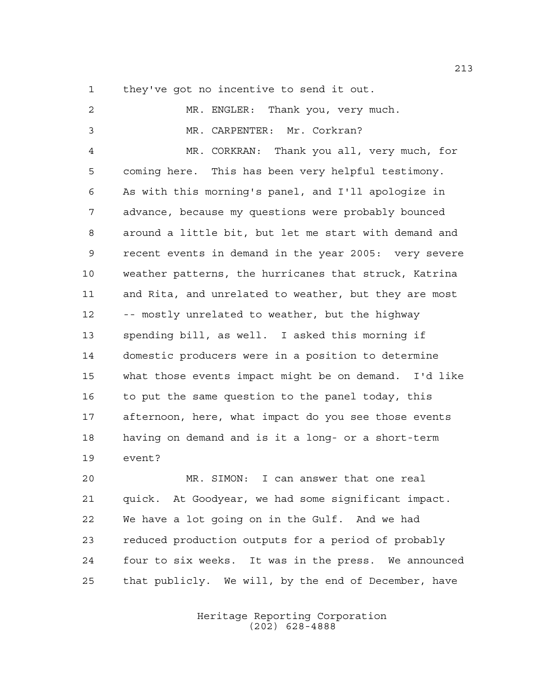they've got no incentive to send it out.

| 2              | MR. ENGLER: Thank you, very much.                     |
|----------------|-------------------------------------------------------|
| $\mathfrak{Z}$ | MR. CARPENTER: Mr. Corkran?                           |
| 4              | MR. CORKRAN: Thank you all, very much, for            |
| 5              | coming here. This has been very helpful testimony.    |
| 6              | As with this morning's panel, and I'll apologize in   |
| 7              | advance, because my questions were probably bounced   |
| 8              | around a little bit, but let me start with demand and |
| $\mathsf 9$    | recent events in demand in the year 2005: very severe |
| 10             | weather patterns, the hurricanes that struck, Katrina |
| 11             | and Rita, and unrelated to weather, but they are most |
| 12             | -- mostly unrelated to weather, but the highway       |
| 13             | spending bill, as well. I asked this morning if       |
| 14             | domestic producers were in a position to determine    |
| 15             | what those events impact might be on demand. I'd like |
| 16             | to put the same question to the panel today, this     |
| 17             | afternoon, here, what impact do you see those events  |
| 18             | having on demand and is it a long- or a short-term    |
| 19             | event?                                                |

 MR. SIMON: I can answer that one real quick. At Goodyear, we had some significant impact. We have a lot going on in the Gulf. And we had reduced production outputs for a period of probably four to six weeks. It was in the press. We announced that publicly. We will, by the end of December, have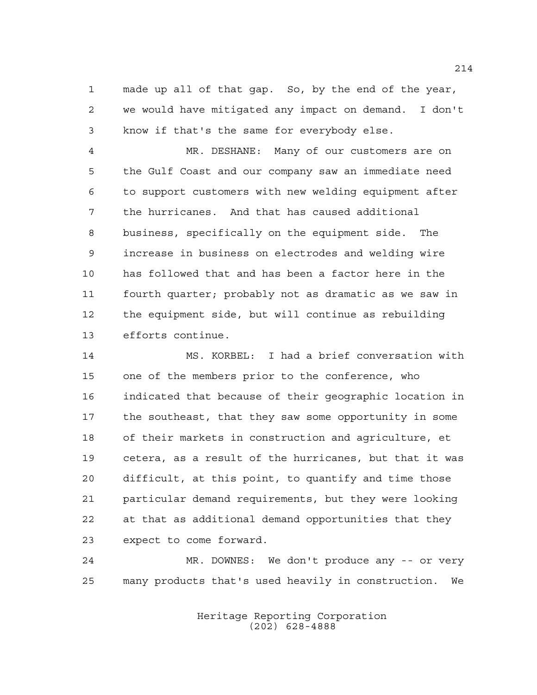made up all of that gap. So, by the end of the year, we would have mitigated any impact on demand. I don't know if that's the same for everybody else.

 MR. DESHANE: Many of our customers are on the Gulf Coast and our company saw an immediate need to support customers with new welding equipment after the hurricanes. And that has caused additional business, specifically on the equipment side. The increase in business on electrodes and welding wire has followed that and has been a factor here in the fourth quarter; probably not as dramatic as we saw in the equipment side, but will continue as rebuilding efforts continue.

 MS. KORBEL: I had a brief conversation with one of the members prior to the conference, who indicated that because of their geographic location in the southeast, that they saw some opportunity in some of their markets in construction and agriculture, et cetera, as a result of the hurricanes, but that it was difficult, at this point, to quantify and time those particular demand requirements, but they were looking at that as additional demand opportunities that they expect to come forward.

 MR. DOWNES: We don't produce any -- or very many products that's used heavily in construction. We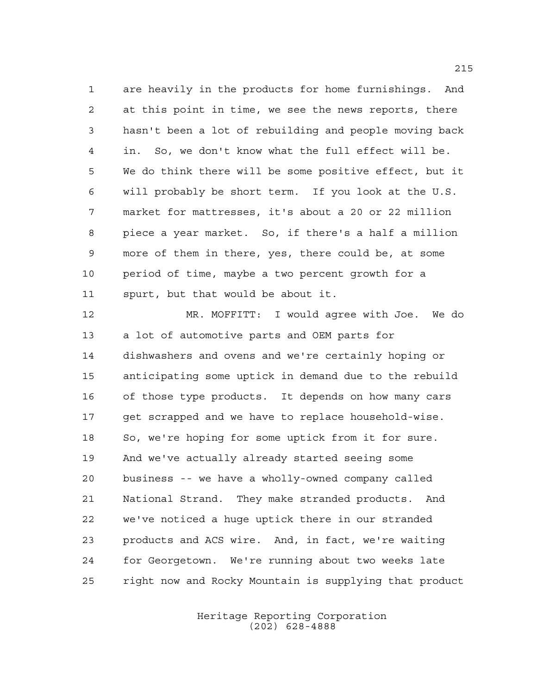are heavily in the products for home furnishings. And at this point in time, we see the news reports, there hasn't been a lot of rebuilding and people moving back in. So, we don't know what the full effect will be. We do think there will be some positive effect, but it will probably be short term. If you look at the U.S. market for mattresses, it's about a 20 or 22 million piece a year market. So, if there's a half a million more of them in there, yes, there could be, at some period of time, maybe a two percent growth for a spurt, but that would be about it.

 MR. MOFFITT: I would agree with Joe. We do a lot of automotive parts and OEM parts for dishwashers and ovens and we're certainly hoping or anticipating some uptick in demand due to the rebuild of those type products. It depends on how many cars get scrapped and we have to replace household-wise. So, we're hoping for some uptick from it for sure. And we've actually already started seeing some business -- we have a wholly-owned company called National Strand. They make stranded products. And we've noticed a huge uptick there in our stranded products and ACS wire. And, in fact, we're waiting for Georgetown. We're running about two weeks late right now and Rocky Mountain is supplying that product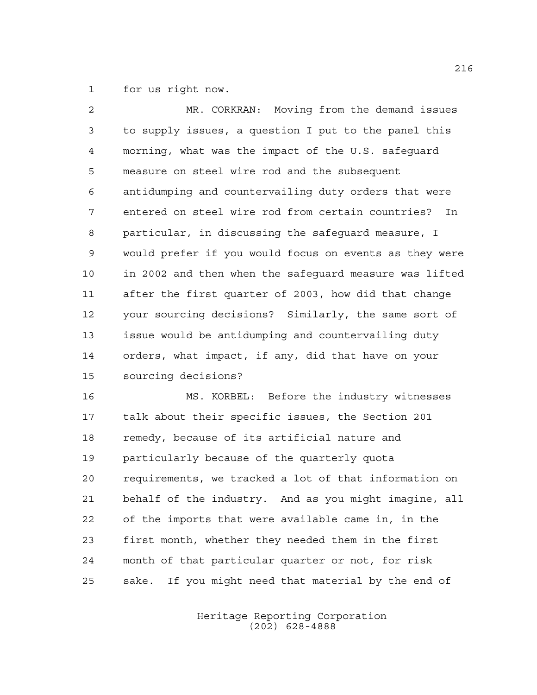for us right now.

| $\overline{2}$ | MR. CORKRAN: Moving from the demand issues             |
|----------------|--------------------------------------------------------|
| $\mathfrak{Z}$ | to supply issues, a question I put to the panel this   |
| 4              | morning, what was the impact of the U.S. safequard     |
| 5              | measure on steel wire rod and the subsequent           |
| 6              | antidumping and countervailing duty orders that were   |
| 7              | entered on steel wire rod from certain countries? In   |
| 8              | particular, in discussing the safeguard measure, I     |
| 9              | would prefer if you would focus on events as they were |
| 10             | in 2002 and then when the safequard measure was lifted |
| 11             | after the first quarter of 2003, how did that change   |
| 12             | your sourcing decisions? Similarly, the same sort of   |
| 13             | issue would be antidumping and countervailing duty     |
| 14             | orders, what impact, if any, did that have on your     |
| 15             | sourcing decisions?                                    |

 MS. KORBEL: Before the industry witnesses talk about their specific issues, the Section 201 remedy, because of its artificial nature and particularly because of the quarterly quota requirements, we tracked a lot of that information on behalf of the industry. And as you might imagine, all of the imports that were available came in, in the first month, whether they needed them in the first month of that particular quarter or not, for risk sake. If you might need that material by the end of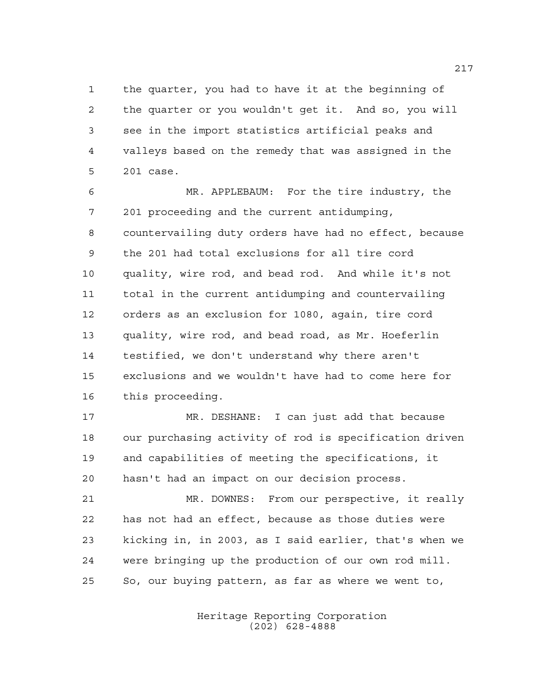the quarter, you had to have it at the beginning of the quarter or you wouldn't get it. And so, you will see in the import statistics artificial peaks and valleys based on the remedy that was assigned in the 201 case.

 MR. APPLEBAUM: For the tire industry, the 201 proceeding and the current antidumping, countervailing duty orders have had no effect, because the 201 had total exclusions for all tire cord quality, wire rod, and bead rod. And while it's not total in the current antidumping and countervailing orders as an exclusion for 1080, again, tire cord quality, wire rod, and bead road, as Mr. Hoeferlin testified, we don't understand why there aren't exclusions and we wouldn't have had to come here for this proceeding.

 MR. DESHANE: I can just add that because our purchasing activity of rod is specification driven and capabilities of meeting the specifications, it hasn't had an impact on our decision process.

 MR. DOWNES: From our perspective, it really has not had an effect, because as those duties were kicking in, in 2003, as I said earlier, that's when we were bringing up the production of our own rod mill. So, our buying pattern, as far as where we went to,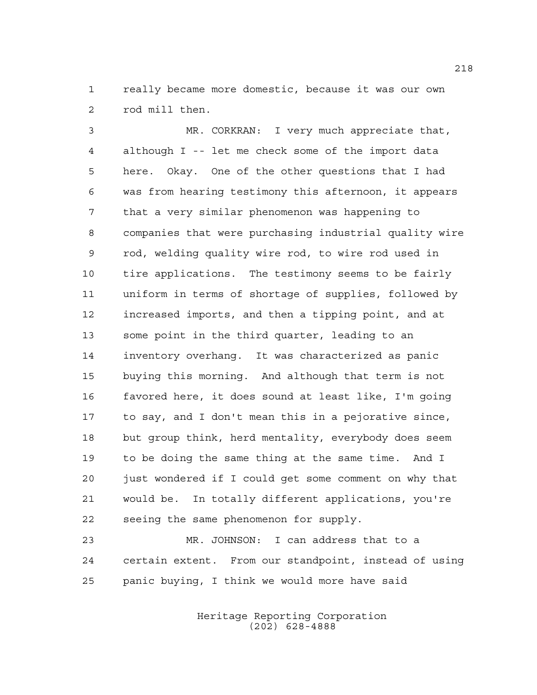really became more domestic, because it was our own rod mill then.

 MR. CORKRAN: I very much appreciate that, although I -- let me check some of the import data here. Okay. One of the other questions that I had was from hearing testimony this afternoon, it appears that a very similar phenomenon was happening to companies that were purchasing industrial quality wire rod, welding quality wire rod, to wire rod used in tire applications. The testimony seems to be fairly uniform in terms of shortage of supplies, followed by increased imports, and then a tipping point, and at some point in the third quarter, leading to an inventory overhang. It was characterized as panic buying this morning. And although that term is not favored here, it does sound at least like, I'm going to say, and I don't mean this in a pejorative since, but group think, herd mentality, everybody does seem to be doing the same thing at the same time. And I just wondered if I could get some comment on why that would be. In totally different applications, you're seeing the same phenomenon for supply.

 MR. JOHNSON: I can address that to a certain extent. From our standpoint, instead of using panic buying, I think we would more have said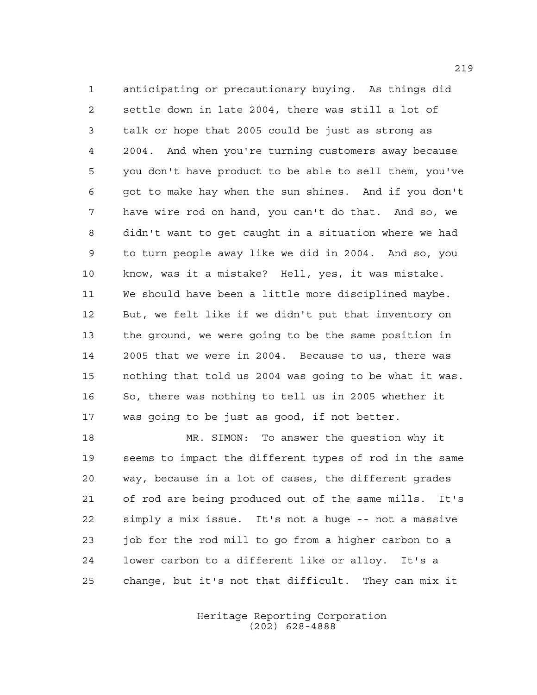anticipating or precautionary buying. As things did settle down in late 2004, there was still a lot of talk or hope that 2005 could be just as strong as 2004. And when you're turning customers away because you don't have product to be able to sell them, you've got to make hay when the sun shines. And if you don't have wire rod on hand, you can't do that. And so, we didn't want to get caught in a situation where we had to turn people away like we did in 2004. And so, you know, was it a mistake? Hell, yes, it was mistake. We should have been a little more disciplined maybe. But, we felt like if we didn't put that inventory on the ground, we were going to be the same position in 2005 that we were in 2004. Because to us, there was nothing that told us 2004 was going to be what it was. So, there was nothing to tell us in 2005 whether it was going to be just as good, if not better.

 MR. SIMON: To answer the question why it seems to impact the different types of rod in the same way, because in a lot of cases, the different grades of rod are being produced out of the same mills. It's simply a mix issue. It's not a huge -- not a massive job for the rod mill to go from a higher carbon to a lower carbon to a different like or alloy. It's a change, but it's not that difficult. They can mix it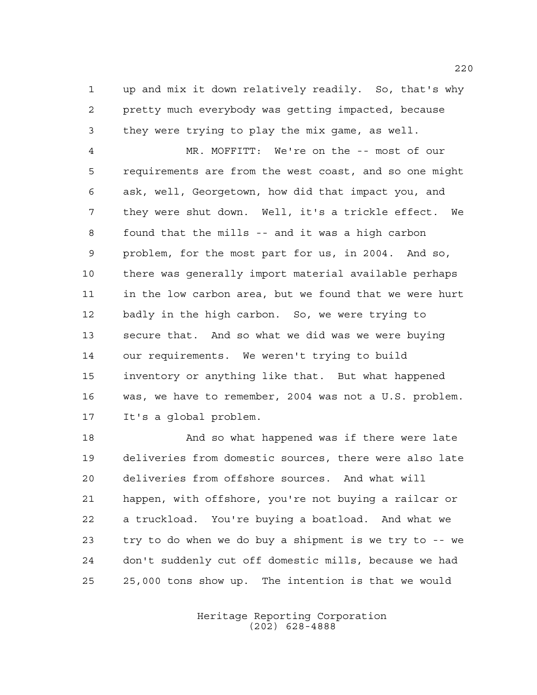up and mix it down relatively readily. So, that's why pretty much everybody was getting impacted, because they were trying to play the mix game, as well.

 MR. MOFFITT: We're on the -- most of our requirements are from the west coast, and so one might ask, well, Georgetown, how did that impact you, and they were shut down. Well, it's a trickle effect. We found that the mills -- and it was a high carbon problem, for the most part for us, in 2004. And so, there was generally import material available perhaps in the low carbon area, but we found that we were hurt badly in the high carbon. So, we were trying to secure that. And so what we did was we were buying our requirements. We weren't trying to build inventory or anything like that. But what happened was, we have to remember, 2004 was not a U.S. problem. It's a global problem.

 And so what happened was if there were late deliveries from domestic sources, there were also late deliveries from offshore sources. And what will happen, with offshore, you're not buying a railcar or a truckload. You're buying a boatload. And what we try to do when we do buy a shipment is we try to -- we don't suddenly cut off domestic mills, because we had 25,000 tons show up. The intention is that we would

> Heritage Reporting Corporation (202) 628-4888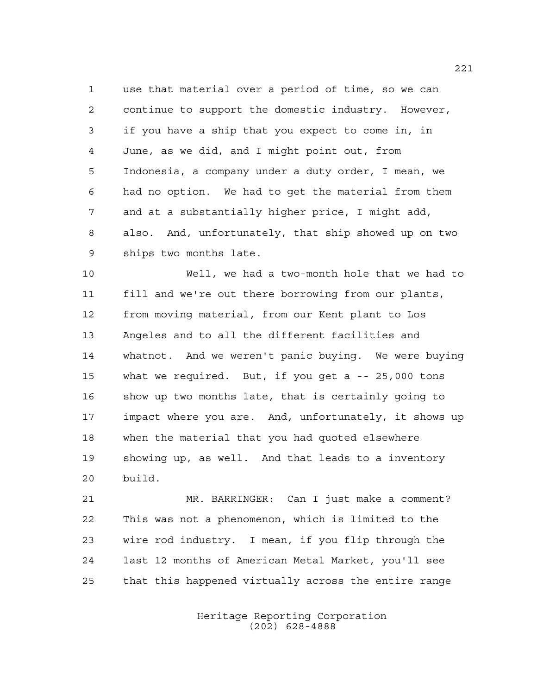use that material over a period of time, so we can continue to support the domestic industry. However, if you have a ship that you expect to come in, in June, as we did, and I might point out, from Indonesia, a company under a duty order, I mean, we had no option. We had to get the material from them and at a substantially higher price, I might add, also. And, unfortunately, that ship showed up on two ships two months late.

 Well, we had a two-month hole that we had to fill and we're out there borrowing from our plants, from moving material, from our Kent plant to Los Angeles and to all the different facilities and whatnot. And we weren't panic buying. We were buying what we required. But, if you get a -- 25,000 tons show up two months late, that is certainly going to impact where you are. And, unfortunately, it shows up when the material that you had quoted elsewhere showing up, as well. And that leads to a inventory build.

 MR. BARRINGER: Can I just make a comment? This was not a phenomenon, which is limited to the wire rod industry. I mean, if you flip through the last 12 months of American Metal Market, you'll see that this happened virtually across the entire range

> Heritage Reporting Corporation (202) 628-4888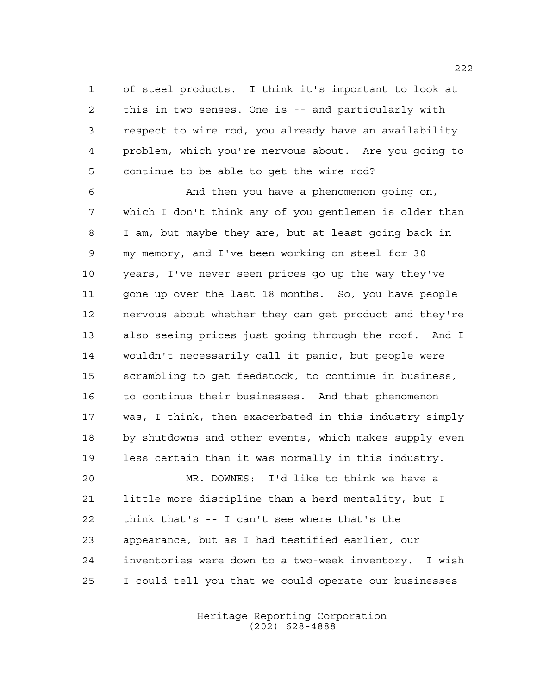of steel products. I think it's important to look at this in two senses. One is -- and particularly with respect to wire rod, you already have an availability problem, which you're nervous about. Are you going to continue to be able to get the wire rod?

 And then you have a phenomenon going on, which I don't think any of you gentlemen is older than I am, but maybe they are, but at least going back in my memory, and I've been working on steel for 30 years, I've never seen prices go up the way they've gone up over the last 18 months. So, you have people nervous about whether they can get product and they're also seeing prices just going through the roof. And I wouldn't necessarily call it panic, but people were scrambling to get feedstock, to continue in business, to continue their businesses. And that phenomenon was, I think, then exacerbated in this industry simply by shutdowns and other events, which makes supply even less certain than it was normally in this industry.

 MR. DOWNES: I'd like to think we have a little more discipline than a herd mentality, but I think that's -- I can't see where that's the appearance, but as I had testified earlier, our inventories were down to a two-week inventory. I wish I could tell you that we could operate our businesses

> Heritage Reporting Corporation (202) 628-4888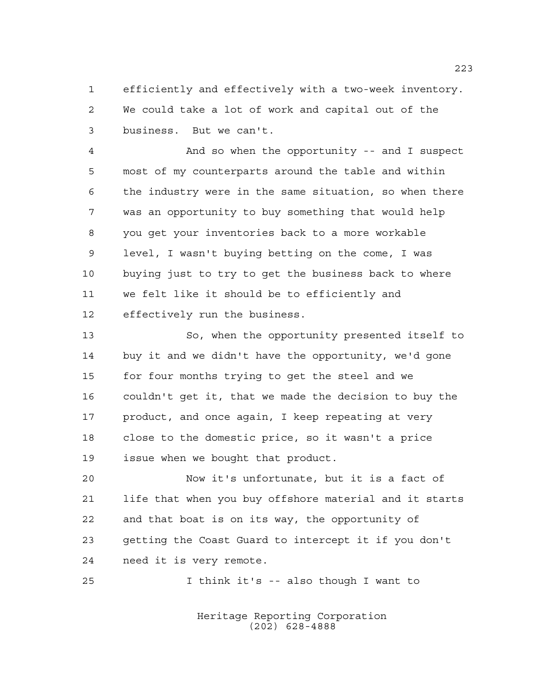efficiently and effectively with a two-week inventory. We could take a lot of work and capital out of the business. But we can't.

 And so when the opportunity -- and I suspect most of my counterparts around the table and within the industry were in the same situation, so when there was an opportunity to buy something that would help you get your inventories back to a more workable level, I wasn't buying betting on the come, I was buying just to try to get the business back to where we felt like it should be to efficiently and effectively run the business.

 So, when the opportunity presented itself to buy it and we didn't have the opportunity, we'd gone for four months trying to get the steel and we couldn't get it, that we made the decision to buy the 17 product, and once again, I keep repeating at very close to the domestic price, so it wasn't a price issue when we bought that product.

 Now it's unfortunate, but it is a fact of life that when you buy offshore material and it starts and that boat is on its way, the opportunity of getting the Coast Guard to intercept it if you don't need it is very remote.

I think it's -- also though I want to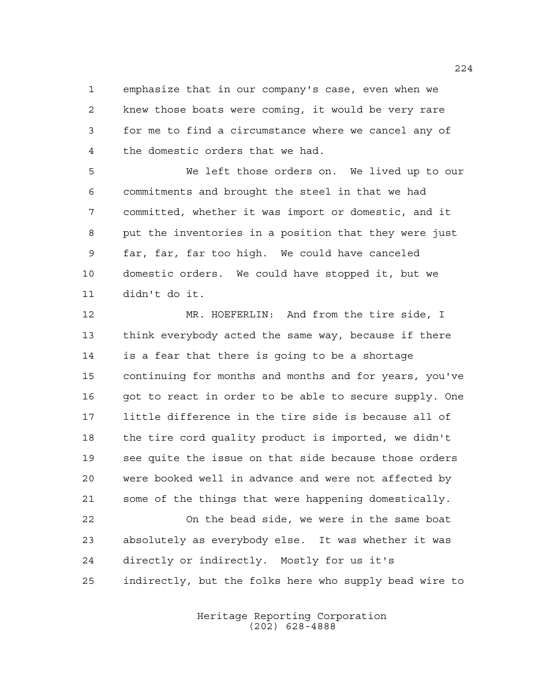emphasize that in our company's case, even when we knew those boats were coming, it would be very rare for me to find a circumstance where we cancel any of the domestic orders that we had.

 We left those orders on. We lived up to our commitments and brought the steel in that we had committed, whether it was import or domestic, and it put the inventories in a position that they were just far, far, far too high. We could have canceled domestic orders. We could have stopped it, but we didn't do it.

 MR. HOEFERLIN: And from the tire side, I think everybody acted the same way, because if there is a fear that there is going to be a shortage continuing for months and months and for years, you've 16 got to react in order to be able to secure supply. One little difference in the tire side is because all of the tire cord quality product is imported, we didn't see quite the issue on that side because those orders were booked well in advance and were not affected by some of the things that were happening domestically.

 On the bead side, we were in the same boat absolutely as everybody else. It was whether it was directly or indirectly. Mostly for us it's indirectly, but the folks here who supply bead wire to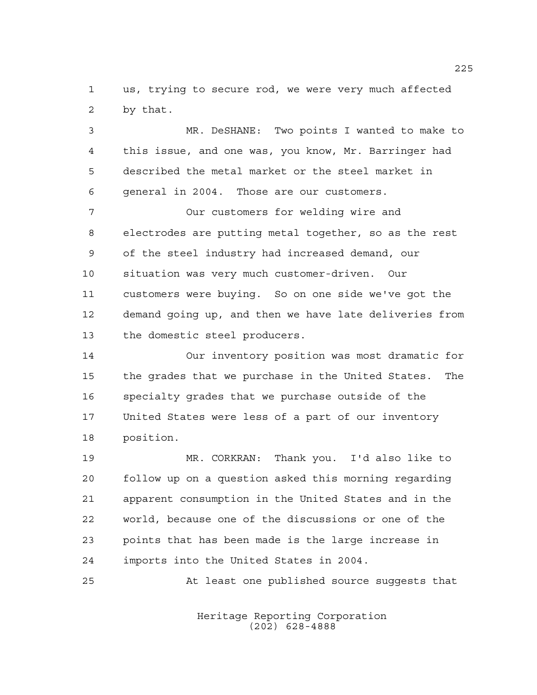us, trying to secure rod, we were very much affected by that.

 MR. DeSHANE: Two points I wanted to make to this issue, and one was, you know, Mr. Barringer had described the metal market or the steel market in general in 2004. Those are our customers.

 Our customers for welding wire and electrodes are putting metal together, so as the rest of the steel industry had increased demand, our situation was very much customer-driven. Our customers were buying. So on one side we've got the demand going up, and then we have late deliveries from the domestic steel producers.

 Our inventory position was most dramatic for the grades that we purchase in the United States. The specialty grades that we purchase outside of the United States were less of a part of our inventory position.

 MR. CORKRAN: Thank you. I'd also like to follow up on a question asked this morning regarding apparent consumption in the United States and in the world, because one of the discussions or one of the points that has been made is the large increase in imports into the United States in 2004.

At least one published source suggests that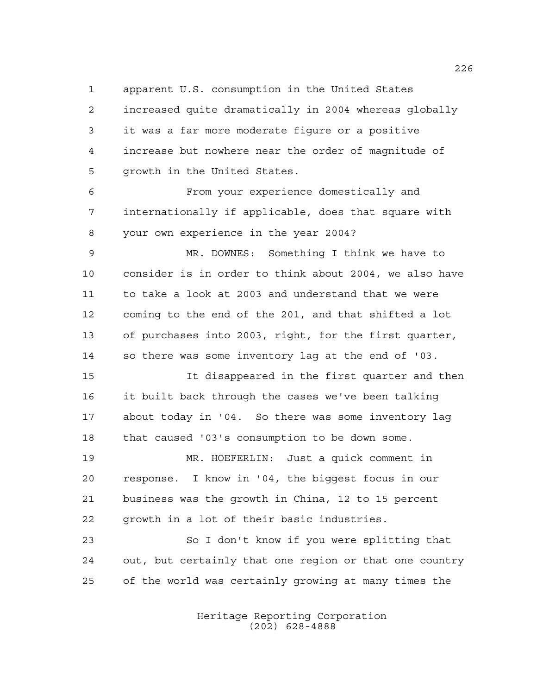apparent U.S. consumption in the United States

 increased quite dramatically in 2004 whereas globally it was a far more moderate figure or a positive increase but nowhere near the order of magnitude of growth in the United States.

 From your experience domestically and internationally if applicable, does that square with your own experience in the year 2004?

 MR. DOWNES: Something I think we have to consider is in order to think about 2004, we also have to take a look at 2003 and understand that we were coming to the end of the 201, and that shifted a lot of purchases into 2003, right, for the first quarter, so there was some inventory lag at the end of '03.

 It disappeared in the first quarter and then it built back through the cases we've been talking about today in '04. So there was some inventory lag that caused '03's consumption to be down some.

 MR. HOEFERLIN: Just a quick comment in response. I know in '04, the biggest focus in our business was the growth in China, 12 to 15 percent growth in a lot of their basic industries.

 So I don't know if you were splitting that out, but certainly that one region or that one country of the world was certainly growing at many times the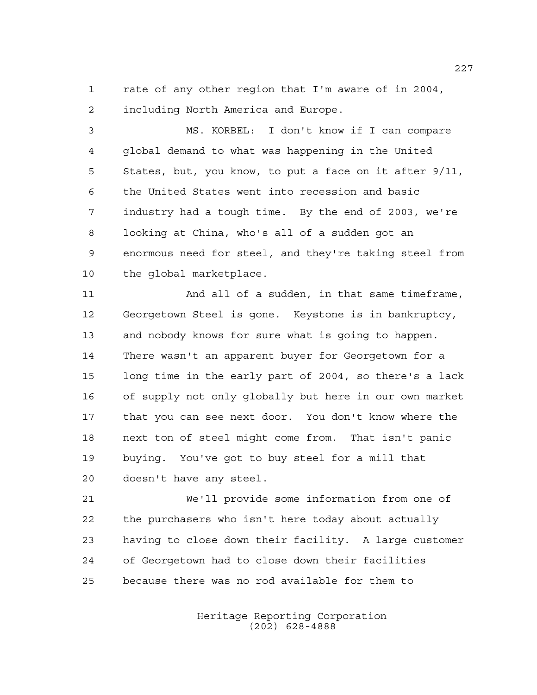rate of any other region that I'm aware of in 2004, including North America and Europe.

 MS. KORBEL: I don't know if I can compare global demand to what was happening in the United States, but, you know, to put a face on it after 9/11, the United States went into recession and basic industry had a tough time. By the end of 2003, we're looking at China, who's all of a sudden got an enormous need for steel, and they're taking steel from the global marketplace.

11 And all of a sudden, in that same timeframe, Georgetown Steel is gone. Keystone is in bankruptcy, and nobody knows for sure what is going to happen. There wasn't an apparent buyer for Georgetown for a long time in the early part of 2004, so there's a lack of supply not only globally but here in our own market that you can see next door. You don't know where the next ton of steel might come from. That isn't panic buying. You've got to buy steel for a mill that doesn't have any steel.

 We'll provide some information from one of the purchasers who isn't here today about actually having to close down their facility. A large customer of Georgetown had to close down their facilities because there was no rod available for them to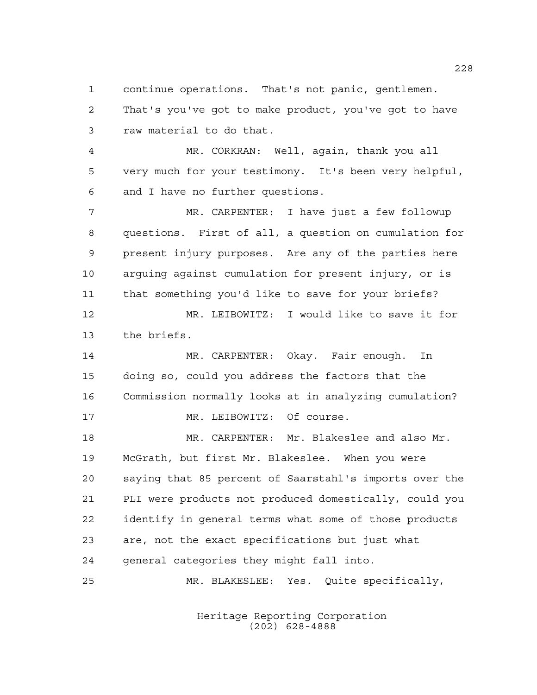continue operations. That's not panic, gentlemen. That's you've got to make product, you've got to have raw material to do that.

 MR. CORKRAN: Well, again, thank you all very much for your testimony. It's been very helpful, and I have no further questions.

 MR. CARPENTER: I have just a few followup questions. First of all, a question on cumulation for present injury purposes. Are any of the parties here arguing against cumulation for present injury, or is that something you'd like to save for your briefs? MR. LEIBOWITZ: I would like to save it for

the briefs.

 MR. CARPENTER: Okay. Fair enough. In doing so, could you address the factors that the Commission normally looks at in analyzing cumulation? 17 MR. LEIBOWITZ: Of course.

 MR. CARPENTER: Mr. Blakeslee and also Mr. McGrath, but first Mr. Blakeslee. When you were saying that 85 percent of Saarstahl's imports over the PLI were products not produced domestically, could you identify in general terms what some of those products are, not the exact specifications but just what general categories they might fall into.

MR. BLAKESLEE: Yes. Quite specifically,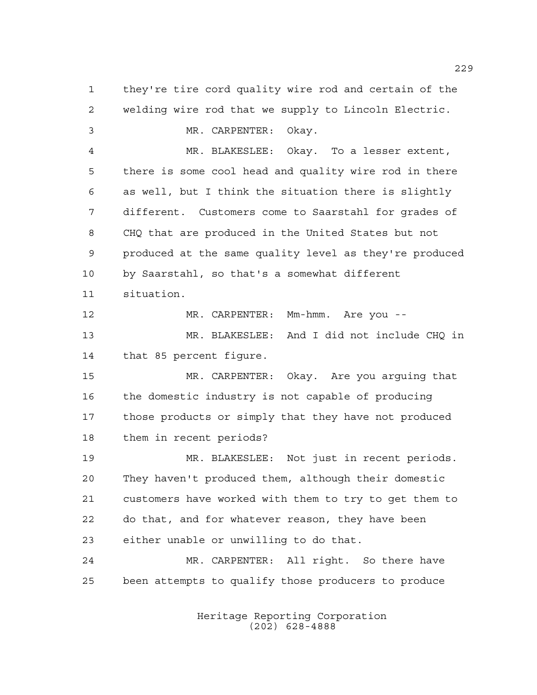they're tire cord quality wire rod and certain of the welding wire rod that we supply to Lincoln Electric. MR. CARPENTER: Okay. MR. BLAKESLEE: Okay. To a lesser extent, there is some cool head and quality wire rod in there as well, but I think the situation there is slightly different. Customers come to Saarstahl for grades of CHQ that are produced in the United States but not produced at the same quality level as they're produced by Saarstahl, so that's a somewhat different situation. MR. CARPENTER: Mm-hmm. Are you -- MR. BLAKESLEE: And I did not include CHQ in that 85 percent figure. MR. CARPENTER: Okay. Are you arguing that the domestic industry is not capable of producing those products or simply that they have not produced them in recent periods? MR. BLAKESLEE: Not just in recent periods. They haven't produced them, although their domestic customers have worked with them to try to get them to do that, and for whatever reason, they have been either unable or unwilling to do that. MR. CARPENTER: All right. So there have been attempts to qualify those producers to produce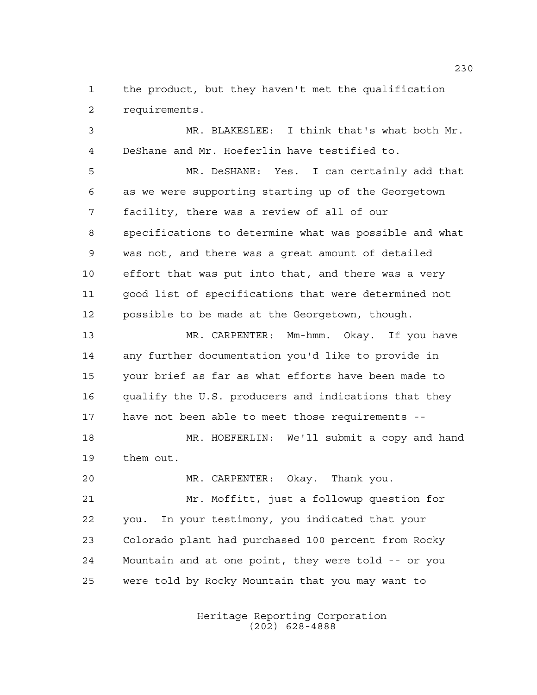the product, but they haven't met the qualification requirements.

 MR. BLAKESLEE: I think that's what both Mr. DeShane and Mr. Hoeferlin have testified to.

 MR. DeSHANE: Yes. I can certainly add that as we were supporting starting up of the Georgetown facility, there was a review of all of our specifications to determine what was possible and what was not, and there was a great amount of detailed effort that was put into that, and there was a very good list of specifications that were determined not possible to be made at the Georgetown, though.

 MR. CARPENTER: Mm-hmm. Okay. If you have any further documentation you'd like to provide in your brief as far as what efforts have been made to qualify the U.S. producers and indications that they have not been able to meet those requirements --

 MR. HOEFERLIN: We'll submit a copy and hand them out.

MR. CARPENTER: Okay. Thank you.

 Mr. Moffitt, just a followup question for you. In your testimony, you indicated that your Colorado plant had purchased 100 percent from Rocky Mountain and at one point, they were told -- or you were told by Rocky Mountain that you may want to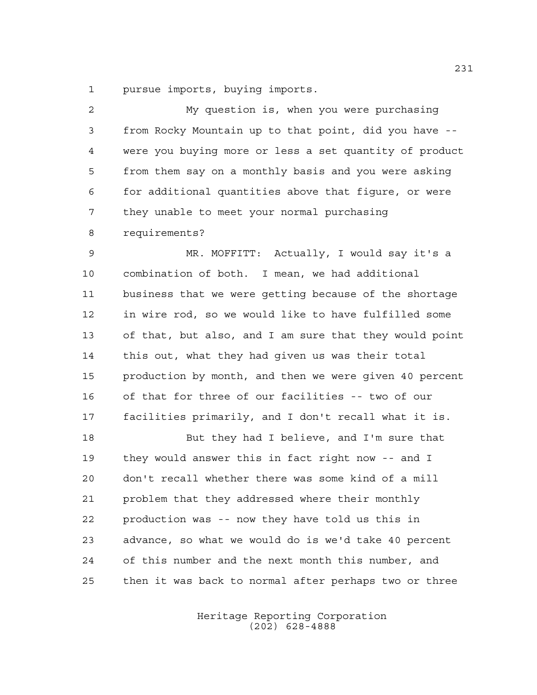pursue imports, buying imports.

 My question is, when you were purchasing from Rocky Mountain up to that point, did you have -- were you buying more or less a set quantity of product from them say on a monthly basis and you were asking for additional quantities above that figure, or were they unable to meet your normal purchasing requirements?

 MR. MOFFITT: Actually, I would say it's a combination of both. I mean, we had additional business that we were getting because of the shortage in wire rod, so we would like to have fulfilled some of that, but also, and I am sure that they would point this out, what they had given us was their total production by month, and then we were given 40 percent of that for three of our facilities -- two of our facilities primarily, and I don't recall what it is.

18 But they had I believe, and I'm sure that they would answer this in fact right now -- and I don't recall whether there was some kind of a mill problem that they addressed where their monthly production was -- now they have told us this in advance, so what we would do is we'd take 40 percent of this number and the next month this number, and then it was back to normal after perhaps two or three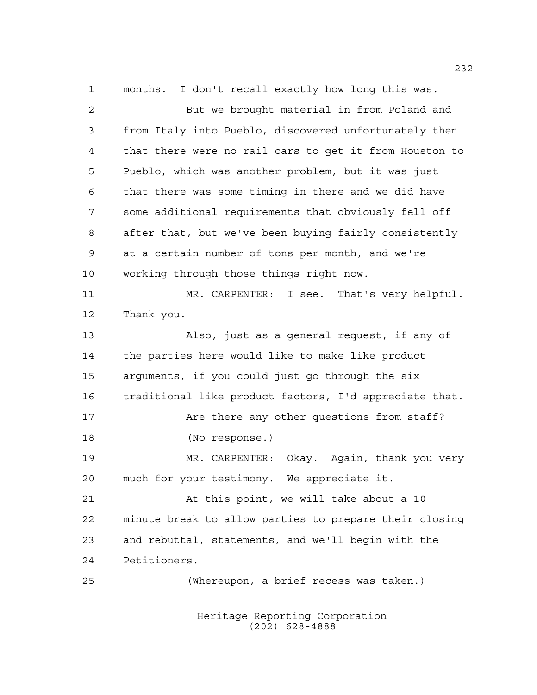months. I don't recall exactly how long this was. But we brought material in from Poland and from Italy into Pueblo, discovered unfortunately then that there were no rail cars to get it from Houston to Pueblo, which was another problem, but it was just that there was some timing in there and we did have some additional requirements that obviously fell off after that, but we've been buying fairly consistently at a certain number of tons per month, and we're working through those things right now. MR. CARPENTER: I see. That's very helpful. Thank you. Also, just as a general request, if any of the parties here would like to make like product arguments, if you could just go through the six traditional like product factors, I'd appreciate that. 17 Are there any other questions from staff? (No response.) MR. CARPENTER: Okay. Again, thank you very much for your testimony. We appreciate it. At this point, we will take about a 10- minute break to allow parties to prepare their closing and rebuttal, statements, and we'll begin with the Petitioners. (Whereupon, a brief recess was taken.)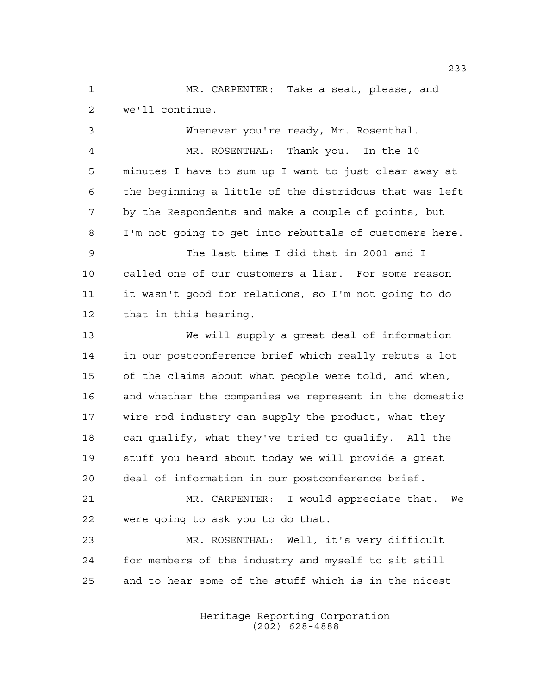MR. CARPENTER: Take a seat, please, and we'll continue.

 Whenever you're ready, Mr. Rosenthal. MR. ROSENTHAL: Thank you. In the 10 minutes I have to sum up I want to just clear away at the beginning a little of the distridous that was left by the Respondents and make a couple of points, but I'm not going to get into rebuttals of customers here. The last time I did that in 2001 and I called one of our customers a liar. For some reason it wasn't good for relations, so I'm not going to do that in this hearing. We will supply a great deal of information in our postconference brief which really rebuts a lot of the claims about what people were told, and when, and whether the companies we represent in the domestic wire rod industry can supply the product, what they can qualify, what they've tried to qualify. All the stuff you heard about today we will provide a great deal of information in our postconference brief. MR. CARPENTER: I would appreciate that. We were going to ask you to do that. MR. ROSENTHAL: Well, it's very difficult for members of the industry and myself to sit still and to hear some of the stuff which is in the nicest

> Heritage Reporting Corporation (202) 628-4888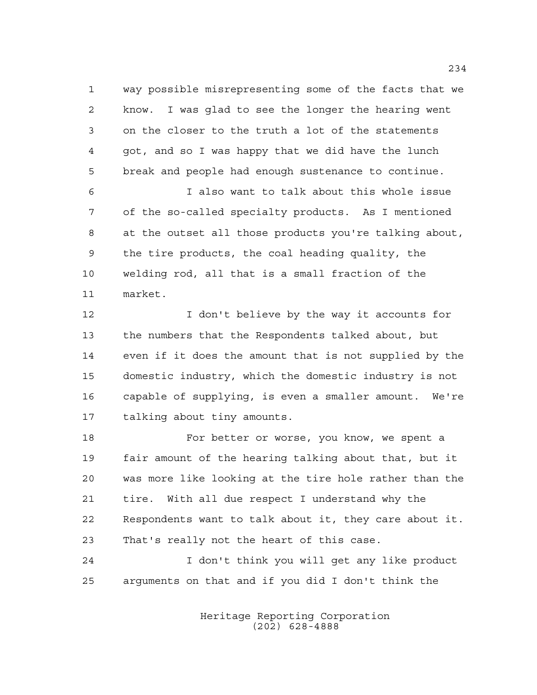way possible misrepresenting some of the facts that we know. I was glad to see the longer the hearing went on the closer to the truth a lot of the statements got, and so I was happy that we did have the lunch break and people had enough sustenance to continue.

 I also want to talk about this whole issue of the so-called specialty products. As I mentioned at the outset all those products you're talking about, the tire products, the coal heading quality, the welding rod, all that is a small fraction of the market.

12 12 I don't believe by the way it accounts for the numbers that the Respondents talked about, but even if it does the amount that is not supplied by the domestic industry, which the domestic industry is not capable of supplying, is even a smaller amount. We're talking about tiny amounts.

18 For better or worse, you know, we spent a fair amount of the hearing talking about that, but it was more like looking at the tire hole rather than the tire. With all due respect I understand why the Respondents want to talk about it, they care about it. That's really not the heart of this case.

 I don't think you will get any like product arguments on that and if you did I don't think the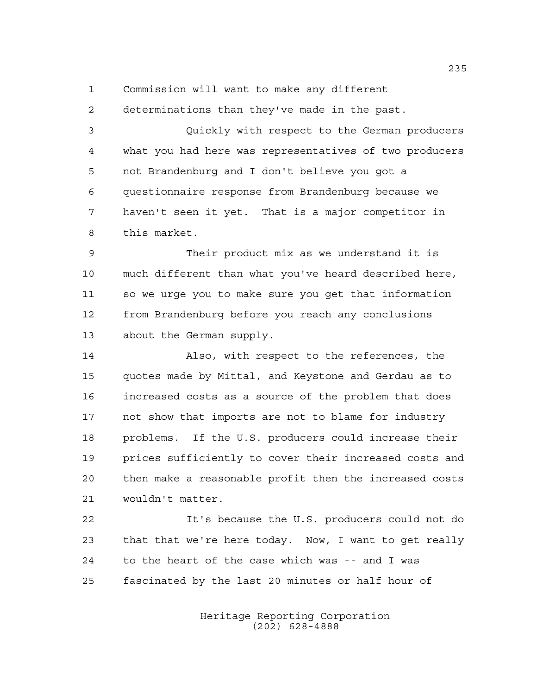Commission will want to make any different

determinations than they've made in the past.

 Quickly with respect to the German producers what you had here was representatives of two producers not Brandenburg and I don't believe you got a questionnaire response from Brandenburg because we haven't seen it yet. That is a major competitor in this market.

 Their product mix as we understand it is much different than what you've heard described here, so we urge you to make sure you get that information from Brandenburg before you reach any conclusions about the German supply.

 Also, with respect to the references, the quotes made by Mittal, and Keystone and Gerdau as to increased costs as a source of the problem that does not show that imports are not to blame for industry problems. If the U.S. producers could increase their prices sufficiently to cover their increased costs and then make a reasonable profit then the increased costs wouldn't matter.

 It's because the U.S. producers could not do that that we're here today. Now, I want to get really to the heart of the case which was -- and I was fascinated by the last 20 minutes or half hour of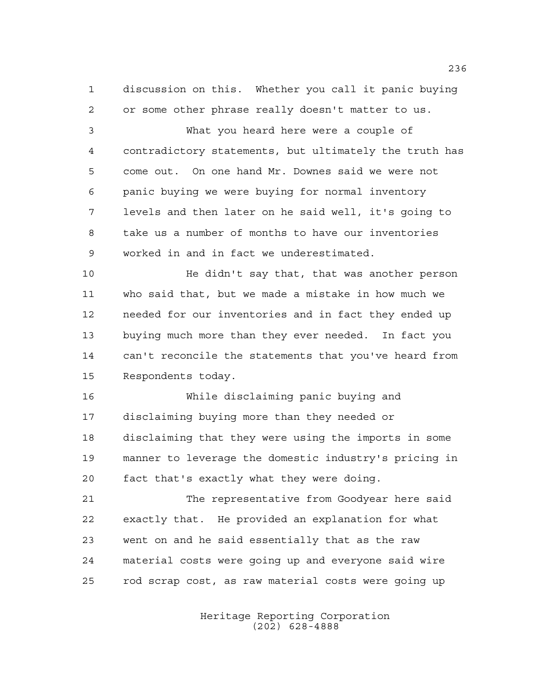discussion on this. Whether you call it panic buying or some other phrase really doesn't matter to us.

 What you heard here were a couple of contradictory statements, but ultimately the truth has come out. On one hand Mr. Downes said we were not panic buying we were buying for normal inventory levels and then later on he said well, it's going to take us a number of months to have our inventories worked in and in fact we underestimated.

 He didn't say that, that was another person who said that, but we made a mistake in how much we needed for our inventories and in fact they ended up buying much more than they ever needed. In fact you can't reconcile the statements that you've heard from Respondents today.

 While disclaiming panic buying and disclaiming buying more than they needed or disclaiming that they were using the imports in some manner to leverage the domestic industry's pricing in fact that's exactly what they were doing.

 The representative from Goodyear here said exactly that. He provided an explanation for what went on and he said essentially that as the raw material costs were going up and everyone said wire rod scrap cost, as raw material costs were going up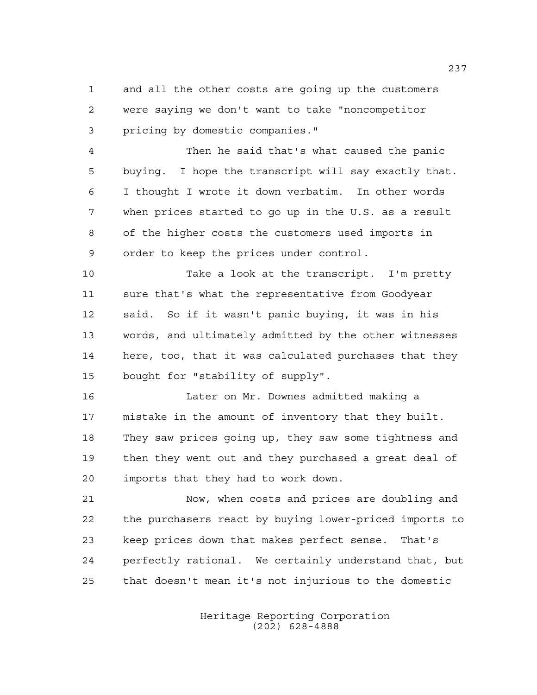and all the other costs are going up the customers were saying we don't want to take "noncompetitor pricing by domestic companies."

 Then he said that's what caused the panic buying. I hope the transcript will say exactly that. I thought I wrote it down verbatim. In other words when prices started to go up in the U.S. as a result of the higher costs the customers used imports in order to keep the prices under control.

 Take a look at the transcript. I'm pretty sure that's what the representative from Goodyear said. So if it wasn't panic buying, it was in his words, and ultimately admitted by the other witnesses here, too, that it was calculated purchases that they bought for "stability of supply".

 Later on Mr. Downes admitted making a mistake in the amount of inventory that they built. They saw prices going up, they saw some tightness and then they went out and they purchased a great deal of imports that they had to work down.

 Now, when costs and prices are doubling and the purchasers react by buying lower-priced imports to keep prices down that makes perfect sense. That's perfectly rational. We certainly understand that, but that doesn't mean it's not injurious to the domestic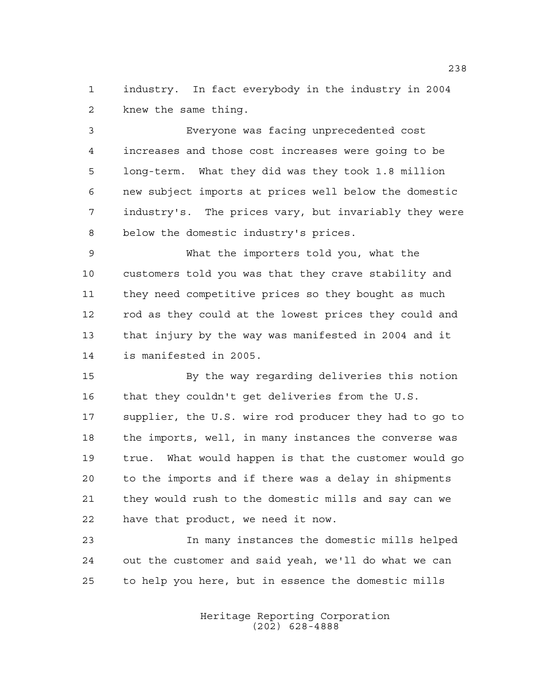industry. In fact everybody in the industry in 2004 knew the same thing.

 Everyone was facing unprecedented cost increases and those cost increases were going to be long-term. What they did was they took 1.8 million new subject imports at prices well below the domestic industry's. The prices vary, but invariably they were below the domestic industry's prices.

 What the importers told you, what the customers told you was that they crave stability and they need competitive prices so they bought as much rod as they could at the lowest prices they could and that injury by the way was manifested in 2004 and it is manifested in 2005.

 By the way regarding deliveries this notion that they couldn't get deliveries from the U.S. supplier, the U.S. wire rod producer they had to go to the imports, well, in many instances the converse was true. What would happen is that the customer would go to the imports and if there was a delay in shipments they would rush to the domestic mills and say can we have that product, we need it now.

 In many instances the domestic mills helped out the customer and said yeah, we'll do what we can to help you here, but in essence the domestic mills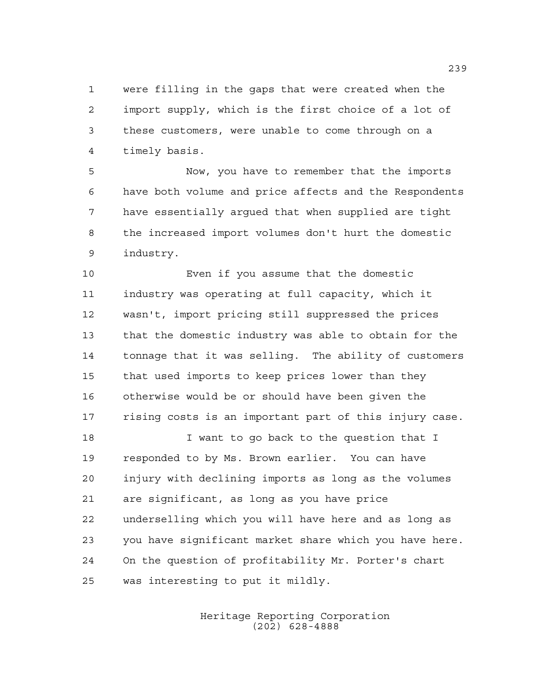were filling in the gaps that were created when the import supply, which is the first choice of a lot of these customers, were unable to come through on a timely basis.

 Now, you have to remember that the imports have both volume and price affects and the Respondents have essentially argued that when supplied are tight the increased import volumes don't hurt the domestic industry.

 Even if you assume that the domestic industry was operating at full capacity, which it wasn't, import pricing still suppressed the prices that the domestic industry was able to obtain for the tonnage that it was selling. The ability of customers that used imports to keep prices lower than they otherwise would be or should have been given the rising costs is an important part of this injury case.

**I** want to go back to the question that I responded to by Ms. Brown earlier. You can have injury with declining imports as long as the volumes are significant, as long as you have price underselling which you will have here and as long as you have significant market share which you have here. On the question of profitability Mr. Porter's chart was interesting to put it mildly.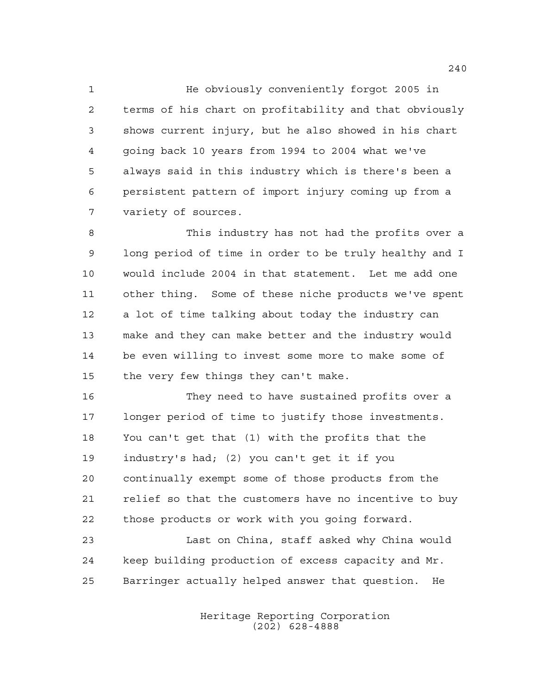He obviously conveniently forgot 2005 in terms of his chart on profitability and that obviously shows current injury, but he also showed in his chart going back 10 years from 1994 to 2004 what we've always said in this industry which is there's been a persistent pattern of import injury coming up from a variety of sources.

 This industry has not had the profits over a long period of time in order to be truly healthy and I would include 2004 in that statement. Let me add one other thing. Some of these niche products we've spent a lot of time talking about today the industry can make and they can make better and the industry would be even willing to invest some more to make some of 15 the very few things they can't make.

 They need to have sustained profits over a longer period of time to justify those investments. You can't get that (1) with the profits that the industry's had; (2) you can't get it if you continually exempt some of those products from the relief so that the customers have no incentive to buy those products or work with you going forward.

 Last on China, staff asked why China would keep building production of excess capacity and Mr. Barringer actually helped answer that question. He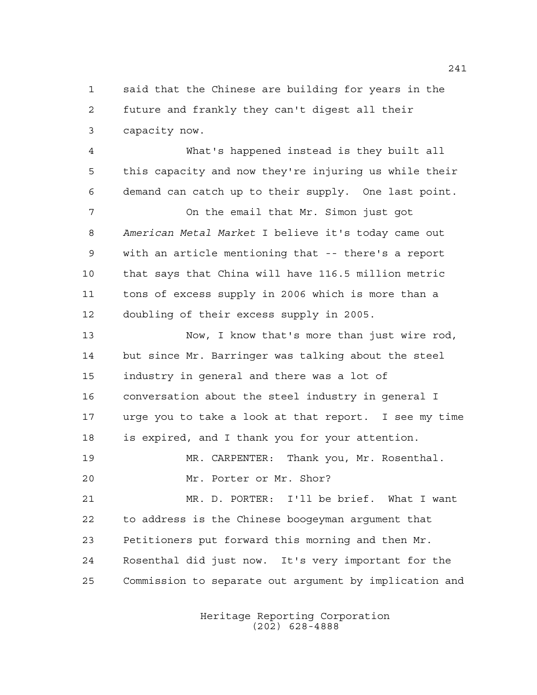said that the Chinese are building for years in the future and frankly they can't digest all their capacity now.

 What's happened instead is they built all this capacity and now they're injuring us while their demand can catch up to their supply. One last point.

 On the email that Mr. Simon just got *American Metal Market* I believe it's today came out with an article mentioning that -- there's a report that says that China will have 116.5 million metric tons of excess supply in 2006 which is more than a doubling of their excess supply in 2005.

 Now, I know that's more than just wire rod, but since Mr. Barringer was talking about the steel industry in general and there was a lot of conversation about the steel industry in general I urge you to take a look at that report. I see my time is expired, and I thank you for your attention.

 MR. CARPENTER: Thank you, Mr. Rosenthal. Mr. Porter or Mr. Shor?

 MR. D. PORTER: I'll be brief. What I want to address is the Chinese boogeyman argument that Petitioners put forward this morning and then Mr. Rosenthal did just now. It's very important for the Commission to separate out argument by implication and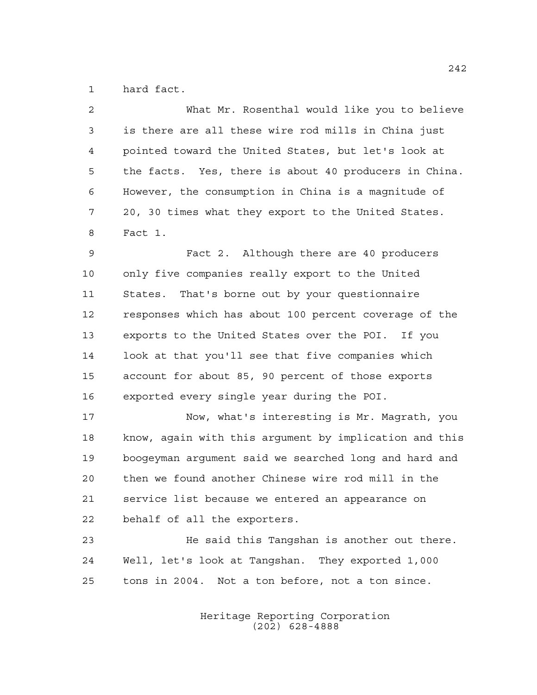hard fact.

| $\overline{2}$ | What Mr. Rosenthal would like you to believe           |  |
|----------------|--------------------------------------------------------|--|
| 3              | is there are all these wire rod mills in China just    |  |
| 4              | pointed toward the United States, but let's look at    |  |
| 5              | the facts. Yes, there is about 40 producers in China.  |  |
| 6              | However, the consumption in China is a magnitude of    |  |
| 7              | 20, 30 times what they export to the United States.    |  |
| 8              | Fact 1.                                                |  |
| 9              | Fact 2. Although there are 40 producers                |  |
| 10             | only five companies really export to the United        |  |
| 11             | States. That's borne out by your questionnaire         |  |
| 12             | responses which has about 100 percent coverage of the  |  |
| 13             | exports to the United States over the POI. If you      |  |
| 14             | look at that you'll see that five companies which      |  |
| 15             | account for about 85, 90 percent of those exports      |  |
| 16             | exported every single year during the POI.             |  |
| 17             | Now, what's interesting is Mr. Magrath, you            |  |
| 18             | know, again with this argument by implication and this |  |
| 19             | boogeyman argument said we searched long and hard and  |  |
| 20             | then we found another Chinese wire rod mill in the     |  |
| 21             | service list because we entered an appearance on       |  |
| 22             | behalf of all the exporters.                           |  |
| 23             | He said this Tangshan is another out there.            |  |

 Well, let's look at Tangshan. They exported 1,000 tons in 2004. Not a ton before, not a ton since.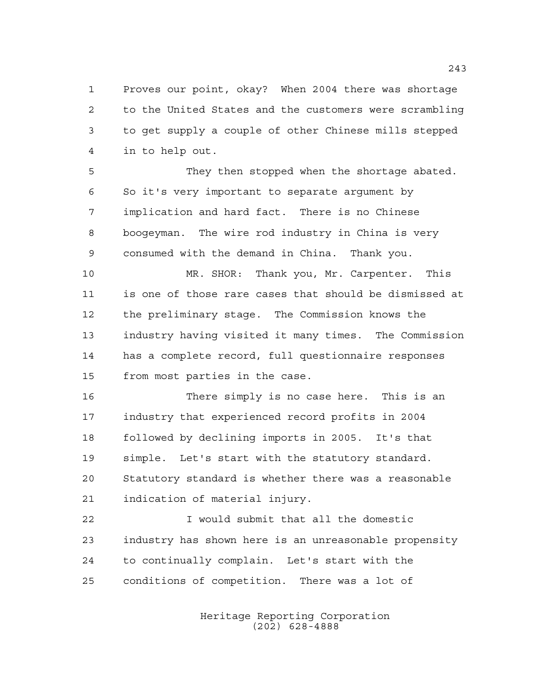Proves our point, okay? When 2004 there was shortage to the United States and the customers were scrambling to get supply a couple of other Chinese mills stepped in to help out.

 They then stopped when the shortage abated. So it's very important to separate argument by implication and hard fact. There is no Chinese boogeyman. The wire rod industry in China is very consumed with the demand in China. Thank you.

 MR. SHOR: Thank you, Mr. Carpenter. This is one of those rare cases that should be dismissed at the preliminary stage. The Commission knows the industry having visited it many times. The Commission has a complete record, full questionnaire responses from most parties in the case.

 There simply is no case here. This is an industry that experienced record profits in 2004 followed by declining imports in 2005. It's that simple. Let's start with the statutory standard. Statutory standard is whether there was a reasonable indication of material injury.

 I would submit that all the domestic industry has shown here is an unreasonable propensity to continually complain. Let's start with the conditions of competition. There was a lot of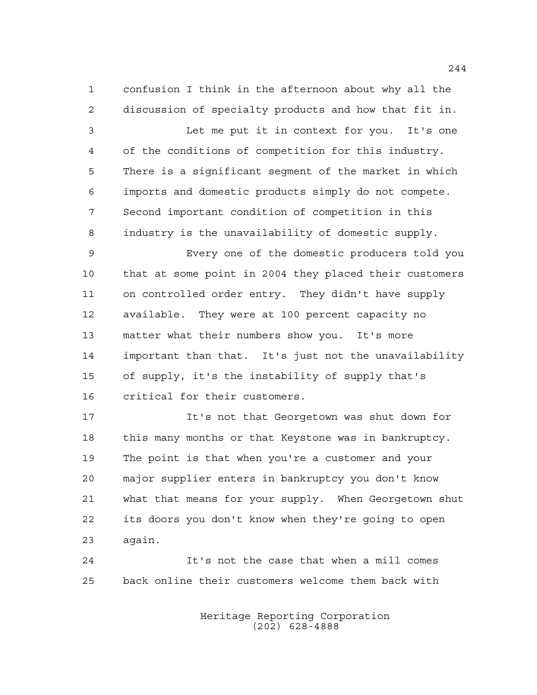confusion I think in the afternoon about why all the discussion of specialty products and how that fit in. Let me put it in context for you. It's one of the conditions of competition for this industry. There is a significant segment of the market in which imports and domestic products simply do not compete. Second important condition of competition in this industry is the unavailability of domestic supply. Every one of the domestic producers told you that at some point in 2004 they placed their customers on controlled order entry. They didn't have supply available. They were at 100 percent capacity no matter what their numbers show you. It's more important than that. It's just not the unavailability of supply, it's the instability of supply that's critical for their customers. It's not that Georgetown was shut down for this many months or that Keystone was in bankruptcy.

 The point is that when you're a customer and your major supplier enters in bankruptcy you don't know what that means for your supply. When Georgetown shut its doors you don't know when they're going to open again.

 It's not the case that when a mill comes back online their customers welcome them back with

> Heritage Reporting Corporation (202) 628-4888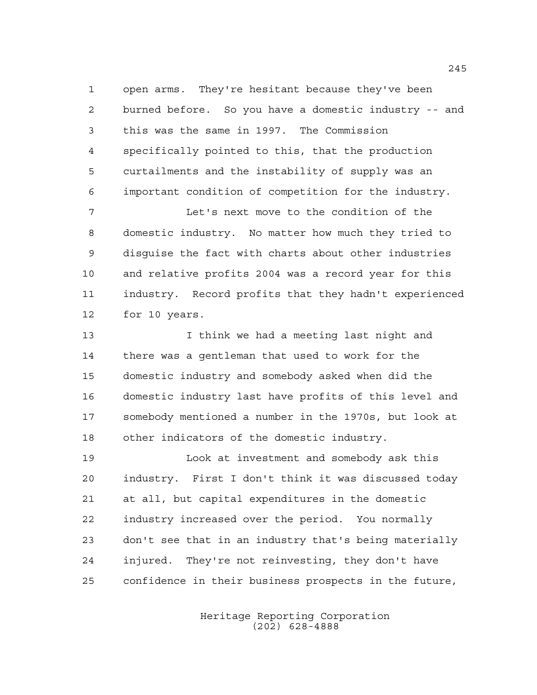open arms. They're hesitant because they've been burned before. So you have a domestic industry -- and this was the same in 1997. The Commission specifically pointed to this, that the production curtailments and the instability of supply was an important condition of competition for the industry.

 Let's next move to the condition of the domestic industry. No matter how much they tried to disguise the fact with charts about other industries and relative profits 2004 was a record year for this industry. Record profits that they hadn't experienced for 10 years.

 I think we had a meeting last night and there was a gentleman that used to work for the domestic industry and somebody asked when did the domestic industry last have profits of this level and somebody mentioned a number in the 1970s, but look at other indicators of the domestic industry.

 Look at investment and somebody ask this industry. First I don't think it was discussed today at all, but capital expenditures in the domestic industry increased over the period. You normally don't see that in an industry that's being materially injured. They're not reinvesting, they don't have confidence in their business prospects in the future,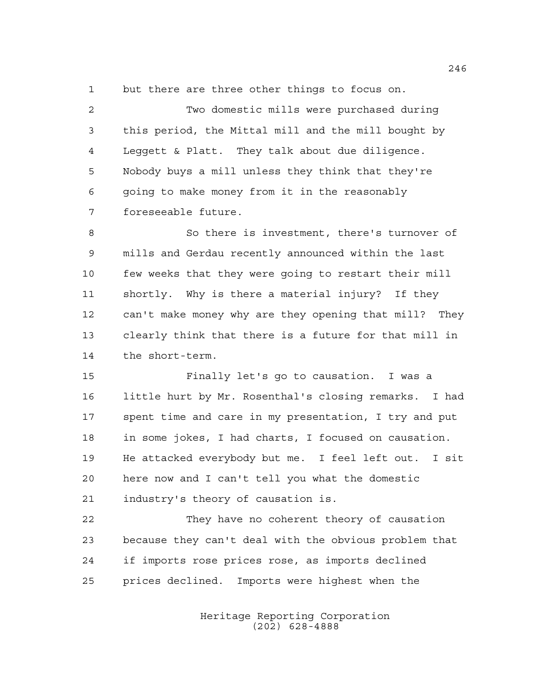but there are three other things to focus on.

 Two domestic mills were purchased during this period, the Mittal mill and the mill bought by Leggett & Platt. They talk about due diligence. Nobody buys a mill unless they think that they're going to make money from it in the reasonably foreseeable future.

 So there is investment, there's turnover of mills and Gerdau recently announced within the last few weeks that they were going to restart their mill shortly. Why is there a material injury? If they can't make money why are they opening that mill? They clearly think that there is a future for that mill in the short-term.

 Finally let's go to causation. I was a little hurt by Mr. Rosenthal's closing remarks. I had spent time and care in my presentation, I try and put in some jokes, I had charts, I focused on causation. He attacked everybody but me. I feel left out. I sit here now and I can't tell you what the domestic industry's theory of causation is.

 They have no coherent theory of causation because they can't deal with the obvious problem that if imports rose prices rose, as imports declined prices declined. Imports were highest when the

> Heritage Reporting Corporation (202) 628-4888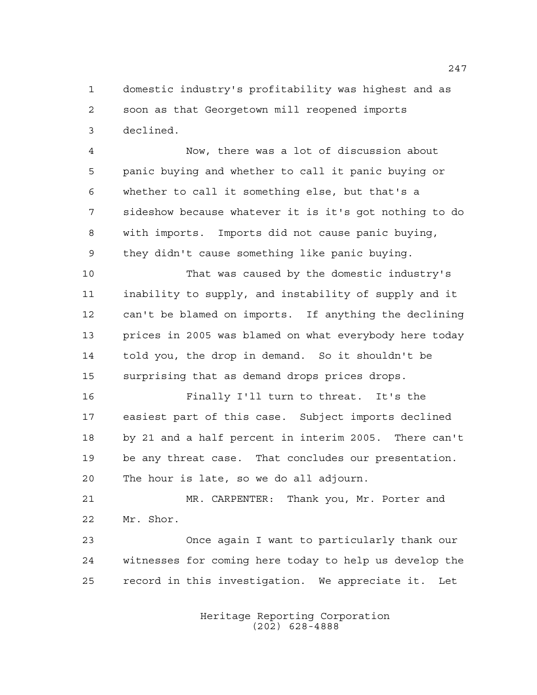domestic industry's profitability was highest and as soon as that Georgetown mill reopened imports declined.

 Now, there was a lot of discussion about panic buying and whether to call it panic buying or whether to call it something else, but that's a sideshow because whatever it is it's got nothing to do with imports. Imports did not cause panic buying, they didn't cause something like panic buying.

 That was caused by the domestic industry's inability to supply, and instability of supply and it can't be blamed on imports. If anything the declining prices in 2005 was blamed on what everybody here today told you, the drop in demand. So it shouldn't be surprising that as demand drops prices drops.

 Finally I'll turn to threat. It's the easiest part of this case. Subject imports declined by 21 and a half percent in interim 2005. There can't be any threat case. That concludes our presentation. The hour is late, so we do all adjourn.

 MR. CARPENTER: Thank you, Mr. Porter and Mr. Shor.

 Once again I want to particularly thank our witnesses for coming here today to help us develop the record in this investigation. We appreciate it. Let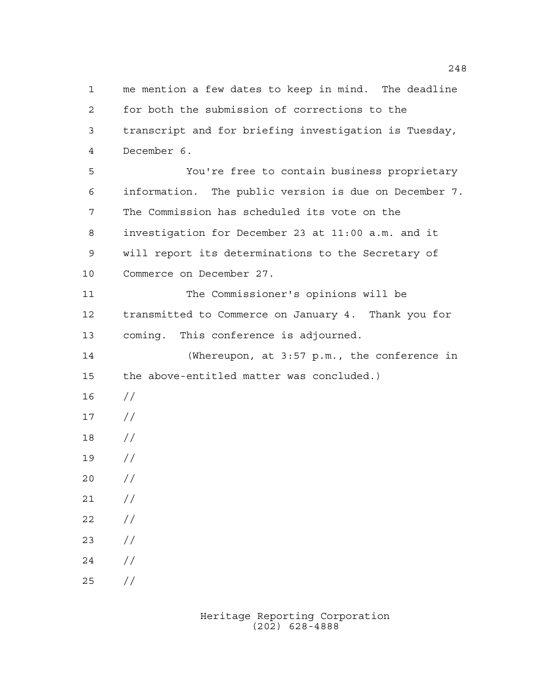me mention a few dates to keep in mind. The deadline for both the submission of corrections to the transcript and for briefing investigation is Tuesday, December 6. You're free to contain business proprietary information. The public version is due on December 7. The Commission has scheduled its vote on the investigation for December 23 at 11:00 a.m. and it will report its determinations to the Secretary of Commerce on December 27. The Commissioner's opinions will be transmitted to Commerce on January 4. Thank you for coming. This conference is adjourned. (Whereupon, at 3:57 p.m., the conference in the above-entitled matter was concluded.) // // // //  $20 /$  $21 /$  $22 / /$  // // //